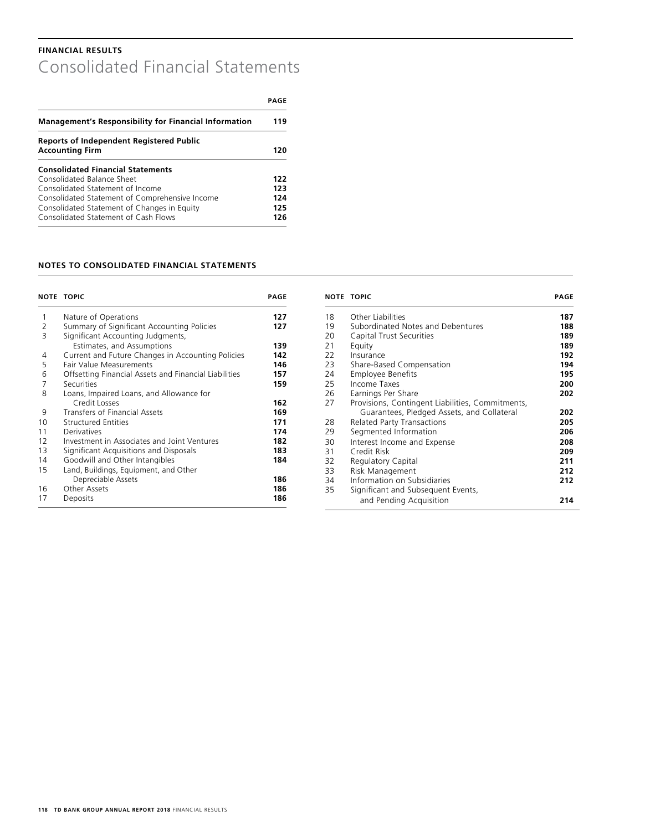## **FINANCIAL RESULTS** Consolidated Financial Statements

|                                                                           | PAGF |
|---------------------------------------------------------------------------|------|
| <b>Management's Responsibility for Financial Information</b>              | 119  |
| <b>Reports of Independent Registered Public</b><br><b>Accounting Firm</b> | 120  |
| <b>Consolidated Financial Statements</b>                                  |      |
| Consolidated Balance Sheet                                                | 122  |
| Consolidated Statement of Income                                          | 123  |
| Consolidated Statement of Comprehensive Income                            | 124  |
| Consolidated Statement of Changes in Equity                               | 125  |
| Consolidated Statement of Cash Flows                                      | 126  |

## **NOTES TO CONSOLIDATED FINANCIAL STATEMENTS**

|    | <b>NOTE TOPIC</b>                                     | <b>PAGE</b> |
|----|-------------------------------------------------------|-------------|
| 1  | Nature of Operations                                  | 127         |
| 2  | Summary of Significant Accounting Policies            | 127         |
| 3  | Significant Accounting Judgments,                     |             |
|    | Estimates, and Assumptions                            | 139         |
| 4  | Current and Future Changes in Accounting Policies     | 142         |
| 5  | Fair Value Measurements                               | 146         |
| 6  | Offsetting Financial Assets and Financial Liabilities | 157         |
| 7  | Securities                                            | 159         |
| 8  | Loans, Impaired Loans, and Allowance for              |             |
|    | Credit Losses                                         | 162         |
| 9  | <b>Transfers of Financial Assets</b>                  | 169         |
| 10 | <b>Structured Entities</b>                            | 171         |
| 11 | Derivatives                                           | 174         |
| 12 | Investment in Associates and Joint Ventures           | 182         |
| 13 | Significant Acquisitions and Disposals                | 183         |
| 14 | Goodwill and Other Intangibles                        | 184         |
| 15 | Land, Buildings, Equipment, and Other                 |             |
|    | Depreciable Assets                                    | 186         |
| 16 | Other Assets                                          | 186         |
| 17 | Deposits                                              | 186         |

|    | <b>NOTE TOPIC</b>                                | <b>PAGE</b> |
|----|--------------------------------------------------|-------------|
| 18 | Other Liabilities                                | 187         |
| 19 | Subordinated Notes and Debentures                | 188         |
| 20 | Capital Trust Securities                         | 189         |
| 21 | Equity                                           | 189         |
| 22 | Insurance                                        | 192         |
| 23 | Share-Based Compensation                         | 194         |
| 24 | <b>Employee Benefits</b>                         | 195         |
| 25 | Income Taxes                                     | 200         |
| 26 | Earnings Per Share                               | 202         |
| 27 | Provisions, Contingent Liabilities, Commitments, |             |
|    | Guarantees, Pledged Assets, and Collateral       | 202         |
| 28 | <b>Related Party Transactions</b>                | 205         |
| 29 | Segmented Information                            | 206         |
| 30 | Interest Income and Expense                      | 208         |
| 31 | Credit Risk                                      | 209         |
| 32 | Regulatory Capital                               | 211         |
| 33 | Risk Management                                  | 212         |
| 34 | Information on Subsidiaries                      | 212         |
| 35 | Significant and Subsequent Events,               |             |
|    | and Pending Acquisition                          | 214         |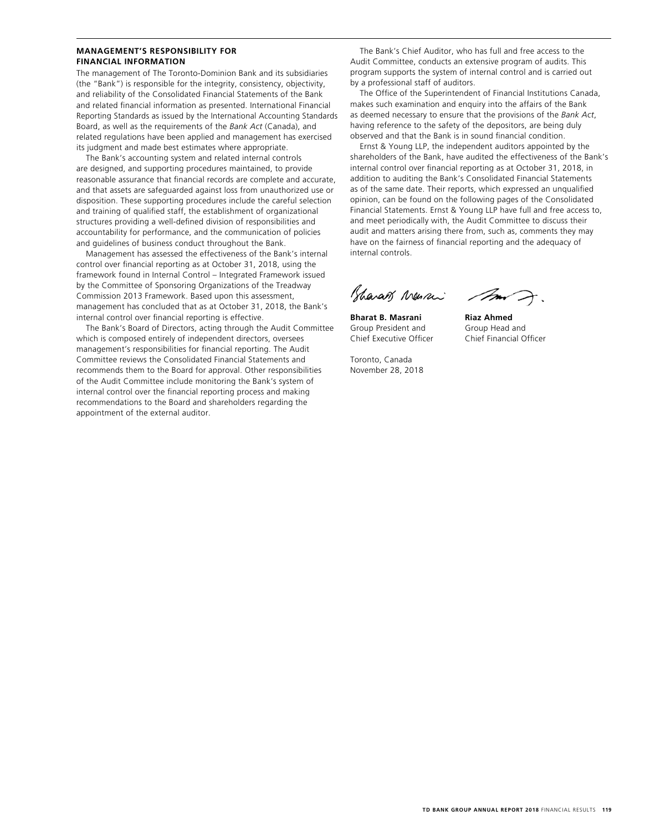## **MANAGEMENT'S RESPONSIBILITY FOR FINANCIAL INFORMATION**

The management of The Toronto-Dominion Bank and its subsidiaries (the "Bank") is responsible for the integrity, consistency, objectivity, and reliability of the Consolidated Financial Statements of the Bank and related financial information as presented. International Financial Reporting Standards as issued by the International Accounting Standards Board, as well as the requirements of the *Bank Act* (Canada), and related regulations have been applied and management has exercised its judgment and made best estimates where appropriate.

The Bank's accounting system and related internal controls are designed, and supporting procedures maintained, to provide reasonable assurance that financial records are complete and accurate, and that assets are safeguarded against loss from unauthorized use or disposition. These supporting procedures include the careful selection and training of qualified staff, the establishment of organizational structures providing a well-defined division of responsibilities and accountability for performance, and the communication of policies and guidelines of business conduct throughout the Bank.

Management has assessed the effectiveness of the Bank's internal control over financial reporting as at October 31, 2018, using the framework found in Internal Control – Integrated Framework issued by the Committee of Sponsoring Organizations of the Treadway Commission 2013 Framework. Based upon this assessment, management has concluded that as at October 31, 2018, the Bank's internal control over financial reporting is effective.

The Bank's Board of Directors, acting through the Audit Committee which is composed entirely of independent directors, oversees management's responsibilities for financial reporting. The Audit Committee reviews the Consolidated Financial Statements and recommends them to the Board for approval. Other responsibilities of the Audit Committee include monitoring the Bank's system of internal control over the financial reporting process and making recommendations to the Board and shareholders regarding the appointment of the external auditor.

The Bank's Chief Auditor, who has full and free access to the Audit Committee, conducts an extensive program of audits. This program supports the system of internal control and is carried out by a professional staff of auditors.

The Office of the Superintendent of Financial Institutions Canada, makes such examination and enquiry into the affairs of the Bank as deemed necessary to ensure that the provisions of the *Bank Act*, having reference to the safety of the depositors, are being duly observed and that the Bank is in sound financial condition.

Ernst & Young LLP, the independent auditors appointed by the shareholders of the Bank, have audited the effectiveness of the Bank's internal control over financial reporting as at October 31, 2018, in addition to auditing the Bank's Consolidated Financial Statements as of the same date. Their reports, which expressed an unqualified opinion, can be found on the following pages of the Consolidated Financial Statements. Ernst & Young LLP have full and free access to, and meet periodically with, the Audit Committee to discuss their audit and matters arising there from, such as, comments they may have on the fairness of financial reporting and the adequacy of internal controls.

Bharas Newsi Am

**Bharat B. Masrani Riaz Ahmed** Group President and Group Head and Chief Executive Officer Chief Financial Officer

Toronto, Canada November 28, 2018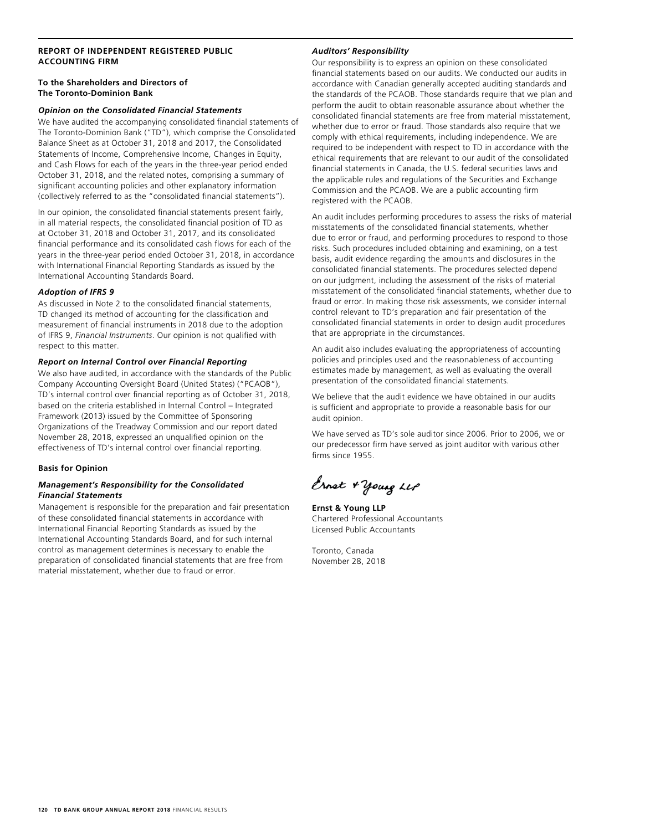## **REPORT OF INDEPENDENT REGISTERED PUBLIC ACCOUNTING FIRM**

## **To the Shareholders and Directors of The Toronto-Dominion Bank**

### *Opinion on the Consolidated Financial Statements*

We have audited the accompanying consolidated financial statements of The Toronto-Dominion Bank ("TD"), which comprise the Consolidated Balance Sheet as at October 31, 2018 and 2017, the Consolidated Statements of Income, Comprehensive Income, Changes in Equity, and Cash Flows for each of the years in the three-year period ended October 31, 2018, and the related notes, comprising a summary of significant accounting policies and other explanatory information (collectively referred to as the "consolidated financial statements").

In our opinion, the consolidated financial statements present fairly, in all material respects, the consolidated financial position of TD as at October 31, 2018 and October 31, 2017, and its consolidated financial performance and its consolidated cash flows for each of the years in the three-year period ended October 31, 2018, in accordance with International Financial Reporting Standards as issued by the International Accounting Standards Board.

#### *Adoption of IFRS 9*

As discussed in Note 2 to the consolidated financial statements, TD changed its method of accounting for the classification and measurement of financial instruments in 2018 due to the adoption of IFRS 9, *Financial Instruments*. Our opinion is not qualified with respect to this matter.

## *Report on Internal Control over Financial Reporting*

We also have audited, in accordance with the standards of the Public Company Accounting Oversight Board (United States) ("PCAOB"), TD's internal control over financial reporting as of October 31, 2018, based on the criteria established in Internal Control – Integrated Framework (2013) issued by the Committee of Sponsoring Organizations of the Treadway Commission and our report dated November 28, 2018, expressed an unqualified opinion on the effectiveness of TD's internal control over financial reporting.

## **Basis for Opinion**

## *Management's Responsibility for the Consolidated Financial Statements*

Management is responsible for the preparation and fair presentation of these consolidated financial statements in accordance with International Financial Reporting Standards as issued by the International Accounting Standards Board, and for such internal control as management determines is necessary to enable the preparation of consolidated financial statements that are free from material misstatement, whether due to fraud or error.

## *Auditors' Responsibility*

Our responsibility is to express an opinion on these consolidated financial statements based on our audits. We conducted our audits in accordance with Canadian generally accepted auditing standards and the standards of the PCAOB. Those standards require that we plan and perform the audit to obtain reasonable assurance about whether the consolidated financial statements are free from material misstatement, whether due to error or fraud. Those standards also require that we comply with ethical requirements, including independence. We are required to be independent with respect to TD in accordance with the ethical requirements that are relevant to our audit of the consolidated financial statements in Canada, the U.S. federal securities laws and the applicable rules and regulations of the Securities and Exchange Commission and the PCAOB. We are a public accounting firm registered with the PCAOB.

An audit includes performing procedures to assess the risks of material misstatements of the consolidated financial statements, whether due to error or fraud, and performing procedures to respond to those risks. Such procedures included obtaining and examining, on a test basis, audit evidence regarding the amounts and disclosures in the consolidated financial statements. The procedures selected depend on our judgment, including the assessment of the risks of material misstatement of the consolidated financial statements, whether due to fraud or error. In making those risk assessments, we consider internal control relevant to TD's preparation and fair presentation of the consolidated financial statements in order to design audit procedures that are appropriate in the circumstances.

An audit also includes evaluating the appropriateness of accounting policies and principles used and the reasonableness of accounting estimates made by management, as well as evaluating the overall presentation of the consolidated financial statements.

We believe that the audit evidence we have obtained in our audits is sufficient and appropriate to provide a reasonable basis for our audit opinion.

We have served as TD's sole auditor since 2006. Prior to 2006, we or our predecessor firm have served as joint auditor with various other firms since 1955.

Ernst + young LLP

**Ernst & Young LLP** Chartered Professional Accountants Licensed Public Accountants

Toronto, Canada November 28, 2018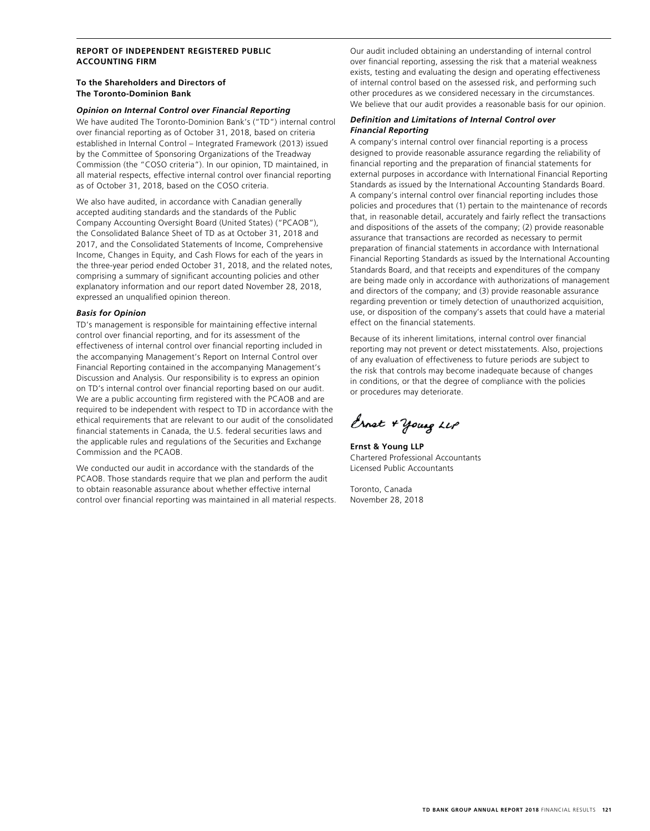## **REPORT OF INDEPENDENT REGISTERED PUBLIC ACCOUNTING FIRM**

## **To the Shareholders and Directors of The Toronto-Dominion Bank**

#### *Opinion on Internal Control over Financial Reporting*

We have audited The Toronto-Dominion Bank's ("TD") internal control over financial reporting as of October 31, 2018, based on criteria established in Internal Control – Integrated Framework (2013) issued by the Committee of Sponsoring Organizations of the Treadway Commission (the "COSO criteria"). In our opinion, TD maintained, in all material respects, effective internal control over financial reporting as of October 31, 2018, based on the COSO criteria.

We also have audited, in accordance with Canadian generally accepted auditing standards and the standards of the Public Company Accounting Oversight Board (United States) ("PCAOB"), the Consolidated Balance Sheet of TD as at October 31, 2018 and 2017, and the Consolidated Statements of Income, Comprehensive Income, Changes in Equity, and Cash Flows for each of the years in the three-year period ended October 31, 2018, and the related notes, comprising a summary of significant accounting policies and other explanatory information and our report dated November 28, 2018, expressed an unqualified opinion thereon.

#### *Basis for Opinion*

TD's management is responsible for maintaining effective internal control over financial reporting, and for its assessment of the effectiveness of internal control over financial reporting included in the accompanying Management's Report on Internal Control over Financial Reporting contained in the accompanying Management's Discussion and Analysis. Our responsibility is to express an opinion on TD's internal control over financial reporting based on our audit. We are a public accounting firm registered with the PCAOB and are required to be independent with respect to TD in accordance with the ethical requirements that are relevant to our audit of the consolidated financial statements in Canada, the U.S. federal securities laws and the applicable rules and regulations of the Securities and Exchange Commission and the PCAOB.

We conducted our audit in accordance with the standards of the PCAOB. Those standards require that we plan and perform the audit to obtain reasonable assurance about whether effective internal control over financial reporting was maintained in all material respects.

Our audit included obtaining an understanding of internal control over financial reporting, assessing the risk that a material weakness exists, testing and evaluating the design and operating effectiveness of internal control based on the assessed risk, and performing such other procedures as we considered necessary in the circumstances. We believe that our audit provides a reasonable basis for our opinion.

### *Definition and Limitations of Internal Control over Financial Reporting*

A company's internal control over financial reporting is a process designed to provide reasonable assurance regarding the reliability of financial reporting and the preparation of financial statements for external purposes in accordance with International Financial Reporting Standards as issued by the International Accounting Standards Board. A company's internal control over financial reporting includes those policies and procedures that (1) pertain to the maintenance of records that, in reasonable detail, accurately and fairly reflect the transactions and dispositions of the assets of the company; (2) provide reasonable assurance that transactions are recorded as necessary to permit preparation of financial statements in accordance with International Financial Reporting Standards as issued by the International Accounting Standards Board, and that receipts and expenditures of the company are being made only in accordance with authorizations of management and directors of the company; and (3) provide reasonable assurance regarding prevention or timely detection of unauthorized acquisition, use, or disposition of the company's assets that could have a material effect on the financial statements.

Because of its inherent limitations, internal control over financial reporting may not prevent or detect misstatements. Also, projections of any evaluation of effectiveness to future periods are subject to the risk that controls may become inadequate because of changes in conditions, or that the degree of compliance with the policies or procedures may deteriorate.

Ernst + young LLP

**Ernst & Young LLP** Chartered Professional Accountants Licensed Public Accountants

Toronto, Canada November 28, 2018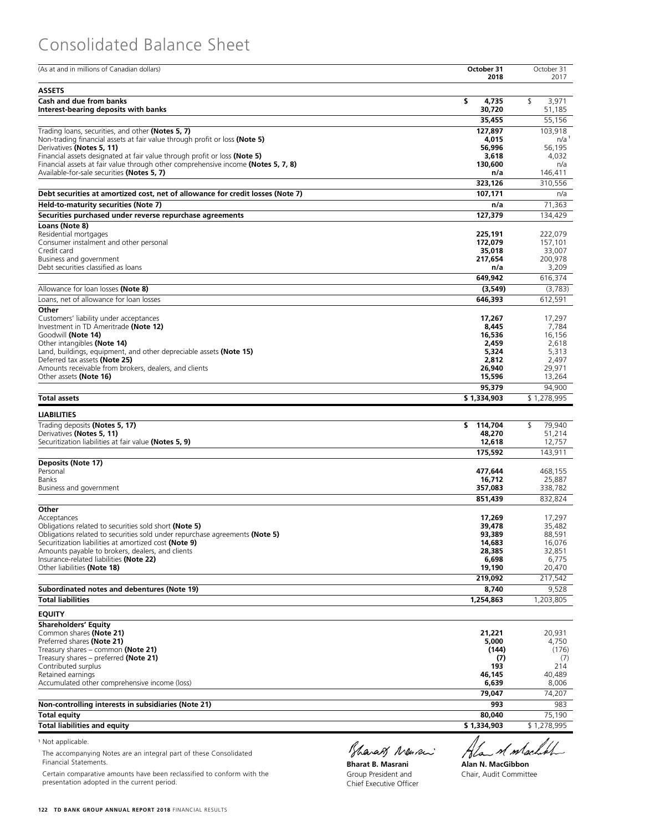| (As at and in millions of Canadian dollars)                                                               | October 31<br>2018      | October 31<br>2017     |
|-----------------------------------------------------------------------------------------------------------|-------------------------|------------------------|
| ASSETS                                                                                                    |                         |                        |
| Cash and due from banks                                                                                   | \$<br>4,735             | \$<br>3,971            |
| Interest-bearing deposits with banks                                                                      | 30,720<br>35,455        | 51,185<br>55,156       |
| Trading loans, securities, and other (Notes 5, 7)                                                         | 127,897                 | 103,918                |
| Non-trading financial assets at fair value through profit or loss (Note 5)                                | 4,015                   | n/a <sup>1</sup>       |
| Derivatives (Notes 5, 11)<br>Financial assets designated at fair value through profit or loss (Note 5)    | 56,996<br>3,618         | 56,195<br>4,032        |
| Financial assets at fair value through other comprehensive income (Notes 5, 7, 8)                         | 130,600                 | n/a                    |
| Available-for-sale securities (Notes 5, 7)                                                                | n/a                     | 146,411                |
| Debt securities at amortized cost, net of allowance for credit losses (Note 7)                            | 323,126                 | 310,556                |
| Held-to-maturity securities (Note 7)                                                                      | 107,171<br>n/a          | n/a<br>71,363          |
| Securities purchased under reverse repurchase agreements                                                  | 127,379                 | 134,429                |
| Loans (Note 8)                                                                                            |                         |                        |
| Residential mortgages                                                                                     | 225,191                 | 222,079                |
| Consumer instalment and other personal<br>Credit card                                                     | 172,079<br>35,018       | 157,101<br>33,007      |
| Business and government                                                                                   | 217,654                 | 200,978                |
| Debt securities classified as loans                                                                       | n/a                     | 3,209                  |
| Allowance for loan losses (Note 8)                                                                        | 649,942<br>(3, 549)     | 616,374<br>(3,783)     |
| Loans, net of allowance for loan losses                                                                   | 646,393                 | 612,591                |
| Other                                                                                                     |                         |                        |
| Customers' liability under acceptances                                                                    | 17,267                  | 17,297                 |
| Investment in TD Ameritrade (Note 12)<br>Goodwill (Note 14)                                               | 8,445<br>16,536         | 7,784<br>16,156        |
| Other intangibles (Note 14)                                                                               | 2,459                   | 2,618                  |
| Land, buildings, equipment, and other depreciable assets (Note 15)<br>Deferred tax assets (Note 25)       | 5,324<br>2,812          | 5,313<br>2,497         |
| Amounts receivable from brokers, dealers, and clients                                                     | 26,940                  | 29,971                 |
| Other assets (Note 16)                                                                                    | 15,596                  | 13,264                 |
| <b>Total assets</b>                                                                                       | 95,379                  | 94,900                 |
|                                                                                                           | \$1,334,903             | \$1,278,995            |
| <b>LIABILITIES</b>                                                                                        |                         |                        |
| Trading deposits (Notes 5, 17)<br>Derivatives (Notes 5, 11)                                               | \$<br>114,704<br>48,270 | \$<br>79,940<br>51,214 |
| Securitization liabilities at fair value (Notes 5, 9)                                                     | 12,618                  | 12,757                 |
|                                                                                                           | 175,592                 | 143,911                |
| Deposits (Note 17)<br>Personal                                                                            |                         | 468,155                |
| Banks                                                                                                     | 477,644<br>16,712       | 25,887                 |
| Business and government                                                                                   | 357,083                 | 338,782                |
|                                                                                                           | 851,439                 | 832,824                |
| Other<br>Acceptances                                                                                      | 17,269                  | 17,297                 |
| Obligations related to securities sold short (Note 5)                                                     | 39,478                  | 35,482                 |
| Obligations related to securities sold under repurchase agreements (Note 5)                               | 93,389                  | 88,591                 |
| Securitization liabilities at amortized cost (Note 9)<br>Amounts payable to brokers, dealers, and clients | 14,683<br>28,385        | 16,076<br>32,851       |
| Insurance-related liabilities (Note 22)                                                                   | 6,698                   | 6,775                  |
| Other liabilities (Note 18)                                                                               | 19,190<br>219,092       | 20,470<br>217,542      |
| Subordinated notes and debentures (Note 19)                                                               | 8,740                   | 9,528                  |
| <b>Total liabilities</b>                                                                                  | 1,254,863               | 1,203,805              |
| <b>EQUITY</b>                                                                                             |                         |                        |
| <b>Shareholders' Equity</b>                                                                               |                         |                        |
| Common shares (Note 21)                                                                                   | 21,221                  | 20,931                 |
| Preferred shares (Note 21)<br>Treasury shares - common (Note 21)                                          | 5,000<br>(144)          | 4,750<br>(176)         |
| Treasury shares - preferred (Note 21)                                                                     | (7)                     | (7)                    |
| Contributed surplus<br>Retained earnings                                                                  | 193                     | 214                    |
| Accumulated other comprehensive income (loss)                                                             | 46,145<br>6,639         | 40,489<br>8,006        |
|                                                                                                           | 79,047                  | 74,207                 |
| Non-controlling interests in subsidiaries (Note 21)                                                       | 993                     | 983                    |
| <b>Total equity</b>                                                                                       | 80,040                  | 75,190                 |
| <b>Total liabilities and equity</b>                                                                       | \$1,334,903             | \$1,278,995            |
| <sup>1</sup> Not applicable.<br>n .                                                                       |                         | 1 111                  |

 The accompanying Notes are an integral part of these Consolidated Financial Statements.

 Certain comparative amounts have been reclassified to conform with the presentation adopted in the current period.

Sharan Mension **Bharat B. Masrani Alan N. MacGibbon**<br>Group President and **Chair, Audit Committe** Chief Executive Officer

Ala Monachat Chair, Audit Committee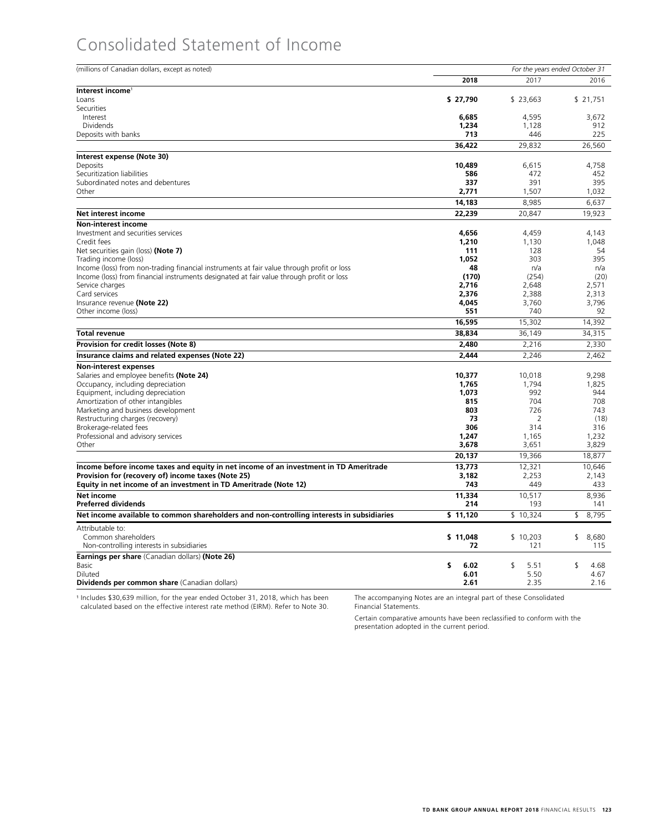## Consolidated Statement of Income

| (millions of Canadian dollars, except as noted)                                                                                             |                |                       | For the years ended October 31 |
|---------------------------------------------------------------------------------------------------------------------------------------------|----------------|-----------------------|--------------------------------|
|                                                                                                                                             | 2018           | 2017                  | 2016                           |
| Interest income <sup>1</sup>                                                                                                                |                |                       |                                |
| Loans                                                                                                                                       | \$27,790       | \$23,663              | \$21,751                       |
| Securities                                                                                                                                  |                |                       |                                |
| Interest                                                                                                                                    | 6.685          | 4,595                 | 3,672                          |
| <b>Dividends</b>                                                                                                                            | 1,234          | 1,128                 | 912                            |
| Deposits with banks                                                                                                                         | 713            | 446                   | 225                            |
|                                                                                                                                             | 36,422         | 29,832                | 26,560                         |
| Interest expense (Note 30)                                                                                                                  |                |                       |                                |
| Deposits                                                                                                                                    | 10,489         | 6,615                 | 4,758                          |
| Securitization liabilities                                                                                                                  | 586            | 472                   | 452                            |
| Subordinated notes and debentures                                                                                                           | 337            | 391                   | 395                            |
| Other                                                                                                                                       | 2,771          | 1,507                 | 1,032                          |
|                                                                                                                                             | 14,183         | 8,985                 | 6,637                          |
| Net interest income                                                                                                                         | 22,239         | 20,847                | 19,923                         |
| Non-interest income                                                                                                                         |                |                       |                                |
| Investment and securities services                                                                                                          | 4,656          | 4,459                 | 4,143                          |
| Credit fees                                                                                                                                 | 1,210          | 1.130                 | 1,048                          |
| Net securities gain (loss) (Note 7)                                                                                                         | 111            | 128                   | 54                             |
| Trading income (loss)                                                                                                                       | 1.052          | 303                   | 395                            |
| Income (loss) from non-trading financial instruments at fair value through profit or loss                                                   | 48             | n/a                   | n/a                            |
| Income (loss) from financial instruments designated at fair value through profit or loss<br>Service charges                                 | (170)<br>2,716 | (254)<br>2,648        | (20)<br>2,571                  |
| Card services                                                                                                                               | 2,376          | 2,388                 | 2,313                          |
| Insurance revenue (Note 22)                                                                                                                 | 4,045          | 3,760                 | 3,796                          |
| Other income (loss)                                                                                                                         | 551            | 740                   | 92                             |
|                                                                                                                                             | 16,595         | 15,302                | 14,392                         |
| <b>Total revenue</b>                                                                                                                        | 38,834         | 36,149                | 34,315                         |
| Provision for credit losses (Note 8)                                                                                                        | 2,480          | 2,216                 | 2,330                          |
| Insurance claims and related expenses (Note 22)                                                                                             | 2.444          | 2.246                 | 2.462                          |
| Non-interest expenses                                                                                                                       |                |                       |                                |
| Salaries and employee benefits (Note 24)                                                                                                    | 10,377         | 10,018                | 9,298                          |
| Occupancy, including depreciation                                                                                                           | 1.765          | 1.794                 | 1,825                          |
| Equipment, including depreciation                                                                                                           | 1,073          | 992                   | 944                            |
| Amortization of other intangibles                                                                                                           | 815            | 704                   | 708                            |
| Marketing and business development                                                                                                          | 803            | 726                   | 743                            |
| Restructuring charges (recovery)                                                                                                            | 73<br>306      | $\overline{2}$<br>314 | (18)<br>316                    |
| Brokerage-related fees<br>Professional and advisory services                                                                                | 1,247          | 1,165                 | 1,232                          |
| Other                                                                                                                                       | 3,678          | 3,651                 | 3,829                          |
|                                                                                                                                             | 20.137         | 19,366                | 18,877                         |
|                                                                                                                                             | 13,773         | 12,321                | 10.646                         |
| Income before income taxes and equity in net income of an investment in TD Ameritrade<br>Provision for (recovery of) income taxes (Note 25) | 3,182          | 2,253                 | 2,143                          |
| Equity in net income of an investment in TD Ameritrade (Note 12)                                                                            | 743            | 449                   | 433                            |
| <b>Net income</b>                                                                                                                           | 11,334         | 10,517                | 8,936                          |
| <b>Preferred dividends</b>                                                                                                                  | 214            | 193                   | 141                            |
| Net income available to common shareholders and non-controlling interests in subsidiaries                                                   | \$11,120       | \$10,324              | \$<br>8,795                    |
| Attributable to:                                                                                                                            |                |                       |                                |
| Common shareholders                                                                                                                         | \$11,048       | \$10,203              | \$<br>8,680                    |
| Non-controlling interests in subsidiaries                                                                                                   | 72             | 121                   | 115                            |
| <b>Earnings per share (Canadian dollars) (Note 26)</b>                                                                                      |                |                       |                                |
| Basic                                                                                                                                       | \$<br>6.02     | \$<br>5.51            | \$<br>4.68                     |
| Diluted                                                                                                                                     | 6.01           | 5.50                  | 4.67                           |
| Dividends per common share (Canadian dollars)                                                                                               | 2.61           | 2.35                  | 2.16                           |

<sup>1</sup> Includes \$30,639 million, for the year ended October 31, 2018, which has been calculated based on the effective interest rate method (EIRM). Refer to Note 30.

 The accompanying Notes are an integral part of these Consolidated Financial Statements.

 Certain comparative amounts have been reclassified to conform with the presentation adopted in the current period.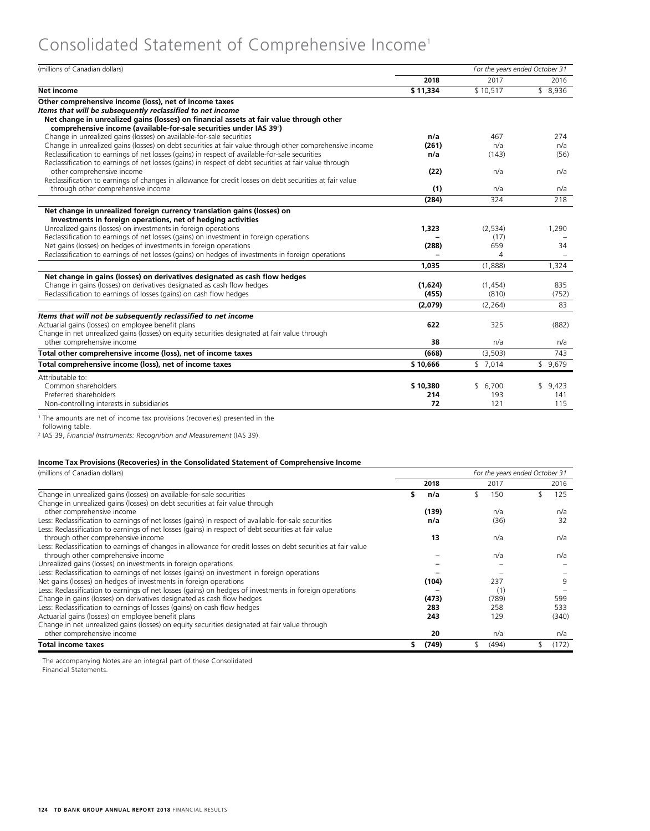## Consolidated Statement of Comprehensive Income<sup>1</sup>

| (millions of Canadian dollars)                                                                          |          | For the years ended October 31 |         |  |
|---------------------------------------------------------------------------------------------------------|----------|--------------------------------|---------|--|
|                                                                                                         | 2018     | 2017                           | 2016    |  |
| Net income                                                                                              | \$11,334 | \$10,517                       | \$8,936 |  |
| Other comprehensive income (loss), net of income taxes                                                  |          |                                |         |  |
| Items that will be subsequently reclassified to net income                                              |          |                                |         |  |
| Net change in unrealized gains (losses) on financial assets at fair value through other                 |          |                                |         |  |
| comprehensive income (available-for-sale securities under IAS 39 <sup>2</sup> )                         |          |                                |         |  |
| Change in unrealized gains (losses) on available-for-sale securities                                    | n/a      | 467                            | 274     |  |
| Change in unrealized gains (losses) on debt securities at fair value through other comprehensive income | (261)    | n/a                            | n/a     |  |
| Reclassification to earnings of net losses (gains) in respect of available-for-sale securities          | n/a      | (143)                          | (56)    |  |
| Reclassification to earnings of net losses (gains) in respect of debt securities at fair value through  |          |                                |         |  |
| other comprehensive income                                                                              | (22)     | n/a                            | n/a     |  |
| Reclassification to earnings of changes in allowance for credit losses on debt securities at fair value |          |                                |         |  |
| through other comprehensive income                                                                      | (1)      | n/a                            | n/a     |  |
|                                                                                                         | (284)    | 324                            | 218     |  |
| Net change in unrealized foreign currency translation gains (losses) on                                 |          |                                |         |  |
| Investments in foreign operations, net of hedging activities                                            |          |                                |         |  |
| Unrealized gains (losses) on investments in foreign operations                                          | 1,323    | (2.534)                        | 1.290   |  |
| Reclassification to earnings of net losses (gains) on investment in foreign operations                  |          | (17)                           |         |  |
| Net gains (losses) on hedges of investments in foreign operations                                       | (288)    | 659                            | 34      |  |
| Reclassification to earnings of net losses (gains) on hedges of investments in foreign operations       |          | 4                              |         |  |
|                                                                                                         | 1,035    | (1,888)                        | 1,324   |  |
| Net change in gains (losses) on derivatives designated as cash flow hedges                              |          |                                |         |  |
| Change in gains (losses) on derivatives designated as cash flow hedges                                  | (1,624)  | (1,454)                        | 835     |  |
| Reclassification to earnings of losses (gains) on cash flow hedges                                      | (455)    | (810)                          | (752)   |  |
|                                                                                                         | (2,079)  | (2, 264)                       | 83      |  |
| Items that will not be subsequently reclassified to net income                                          |          |                                |         |  |
| Actuarial gains (losses) on employee benefit plans                                                      | 622      | 325                            | (882)   |  |
| Change in net unrealized gains (losses) on equity securities designated at fair value through           |          |                                |         |  |
| other comprehensive income                                                                              | 38       | n/a                            | n/a     |  |
| Total other comprehensive income (loss), net of income taxes                                            | (668)    | (3,503)                        | 743     |  |
| Total comprehensive income (loss), net of income taxes                                                  | \$10,666 | \$7,014                        | \$9,679 |  |
| Attributable to:                                                                                        |          |                                |         |  |
| Common shareholders                                                                                     | \$10,380 | \$6,700                        | \$9,423 |  |
| Preferred shareholders                                                                                  | 214      | 193                            | 141     |  |
| Non-controlling interests in subsidiaries                                                               | 72       | 121                            | 115     |  |
|                                                                                                         |          |                                |         |  |

<sup>1</sup> The amounts are net of income tax provisions (recoveries) presented in the

following table.

<sup>2</sup> IAS 39, *Financial Instruments: Recognition and Measurement* (IAS 39).

#### **Income Tax Provisions (Recoveries) in the Consolidated Statement of Comprehensive Income**

| (millions of Canadian dollars)                                                                                | For the years ended October 31 |       |      |       |  |       |
|---------------------------------------------------------------------------------------------------------------|--------------------------------|-------|------|-------|--|-------|
|                                                                                                               | 2018                           |       | 2017 |       |  | 2016  |
| Change in unrealized gains (losses) on available-for-sale securities                                          |                                | n/a   |      | 150   |  | 125   |
| Change in unrealized gains (losses) on debt securities at fair value through                                  |                                |       |      |       |  |       |
| other comprehensive income                                                                                    |                                | (139) |      | n/a   |  | n/a   |
| Less: Reclassification to earnings of net losses (gains) in respect of available-for-sale securities          |                                | n/a   |      | (36)  |  | 32    |
| Less: Reclassification to earnings of net losses (gains) in respect of debt securities at fair value          |                                |       |      |       |  |       |
| through other comprehensive income                                                                            |                                | 13    |      | n/a   |  | n/a   |
| Less: Reclassification to earnings of changes in allowance for credit losses on debt securities at fair value |                                |       |      |       |  |       |
| through other comprehensive income                                                                            |                                |       |      | n/a   |  | n/a   |
| Unrealized gains (losses) on investments in foreign operations                                                |                                |       |      |       |  |       |
| Less: Reclassification to earnings of net losses (gains) on investment in foreign operations                  |                                |       |      |       |  |       |
| Net gains (losses) on hedges of investments in foreign operations                                             |                                | (104) |      | 237   |  | 9     |
| Less: Reclassification to earnings of net losses (gains) on hedges of investments in foreign operations       |                                |       |      | (1)   |  |       |
| Change in gains (losses) on derivatives designated as cash flow hedges                                        |                                | (473) |      | (789) |  | 599   |
| Less: Reclassification to earnings of losses (gains) on cash flow hedges                                      |                                | 283   |      | 258   |  | 533   |
| Actuarial gains (losses) on employee benefit plans                                                            |                                | 243   |      | 129   |  | (340) |
| Change in net unrealized gains (losses) on equity securities designated at fair value through                 |                                |       |      |       |  |       |
| other comprehensive income                                                                                    |                                | 20    |      | n/a   |  | n/a   |
| <b>Total income taxes</b>                                                                                     |                                | (749) |      | (494) |  | (172) |

 The accompanying Notes are an integral part of these Consolidated Financial Statements.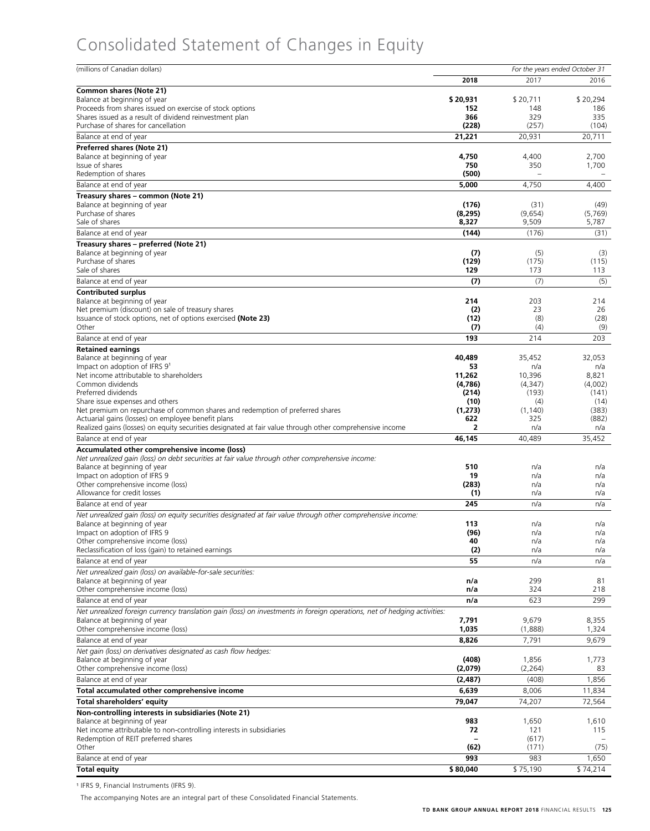# Consolidated Statement of Changes in Equity

| (millions of Canadian dollars)                                                                                           |                  |                   | For the years ended October 31 |
|--------------------------------------------------------------------------------------------------------------------------|------------------|-------------------|--------------------------------|
|                                                                                                                          | 2018             | 2017              | 2016                           |
| Common shares (Note 21)                                                                                                  |                  |                   |                                |
| Balance at beginning of year                                                                                             | \$20,931         | \$20,711          | \$20,294                       |
| Proceeds from shares issued on exercise of stock options                                                                 | 152              | 148               | 186                            |
| Shares issued as a result of dividend reinvestment plan                                                                  | 366              | 329               | 335                            |
| Purchase of shares for cancellation                                                                                      | (228)            | (257)             | (104)                          |
| Balance at end of year                                                                                                   | 21,221           | 20,931            | 20,711                         |
| <b>Preferred shares (Note 21)</b><br>Balance at beginning of year                                                        | 4,750            |                   | 2,700                          |
| Issue of shares                                                                                                          | 750              | 4,400<br>350      | 1,700                          |
| Redemption of shares                                                                                                     | (500)            |                   |                                |
| Balance at end of year                                                                                                   | 5,000            | 4,750             | 4,400                          |
| Treasury shares - common (Note 21)                                                                                       |                  |                   |                                |
| Balance at beginning of year                                                                                             | (176)            | (31)              | (49)                           |
| Purchase of shares                                                                                                       | (8,295)          | (9,654)           | (5,769)                        |
| Sale of shares                                                                                                           | 8,327            | 9,509             | 5,787                          |
| Balance at end of year                                                                                                   | (144)            | (176)             | (31)                           |
| Treasury shares - preferred (Note 21)                                                                                    |                  |                   |                                |
| Balance at beginning of year                                                                                             | (7)              | (5)               | (3)                            |
| Purchase of shares<br>Sale of shares                                                                                     | (129)<br>129     | (175)<br>173      | (115)<br>113                   |
|                                                                                                                          |                  |                   |                                |
| Balance at end of year                                                                                                   | (7)              | (7)               | (5)                            |
| <b>Contributed surplus</b><br>Balance at beginning of year                                                               | 214              | 203               | 214                            |
| Net premium (discount) on sale of treasury shares                                                                        | (2)              | 23                | 26                             |
| Issuance of stock options, net of options exercised (Note 23)                                                            | (12)             | (8)               | (28)                           |
| Other                                                                                                                    | (7)              | (4)               | (9)                            |
| Balance at end of year                                                                                                   | 193              | 214               | 203                            |
| <b>Retained earnings</b>                                                                                                 |                  |                   |                                |
| Balance at beginning of year                                                                                             | 40,489           | 35,452            | 32,053                         |
| Impact on adoption of IFRS 91                                                                                            | 53               | n/a               | n/a                            |
| Net income attributable to shareholders                                                                                  | 11,262           | 10,396            | 8,821                          |
| Common dividends<br>Preferred dividends                                                                                  | (4,786)<br>(214) | (4, 347)<br>(193) | (4,002)<br>(141)               |
| Share issue expenses and others                                                                                          | (10)             | (4)               | (14)                           |
| Net premium on repurchase of common shares and redemption of preferred shares                                            | (1,273)          | (1, 140)          | (383)                          |
| Actuarial gains (losses) on employee benefit plans                                                                       | 622              | 325               | (882)                          |
| Realized gains (losses) on equity securities designated at fair value through other comprehensive income                 | 2                | n/a               | n/a                            |
| Balance at end of year                                                                                                   | 46,145           | 40,489            | 35,452                         |
| Accumulated other comprehensive income (loss)                                                                            |                  |                   |                                |
| Net unrealized gain (loss) on debt securities at fair value through other comprehensive income:                          |                  |                   |                                |
| Balance at beginning of year<br>Impact on adoption of IFRS 9                                                             | 510<br>19        | n/a<br>n/a        | n/a<br>n/a                     |
| Other comprehensive income (loss)                                                                                        | (283)            | n/a               | n/a                            |
| Allowance for credit losses                                                                                              | (1)              | n/a               | n/a                            |
| Balance at end of year                                                                                                   | 245              | n/a               | n/a                            |
| Net unrealized gain (loss) on equity securities designated at fair value through other comprehensive income:             |                  |                   |                                |
| Balance at beginning of year                                                                                             | 113              | n/a               | n/a                            |
| Impact on adoption of IFRS 9                                                                                             | (96)             | n/a               | n/a                            |
| Other comprehensive income (loss)                                                                                        | 40               | n/a               | n/a                            |
| Reclassification of loss (gain) to retained earnings                                                                     | (2)              | n/a               | n/a                            |
| Balance at end of year                                                                                                   | 55               | n/a               | n/a                            |
| Net unrealized gain (loss) on available-for-sale securities:<br>Balance at beginning of year                             |                  | 299               | 81                             |
| Other comprehensive income (loss)                                                                                        | n/a<br>n/a       | 324               | 218                            |
| Balance at end of year                                                                                                   | n/a              | 623               | 299                            |
| Net unrealized foreign currency translation gain (loss) on investments in foreign operations, net of hedging activities: |                  |                   |                                |
| Balance at beginning of year                                                                                             | 7,791            | 9,679             | 8,355                          |
| Other comprehensive income (loss)                                                                                        | 1,035            | (1,888)           | 1,324                          |
| Balance at end of year                                                                                                   | 8,826            | 7,791             | 9,679                          |
| Net gain (loss) on derivatives designated as cash flow hedges:                                                           |                  |                   |                                |
| Balance at beginning of year                                                                                             | (408)            | 1,856             | 1,773                          |
| Other comprehensive income (loss)                                                                                        | (2,079)          | (2, 264)          | 83                             |
| Balance at end of year                                                                                                   | (2, 487)         | (408)             | 1,856                          |
| Total accumulated other comprehensive income                                                                             | 6,639            | 8,006             | 11,834                         |
| Total shareholders' equity                                                                                               | 79,047           | 74,207            | 72,564                         |
| Non-controlling interests in subsidiaries (Note 21)                                                                      |                  |                   |                                |
| Balance at beginning of year                                                                                             | 983              | 1,650             | 1,610                          |
| Net income attributable to non-controlling interests in subsidiaries                                                     | 72               | 121               | 115                            |
| Redemption of REIT preferred shares<br>Other                                                                             | (62)             | (617)<br>(171)    | (75)                           |
| Balance at end of year                                                                                                   | 993              | 983               | 1,650                          |
|                                                                                                                          |                  |                   |                                |
| <b>Total equity</b>                                                                                                      | \$80,040         | \$75,190          | \$74,214                       |

<sup>1</sup> IFRS 9, Financial Instruments (IFRS 9).

The accompanying Notes are an integral part of these Consolidated Financial Statements.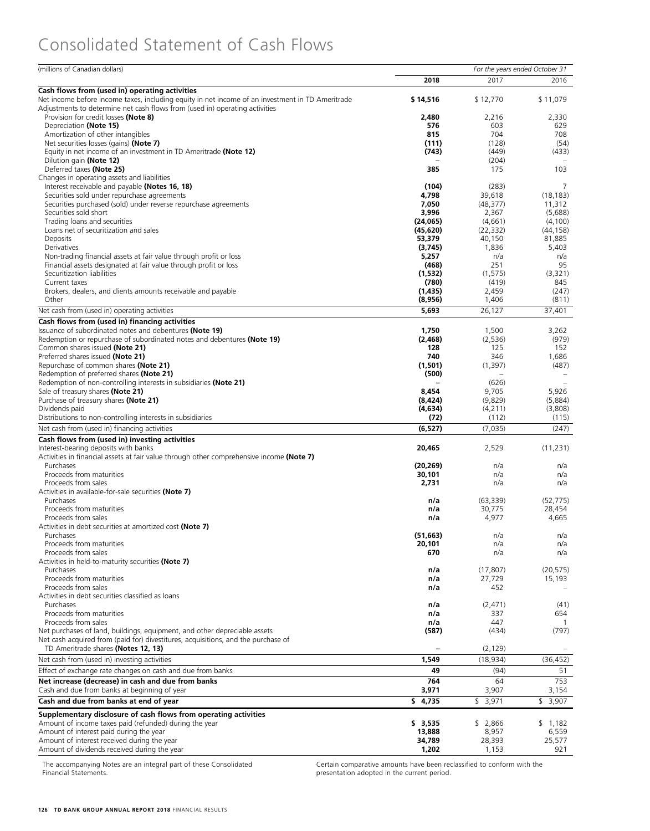| (millions of Canadian dollars)                                                                   |                 |                   | For the years ended October 31 |
|--------------------------------------------------------------------------------------------------|-----------------|-------------------|--------------------------------|
|                                                                                                  | 2018            | 2017              | 2016                           |
| Cash flows from (used in) operating activities                                                   |                 |                   |                                |
| Net income before income taxes, including equity in net income of an investment in TD Ameritrade | \$14,516        | \$12,770          | \$11.079                       |
| Adjustments to determine net cash flows from (used in) operating activities                      |                 |                   |                                |
| Provision for credit losses (Note 8)                                                             | 2,480           | 2,216             | 2,330                          |
| Depreciation (Note 15)                                                                           | 576             | 603               | 629                            |
| Amortization of other intangibles                                                                | 815             | 704               | 708                            |
| Net securities losses (gains) (Note 7)                                                           | (111)           | (128)             | (54)                           |
| Equity in net income of an investment in TD Ameritrade (Note 12)                                 | (743)           | (449)             | (433)                          |
| Dilution gain (Note 12)                                                                          |                 | (204)             |                                |
| Deferred taxes (Note 25)                                                                         | 385             | 175               | 103                            |
| Changes in operating assets and liabilities                                                      |                 |                   |                                |
| Interest receivable and payable (Notes 16, 18)                                                   | (104)           | (283)             | 7                              |
| Securities sold under repurchase agreements                                                      | 4,798           | 39,618            | (18, 183)                      |
| Securities purchased (sold) under reverse repurchase agreements                                  | 7,050           | (48, 377)         | 11,312                         |
| Securities sold short                                                                            | 3,996           | 2,367             | (5,688)                        |
| Trading loans and securities                                                                     | (24, 065)       | (4,661)           | (4, 100)                       |
| Loans net of securitization and sales                                                            | (45, 620)       | (22, 332)         | (44, 158)                      |
| Deposits                                                                                         | 53,379          | 40,150            | 81,885                         |
| Derivatives                                                                                      | (3,745)         | 1,836             | 5,403                          |
| Non-trading financial assets at fair value through profit or loss                                | 5,257           | n/a               | n/a                            |
| Financial assets designated at fair value through profit or loss<br>Securitization liabilities   | (468)           | 251               | 95                             |
|                                                                                                  | (1,532)         | (1, 575)<br>(419) | (3,321)<br>845                 |
| Current taxes                                                                                    | (780)           |                   |                                |
| Brokers, dealers, and clients amounts receivable and payable                                     | (1, 435)        | 2,459             | (247)                          |
| Other                                                                                            | (8,956)         | 1,406             | (811)                          |
| Net cash from (used in) operating activities                                                     | 5,693           | 26,127            | 37,401                         |
| Cash flows from (used in) financing activities                                                   |                 |                   |                                |
| Issuance of subordinated notes and debentures (Note 19)                                          | 1,750           | 1,500             | 3,262                          |
| Redemption or repurchase of subordinated notes and debentures (Note 19)                          | (2,468)         | (2,536)           | (979)                          |
| Common shares issued (Note 21)                                                                   | 128             | 125               | 152                            |
| Preferred shares issued (Note 21)                                                                | 740             | 346               | 1,686                          |
| Repurchase of common shares (Note 21)                                                            | (1, 501)        | (1, 397)          | (487)                          |
| Redemption of preferred shares (Note 21)                                                         | (500)           |                   |                                |
| Redemption of non-controlling interests in subsidiaries (Note 21)                                |                 | (626)             |                                |
| Sale of treasury shares (Note 21)                                                                | 8,454           | 9,705             | 5,926                          |
| Purchase of treasury shares (Note 21)                                                            | (8, 424)        | (9,829)           | (5,884)                        |
| Dividends paid                                                                                   | (4,634)         | (4, 211)          | (3,808)                        |
| Distributions to non-controlling interests in subsidiaries                                       | (72)            | (112)             | (115)                          |
| Net cash from (used in) financing activities                                                     | (6, 527)        | (7,035)           | (247)                          |
| Cash flows from (used in) investing activities                                                   |                 |                   |                                |
| Interest-bearing deposits with banks                                                             | 20,465          | 2,529             | (11, 231)                      |
| Activities in financial assets at fair value through other comprehensive income (Note 7)         |                 |                   |                                |
| Purchases                                                                                        | (20, 269)       | n/a               | n/a                            |
| Proceeds from maturities                                                                         | 30,101          | n/a               | n/a                            |
| Proceeds from sales                                                                              | 2,731           | n/a               | n/a                            |
| Activities in available-for-sale securities (Note 7)                                             |                 |                   |                                |
| Purchases                                                                                        | n/a             | (63, 339)         | (52, 775)                      |
| Proceeds from maturities                                                                         | n/a             | 30,775            | 28,454                         |
| Proceeds from sales                                                                              | n/a             | 4,977             | 4,665                          |
| Activities in debt securities at amortized cost (Note 7)                                         |                 |                   |                                |
| Purchases                                                                                        | (51.663)        | n/a               | n/a                            |
| Proceeds from maturities                                                                         | 20,101          | n/a               | n/a                            |
| Proceeds from sales                                                                              | 670             | n/a               | n/a                            |
| Activities in held-to-maturity securities (Note 7)                                               |                 |                   |                                |
| Purchases                                                                                        | n/a             | (17, 807)         | (20, 575)                      |
| Proceeds from maturities                                                                         | n/a             | 27,729            | 15,193                         |
| Proceeds from sales                                                                              | n/a             | 452               |                                |
| Activities in debt securities classified as loans                                                |                 |                   |                                |
| Purchases<br>Proceeds from maturities                                                            | n/a<br>n/a      | (2, 471)<br>337   | (41)<br>654                    |
| Proceeds from sales                                                                              | n/a             | 447               | $\mathbf{1}$                   |
| Net purchases of land, buildings, equipment, and other depreciable assets                        | (587)           | (434)             | (797)                          |
| Net cash acquired from (paid for) divestitures, acquisitions, and the purchase of                |                 |                   |                                |
| TD Ameritrade shares (Notes 12, 13)                                                              |                 | (2, 129)          |                                |
|                                                                                                  |                 |                   |                                |
| Net cash from (used in) investing activities                                                     | 1,549           | (18, 934)         | (36, 452)                      |
| Effect of exchange rate changes on cash and due from banks                                       | 49              | (94)              | 51                             |
| Net increase (decrease) in cash and due from banks                                               | 764             | 64                | 753                            |
| Cash and due from banks at beginning of year                                                     | 3,971           | 3,907             | 3,154                          |
| Cash and due from banks at end of year                                                           | \$4,735         | \$3,971           | \$3,907                        |
|                                                                                                  |                 |                   |                                |
| Supplementary disclosure of cash flows from operating activities                                 |                 |                   |                                |
| Amount of income taxes paid (refunded) during the year                                           | \$ 3,535        | \$2,866           | \$1,182                        |
| Amount of interest paid during the year                                                          | 13,888          | 8,957             | 6,559                          |
| Amount of interest received during the year<br>Amount of dividends received during the year      | 34,789<br>1,202 | 28,393<br>1,153   | 25,577<br>921                  |
|                                                                                                  |                 |                   |                                |

 The accompanying Notes are an integral part of these Consolidated Financial Statements.

 Certain comparative amounts have been reclassified to conform with the presentation adopted in the current period.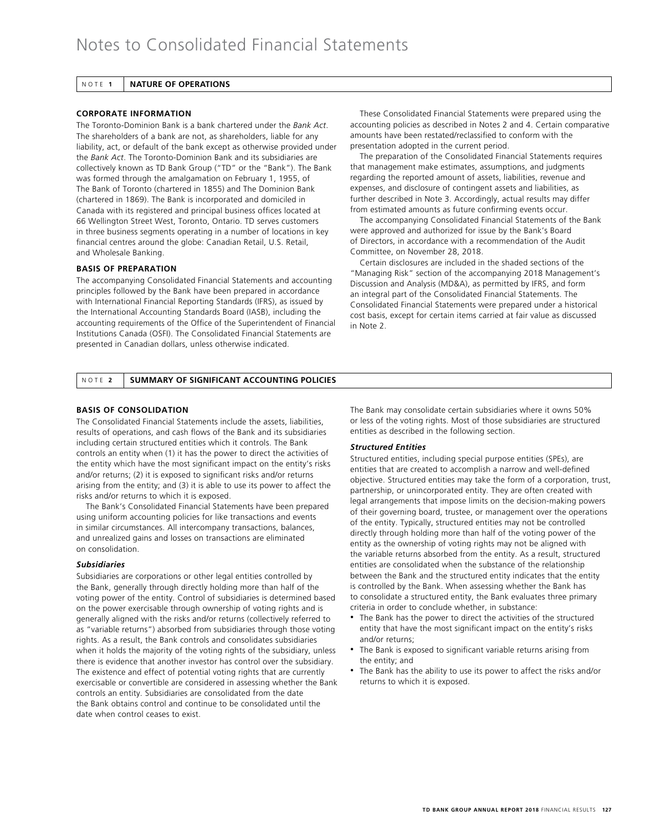## NOTE **1 NATURE OF OPERATIONS**

#### **CORPORATE INFORMATION**

The Toronto-Dominion Bank is a bank chartered under the *Bank Act*. The shareholders of a bank are not, as shareholders, liable for any liability, act, or default of the bank except as otherwise provided under the *Bank Act*. The Toronto-Dominion Bank and its subsidiaries are collectively known as TD Bank Group ("TD" or the "Bank"). The Bank was formed through the amalgamation on February 1, 1955, of The Bank of Toronto (chartered in 1855) and The Dominion Bank (chartered in 1869). The Bank is incorporated and domiciled in Canada with its registered and principal business offices located at 66 Wellington Street West, Toronto, Ontario. TD serves customers in three business segments operating in a number of locations in key financial centres around the globe: Canadian Retail, U.S. Retail, and Wholesale Banking.

## **BASIS OF PREPARATION**

The accompanying Consolidated Financial Statements and accounting principles followed by the Bank have been prepared in accordance with International Financial Reporting Standards (IFRS), as issued by the International Accounting Standards Board (IASB), including the accounting requirements of the Office of the Superintendent of Financial Institutions Canada (OSFI). The Consolidated Financial Statements are presented in Canadian dollars, unless otherwise indicated.

These Consolidated Financial Statements were prepared using the accounting policies as described in Notes 2 and 4. Certain comparative amounts have been restated/reclassified to conform with the presentation adopted in the current period.

The preparation of the Consolidated Financial Statements requires that management make estimates, assumptions, and judgments regarding the reported amount of assets, liabilities, revenue and expenses, and disclosure of contingent assets and liabilities, as further described in Note 3. Accordingly, actual results may differ from estimated amounts as future confirming events occur.

The accompanying Consolidated Financial Statements of the Bank were approved and authorized for issue by the Bank's Board of Directors, in accordance with a recommendation of the Audit Committee, on November 28, 2018.

Certain disclosures are included in the shaded sections of the "Managing Risk" section of the accompanying 2018 Management's Discussion and Analysis (MD&A), as permitted by IFRS, and form an integral part of the Consolidated Financial Statements. The Consolidated Financial Statements were prepared under a historical cost basis, except for certain items carried at fair value as discussed in Note 2.

## NOTE **2 SUMMARY OF SIGNIFICANT ACCOUNTING POLICIES**

### **BASIS OF CONSOLIDATION**

The Consolidated Financial Statements include the assets, liabilities, results of operations, and cash flows of the Bank and its subsidiaries including certain structured entities which it controls. The Bank controls an entity when (1) it has the power to direct the activities of the entity which have the most significant impact on the entity's risks and/or returns; (2) it is exposed to significant risks and/or returns arising from the entity; and (3) it is able to use its power to affect the risks and/or returns to which it is exposed.

The Bank's Consolidated Financial Statements have been prepared using uniform accounting policies for like transactions and events in similar circumstances. All intercompany transactions, balances, and unrealized gains and losses on transactions are eliminated on consolidation.

#### *Subsidiaries*

Subsidiaries are corporations or other legal entities controlled by the Bank, generally through directly holding more than half of the voting power of the entity. Control of subsidiaries is determined based on the power exercisable through ownership of voting rights and is generally aligned with the risks and/or returns (collectively referred to as "variable returns") absorbed from subsidiaries through those voting rights. As a result, the Bank controls and consolidates subsidiaries when it holds the majority of the voting rights of the subsidiary, unless there is evidence that another investor has control over the subsidiary. The existence and effect of potential voting rights that are currently exercisable or convertible are considered in assessing whether the Bank controls an entity. Subsidiaries are consolidated from the date the Bank obtains control and continue to be consolidated until the date when control ceases to exist.

The Bank may consolidate certain subsidiaries where it owns 50% or less of the voting rights. Most of those subsidiaries are structured entities as described in the following section.

#### *Structured Entities*

Structured entities, including special purpose entities (SPEs), are entities that are created to accomplish a narrow and well-defined objective. Structured entities may take the form of a corporation, trust, partnership, or unincorporated entity. They are often created with legal arrangements that impose limits on the decision-making powers of their governing board, trustee, or management over the operations of the entity. Typically, structured entities may not be controlled directly through holding more than half of the voting power of the entity as the ownership of voting rights may not be aligned with the variable returns absorbed from the entity. As a result, structured entities are consolidated when the substance of the relationship between the Bank and the structured entity indicates that the entity is controlled by the Bank. When assessing whether the Bank has to consolidate a structured entity, the Bank evaluates three primary criteria in order to conclude whether, in substance:

- The Bank has the power to direct the activities of the structured entity that have the most significant impact on the entity's risks and/or returns;
- The Bank is exposed to significant variable returns arising from the entity; and
- The Bank has the ability to use its power to affect the risks and/or returns to which it is exposed.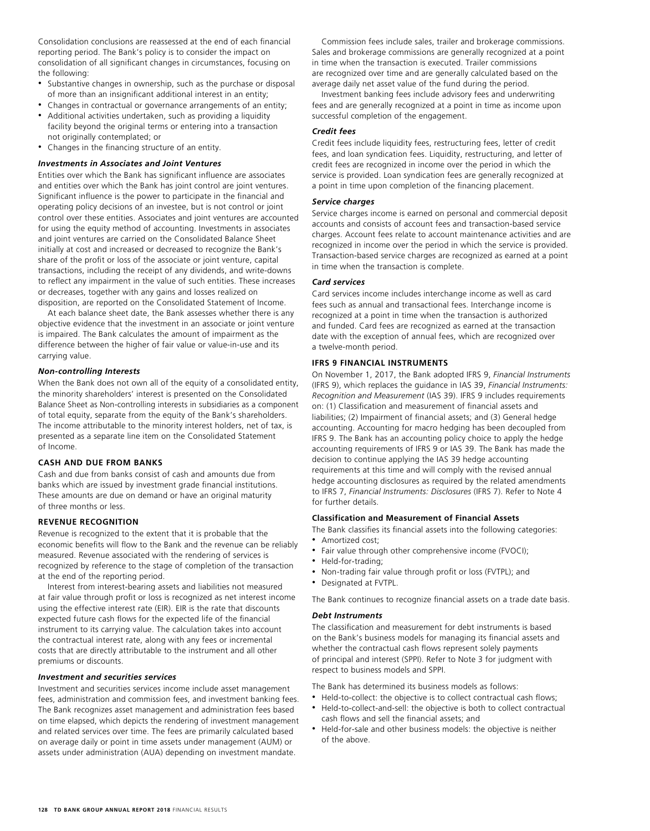Consolidation conclusions are reassessed at the end of each financial reporting period. The Bank's policy is to consider the impact on consolidation of all significant changes in circumstances, focusing on the following:

- Substantive changes in ownership, such as the purchase or disposal of more than an insignificant additional interest in an entity;
- Changes in contractual or governance arrangements of an entity;
- Additional activities undertaken, such as providing a liquidity facility beyond the original terms or entering into a transaction not originally contemplated; or
- Changes in the financing structure of an entity.

#### *Investments in Associates and Joint Ventures*

Entities over which the Bank has significant influence are associates and entities over which the Bank has joint control are joint ventures. Significant influence is the power to participate in the financial and operating policy decisions of an investee, but is not control or joint control over these entities. Associates and joint ventures are accounted for using the equity method of accounting. Investments in associates and joint ventures are carried on the Consolidated Balance Sheet initially at cost and increased or decreased to recognize the Bank's share of the profit or loss of the associate or joint venture, capital transactions, including the receipt of any dividends, and write-downs to reflect any impairment in the value of such entities. These increases or decreases, together with any gains and losses realized on disposition, are reported on the Consolidated Statement of Income.

At each balance sheet date, the Bank assesses whether there is any objective evidence that the investment in an associate or joint venture is impaired. The Bank calculates the amount of impairment as the difference between the higher of fair value or value-in-use and its carrying value.

#### *Non-controlling Interests*

When the Bank does not own all of the equity of a consolidated entity, the minority shareholders' interest is presented on the Consolidated Balance Sheet as Non-controlling interests in subsidiaries as a component of total equity, separate from the equity of the Bank's shareholders. The income attributable to the minority interest holders, net of tax, is presented as a separate line item on the Consolidated Statement of Income.

## **CASH AND DUE FROM BANKS**

Cash and due from banks consist of cash and amounts due from banks which are issued by investment grade financial institutions. These amounts are due on demand or have an original maturity of three months or less.

## **REVENUE RECOGNITION**

Revenue is recognized to the extent that it is probable that the economic benefits will flow to the Bank and the revenue can be reliably measured. Revenue associated with the rendering of services is recognized by reference to the stage of completion of the transaction at the end of the reporting period.

Interest from interest-bearing assets and liabilities not measured at fair value through profit or loss is recognized as net interest income using the effective interest rate (EIR). EIR is the rate that discounts expected future cash flows for the expected life of the financial instrument to its carrying value. The calculation takes into account the contractual interest rate, along with any fees or incremental costs that are directly attributable to the instrument and all other premiums or discounts.

## *Investment and securities services*

Investment and securities services income include asset management fees, administration and commission fees, and investment banking fees. The Bank recognizes asset management and administration fees based on time elapsed, which depicts the rendering of investment management and related services over time. The fees are primarily calculated based on average daily or point in time assets under management (AUM) or assets under administration (AUA) depending on investment mandate.

Commission fees include sales, trailer and brokerage commissions. Sales and brokerage commissions are generally recognized at a point in time when the transaction is executed. Trailer commissions are recognized over time and are generally calculated based on the average daily net asset value of the fund during the period.

Investment banking fees include advisory fees and underwriting fees and are generally recognized at a point in time as income upon successful completion of the engagement.

## *Credit fees*

Credit fees include liquidity fees, restructuring fees, letter of credit fees, and loan syndication fees. Liquidity, restructuring, and letter of credit fees are recognized in income over the period in which the service is provided. Loan syndication fees are generally recognized at a point in time upon completion of the financing placement.

#### *Service charges*

Service charges income is earned on personal and commercial deposit accounts and consists of account fees and transaction-based service charges. Account fees relate to account maintenance activities and are recognized in income over the period in which the service is provided. Transaction-based service charges are recognized as earned at a point in time when the transaction is complete.

#### *Card services*

Card services income includes interchange income as well as card fees such as annual and transactional fees. Interchange income is recognized at a point in time when the transaction is authorized and funded. Card fees are recognized as earned at the transaction date with the exception of annual fees, which are recognized over a twelve-month period.

#### **IFRS 9 FINANCIAL INSTRUMENTS**

On November 1, 2017, the Bank adopted IFRS 9, *Financial Instruments* (IFRS 9), which replaces the guidance in IAS 39, *Financial Instruments: Recognition and Measurement* (IAS 39). IFRS 9 includes requirements on: (1) Classification and measurement of financial assets and liabilities; (2) Impairment of financial assets; and (3) General hedge accounting. Accounting for macro hedging has been decoupled from IFRS 9. The Bank has an accounting policy choice to apply the hedge accounting requirements of IFRS 9 or IAS 39. The Bank has made the decision to continue applying the IAS 39 hedge accounting requirements at this time and will comply with the revised annual hedge accounting disclosures as required by the related amendments to IFRS 7, *Financial Instruments: Disclosures* (IFRS 7). Refer to Note 4 for further details.

#### **Classification and Measurement of Financial Assets**

The Bank classifies its financial assets into the following categories:

- Amortized cost;
- Fair value through other comprehensive income (FVOCI);
- Held-for-trading;
- Non-trading fair value through profit or loss (FVTPL); and
- Designated at FVTPL.

The Bank continues to recognize financial assets on a trade date basis.

#### *Debt Instruments*

The classification and measurement for debt instruments is based on the Bank's business models for managing its financial assets and whether the contractual cash flows represent solely payments of principal and interest (SPPI). Refer to Note 3 for judgment with respect to business models and SPPI.

The Bank has determined its business models as follows:

- Held-to-collect: the objective is to collect contractual cash flows;
- Held-to-collect-and-sell: the objective is both to collect contractual cash flows and sell the financial assets; and
- Held-for-sale and other business models: the objective is neither of the above.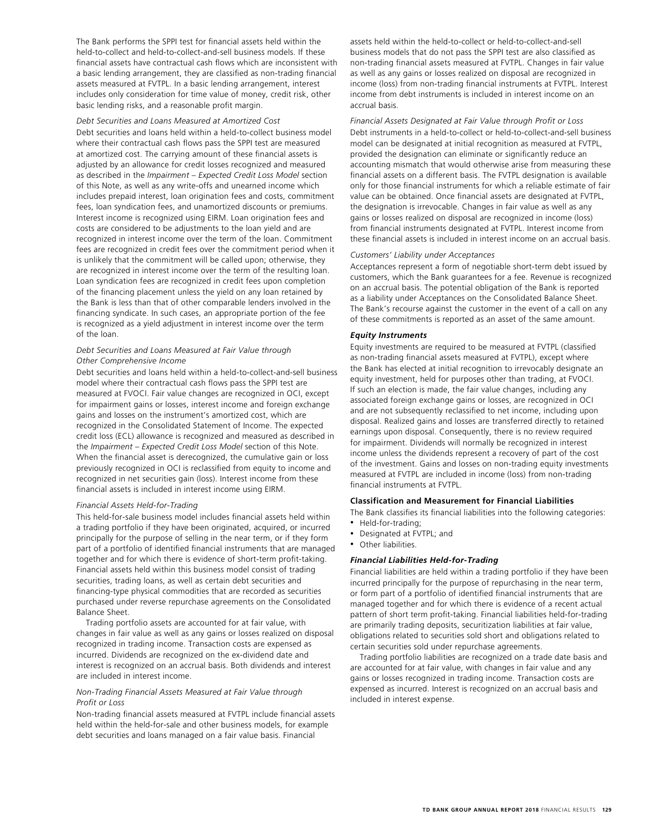The Bank performs the SPPI test for financial assets held within the held-to-collect and held-to-collect-and-sell business models. If these financial assets have contractual cash flows which are inconsistent with a basic lending arrangement, they are classified as non-trading financial assets measured at FVTPL. In a basic lending arrangement, interest includes only consideration for time value of money, credit risk, other basic lending risks, and a reasonable profit margin.

*Debt Securities and Loans Measured at Amortized Cost* Debt securities and loans held within a held-to-collect business model where their contractual cash flows pass the SPPI test are measured at amortized cost. The carrying amount of these financial assets is adjusted by an allowance for credit losses recognized and measured as described in the *Impairment – Expected Credit Loss Model* section of this Note, as well as any write-offs and unearned income which includes prepaid interest, loan origination fees and costs, commitment fees, loan syndication fees, and unamortized discounts or premiums. Interest income is recognized using EIRM. Loan origination fees and costs are considered to be adjustments to the loan yield and are recognized in interest income over the term of the loan. Commitment fees are recognized in credit fees over the commitment period when it is unlikely that the commitment will be called upon; otherwise, they are recognized in interest income over the term of the resulting loan. Loan syndication fees are recognized in credit fees upon completion of the financing placement unless the yield on any loan retained by the Bank is less than that of other comparable lenders involved in the financing syndicate. In such cases, an appropriate portion of the fee is recognized as a yield adjustment in interest income over the term of the loan.

## *Debt Securities and Loans Measured at Fair Value through Other Comprehensive Income*

Debt securities and loans held within a held-to-collect-and-sell business model where their contractual cash flows pass the SPPI test are measured at FVOCI. Fair value changes are recognized in OCI, except for impairment gains or losses, interest income and foreign exchange gains and losses on the instrument's amortized cost, which are recognized in the Consolidated Statement of Income. The expected credit loss (ECL) allowance is recognized and measured as described in the *Impairment – Expected Credit Loss Model* section of this Note. When the financial asset is derecognized, the cumulative gain or loss previously recognized in OCI is reclassified from equity to income and recognized in net securities gain (loss). Interest income from these financial assets is included in interest income using EIRM.

## *Financial Assets Held-for-Trading*

This held-for-sale business model includes financial assets held within a trading portfolio if they have been originated, acquired, or incurred principally for the purpose of selling in the near term, or if they form part of a portfolio of identified financial instruments that are managed together and for which there is evidence of short-term profit-taking. Financial assets held within this business model consist of trading securities, trading loans, as well as certain debt securities and financing-type physical commodities that are recorded as securities purchased under reverse repurchase agreements on the Consolidated Balance Sheet.

Trading portfolio assets are accounted for at fair value, with changes in fair value as well as any gains or losses realized on disposal recognized in trading income. Transaction costs are expensed as incurred. Dividends are recognized on the ex-dividend date and interest is recognized on an accrual basis. Both dividends and interest are included in interest income.

#### *Non-Trading Financial Assets Measured at Fair Value through Profit or Loss*

Non-trading financial assets measured at FVTPL include financial assets held within the held-for-sale and other business models, for example debt securities and loans managed on a fair value basis. Financial

assets held within the held-to-collect or held-to-collect-and-sell business models that do not pass the SPPI test are also classified as non-trading financial assets measured at FVTPL. Changes in fair value as well as any gains or losses realized on disposal are recognized in income (loss) from non-trading financial instruments at FVTPL. Interest income from debt instruments is included in interest income on an accrual basis.

*Financial Assets Designated at Fair Value through Profit or Loss* Debt instruments in a held-to-collect or held-to-collect-and-sell business model can be designated at initial recognition as measured at FVTPL, provided the designation can eliminate or significantly reduce an accounting mismatch that would otherwise arise from measuring these financial assets on a different basis. The FVTPL designation is available only for those financial instruments for which a reliable estimate of fair value can be obtained. Once financial assets are designated at FVTPL, the designation is irrevocable. Changes in fair value as well as any gains or losses realized on disposal are recognized in income (loss) from financial instruments designated at FVTPL. Interest income from these financial assets is included in interest income on an accrual basis.

### *Customers' Liability under Acceptances*

Acceptances represent a form of negotiable short-term debt issued by customers, which the Bank guarantees for a fee. Revenue is recognized on an accrual basis. The potential obligation of the Bank is reported as a liability under Acceptances on the Consolidated Balance Sheet. The Bank's recourse against the customer in the event of a call on any of these commitments is reported as an asset of the same amount.

## *Equity Instruments*

Equity investments are required to be measured at FVTPL (classified as non-trading financial assets measured at FVTPL), except where the Bank has elected at initial recognition to irrevocably designate an equity investment, held for purposes other than trading, at FVOCI. If such an election is made, the fair value changes, including any associated foreign exchange gains or losses, are recognized in OCI and are not subsequently reclassified to net income, including upon disposal. Realized gains and losses are transferred directly to retained earnings upon disposal. Consequently, there is no review required for impairment. Dividends will normally be recognized in interest income unless the dividends represent a recovery of part of the cost of the investment. Gains and losses on non-trading equity investments measured at FVTPL are included in income (loss) from non-trading financial instruments at FVTPL.

## **Classification and Measurement for Financial Liabilities**

The Bank classifies its financial liabilities into the following categories:

- Held-for-trading;
- Designated at FVTPL; and
- Other liabilities.

#### *Financial Liabilities Held-for-Trading*

Financial liabilities are held within a trading portfolio if they have been incurred principally for the purpose of repurchasing in the near term, or form part of a portfolio of identified financial instruments that are managed together and for which there is evidence of a recent actual pattern of short term profit-taking. Financial liabilities held-for-trading are primarily trading deposits, securitization liabilities at fair value, obligations related to securities sold short and obligations related to certain securities sold under repurchase agreements.

Trading portfolio liabilities are recognized on a trade date basis and are accounted for at fair value, with changes in fair value and any gains or losses recognized in trading income. Transaction costs are expensed as incurred. Interest is recognized on an accrual basis and included in interest expense.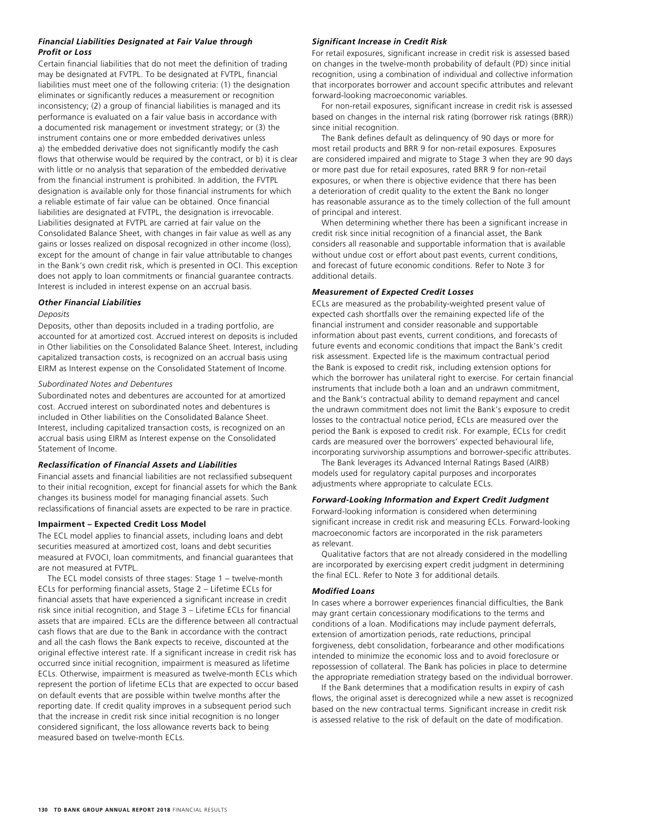## *Financial Liabilities Designated at Fair Value through Profit or Loss*

Certain financial liabilities that do not meet the definition of trading may be designated at FVTPL. To be designated at FVTPL, financial liabilities must meet one of the following criteria: (1) the designation eliminates or significantly reduces a measurement or recognition inconsistency; (2) a group of financial liabilities is managed and its performance is evaluated on a fair value basis in accordance with a documented risk management or investment strategy; or (3) the instrument contains one or more embedded derivatives unless a) the embedded derivative does not significantly modify the cash flows that otherwise would be required by the contract, or b) it is clear with little or no analysis that separation of the embedded derivative from the financial instrument is prohibited. In addition, the FVTPL designation is available only for those financial instruments for which a reliable estimate of fair value can be obtained. Once financial liabilities are designated at FVTPL, the designation is irrevocable. Liabilities designated at FVTPL are carried at fair value on the Consolidated Balance Sheet, with changes in fair value as well as any gains or losses realized on disposal recognized in other income (loss), except for the amount of change in fair value attributable to changes in the Bank's own credit risk, which is presented in OCI. This exception does not apply to loan commitments or financial guarantee contracts. Interest is included in interest expense on an accrual basis.

## *Other Financial Liabilities*

#### *Deposits*

Deposits, other than deposits included in a trading portfolio, are accounted for at amortized cost. Accrued interest on deposits is included in Other liabilities on the Consolidated Balance Sheet. Interest, including capitalized transaction costs, is recognized on an accrual basis using EIRM as Interest expense on the Consolidated Statement of Income.

## *Subordinated Notes and Debentures*

Subordinated notes and debentures are accounted for at amortized cost. Accrued interest on subordinated notes and debentures is included in Other liabilities on the Consolidated Balance Sheet. Interest, including capitalized transaction costs, is recognized on an accrual basis using EIRM as Interest expense on the Consolidated Statement of Income.

## *Reclassification of Financial Assets and Liabilities*

Financial assets and financial liabilities are not reclassified subsequent to their initial recognition, except for financial assets for which the Bank changes its business model for managing financial assets. Such reclassifications of financial assets are expected to be rare in practice.

## **Impairment – Expected Credit Loss Model**

The ECL model applies to financial assets, including loans and debt securities measured at amortized cost, loans and debt securities measured at FVOCI, loan commitments, and financial guarantees that are not measured at FVTPL.

The ECL model consists of three stages: Stage 1 – twelve-month ECLs for performing financial assets, Stage 2 – Lifetime ECLs for financial assets that have experienced a significant increase in credit risk since initial recognition, and Stage 3 – Lifetime ECLs for financial assets that are impaired. ECLs are the difference between all contractual cash flows that are due to the Bank in accordance with the contract and all the cash flows the Bank expects to receive, discounted at the original effective interest rate. If a significant increase in credit risk has occurred since initial recognition, impairment is measured as lifetime ECLs. Otherwise, impairment is measured as twelve-month ECLs which represent the portion of lifetime ECLs that are expected to occur based on default events that are possible within twelve months after the reporting date. If credit quality improves in a subsequent period such that the increase in credit risk since initial recognition is no longer considered significant, the loss allowance reverts back to being measured based on twelve-month ECLs.

## *Significant Increase in Credit Risk*

For retail exposures, significant increase in credit risk is assessed based on changes in the twelve-month probability of default (PD) since initial recognition, using a combination of individual and collective information that incorporates borrower and account specific attributes and relevant forward-looking macroeconomic variables.

For non-retail exposures, significant increase in credit risk is assessed based on changes in the internal risk rating (borrower risk ratings (BRR)) since initial recognition.

The Bank defines default as delinquency of 90 days or more for most retail products and BRR 9 for non-retail exposures. Exposures are considered impaired and migrate to Stage 3 when they are 90 days or more past due for retail exposures, rated BRR 9 for non-retail exposures, or when there is objective evidence that there has been a deterioration of credit quality to the extent the Bank no longer has reasonable assurance as to the timely collection of the full amount of principal and interest.

When determining whether there has been a significant increase in credit risk since initial recognition of a financial asset, the Bank considers all reasonable and supportable information that is available without undue cost or effort about past events, current conditions, and forecast of future economic conditions. Refer to Note 3 for additional details.

#### *Measurement of Expected Credit Losses*

ECLs are measured as the probability-weighted present value of expected cash shortfalls over the remaining expected life of the financial instrument and consider reasonable and supportable information about past events, current conditions, and forecasts of future events and economic conditions that impact the Bank's credit risk assessment. Expected life is the maximum contractual period the Bank is exposed to credit risk, including extension options for which the borrower has unilateral right to exercise. For certain financial instruments that include both a loan and an undrawn commitment, and the Bank's contractual ability to demand repayment and cancel the undrawn commitment does not limit the Bank's exposure to credit losses to the contractual notice period, ECLs are measured over the period the Bank is exposed to credit risk. For example, ECLs for credit cards are measured over the borrowers' expected behavioural life, incorporating survivorship assumptions and borrower-specific attributes.

The Bank leverages its Advanced Internal Ratings Based (AIRB) models used for regulatory capital purposes and incorporates adjustments where appropriate to calculate ECLs.

## *Forward-Looking Information and Expert Credit Judgment*

Forward-looking information is considered when determining significant increase in credit risk and measuring ECLs. Forward-looking macroeconomic factors are incorporated in the risk parameters as relevant.

Qualitative factors that are not already considered in the modelling are incorporated by exercising expert credit judgment in determining the final ECL. Refer to Note 3 for additional details.

#### *Modified Loans*

In cases where a borrower experiences financial difficulties, the Bank may grant certain concessionary modifications to the terms and conditions of a loan. Modifications may include payment deferrals, extension of amortization periods, rate reductions, principal forgiveness, debt consolidation, forbearance and other modifications intended to minimize the economic loss and to avoid foreclosure or repossession of collateral. The Bank has policies in place to determine the appropriate remediation strategy based on the individual borrower.

If the Bank determines that a modification results in expiry of cash flows, the original asset is derecognized while a new asset is recognized based on the new contractual terms. Significant increase in credit risk is assessed relative to the risk of default on the date of modification.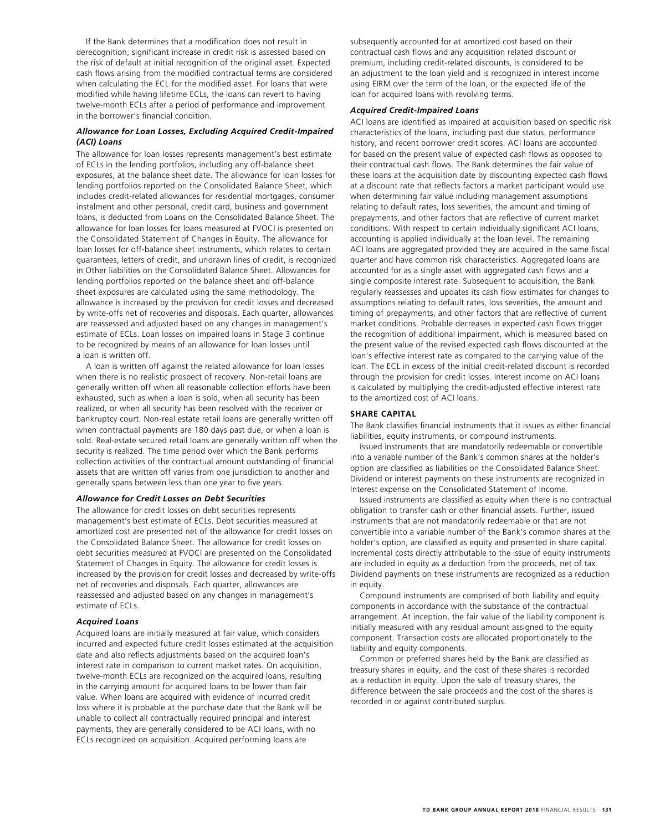If the Bank determines that a modification does not result in derecognition, significant increase in credit risk is assessed based on the risk of default at initial recognition of the original asset. Expected cash flows arising from the modified contractual terms are considered when calculating the ECL for the modified asset. For loans that were modified while having lifetime ECLs, the loans can revert to having twelve-month ECLs after a period of performance and improvement in the borrower's financial condition.

## *Allowance for Loan Losses, Excluding Acquired Credit-Impaired (ACI) Loans*

The allowance for loan losses represents management's best estimate of ECLs in the lending portfolios, including any off-balance sheet exposures, at the balance sheet date. The allowance for loan losses for lending portfolios reported on the Consolidated Balance Sheet, which includes credit-related allowances for residential mortgages, consumer instalment and other personal, credit card, business and government loans, is deducted from Loans on the Consolidated Balance Sheet. The allowance for loan losses for loans measured at FVOCI is presented on the Consolidated Statement of Changes in Equity. The allowance for loan losses for off-balance sheet instruments, which relates to certain guarantees, letters of credit, and undrawn lines of credit, is recognized in Other liabilities on the Consolidated Balance Sheet. Allowances for lending portfolios reported on the balance sheet and off-balance sheet exposures are calculated using the same methodology. The allowance is increased by the provision for credit losses and decreased by write-offs net of recoveries and disposals. Each quarter, allowances are reassessed and adjusted based on any changes in management's estimate of ECLs. Loan losses on impaired loans in Stage 3 continue to be recognized by means of an allowance for loan losses until a loan is written off.

A loan is written off against the related allowance for loan losses when there is no realistic prospect of recovery. Non-retail loans are generally written off when all reasonable collection efforts have been exhausted, such as when a loan is sold, when all security has been realized, or when all security has been resolved with the receiver or bankruptcy court. Non-real estate retail loans are generally written off when contractual payments are 180 days past due, or when a loan is sold. Real-estate secured retail loans are generally written off when the security is realized. The time period over which the Bank performs collection activities of the contractual amount outstanding of financial assets that are written off varies from one jurisdiction to another and generally spans between less than one year to five years.

#### *Allowance for Credit Losses on Debt Securities*

The allowance for credit losses on debt securities represents management's best estimate of ECLs. Debt securities measured at amortized cost are presented net of the allowance for credit losses on the Consolidated Balance Sheet. The allowance for credit losses on debt securities measured at FVOCI are presented on the Consolidated Statement of Changes in Equity. The allowance for credit losses is increased by the provision for credit losses and decreased by write-offs net of recoveries and disposals. Each quarter, allowances are reassessed and adjusted based on any changes in management's estimate of ECLs.

#### *Acquired Loans*

Acquired loans are initially measured at fair value, which considers incurred and expected future credit losses estimated at the acquisition date and also reflects adjustments based on the acquired loan's interest rate in comparison to current market rates. On acquisition, twelve-month ECLs are recognized on the acquired loans, resulting in the carrying amount for acquired loans to be lower than fair value. When loans are acquired with evidence of incurred credit loss where it is probable at the purchase date that the Bank will be unable to collect all contractually required principal and interest payments, they are generally considered to be ACI loans, with no ECLs recognized on acquisition. Acquired performing loans are

subsequently accounted for at amortized cost based on their contractual cash flows and any acquisition related discount or premium, including credit-related discounts, is considered to be an adjustment to the loan yield and is recognized in interest income using EIRM over the term of the loan, or the expected life of the loan for acquired loans with revolving terms.

#### *Acquired Credit-Impaired Loans*

ACI loans are identified as impaired at acquisition based on specific risk characteristics of the loans, including past due status, performance history, and recent borrower credit scores. ACI loans are accounted for based on the present value of expected cash flows as opposed to their contractual cash flows. The Bank determines the fair value of these loans at the acquisition date by discounting expected cash flows at a discount rate that reflects factors a market participant would use when determining fair value including management assumptions relating to default rates, loss severities, the amount and timing of prepayments, and other factors that are reflective of current market conditions. With respect to certain individually significant ACI loans, accounting is applied individually at the loan level. The remaining ACI loans are aggregated provided they are acquired in the same fiscal quarter and have common risk characteristics. Aggregated loans are accounted for as a single asset with aggregated cash flows and a single composite interest rate. Subsequent to acquisition, the Bank regularly reassesses and updates its cash flow estimates for changes to assumptions relating to default rates, loss severities, the amount and timing of prepayments, and other factors that are reflective of current market conditions. Probable decreases in expected cash flows trigger the recognition of additional impairment, which is measured based on the present value of the revised expected cash flows discounted at the loan's effective interest rate as compared to the carrying value of the loan. The ECL in excess of the initial credit-related discount is recorded through the provision for credit losses. Interest income on ACI loans is calculated by multiplying the credit-adjusted effective interest rate to the amortized cost of ACI loans.

#### **SHARE CAPITAL**

The Bank classifies financial instruments that it issues as either financial liabilities, equity instruments, or compound instruments.

Issued instruments that are mandatorily redeemable or convertible into a variable number of the Bank's common shares at the holder's option are classified as liabilities on the Consolidated Balance Sheet. Dividend or interest payments on these instruments are recognized in Interest expense on the Consolidated Statement of Income.

Issued instruments are classified as equity when there is no contractual obligation to transfer cash or other financial assets. Further, issued instruments that are not mandatorily redeemable or that are not convertible into a variable number of the Bank's common shares at the holder's option, are classified as equity and presented in share capital. Incremental costs directly attributable to the issue of equity instruments are included in equity as a deduction from the proceeds, net of tax. Dividend payments on these instruments are recognized as a reduction in equity.

Compound instruments are comprised of both liability and equity components in accordance with the substance of the contractual arrangement. At inception, the fair value of the liability component is initially measured with any residual amount assigned to the equity component. Transaction costs are allocated proportionately to the liability and equity components.

Common or preferred shares held by the Bank are classified as treasury shares in equity, and the cost of these shares is recorded as a reduction in equity. Upon the sale of treasury shares, the difference between the sale proceeds and the cost of the shares is recorded in or against contributed surplus.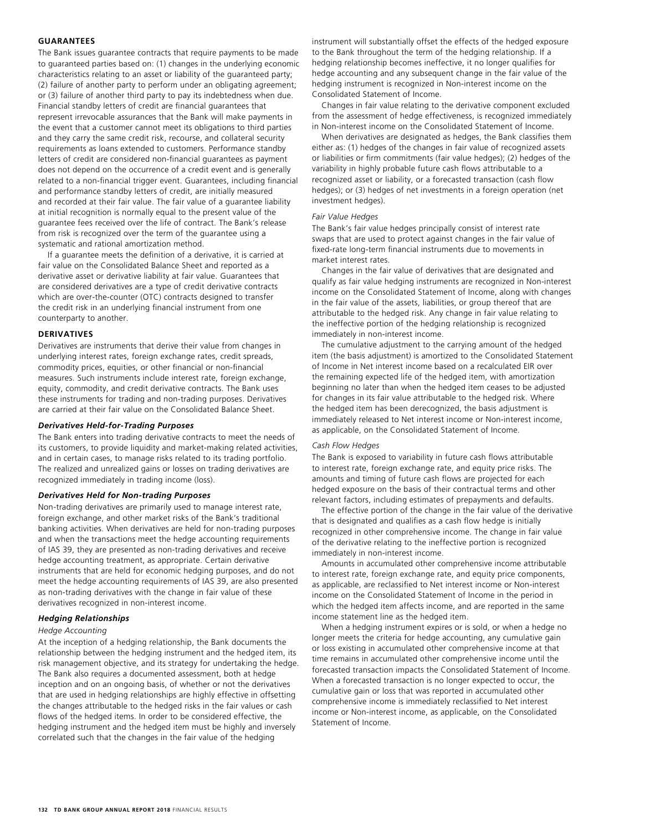#### **GUARANTEES**

The Bank issues guarantee contracts that require payments to be made to guaranteed parties based on: (1) changes in the underlying economic characteristics relating to an asset or liability of the guaranteed party; (2) failure of another party to perform under an obligating agreement; or (3) failure of another third party to pay its indebtedness when due. Financial standby letters of credit are financial guarantees that represent irrevocable assurances that the Bank will make payments in the event that a customer cannot meet its obligations to third parties and they carry the same credit risk, recourse, and collateral security requirements as loans extended to customers. Performance standby letters of credit are considered non-financial guarantees as payment does not depend on the occurrence of a credit event and is generally related to a non-financial trigger event. Guarantees, including financial and performance standby letters of credit, are initially measured and recorded at their fair value. The fair value of a guarantee liability at initial recognition is normally equal to the present value of the guarantee fees received over the life of contract. The Bank's release from risk is recognized over the term of the guarantee using a systematic and rational amortization method.

If a guarantee meets the definition of a derivative, it is carried at fair value on the Consolidated Balance Sheet and reported as a derivative asset or derivative liability at fair value. Guarantees that are considered derivatives are a type of credit derivative contracts which are over-the-counter (OTC) contracts designed to transfer the credit risk in an underlying financial instrument from one counterparty to another.

#### **DERIVATIVES**

Derivatives are instruments that derive their value from changes in underlying interest rates, foreign exchange rates, credit spreads, commodity prices, equities, or other financial or non-financial measures. Such instruments include interest rate, foreign exchange, equity, commodity, and credit derivative contracts. The Bank uses these instruments for trading and non-trading purposes. Derivatives are carried at their fair value on the Consolidated Balance Sheet.

#### *Derivatives Held-for-Trading Purposes*

The Bank enters into trading derivative contracts to meet the needs of its customers, to provide liquidity and market-making related activities, and in certain cases, to manage risks related to its trading portfolio. The realized and unrealized gains or losses on trading derivatives are recognized immediately in trading income (loss).

#### *Derivatives Held for Non-trading Purposes*

Non-trading derivatives are primarily used to manage interest rate, foreign exchange, and other market risks of the Bank's traditional banking activities. When derivatives are held for non-trading purposes and when the transactions meet the hedge accounting requirements of IAS 39, they are presented as non-trading derivatives and receive hedge accounting treatment, as appropriate. Certain derivative instruments that are held for economic hedging purposes, and do not meet the hedge accounting requirements of IAS 39, are also presented as non-trading derivatives with the change in fair value of these derivatives recognized in non-interest income.

#### *Hedging Relationships*

#### *Hedge Accounting*

At the inception of a hedging relationship, the Bank documents the relationship between the hedging instrument and the hedged item, its risk management objective, and its strategy for undertaking the hedge. The Bank also requires a documented assessment, both at hedge inception and on an ongoing basis, of whether or not the derivatives that are used in hedging relationships are highly effective in offsetting the changes attributable to the hedged risks in the fair values or cash flows of the hedged items. In order to be considered effective, the hedging instrument and the hedged item must be highly and inversely correlated such that the changes in the fair value of the hedging

instrument will substantially offset the effects of the hedged exposure to the Bank throughout the term of the hedging relationship. If a hedging relationship becomes ineffective, it no longer qualifies for hedge accounting and any subsequent change in the fair value of the hedging instrument is recognized in Non-interest income on the Consolidated Statement of Income.

Changes in fair value relating to the derivative component excluded from the assessment of hedge effectiveness, is recognized immediately in Non-interest income on the Consolidated Statement of Income.

When derivatives are designated as hedges, the Bank classifies them either as: (1) hedges of the changes in fair value of recognized assets or liabilities or firm commitments (fair value hedges); (2) hedges of the variability in highly probable future cash flows attributable to a recognized asset or liability, or a forecasted transaction (cash flow hedges); or (3) hedges of net investments in a foreign operation (net investment hedges).

#### *Fair Value Hedges*

The Bank's fair value hedges principally consist of interest rate swaps that are used to protect against changes in the fair value of fixed-rate long-term financial instruments due to movements in market interest rates.

Changes in the fair value of derivatives that are designated and qualify as fair value hedging instruments are recognized in Non-interest income on the Consolidated Statement of Income, along with changes in the fair value of the assets, liabilities, or group thereof that are attributable to the hedged risk. Any change in fair value relating to the ineffective portion of the hedging relationship is recognized immediately in non-interest income.

The cumulative adjustment to the carrying amount of the hedged item (the basis adjustment) is amortized to the Consolidated Statement of Income in Net interest income based on a recalculated EIR over the remaining expected life of the hedged item, with amortization beginning no later than when the hedged item ceases to be adjusted for changes in its fair value attributable to the hedged risk. Where the hedged item has been derecognized, the basis adjustment is immediately released to Net interest income or Non-interest income, as applicable, on the Consolidated Statement of Income.

#### *Cash Flow Hedges*

The Bank is exposed to variability in future cash flows attributable to interest rate, foreign exchange rate, and equity price risks. The amounts and timing of future cash flows are projected for each hedged exposure on the basis of their contractual terms and other relevant factors, including estimates of prepayments and defaults.

The effective portion of the change in the fair value of the derivative that is designated and qualifies as a cash flow hedge is initially recognized in other comprehensive income. The change in fair value of the derivative relating to the ineffective portion is recognized immediately in non-interest income.

Amounts in accumulated other comprehensive income attributable to interest rate, foreign exchange rate, and equity price components, as applicable, are reclassified to Net interest income or Non-interest income on the Consolidated Statement of Income in the period in which the hedged item affects income, and are reported in the same income statement line as the hedged item.

When a hedging instrument expires or is sold, or when a hedge no longer meets the criteria for hedge accounting, any cumulative gain or loss existing in accumulated other comprehensive income at that time remains in accumulated other comprehensive income until the forecasted transaction impacts the Consolidated Statement of Income. When a forecasted transaction is no longer expected to occur, the cumulative gain or loss that was reported in accumulated other comprehensive income is immediately reclassified to Net interest income or Non-interest income, as applicable, on the Consolidated Statement of Income.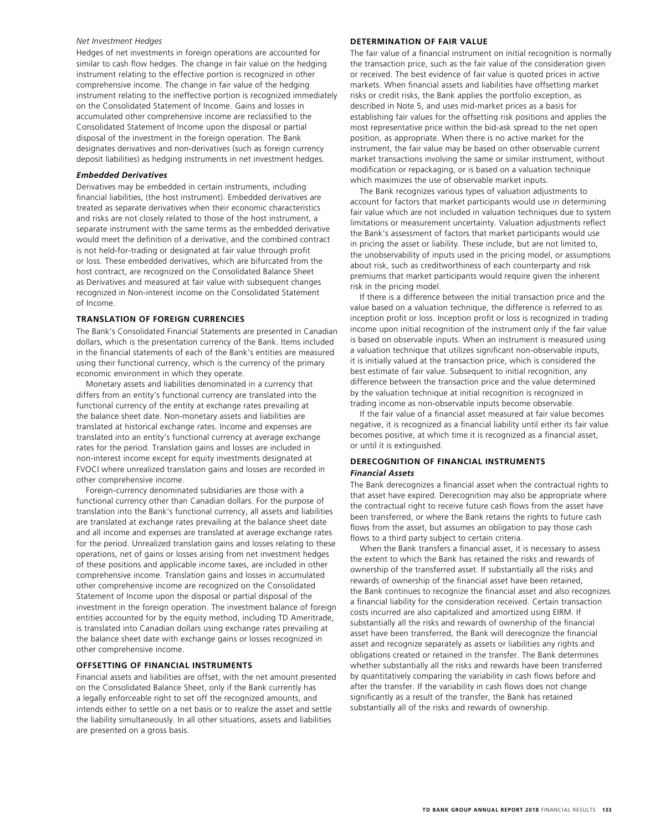#### *Net Investment Hedges*

Hedges of net investments in foreign operations are accounted for similar to cash flow hedges. The change in fair value on the hedging instrument relating to the effective portion is recognized in other comprehensive income. The change in fair value of the hedging instrument relating to the ineffective portion is recognized immediately on the Consolidated Statement of Income. Gains and losses in accumulated other comprehensive income are reclassified to the Consolidated Statement of Income upon the disposal or partial disposal of the investment in the foreign operation. The Bank designates derivatives and non-derivatives (such as foreign currency deposit liabilities) as hedging instruments in net investment hedges.

#### *Embedded Derivatives*

Derivatives may be embedded in certain instruments, including financial liabilities, (the host instrument). Embedded derivatives are treated as separate derivatives when their economic characteristics and risks are not closely related to those of the host instrument, a separate instrument with the same terms as the embedded derivative would meet the definition of a derivative, and the combined contract is not held-for-trading or designated at fair value through profit or loss. These embedded derivatives, which are bifurcated from the host contract, are recognized on the Consolidated Balance Sheet as Derivatives and measured at fair value with subsequent changes recognized in Non-interest income on the Consolidated Statement of Income.

## **TRANSLATION OF FOREIGN CURRENCIES**

The Bank's Consolidated Financial Statements are presented in Canadian dollars, which is the presentation currency of the Bank. Items included in the financial statements of each of the Bank's entities are measured using their functional currency, which is the currency of the primary economic environment in which they operate.

Monetary assets and liabilities denominated in a currency that differs from an entity's functional currency are translated into the functional currency of the entity at exchange rates prevailing at the balance sheet date. Non-monetary assets and liabilities are translated at historical exchange rates. Income and expenses are translated into an entity's functional currency at average exchange rates for the period. Translation gains and losses are included in non-interest income except for equity investments designated at FVOCI where unrealized translation gains and losses are recorded in other comprehensive income.

Foreign-currency denominated subsidiaries are those with a functional currency other than Canadian dollars. For the purpose of translation into the Bank's functional currency, all assets and liabilities are translated at exchange rates prevailing at the balance sheet date and all income and expenses are translated at average exchange rates for the period. Unrealized translation gains and losses relating to these operations, net of gains or losses arising from net investment hedges of these positions and applicable income taxes, are included in other comprehensive income. Translation gains and losses in accumulated other comprehensive income are recognized on the Consolidated Statement of Income upon the disposal or partial disposal of the investment in the foreign operation. The investment balance of foreign entities accounted for by the equity method, including TD Ameritrade, is translated into Canadian dollars using exchange rates prevailing at the balance sheet date with exchange gains or losses recognized in other comprehensive income.

## **OFFSETTING OF FINANCIAL INSTRUMENTS**

Financial assets and liabilities are offset, with the net amount presented on the Consolidated Balance Sheet, only if the Bank currently has a legally enforceable right to set off the recognized amounts, and intends either to settle on a net basis or to realize the asset and settle the liability simultaneously. In all other situations, assets and liabilities are presented on a gross basis.

## **DETERMINATION OF FAIR VALUE**

The fair value of a financial instrument on initial recognition is normally the transaction price, such as the fair value of the consideration given or received. The best evidence of fair value is quoted prices in active markets. When financial assets and liabilities have offsetting market risks or credit risks, the Bank applies the portfolio exception, as described in Note 5, and uses mid-market prices as a basis for establishing fair values for the offsetting risk positions and applies the most representative price within the bid-ask spread to the net open position, as appropriate. When there is no active market for the instrument, the fair value may be based on other observable current market transactions involving the same or similar instrument, without modification or repackaging, or is based on a valuation technique which maximizes the use of observable market inputs.

The Bank recognizes various types of valuation adjustments to account for factors that market participants would use in determining fair value which are not included in valuation techniques due to system limitations or measurement uncertainty. Valuation adjustments reflect the Bank's assessment of factors that market participants would use in pricing the asset or liability. These include, but are not limited to, the unobservability of inputs used in the pricing model, or assumptions about risk, such as creditworthiness of each counterparty and risk premiums that market participants would require given the inherent risk in the pricing model.

If there is a difference between the initial transaction price and the value based on a valuation technique, the difference is referred to as inception profit or loss. Inception profit or loss is recognized in trading income upon initial recognition of the instrument only if the fair value is based on observable inputs. When an instrument is measured using a valuation technique that utilizes significant non-observable inputs, it is initially valued at the transaction price, which is considered the best estimate of fair value. Subsequent to initial recognition, any difference between the transaction price and the value determined by the valuation technique at initial recognition is recognized in trading income as non-observable inputs become observable.

If the fair value of a financial asset measured at fair value becomes negative, it is recognized as a financial liability until either its fair value becomes positive, at which time it is recognized as a financial asset, or until it is extinguished.

## **DERECOGNITION OF FINANCIAL INSTRUMENTS** *Financial Assets*

The Bank derecognizes a financial asset when the contractual rights to that asset have expired. Derecognition may also be appropriate where the contractual right to receive future cash flows from the asset have been transferred, or where the Bank retains the rights to future cash flows from the asset, but assumes an obligation to pay those cash flows to a third party subject to certain criteria.

When the Bank transfers a financial asset, it is necessary to assess the extent to which the Bank has retained the risks and rewards of ownership of the transferred asset. If substantially all the risks and rewards of ownership of the financial asset have been retained, the Bank continues to recognize the financial asset and also recognizes a financial liability for the consideration received. Certain transaction costs incurred are also capitalized and amortized using EIRM. If substantially all the risks and rewards of ownership of the financial asset have been transferred, the Bank will derecognize the financial asset and recognize separately as assets or liabilities any rights and obligations created or retained in the transfer. The Bank determines whether substantially all the risks and rewards have been transferred by quantitatively comparing the variability in cash flows before and after the transfer. If the variability in cash flows does not change significantly as a result of the transfer, the Bank has retained substantially all of the risks and rewards of ownership.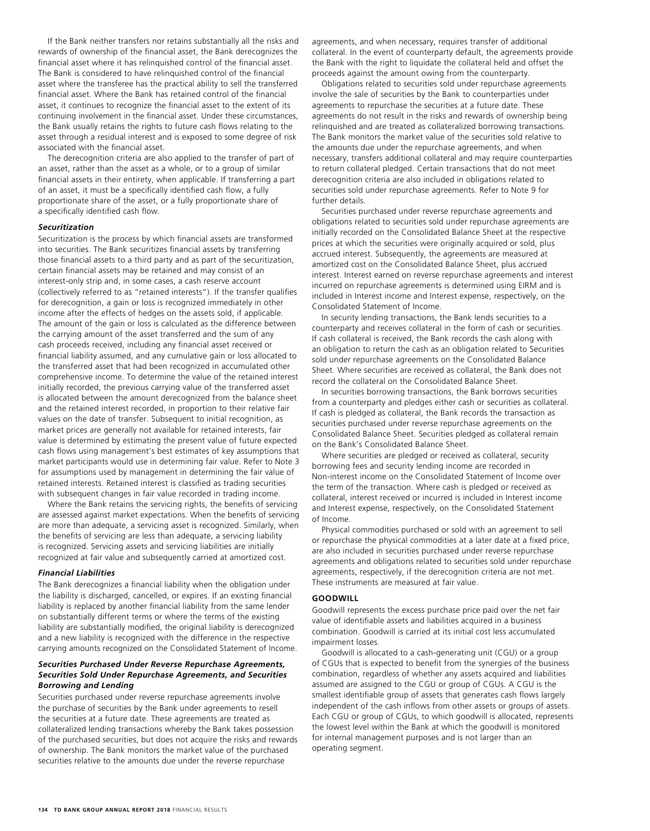If the Bank neither transfers nor retains substantially all the risks and rewards of ownership of the financial asset, the Bank derecognizes the financial asset where it has relinquished control of the financial asset. The Bank is considered to have relinquished control of the financial asset where the transferee has the practical ability to sell the transferred financial asset. Where the Bank has retained control of the financial asset, it continues to recognize the financial asset to the extent of its continuing involvement in the financial asset. Under these circumstances, the Bank usually retains the rights to future cash flows relating to the asset through a residual interest and is exposed to some degree of risk associated with the financial asset.

The derecognition criteria are also applied to the transfer of part of an asset, rather than the asset as a whole, or to a group of similar financial assets in their entirety, when applicable. If transferring a part of an asset, it must be a specifically identified cash flow, a fully proportionate share of the asset, or a fully proportionate share of a specifically identified cash flow.

#### *Securitization*

Securitization is the process by which financial assets are transformed into securities. The Bank securitizes financial assets by transferring those financial assets to a third party and as part of the securitization, certain financial assets may be retained and may consist of an interest-only strip and, in some cases, a cash reserve account (collectively referred to as "retained interests"). If the transfer qualifies for derecognition, a gain or loss is recognized immediately in other income after the effects of hedges on the assets sold, if applicable. The amount of the gain or loss is calculated as the difference between the carrying amount of the asset transferred and the sum of any cash proceeds received, including any financial asset received or financial liability assumed, and any cumulative gain or loss allocated to the transferred asset that had been recognized in accumulated other comprehensive income. To determine the value of the retained interest initially recorded, the previous carrying value of the transferred asset is allocated between the amount derecognized from the balance sheet and the retained interest recorded, in proportion to their relative fair values on the date of transfer. Subsequent to initial recognition, as market prices are generally not available for retained interests, fair value is determined by estimating the present value of future expected cash flows using management's best estimates of key assumptions that market participants would use in determining fair value. Refer to Note 3 for assumptions used by management in determining the fair value of retained interests. Retained interest is classified as trading securities with subsequent changes in fair value recorded in trading income.

Where the Bank retains the servicing rights, the benefits of servicing are assessed against market expectations. When the benefits of servicing are more than adequate, a servicing asset is recognized. Similarly, when the benefits of servicing are less than adequate, a servicing liability is recognized. Servicing assets and servicing liabilities are initially recognized at fair value and subsequently carried at amortized cost.

#### *Financial Liabilities*

The Bank derecognizes a financial liability when the obligation under the liability is discharged, cancelled, or expires. If an existing financial liability is replaced by another financial liability from the same lender on substantially different terms or where the terms of the existing liability are substantially modified, the original liability is derecognized and a new liability is recognized with the difference in the respective carrying amounts recognized on the Consolidated Statement of Income.

## *Securities Purchased Under Reverse Repurchase Agreements, Securities Sold Under Repurchase Agreements, and Securities Borrowing and Lending*

Securities purchased under reverse repurchase agreements involve the purchase of securities by the Bank under agreements to resell the securities at a future date. These agreements are treated as collateralized lending transactions whereby the Bank takes possession of the purchased securities, but does not acquire the risks and rewards of ownership. The Bank monitors the market value of the purchased securities relative to the amounts due under the reverse repurchase

agreements, and when necessary, requires transfer of additional collateral. In the event of counterparty default, the agreements provide the Bank with the right to liquidate the collateral held and offset the proceeds against the amount owing from the counterparty.

Obligations related to securities sold under repurchase agreements involve the sale of securities by the Bank to counterparties under agreements to repurchase the securities at a future date. These agreements do not result in the risks and rewards of ownership being relinquished and are treated as collateralized borrowing transactions. The Bank monitors the market value of the securities sold relative to the amounts due under the repurchase agreements, and when necessary, transfers additional collateral and may require counterparties to return collateral pledged. Certain transactions that do not meet derecognition criteria are also included in obligations related to securities sold under repurchase agreements. Refer to Note 9 for further details.

Securities purchased under reverse repurchase agreements and obligations related to securities sold under repurchase agreements are initially recorded on the Consolidated Balance Sheet at the respective prices at which the securities were originally acquired or sold, plus accrued interest. Subsequently, the agreements are measured at amortized cost on the Consolidated Balance Sheet, plus accrued interest. Interest earned on reverse repurchase agreements and interest incurred on repurchase agreements is determined using EIRM and is included in Interest income and Interest expense, respectively, on the Consolidated Statement of Income.

In security lending transactions, the Bank lends securities to a counterparty and receives collateral in the form of cash or securities. If cash collateral is received, the Bank records the cash along with an obligation to return the cash as an obligation related to Securities sold under repurchase agreements on the Consolidated Balance Sheet. Where securities are received as collateral, the Bank does not record the collateral on the Consolidated Balance Sheet.

In securities borrowing transactions, the Bank borrows securities from a counterparty and pledges either cash or securities as collateral. If cash is pledged as collateral, the Bank records the transaction as securities purchased under reverse repurchase agreements on the Consolidated Balance Sheet. Securities pledged as collateral remain on the Bank's Consolidated Balance Sheet.

Where securities are pledged or received as collateral, security borrowing fees and security lending income are recorded in Non-interest income on the Consolidated Statement of Income over the term of the transaction. Where cash is pledged or received as collateral, interest received or incurred is included in Interest income and Interest expense, respectively, on the Consolidated Statement of Income.

Physical commodities purchased or sold with an agreement to sell or repurchase the physical commodities at a later date at a fixed price, are also included in securities purchased under reverse repurchase agreements and obligations related to securities sold under repurchase agreements, respectively, if the derecognition criteria are not met. These instruments are measured at fair value.

#### **GOODWILL**

Goodwill represents the excess purchase price paid over the net fair value of identifiable assets and liabilities acquired in a business combination. Goodwill is carried at its initial cost less accumulated impairment losses.

Goodwill is allocated to a cash-generating unit (CGU) or a group of CGUs that is expected to benefit from the synergies of the business combination, regardless of whether any assets acquired and liabilities assumed are assigned to the CGU or group of CGUs. A CGU is the smallest identifiable group of assets that generates cash flows largely independent of the cash inflows from other assets or groups of assets. Each CGU or group of CGUs, to which goodwill is allocated, represents the lowest level within the Bank at which the goodwill is monitored for internal management purposes and is not larger than an operating segment.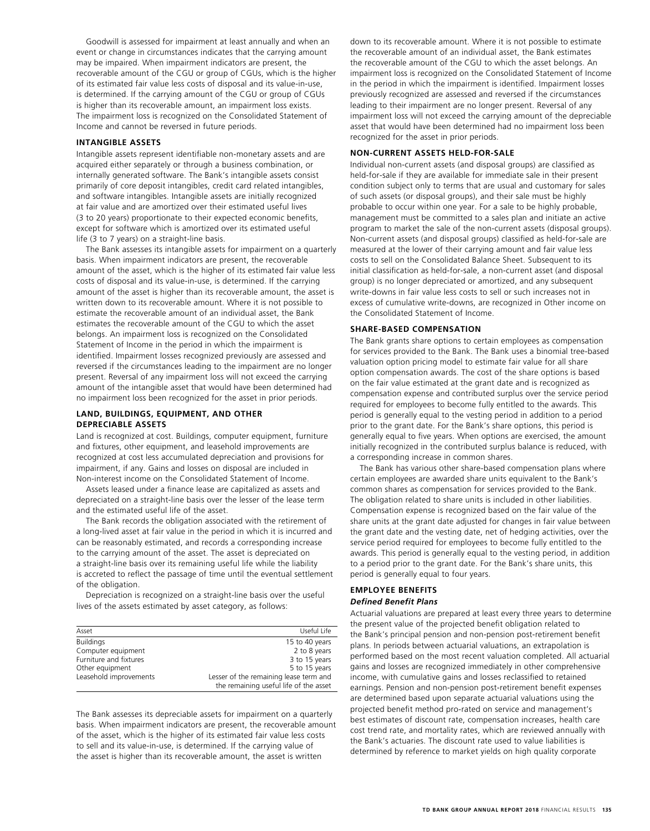Goodwill is assessed for impairment at least annually and when an event or change in circumstances indicates that the carrying amount may be impaired. When impairment indicators are present, the recoverable amount of the CGU or group of CGUs, which is the higher of its estimated fair value less costs of disposal and its value-in-use, is determined. If the carrying amount of the CGU or group of CGUs is higher than its recoverable amount, an impairment loss exists. The impairment loss is recognized on the Consolidated Statement of Income and cannot be reversed in future periods.

#### **INTANGIBLE ASSETS**

Intangible assets represent identifiable non-monetary assets and are acquired either separately or through a business combination, or internally generated software. The Bank's intangible assets consist primarily of core deposit intangibles, credit card related intangibles, and software intangibles. Intangible assets are initially recognized at fair value and are amortized over their estimated useful lives (3 to 20 years) proportionate to their expected economic benefits, except for software which is amortized over its estimated useful life (3 to 7 years) on a straight-line basis.

The Bank assesses its intangible assets for impairment on a quarterly basis. When impairment indicators are present, the recoverable amount of the asset, which is the higher of its estimated fair value less costs of disposal and its value-in-use, is determined. If the carrying amount of the asset is higher than its recoverable amount, the asset is written down to its recoverable amount. Where it is not possible to estimate the recoverable amount of an individual asset, the Bank estimates the recoverable amount of the CGU to which the asset belongs. An impairment loss is recognized on the Consolidated Statement of Income in the period in which the impairment is identified. Impairment losses recognized previously are assessed and reversed if the circumstances leading to the impairment are no longer present. Reversal of any impairment loss will not exceed the carrying amount of the intangible asset that would have been determined had no impairment loss been recognized for the asset in prior periods.

## **LAND, BUILDINGS, EQUIPMENT, AND OTHER DEPRECIABLE ASSETS**

Land is recognized at cost. Buildings, computer equipment, furniture and fixtures, other equipment, and leasehold improvements are recognized at cost less accumulated depreciation and provisions for impairment, if any. Gains and losses on disposal are included in Non-interest income on the Consolidated Statement of Income.

Assets leased under a finance lease are capitalized as assets and depreciated on a straight-line basis over the lesser of the lease term and the estimated useful life of the asset.

The Bank records the obligation associated with the retirement of a long-lived asset at fair value in the period in which it is incurred and can be reasonably estimated, and records a corresponding increase to the carrying amount of the asset. The asset is depreciated on a straight-line basis over its remaining useful life while the liability is accreted to reflect the passage of time until the eventual settlement of the obligation.

Depreciation is recognized on a straight-line basis over the useful lives of the assets estimated by asset category, as follows:

| Asset                  | Useful Life                                                                      |
|------------------------|----------------------------------------------------------------------------------|
| <b>Buildings</b>       | 15 to 40 years                                                                   |
| Computer equipment     | 2 to 8 years                                                                     |
| Furniture and fixtures | 3 to 15 years                                                                    |
| Other equipment        | 5 to 15 years                                                                    |
| Leasehold improvements | Lesser of the remaining lease term and<br>the remaining useful life of the asset |

The Bank assesses its depreciable assets for impairment on a quarterly basis. When impairment indicators are present, the recoverable amount of the asset, which is the higher of its estimated fair value less costs to sell and its value-in-use, is determined. If the carrying value of the asset is higher than its recoverable amount, the asset is written

down to its recoverable amount. Where it is not possible to estimate the recoverable amount of an individual asset, the Bank estimates the recoverable amount of the CGU to which the asset belongs. An impairment loss is recognized on the Consolidated Statement of Income in the period in which the impairment is identified. Impairment losses previously recognized are assessed and reversed if the circumstances leading to their impairment are no longer present. Reversal of any impairment loss will not exceed the carrying amount of the depreciable asset that would have been determined had no impairment loss been recognized for the asset in prior periods.

#### **NON-CURRENT ASSETS HELD-FOR-SALE**

Individual non-current assets (and disposal groups) are classified as held-for-sale if they are available for immediate sale in their present condition subject only to terms that are usual and customary for sales of such assets (or disposal groups), and their sale must be highly probable to occur within one year. For a sale to be highly probable, management must be committed to a sales plan and initiate an active program to market the sale of the non-current assets (disposal groups). Non-current assets (and disposal groups) classified as held-for-sale are measured at the lower of their carrying amount and fair value less costs to sell on the Consolidated Balance Sheet. Subsequent to its initial classification as held-for-sale, a non-current asset (and disposal group) is no longer depreciated or amortized, and any subsequent write-downs in fair value less costs to sell or such increases not in excess of cumulative write-downs, are recognized in Other income on the Consolidated Statement of Income.

#### **SHARE-BASED COMPENSATION**

The Bank grants share options to certain employees as compensation for services provided to the Bank. The Bank uses a binomial tree-based valuation option pricing model to estimate fair value for all share option compensation awards. The cost of the share options is based on the fair value estimated at the grant date and is recognized as compensation expense and contributed surplus over the service period required for employees to become fully entitled to the awards. This period is generally equal to the vesting period in addition to a period prior to the grant date. For the Bank's share options, this period is generally equal to five years. When options are exercised, the amount initially recognized in the contributed surplus balance is reduced, with a corresponding increase in common shares.

The Bank has various other share-based compensation plans where certain employees are awarded share units equivalent to the Bank's common shares as compensation for services provided to the Bank. The obligation related to share units is included in other liabilities. Compensation expense is recognized based on the fair value of the share units at the grant date adjusted for changes in fair value between the grant date and the vesting date, net of hedging activities, over the service period required for employees to become fully entitled to the awards. This period is generally equal to the vesting period, in addition to a period prior to the grant date. For the Bank's share units, this period is generally equal to four years.

#### **EMPLOYEE BENEFITS** *Defined Benefit Plans*

Actuarial valuations are prepared at least every three years to determine the present value of the projected benefit obligation related to the Bank's principal pension and non-pension post-retirement benefit plans. In periods between actuarial valuations, an extrapolation is performed based on the most recent valuation completed. All actuarial gains and losses are recognized immediately in other comprehensive income, with cumulative gains and losses reclassified to retained earnings. Pension and non-pension post-retirement benefit expenses are determined based upon separate actuarial valuations using the projected benefit method pro-rated on service and management's best estimates of discount rate, compensation increases, health care cost trend rate, and mortality rates, which are reviewed annually with the Bank's actuaries. The discount rate used to value liabilities is determined by reference to market yields on high quality corporate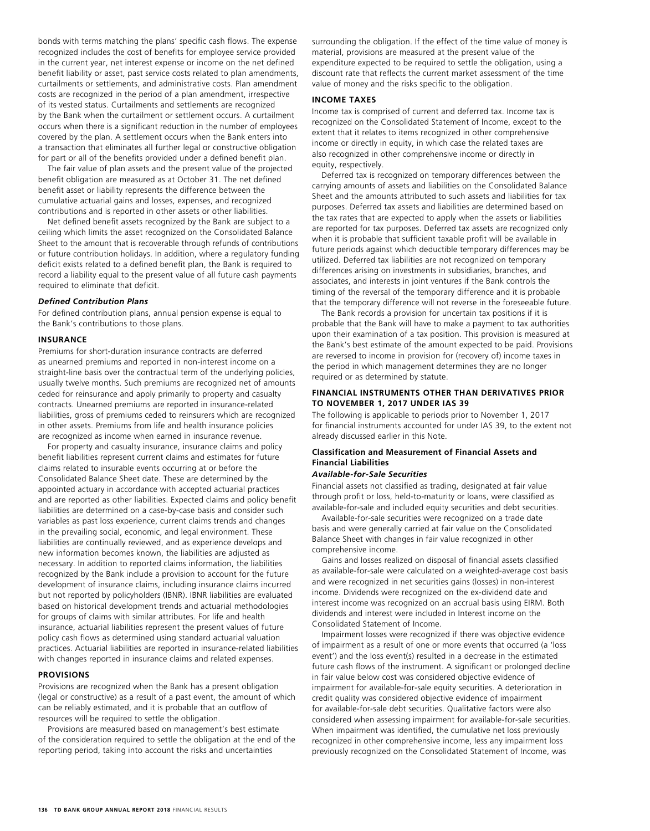bonds with terms matching the plans' specific cash flows. The expense recognized includes the cost of benefits for employee service provided in the current year, net interest expense or income on the net defined benefit liability or asset, past service costs related to plan amendments, curtailments or settlements, and administrative costs. Plan amendment costs are recognized in the period of a plan amendment, irrespective of its vested status. Curtailments and settlements are recognized by the Bank when the curtailment or settlement occurs. A curtailment occurs when there is a significant reduction in the number of employees covered by the plan. A settlement occurs when the Bank enters into a transaction that eliminates all further legal or constructive obligation for part or all of the benefits provided under a defined benefit plan.

The fair value of plan assets and the present value of the projected benefit obligation are measured as at October 31. The net defined benefit asset or liability represents the difference between the cumulative actuarial gains and losses, expenses, and recognized contributions and is reported in other assets or other liabilities.

Net defined benefit assets recognized by the Bank are subject to a ceiling which limits the asset recognized on the Consolidated Balance Sheet to the amount that is recoverable through refunds of contributions or future contribution holidays. In addition, where a regulatory funding deficit exists related to a defined benefit plan, the Bank is required to record a liability equal to the present value of all future cash payments required to eliminate that deficit.

#### *Defined Contribution Plans*

For defined contribution plans, annual pension expense is equal to the Bank's contributions to those plans.

#### **INSURANCE**

Premiums for short-duration insurance contracts are deferred as unearned premiums and reported in non-interest income on a straight-line basis over the contractual term of the underlying policies, usually twelve months. Such premiums are recognized net of amounts ceded for reinsurance and apply primarily to property and casualty contracts. Unearned premiums are reported in insurance-related liabilities, gross of premiums ceded to reinsurers which are recognized in other assets. Premiums from life and health insurance policies are recognized as income when earned in insurance revenue.

For property and casualty insurance, insurance claims and policy benefit liabilities represent current claims and estimates for future claims related to insurable events occurring at or before the Consolidated Balance Sheet date. These are determined by the appointed actuary in accordance with accepted actuarial practices and are reported as other liabilities. Expected claims and policy benefit liabilities are determined on a case-by-case basis and consider such variables as past loss experience, current claims trends and changes in the prevailing social, economic, and legal environment. These liabilities are continually reviewed, and as experience develops and new information becomes known, the liabilities are adjusted as necessary. In addition to reported claims information, the liabilities recognized by the Bank include a provision to account for the future development of insurance claims, including insurance claims incurred but not reported by policyholders (IBNR). IBNR liabilities are evaluated based on historical development trends and actuarial methodologies for groups of claims with similar attributes. For life and health insurance, actuarial liabilities represent the present values of future policy cash flows as determined using standard actuarial valuation practices. Actuarial liabilities are reported in insurance-related liabilities with changes reported in insurance claims and related expenses.

#### **PROVISIONS**

Provisions are recognized when the Bank has a present obligation (legal or constructive) as a result of a past event, the amount of which can be reliably estimated, and it is probable that an outflow of resources will be required to settle the obligation.

Provisions are measured based on management's best estimate of the consideration required to settle the obligation at the end of the reporting period, taking into account the risks and uncertainties

surrounding the obligation. If the effect of the time value of money is material, provisions are measured at the present value of the expenditure expected to be required to settle the obligation, using a discount rate that reflects the current market assessment of the time value of money and the risks specific to the obligation.

#### **INCOME TAXES**

Income tax is comprised of current and deferred tax. Income tax is recognized on the Consolidated Statement of Income, except to the extent that it relates to items recognized in other comprehensive income or directly in equity, in which case the related taxes are also recognized in other comprehensive income or directly in equity, respectively.

Deferred tax is recognized on temporary differences between the carrying amounts of assets and liabilities on the Consolidated Balance Sheet and the amounts attributed to such assets and liabilities for tax purposes. Deferred tax assets and liabilities are determined based on the tax rates that are expected to apply when the assets or liabilities are reported for tax purposes. Deferred tax assets are recognized only when it is probable that sufficient taxable profit will be available in future periods against which deductible temporary differences may be utilized. Deferred tax liabilities are not recognized on temporary differences arising on investments in subsidiaries, branches, and associates, and interests in joint ventures if the Bank controls the timing of the reversal of the temporary difference and it is probable that the temporary difference will not reverse in the foreseeable future.

The Bank records a provision for uncertain tax positions if it is probable that the Bank will have to make a payment to tax authorities upon their examination of a tax position. This provision is measured at the Bank's best estimate of the amount expected to be paid. Provisions are reversed to income in provision for (recovery of) income taxes in the period in which management determines they are no longer required or as determined by statute.

#### **FINANCIAL INSTRUMENTS OTHER THAN DERIVATIVES PRIOR TO NOVEMBER 1, 2017 UNDER IAS 39**

The following is applicable to periods prior to November 1, 2017 for financial instruments accounted for under IAS 39, to the extent not already discussed earlier in this Note.

## **Classification and Measurement of Financial Assets and Financial Liabilities**

## *Available-for-Sale Securities*

Financial assets not classified as trading, designated at fair value through profit or loss, held-to-maturity or loans, were classified as available-for-sale and included equity securities and debt securities.

Available-for-sale securities were recognized on a trade date basis and were generally carried at fair value on the Consolidated Balance Sheet with changes in fair value recognized in other comprehensive income.

Gains and losses realized on disposal of financial assets classified as available-for-sale were calculated on a weighted-average cost basis and were recognized in net securities gains (losses) in non-interest income. Dividends were recognized on the ex-dividend date and interest income was recognized on an accrual basis using EIRM. Both dividends and interest were included in Interest income on the Consolidated Statement of Income.

Impairment losses were recognized if there was objective evidence of impairment as a result of one or more events that occurred (a 'loss event') and the loss event(s) resulted in a decrease in the estimated future cash flows of the instrument. A significant or prolonged decline in fair value below cost was considered objective evidence of impairment for available-for-sale equity securities. A deterioration in credit quality was considered objective evidence of impairment for available-for-sale debt securities. Qualitative factors were also considered when assessing impairment for available-for-sale securities. When impairment was identified, the cumulative net loss previously recognized in other comprehensive income, less any impairment loss previously recognized on the Consolidated Statement of Income, was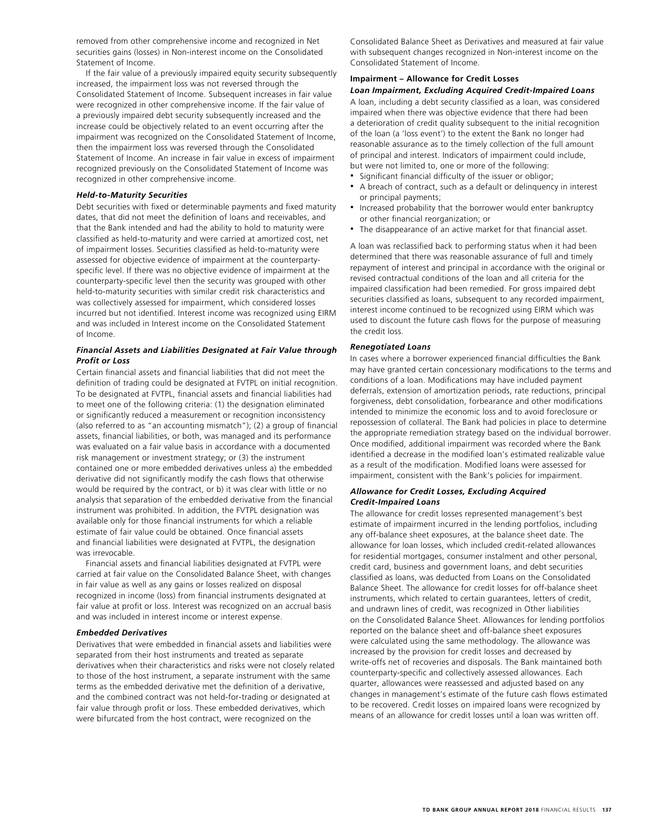removed from other comprehensive income and recognized in Net securities gains (losses) in Non-interest income on the Consolidated Statement of Income.

If the fair value of a previously impaired equity security subsequently increased, the impairment loss was not reversed through the Consolidated Statement of Income. Subsequent increases in fair value were recognized in other comprehensive income. If the fair value of a previously impaired debt security subsequently increased and the increase could be objectively related to an event occurring after the impairment was recognized on the Consolidated Statement of Income, then the impairment loss was reversed through the Consolidated Statement of Income. An increase in fair value in excess of impairment recognized previously on the Consolidated Statement of Income was recognized in other comprehensive income.

#### *Held-to-Maturity Securities*

Debt securities with fixed or determinable payments and fixed maturity dates, that did not meet the definition of loans and receivables, and that the Bank intended and had the ability to hold to maturity were classified as held-to-maturity and were carried at amortized cost, net of impairment losses. Securities classified as held-to-maturity were assessed for objective evidence of impairment at the counterpartyspecific level. If there was no objective evidence of impairment at the counterparty-specific level then the security was grouped with other held-to-maturity securities with similar credit risk characteristics and was collectively assessed for impairment, which considered losses incurred but not identified. Interest income was recognized using EIRM and was included in Interest income on the Consolidated Statement of Income.

### *Financial Assets and Liabilities Designated at Fair Value through Profit or Loss*

Certain financial assets and financial liabilities that did not meet the definition of trading could be designated at FVTPL on initial recognition. To be designated at FVTPL, financial assets and financial liabilities had to meet one of the following criteria: (1) the designation eliminated or significantly reduced a measurement or recognition inconsistency (also referred to as "an accounting mismatch"); (2) a group of financial assets, financial liabilities, or both, was managed and its performance was evaluated on a fair value basis in accordance with a documented risk management or investment strategy; or (3) the instrument contained one or more embedded derivatives unless a) the embedded derivative did not significantly modify the cash flows that otherwise would be required by the contract, or b) it was clear with little or no analysis that separation of the embedded derivative from the financial instrument was prohibited. In addition, the FVTPL designation was available only for those financial instruments for which a reliable estimate of fair value could be obtained. Once financial assets and financial liabilities were designated at FVTPL, the designation was irrevocable.

Financial assets and financial liabilities designated at FVTPL were carried at fair value on the Consolidated Balance Sheet, with changes in fair value as well as any gains or losses realized on disposal recognized in income (loss) from financial instruments designated at fair value at profit or loss. Interest was recognized on an accrual basis and was included in interest income or interest expense.

#### *Embedded Derivatives*

Derivatives that were embedded in financial assets and liabilities were separated from their host instruments and treated as separate derivatives when their characteristics and risks were not closely related to those of the host instrument, a separate instrument with the same terms as the embedded derivative met the definition of a derivative, and the combined contract was not held-for-trading or designated at fair value through profit or loss. These embedded derivatives, which were bifurcated from the host contract, were recognized on the

Consolidated Balance Sheet as Derivatives and measured at fair value with subsequent changes recognized in Non-interest income on the Consolidated Statement of Income.

#### **Impairment – Allowance for Credit Losses**

## *Loan Impairment, Excluding Acquired Credit-Impaired Loans*

A loan, including a debt security classified as a loan, was considered impaired when there was objective evidence that there had been a deterioration of credit quality subsequent to the initial recognition of the loan (a 'loss event') to the extent the Bank no longer had reasonable assurance as to the timely collection of the full amount of principal and interest. Indicators of impairment could include, but were not limited to, one or more of the following:

- Significant financial difficulty of the issuer or obligor;
- A breach of contract, such as a default or delinquency in interest or principal payments;
- Increased probability that the borrower would enter bankruptcy or other financial reorganization; or
- The disappearance of an active market for that financial asset.

A loan was reclassified back to performing status when it had been determined that there was reasonable assurance of full and timely repayment of interest and principal in accordance with the original or revised contractual conditions of the loan and all criteria for the impaired classification had been remedied. For gross impaired debt securities classified as loans, subsequent to any recorded impairment, interest income continued to be recognized using EIRM which was used to discount the future cash flows for the purpose of measuring the credit loss.

#### *Renegotiated Loans*

In cases where a borrower experienced financial difficulties the Bank may have granted certain concessionary modifications to the terms and conditions of a loan. Modifications may have included payment deferrals, extension of amortization periods, rate reductions, principal forgiveness, debt consolidation, forbearance and other modifications intended to minimize the economic loss and to avoid foreclosure or repossession of collateral. The Bank had policies in place to determine the appropriate remediation strategy based on the individual borrower. Once modified, additional impairment was recorded where the Bank identified a decrease in the modified loan's estimated realizable value as a result of the modification. Modified loans were assessed for impairment, consistent with the Bank's policies for impairment.

## *Allowance for Credit Losses, Excluding Acquired Credit-Impaired Loans*

The allowance for credit losses represented management's best estimate of impairment incurred in the lending portfolios, including any off-balance sheet exposures, at the balance sheet date. The allowance for loan losses, which included credit-related allowances for residential mortgages, consumer instalment and other personal, credit card, business and government loans, and debt securities classified as loans, was deducted from Loans on the Consolidated Balance Sheet. The allowance for credit losses for off-balance sheet instruments, which related to certain guarantees, letters of credit, and undrawn lines of credit, was recognized in Other liabilities on the Consolidated Balance Sheet. Allowances for lending portfolios reported on the balance sheet and off-balance sheet exposures were calculated using the same methodology. The allowance was increased by the provision for credit losses and decreased by write-offs net of recoveries and disposals. The Bank maintained both counterparty-specific and collectively assessed allowances. Each quarter, allowances were reassessed and adjusted based on any changes in management's estimate of the future cash flows estimated to be recovered. Credit losses on impaired loans were recognized by means of an allowance for credit losses until a loan was written off.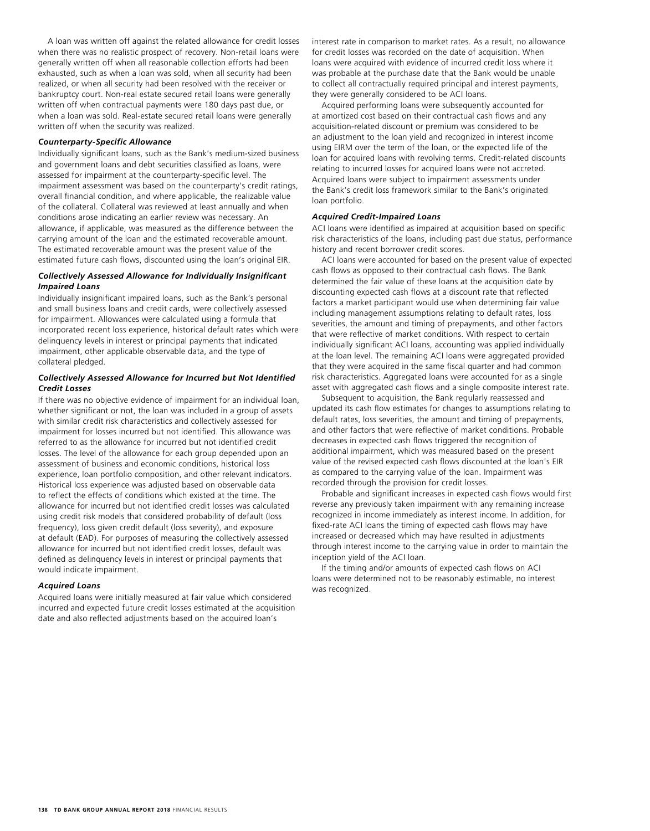## *Counterparty-Specific Allowance*

Individually significant loans, such as the Bank's medium-sized business and government loans and debt securities classified as loans, were assessed for impairment at the counterparty-specific level. The impairment assessment was based on the counterparty's credit ratings, overall financial condition, and where applicable, the realizable value of the collateral. Collateral was reviewed at least annually and when conditions arose indicating an earlier review was necessary. An allowance, if applicable, was measured as the difference between the carrying amount of the loan and the estimated recoverable amount. The estimated recoverable amount was the present value of the estimated future cash flows, discounted using the loan's original EIR.

## *Collectively Assessed Allowance for Individually Insignificant Impaired Loans*

Individually insignificant impaired loans, such as the Bank's personal and small business loans and credit cards, were collectively assessed for impairment. Allowances were calculated using a formula that incorporated recent loss experience, historical default rates which were delinquency levels in interest or principal payments that indicated impairment, other applicable observable data, and the type of collateral pledged.

## *Collectively Assessed Allowance for Incurred but Not Identified Credit Losses*

If there was no objective evidence of impairment for an individual loan, whether significant or not, the loan was included in a group of assets with similar credit risk characteristics and collectively assessed for impairment for losses incurred but not identified. This allowance was referred to as the allowance for incurred but not identified credit losses. The level of the allowance for each group depended upon an assessment of business and economic conditions, historical loss experience, loan portfolio composition, and other relevant indicators. Historical loss experience was adjusted based on observable data to reflect the effects of conditions which existed at the time. The allowance for incurred but not identified credit losses was calculated using credit risk models that considered probability of default (loss frequency), loss given credit default (loss severity), and exposure at default (EAD). For purposes of measuring the collectively assessed allowance for incurred but not identified credit losses, default was defined as delinquency levels in interest or principal payments that would indicate impairment.

## *Acquired Loans*

Acquired loans were initially measured at fair value which considered incurred and expected future credit losses estimated at the acquisition date and also reflected adjustments based on the acquired loan's

interest rate in comparison to market rates. As a result, no allowance for credit losses was recorded on the date of acquisition. When loans were acquired with evidence of incurred credit loss where it was probable at the purchase date that the Bank would be unable to collect all contractually required principal and interest payments, they were generally considered to be ACI loans.

Acquired performing loans were subsequently accounted for at amortized cost based on their contractual cash flows and any acquisition-related discount or premium was considered to be an adjustment to the loan yield and recognized in interest income using EIRM over the term of the loan, or the expected life of the loan for acquired loans with revolving terms. Credit-related discounts relating to incurred losses for acquired loans were not accreted. Acquired loans were subject to impairment assessments under the Bank's credit loss framework similar to the Bank's originated loan portfolio.

#### *Acquired Credit-Impaired Loans*

ACI loans were identified as impaired at acquisition based on specific risk characteristics of the loans, including past due status, performance history and recent borrower credit scores.

ACI loans were accounted for based on the present value of expected cash flows as opposed to their contractual cash flows. The Bank determined the fair value of these loans at the acquisition date by discounting expected cash flows at a discount rate that reflected factors a market participant would use when determining fair value including management assumptions relating to default rates, loss severities, the amount and timing of prepayments, and other factors that were reflective of market conditions. With respect to certain individually significant ACI loans, accounting was applied individually at the loan level. The remaining ACI loans were aggregated provided that they were acquired in the same fiscal quarter and had common risk characteristics. Aggregated loans were accounted for as a single asset with aggregated cash flows and a single composite interest rate.

Subsequent to acquisition, the Bank regularly reassessed and updated its cash flow estimates for changes to assumptions relating to default rates, loss severities, the amount and timing of prepayments, and other factors that were reflective of market conditions. Probable decreases in expected cash flows triggered the recognition of additional impairment, which was measured based on the present value of the revised expected cash flows discounted at the loan's EIR as compared to the carrying value of the loan. Impairment was recorded through the provision for credit losses.

Probable and significant increases in expected cash flows would first reverse any previously taken impairment with any remaining increase recognized in income immediately as interest income. In addition, for fixed-rate ACI loans the timing of expected cash flows may have increased or decreased which may have resulted in adjustments through interest income to the carrying value in order to maintain the inception yield of the ACI loan.

If the timing and/or amounts of expected cash flows on ACI loans were determined not to be reasonably estimable, no interest was recognized.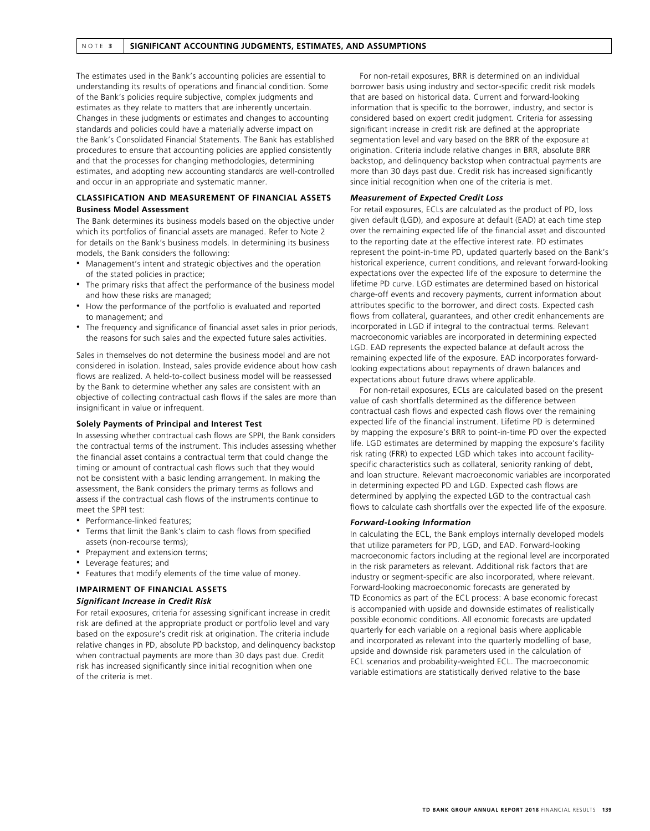The estimates used in the Bank's accounting policies are essential to understanding its results of operations and financial condition. Some of the Bank's policies require subjective, complex judgments and estimates as they relate to matters that are inherently uncertain. Changes in these judgments or estimates and changes to accounting standards and policies could have a materially adverse impact on the Bank's Consolidated Financial Statements. The Bank has established procedures to ensure that accounting policies are applied consistently and that the processes for changing methodologies, determining estimates, and adopting new accounting standards are well-controlled and occur in an appropriate and systematic manner.

## **CLASSIFICATION AND MEASUREMENT OF FINANCIAL ASSETS Business Model Assessment**

The Bank determines its business models based on the objective under which its portfolios of financial assets are managed. Refer to Note 2 for details on the Bank's business models. In determining its business models, the Bank considers the following:

- Management's intent and strategic objectives and the operation of the stated policies in practice;
- The primary risks that affect the performance of the business model and how these risks are managed;
- How the performance of the portfolio is evaluated and reported to management; and
- The frequency and significance of financial asset sales in prior periods, the reasons for such sales and the expected future sales activities.

Sales in themselves do not determine the business model and are not considered in isolation. Instead, sales provide evidence about how cash flows are realized. A held-to-collect business model will be reassessed by the Bank to determine whether any sales are consistent with an objective of collecting contractual cash flows if the sales are more than insignificant in value or infrequent.

#### **Solely Payments of Principal and Interest Test**

In assessing whether contractual cash flows are SPPI, the Bank considers the contractual terms of the instrument. This includes assessing whether the financial asset contains a contractual term that could change the timing or amount of contractual cash flows such that they would not be consistent with a basic lending arrangement. In making the assessment, the Bank considers the primary terms as follows and assess if the contractual cash flows of the instruments continue to meet the SPPI test:

- Performance-linked features;
- Terms that limit the Bank's claim to cash flows from specified assets (non-recourse terms);
- Prepayment and extension terms;
- Leverage features; and
- Features that modify elements of the time value of money.

## **IMPAIRMENT OF FINANCIAL ASSETS**

## *Significant Increase in Credit Risk*

For retail exposures, criteria for assessing significant increase in credit risk are defined at the appropriate product or portfolio level and vary based on the exposure's credit risk at origination. The criteria include relative changes in PD, absolute PD backstop, and delinquency backstop when contractual payments are more than 30 days past due. Credit risk has increased significantly since initial recognition when one of the criteria is met.

For non-retail exposures, BRR is determined on an individual borrower basis using industry and sector-specific credit risk models that are based on historical data. Current and forward-looking information that is specific to the borrower, industry, and sector is considered based on expert credit judgment. Criteria for assessing significant increase in credit risk are defined at the appropriate segmentation level and vary based on the BRR of the exposure at origination. Criteria include relative changes in BRR, absolute BRR backstop, and delinquency backstop when contractual payments are more than 30 days past due. Credit risk has increased significantly since initial recognition when one of the criteria is met.

#### *Measurement of Expected Credit Loss*

For retail exposures, ECLs are calculated as the product of PD, loss given default (LGD), and exposure at default (EAD) at each time step over the remaining expected life of the financial asset and discounted to the reporting date at the effective interest rate. PD estimates represent the point-in-time PD, updated quarterly based on the Bank's historical experience, current conditions, and relevant forward-looking expectations over the expected life of the exposure to determine the lifetime PD curve. LGD estimates are determined based on historical charge-off events and recovery payments, current information about attributes specific to the borrower, and direct costs. Expected cash flows from collateral, guarantees, and other credit enhancements are incorporated in LGD if integral to the contractual terms. Relevant macroeconomic variables are incorporated in determining expected LGD. EAD represents the expected balance at default across the remaining expected life of the exposure. EAD incorporates forwardlooking expectations about repayments of drawn balances and expectations about future draws where applicable.

For non-retail exposures, ECLs are calculated based on the present value of cash shortfalls determined as the difference between contractual cash flows and expected cash flows over the remaining expected life of the financial instrument. Lifetime PD is determined by mapping the exposure's BRR to point-in-time PD over the expected life. LGD estimates are determined by mapping the exposure's facility risk rating (FRR) to expected LGD which takes into account facilityspecific characteristics such as collateral, seniority ranking of debt, and loan structure. Relevant macroeconomic variables are incorporated in determining expected PD and LGD. Expected cash flows are determined by applying the expected LGD to the contractual cash flows to calculate cash shortfalls over the expected life of the exposure.

#### *Forward-Looking Information*

In calculating the ECL, the Bank employs internally developed models that utilize parameters for PD, LGD, and EAD. Forward-looking macroeconomic factors including at the regional level are incorporated in the risk parameters as relevant. Additional risk factors that are industry or segment-specific are also incorporated, where relevant. Forward-looking macroeconomic forecasts are generated by TD Economics as part of the ECL process: A base economic forecast is accompanied with upside and downside estimates of realistically possible economic conditions. All economic forecasts are updated quarterly for each variable on a regional basis where applicable and incorporated as relevant into the quarterly modelling of base, upside and downside risk parameters used in the calculation of ECL scenarios and probability-weighted ECL. The macroeconomic variable estimations are statistically derived relative to the base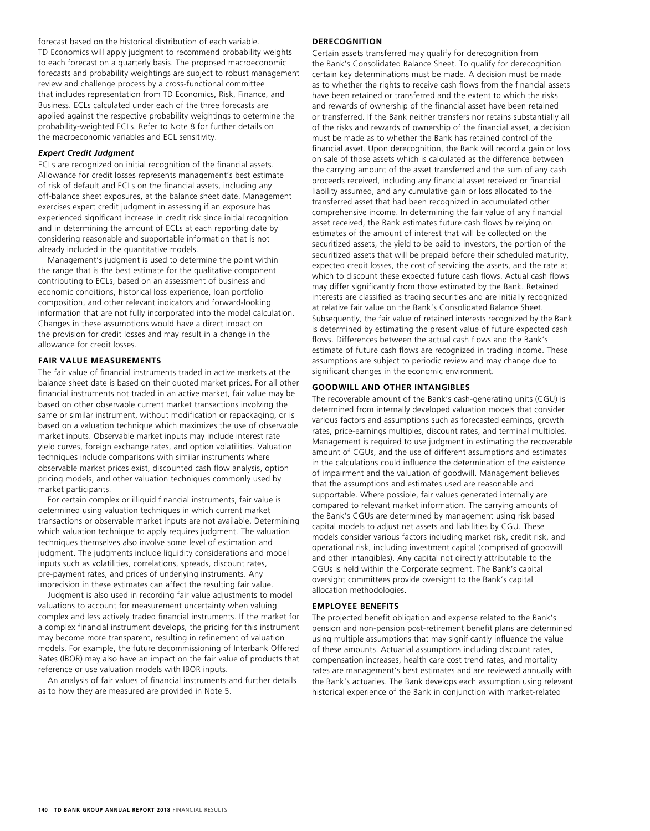forecast based on the historical distribution of each variable. TD Economics will apply judgment to recommend probability weights to each forecast on a quarterly basis. The proposed macroeconomic forecasts and probability weightings are subject to robust management review and challenge process by a cross-functional committee that includes representation from TD Economics, Risk, Finance, and Business. ECLs calculated under each of the three forecasts are applied against the respective probability weightings to determine the probability-weighted ECLs. Refer to Note 8 for further details on the macroeconomic variables and ECL sensitivity.

#### *Expert Credit Judgment*

ECLs are recognized on initial recognition of the financial assets. Allowance for credit losses represents management's best estimate of risk of default and ECLs on the financial assets, including any off-balance sheet exposures, at the balance sheet date. Management exercises expert credit judgment in assessing if an exposure has experienced significant increase in credit risk since initial recognition and in determining the amount of ECLs at each reporting date by considering reasonable and supportable information that is not already included in the quantitative models.

Management's judgment is used to determine the point within the range that is the best estimate for the qualitative component contributing to ECLs, based on an assessment of business and economic conditions, historical loss experience, loan portfolio composition, and other relevant indicators and forward-looking information that are not fully incorporated into the model calculation. Changes in these assumptions would have a direct impact on the provision for credit losses and may result in a change in the allowance for credit losses.

#### **FAIR VALUE MEASUREMENTS**

The fair value of financial instruments traded in active markets at the balance sheet date is based on their quoted market prices. For all other financial instruments not traded in an active market, fair value may be based on other observable current market transactions involving the same or similar instrument, without modification or repackaging, or is based on a valuation technique which maximizes the use of observable market inputs. Observable market inputs may include interest rate yield curves, foreign exchange rates, and option volatilities. Valuation techniques include comparisons with similar instruments where observable market prices exist, discounted cash flow analysis, option pricing models, and other valuation techniques commonly used by market participants.

For certain complex or illiquid financial instruments, fair value is determined using valuation techniques in which current market transactions or observable market inputs are not available. Determining which valuation technique to apply requires judgment. The valuation techniques themselves also involve some level of estimation and judgment. The judgments include liquidity considerations and model inputs such as volatilities, correlations, spreads, discount rates, pre-payment rates, and prices of underlying instruments. Any imprecision in these estimates can affect the resulting fair value.

Judgment is also used in recording fair value adjustments to model valuations to account for measurement uncertainty when valuing complex and less actively traded financial instruments. If the market for a complex financial instrument develops, the pricing for this instrument may become more transparent, resulting in refinement of valuation models. For example, the future decommissioning of Interbank Offered Rates (IBOR) may also have an impact on the fair value of products that reference or use valuation models with IBOR inputs.

An analysis of fair values of financial instruments and further details as to how they are measured are provided in Note 5.

#### **DERECOGNITION**

Certain assets transferred may qualify for derecognition from the Bank's Consolidated Balance Sheet. To qualify for derecognition certain key determinations must be made. A decision must be made as to whether the rights to receive cash flows from the financial assets have been retained or transferred and the extent to which the risks and rewards of ownership of the financial asset have been retained or transferred. If the Bank neither transfers nor retains substantially all of the risks and rewards of ownership of the financial asset, a decision must be made as to whether the Bank has retained control of the financial asset. Upon derecognition, the Bank will record a gain or loss on sale of those assets which is calculated as the difference between the carrying amount of the asset transferred and the sum of any cash proceeds received, including any financial asset received or financial liability assumed, and any cumulative gain or loss allocated to the transferred asset that had been recognized in accumulated other comprehensive income. In determining the fair value of any financial asset received, the Bank estimates future cash flows by relying on estimates of the amount of interest that will be collected on the securitized assets, the yield to be paid to investors, the portion of the securitized assets that will be prepaid before their scheduled maturity, expected credit losses, the cost of servicing the assets, and the rate at which to discount these expected future cash flows. Actual cash flows may differ significantly from those estimated by the Bank. Retained interests are classified as trading securities and are initially recognized at relative fair value on the Bank's Consolidated Balance Sheet. Subsequently, the fair value of retained interests recognized by the Bank is determined by estimating the present value of future expected cash flows. Differences between the actual cash flows and the Bank's estimate of future cash flows are recognized in trading income. These assumptions are subject to periodic review and may change due to significant changes in the economic environment.

#### **GOODWILL AND OTHER INTANGIBLES**

The recoverable amount of the Bank's cash-generating units (CGU) is determined from internally developed valuation models that consider various factors and assumptions such as forecasted earnings, growth rates, price-earnings multiples, discount rates, and terminal multiples. Management is required to use judgment in estimating the recoverable amount of CGUs, and the use of different assumptions and estimates in the calculations could influence the determination of the existence of impairment and the valuation of goodwill. Management believes that the assumptions and estimates used are reasonable and supportable. Where possible, fair values generated internally are compared to relevant market information. The carrying amounts of the Bank's CGUs are determined by management using risk based capital models to adjust net assets and liabilities by CGU. These models consider various factors including market risk, credit risk, and operational risk, including investment capital (comprised of goodwill and other intangibles). Any capital not directly attributable to the CGUs is held within the Corporate segment. The Bank's capital oversight committees provide oversight to the Bank's capital allocation methodologies.

#### **EMPLOYEE BENEFITS**

The projected benefit obligation and expense related to the Bank's pension and non-pension post-retirement benefit plans are determined using multiple assumptions that may significantly influence the value of these amounts. Actuarial assumptions including discount rates, compensation increases, health care cost trend rates, and mortality rates are management's best estimates and are reviewed annually with the Bank's actuaries. The Bank develops each assumption using relevant historical experience of the Bank in conjunction with market-related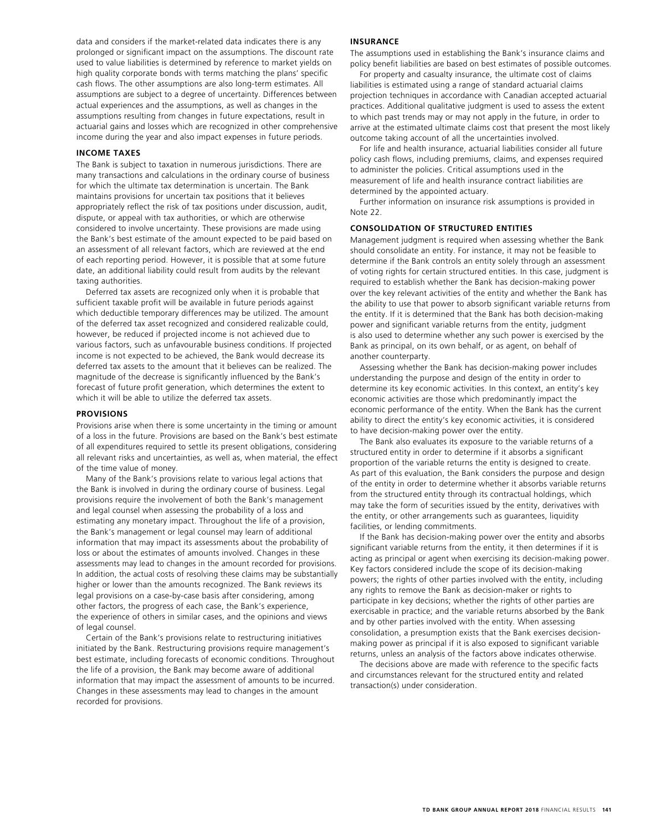data and considers if the market-related data indicates there is any prolonged or significant impact on the assumptions. The discount rate used to value liabilities is determined by reference to market yields on high quality corporate bonds with terms matching the plans' specific cash flows. The other assumptions are also long-term estimates. All assumptions are subject to a degree of uncertainty. Differences between actual experiences and the assumptions, as well as changes in the assumptions resulting from changes in future expectations, result in actuarial gains and losses which are recognized in other comprehensive income during the year and also impact expenses in future periods.

#### **INCOME TAXES**

The Bank is subject to taxation in numerous jurisdictions. There are many transactions and calculations in the ordinary course of business for which the ultimate tax determination is uncertain. The Bank maintains provisions for uncertain tax positions that it believes appropriately reflect the risk of tax positions under discussion, audit, dispute, or appeal with tax authorities, or which are otherwise considered to involve uncertainty. These provisions are made using the Bank's best estimate of the amount expected to be paid based on an assessment of all relevant factors, which are reviewed at the end of each reporting period. However, it is possible that at some future date, an additional liability could result from audits by the relevant taxing authorities.

Deferred tax assets are recognized only when it is probable that sufficient taxable profit will be available in future periods against which deductible temporary differences may be utilized. The amount of the deferred tax asset recognized and considered realizable could, however, be reduced if projected income is not achieved due to various factors, such as unfavourable business conditions. If projected income is not expected to be achieved, the Bank would decrease its deferred tax assets to the amount that it believes can be realized. The magnitude of the decrease is significantly influenced by the Bank's forecast of future profit generation, which determines the extent to which it will be able to utilize the deferred tax assets.

#### **PROVISIONS**

Provisions arise when there is some uncertainty in the timing or amount of a loss in the future. Provisions are based on the Bank's best estimate of all expenditures required to settle its present obligations, considering all relevant risks and uncertainties, as well as, when material, the effect of the time value of money.

Many of the Bank's provisions relate to various legal actions that the Bank is involved in during the ordinary course of business. Legal provisions require the involvement of both the Bank's management and legal counsel when assessing the probability of a loss and estimating any monetary impact. Throughout the life of a provision, the Bank's management or legal counsel may learn of additional information that may impact its assessments about the probability of loss or about the estimates of amounts involved. Changes in these assessments may lead to changes in the amount recorded for provisions. In addition, the actual costs of resolving these claims may be substantially higher or lower than the amounts recognized. The Bank reviews its legal provisions on a case-by-case basis after considering, among other factors, the progress of each case, the Bank's experience, the experience of others in similar cases, and the opinions and views of legal counsel.

Certain of the Bank's provisions relate to restructuring initiatives initiated by the Bank. Restructuring provisions require management's best estimate, including forecasts of economic conditions. Throughout the life of a provision, the Bank may become aware of additional information that may impact the assessment of amounts to be incurred. Changes in these assessments may lead to changes in the amount recorded for provisions.

#### **INSURANCE**

The assumptions used in establishing the Bank's insurance claims and policy benefit liabilities are based on best estimates of possible outcomes.

For property and casualty insurance, the ultimate cost of claims liabilities is estimated using a range of standard actuarial claims projection techniques in accordance with Canadian accepted actuarial practices. Additional qualitative judgment is used to assess the extent to which past trends may or may not apply in the future, in order to arrive at the estimated ultimate claims cost that present the most likely outcome taking account of all the uncertainties involved.

For life and health insurance, actuarial liabilities consider all future policy cash flows, including premiums, claims, and expenses required to administer the policies. Critical assumptions used in the measurement of life and health insurance contract liabilities are determined by the appointed actuary.

Further information on insurance risk assumptions is provided in Note 22.

#### **CONSOLIDATION OF STRUCTURED ENTITIES**

Management judgment is required when assessing whether the Bank should consolidate an entity. For instance, it may not be feasible to determine if the Bank controls an entity solely through an assessment of voting rights for certain structured entities. In this case, judgment is required to establish whether the Bank has decision-making power over the key relevant activities of the entity and whether the Bank has the ability to use that power to absorb significant variable returns from the entity. If it is determined that the Bank has both decision-making power and significant variable returns from the entity, judgment is also used to determine whether any such power is exercised by the Bank as principal, on its own behalf, or as agent, on behalf of another counterparty.

Assessing whether the Bank has decision-making power includes understanding the purpose and design of the entity in order to determine its key economic activities. In this context, an entity's key economic activities are those which predominantly impact the economic performance of the entity. When the Bank has the current ability to direct the entity's key economic activities, it is considered to have decision-making power over the entity.

The Bank also evaluates its exposure to the variable returns of a structured entity in order to determine if it absorbs a significant proportion of the variable returns the entity is designed to create. As part of this evaluation, the Bank considers the purpose and design of the entity in order to determine whether it absorbs variable returns from the structured entity through its contractual holdings, which may take the form of securities issued by the entity, derivatives with the entity, or other arrangements such as guarantees, liquidity facilities, or lending commitments.

If the Bank has decision-making power over the entity and absorbs significant variable returns from the entity, it then determines if it is acting as principal or agent when exercising its decision-making power. Key factors considered include the scope of its decision-making powers; the rights of other parties involved with the entity, including any rights to remove the Bank as decision-maker or rights to participate in key decisions; whether the rights of other parties are exercisable in practice; and the variable returns absorbed by the Bank and by other parties involved with the entity. When assessing consolidation, a presumption exists that the Bank exercises decisionmaking power as principal if it is also exposed to significant variable returns, unless an analysis of the factors above indicates otherwise.

The decisions above are made with reference to the specific facts and circumstances relevant for the structured entity and related transaction(s) under consideration.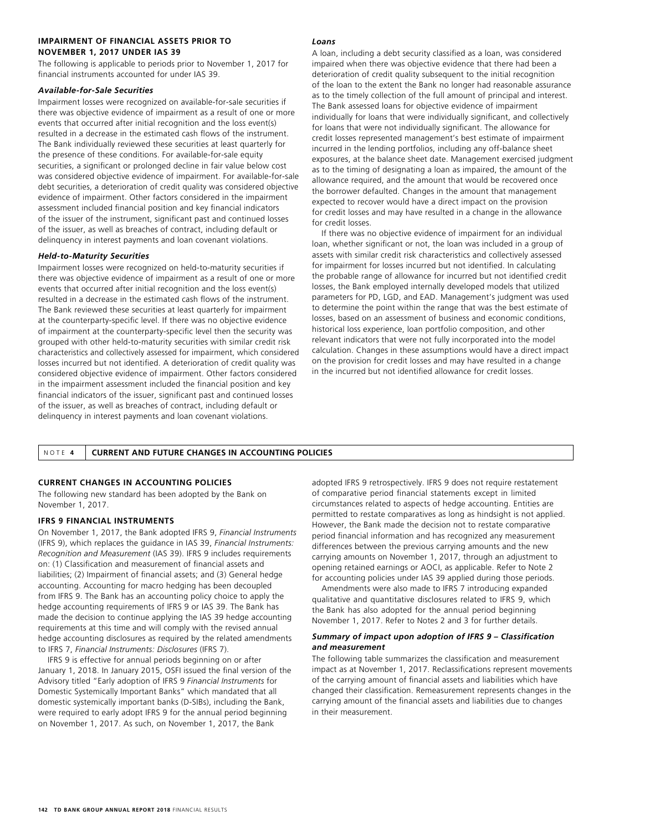### **IMPAIRMENT OF FINANCIAL ASSETS PRIOR TO NOVEMBER 1, 2017 UNDER IAS 39**

The following is applicable to periods prior to November 1, 2017 for financial instruments accounted for under IAS 39.

#### *Available-for-Sale Securities*

Impairment losses were recognized on available-for-sale securities if there was objective evidence of impairment as a result of one or more events that occurred after initial recognition and the loss event(s) resulted in a decrease in the estimated cash flows of the instrument. The Bank individually reviewed these securities at least quarterly for the presence of these conditions. For available-for-sale equity securities, a significant or prolonged decline in fair value below cost was considered objective evidence of impairment. For available-for-sale debt securities, a deterioration of credit quality was considered objective evidence of impairment. Other factors considered in the impairment assessment included financial position and key financial indicators of the issuer of the instrument, significant past and continued losses of the issuer, as well as breaches of contract, including default or delinquency in interest payments and loan covenant violations.

## *Held-to-Maturity Securities*

Impairment losses were recognized on held-to-maturity securities if there was objective evidence of impairment as a result of one or more events that occurred after initial recognition and the loss event(s) resulted in a decrease in the estimated cash flows of the instrument. The Bank reviewed these securities at least quarterly for impairment at the counterparty-specific level. If there was no objective evidence of impairment at the counterparty-specific level then the security was grouped with other held-to-maturity securities with similar credit risk characteristics and collectively assessed for impairment, which considered losses incurred but not identified. A deterioration of credit quality was considered objective evidence of impairment. Other factors considered in the impairment assessment included the financial position and key financial indicators of the issuer, significant past and continued losses of the issuer, as well as breaches of contract, including default or delinquency in interest payments and loan covenant violations.

## *Loans*

A loan, including a debt security classified as a loan, was considered impaired when there was objective evidence that there had been a deterioration of credit quality subsequent to the initial recognition of the loan to the extent the Bank no longer had reasonable assurance as to the timely collection of the full amount of principal and interest. The Bank assessed loans for objective evidence of impairment individually for loans that were individually significant, and collectively for loans that were not individually significant. The allowance for credit losses represented management's best estimate of impairment incurred in the lending portfolios, including any off-balance sheet exposures, at the balance sheet date. Management exercised judgment as to the timing of designating a loan as impaired, the amount of the allowance required, and the amount that would be recovered once the borrower defaulted. Changes in the amount that management expected to recover would have a direct impact on the provision for credit losses and may have resulted in a change in the allowance for credit losses.

If there was no objective evidence of impairment for an individual loan, whether significant or not, the loan was included in a group of assets with similar credit risk characteristics and collectively assessed for impairment for losses incurred but not identified. In calculating the probable range of allowance for incurred but not identified credit losses, the Bank employed internally developed models that utilized parameters for PD, LGD, and EAD. Management's judgment was used to determine the point within the range that was the best estimate of losses, based on an assessment of business and economic conditions, historical loss experience, loan portfolio composition, and other relevant indicators that were not fully incorporated into the model calculation. Changes in these assumptions would have a direct impact on the provision for credit losses and may have resulted in a change in the incurred but not identified allowance for credit losses.

## NOTE **4 CURRENT AND FUTURE CHANGES IN ACCOUNTING POLICIES**

#### **CURRENT CHANGES IN ACCOUNTING POLICIES**

The following new standard has been adopted by the Bank on November 1, 2017.

#### **IFRS 9 FINANCIAL INSTRUMENTS**

On November 1, 2017, the Bank adopted IFRS 9, *Financial Instruments* (IFRS 9), which replaces the guidance in IAS 39, *Financial Instruments: Recognition and Measurement* (IAS 39). IFRS 9 includes requirements on: (1) Classification and measurement of financial assets and liabilities; (2) Impairment of financial assets; and (3) General hedge accounting. Accounting for macro hedging has been decoupled from IFRS 9. The Bank has an accounting policy choice to apply the hedge accounting requirements of IFRS 9 or IAS 39. The Bank has made the decision to continue applying the IAS 39 hedge accounting requirements at this time and will comply with the revised annual hedge accounting disclosures as required by the related amendments to IFRS 7, *Financial Instruments: Disclosures* (IFRS 7).

IFRS 9 is effective for annual periods beginning on or after January 1, 2018. In January 2015, OSFI issued the final version of the Advisory titled "Early adoption of IFRS 9 *Financial Instruments* for Domestic Systemically Important Banks" which mandated that all domestic systemically important banks (D-SIBs), including the Bank, were required to early adopt IFRS 9 for the annual period beginning on November 1, 2017. As such, on November 1, 2017, the Bank

adopted IFRS 9 retrospectively. IFRS 9 does not require restatement of comparative period financial statements except in limited circumstances related to aspects of hedge accounting. Entities are permitted to restate comparatives as long as hindsight is not applied. However, the Bank made the decision not to restate comparative period financial information and has recognized any measurement differences between the previous carrying amounts and the new carrying amounts on November 1, 2017, through an adjustment to opening retained earnings or AOCI, as applicable. Refer to Note 2 for accounting policies under IAS 39 applied during those periods.

Amendments were also made to IFRS 7 introducing expanded qualitative and quantitative disclosures related to IFRS 9, which the Bank has also adopted for the annual period beginning November 1, 2017. Refer to Notes 2 and 3 for further details.

## *Summary of impact upon adoption of IFRS 9 – Classification and measurement*

The following table summarizes the classification and measurement impact as at November 1, 2017. Reclassifications represent movements of the carrying amount of financial assets and liabilities which have changed their classification. Remeasurement represents changes in the carrying amount of the financial assets and liabilities due to changes in their measurement.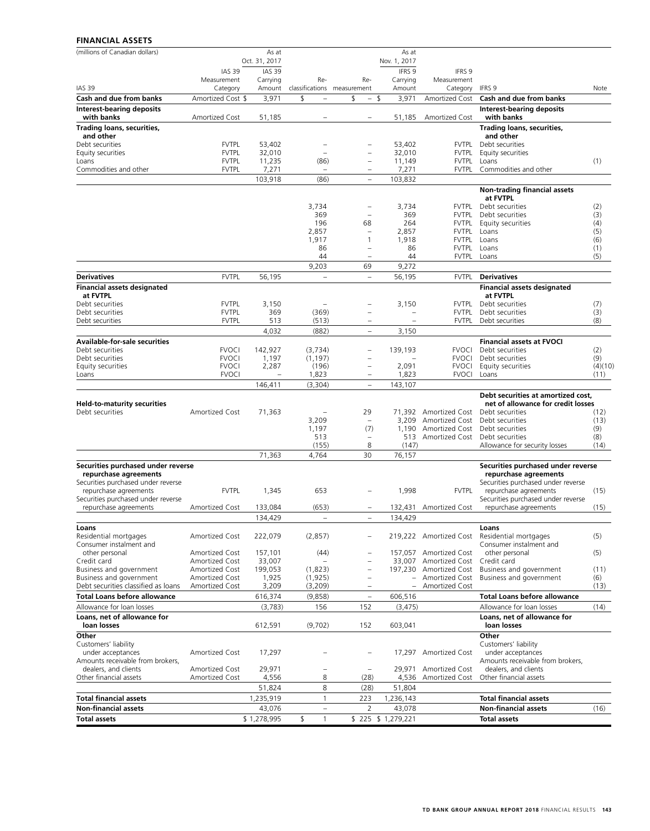## **FINANCIAL ASSETS**

| (millions of Canadian dollars)                              |                              | As at           |                                             |                                                      | As at                    |                              |                                                                          |            |
|-------------------------------------------------------------|------------------------------|-----------------|---------------------------------------------|------------------------------------------------------|--------------------------|------------------------------|--------------------------------------------------------------------------|------------|
|                                                             |                              | Oct. 31, 2017   |                                             |                                                      | Nov. 1, 2017             |                              |                                                                          |            |
|                                                             | IAS 39                       | <b>IAS 39</b>   |                                             |                                                      | IFRS 9                   | IFRS 9                       |                                                                          |            |
|                                                             | Measurement                  | Carrying        | Re-                                         | Re-                                                  | Carrying                 | Measurement                  |                                                                          |            |
| IAS 39<br>Cash and due from banks                           | Category                     | Amount          | classifications<br>$\overline{\phantom{0}}$ | measurement<br>\$                                    | Amount                   | Category                     | IFRS 9                                                                   | Note       |
|                                                             | Amortized Cost \$            | 3,971           | \$                                          | $-5$                                                 | 3,971                    | <b>Amortized Cost</b>        | Cash and due from banks                                                  |            |
| <b>Interest-bearing deposits</b><br>with banks              | <b>Amortized Cost</b>        | 51,185          |                                             |                                                      | 51,185                   | <b>Amortized Cost</b>        | <b>Interest-bearing deposits</b><br>with banks                           |            |
| Trading loans, securities,                                  |                              |                 |                                             |                                                      |                          |                              | Trading loans, securities,                                               |            |
| and other                                                   |                              |                 |                                             |                                                      |                          |                              | and other                                                                |            |
| Debt securities                                             | <b>FVTPL</b>                 | 53,402          |                                             |                                                      | 53,402                   |                              | FVTPL Debt securities                                                    |            |
| Equity securities                                           | <b>FVTPL</b>                 | 32,010          | ۰                                           | $\overline{\phantom{a}}$                             | 32.010                   | <b>FVTPL</b>                 | Equity securities                                                        |            |
| Loans<br>Commodities and other                              | <b>FVTPL</b><br><b>FVTPL</b> | 11,235<br>7,271 | (86)<br>$\overline{\phantom{a}}$            | $\qquad \qquad -$<br>$\qquad \qquad -$               | 11,149<br>7,271          | FVTPL<br><b>FVTPL</b>        | Loans<br>Commodities and other                                           | (1)        |
|                                                             |                              | 103,918         | (86)                                        | $\overline{\phantom{a}}$                             | 103,832                  |                              |                                                                          |            |
|                                                             |                              |                 |                                             |                                                      |                          |                              | <b>Non-trading financial assets</b>                                      |            |
|                                                             |                              |                 |                                             |                                                      |                          |                              | at FVTPL                                                                 |            |
|                                                             |                              |                 | 3,734                                       | $\overline{a}$                                       | 3,734                    |                              | FVTPL Debt securities                                                    | (2)        |
|                                                             |                              |                 | 369<br>196                                  | $\overline{\phantom{a}}$<br>68                       | 369<br>264               | <b>FVTPL</b><br><b>FVTPL</b> | Debt securities                                                          | (3)        |
|                                                             |                              |                 | 2,857                                       | $\overline{\phantom{a}}$                             | 2,857                    | FVTPL                        | Equity securities<br>Loans                                               | (4)<br>(5) |
|                                                             |                              |                 | 1,917                                       | $\mathbf{1}$                                         | 1,918                    |                              | FVTPL Loans                                                              | (6)        |
|                                                             |                              |                 | 86                                          | $\overline{a}$                                       | 86                       | <b>FVTPL</b>                 | Loans                                                                    | (1)        |
|                                                             |                              |                 | 44                                          | $\overline{\phantom{a}}$                             | 44                       | FVTPL                        | Loans                                                                    | (5)        |
|                                                             |                              |                 | 9,203                                       | 69                                                   | 9,272                    |                              |                                                                          |            |
| <b>Derivatives</b>                                          | <b>FVTPL</b>                 | 56,195          | $\overline{\phantom{a}}$                    | $\overline{\phantom{a}}$                             | 56,195                   | <b>FVTPL</b>                 | <b>Derivatives</b>                                                       |            |
| <b>Financial assets designated</b>                          |                              |                 |                                             |                                                      |                          |                              | <b>Financial assets designated</b>                                       |            |
| at FVTPL                                                    |                              |                 |                                             |                                                      |                          |                              | at FVTPL                                                                 |            |
| Debt securities<br>Debt securities                          | <b>FVTPL</b><br><b>FVTPL</b> | 3,150<br>369    | $\overline{a}$<br>(369)                     | $\overline{\phantom{0}}$<br>$\overline{\phantom{0}}$ | 3,150<br>$\overline{a}$  | FVTPL                        | <b>FVTPL</b> Debt securities<br>Debt securities                          | (7)<br>(3) |
| Debt securities                                             | <b>FVTPL</b>                 | 513             | (513)                                       | $\overline{a}$                                       | $\overline{a}$           | <b>FVTPL</b>                 | Debt securities                                                          | (8)        |
|                                                             |                              | 4,032           | (882)                                       | $\overline{\phantom{a}}$                             | 3,150                    |                              |                                                                          |            |
| <b>Available-for-sale securities</b>                        |                              |                 |                                             |                                                      |                          |                              | <b>Financial assets at FVOCI</b>                                         |            |
| Debt securities                                             | <b>FVOCI</b>                 | 142,927         | (3,734)                                     | $\overline{\phantom{0}}$                             | 139,193                  | <b>FVOCI</b>                 | Debt securities                                                          | (2)        |
| Debt securities                                             | <b>FVOCI</b>                 | 1,197           | (1, 197)                                    | $\overline{a}$                                       |                          | <b>FVOCI</b>                 | Debt securities                                                          | (9)        |
| Equity securities                                           | <b>FVOCI</b>                 | 2,287           | (196)                                       | $\overline{\phantom{a}}$                             | 2,091                    | <b>FVOCI</b>                 | Equity securities                                                        | (4)(10)    |
| Loans                                                       | <b>FVOCI</b>                 |                 | 1,823                                       | $\overline{\phantom{0}}$                             | 1,823                    | <b>FVOCI</b>                 | Loans                                                                    | (11)       |
|                                                             |                              | 146,411         | (3,304)                                     | $\overline{\phantom{0}}$                             | 143,107                  |                              |                                                                          |            |
| <b>Held-to-maturity securities</b>                          |                              |                 |                                             |                                                      |                          |                              | Debt securities at amortized cost,<br>net of allowance for credit losses |            |
| Debt securities                                             | Amortized Cost               | 71,363          |                                             | 29                                                   | 71,392                   | Amortized Cost               | Debt securities                                                          | (12)       |
|                                                             |                              |                 | 3,209                                       | $\overline{a}$                                       | 3,209                    | Amortized Cost               | Debt securities                                                          | (13)       |
|                                                             |                              |                 | 1,197                                       | (7)                                                  | 1.190                    | Amortized Cost               | Debt securities                                                          | (9)        |
|                                                             |                              |                 | 513                                         | $\overline{a}$                                       | 513                      | <b>Amortized Cost</b>        | Debt securities                                                          | (8)        |
|                                                             |                              |                 | (155)                                       | 8                                                    | (147)                    |                              | Allowance for security losses                                            | (14)       |
|                                                             |                              | 71,363          | 4,764                                       | 30                                                   | 76,157                   |                              |                                                                          |            |
| Securities purchased under reverse<br>repurchase agreements |                              |                 |                                             |                                                      |                          |                              | Securities purchased under reverse<br>repurchase agreements              |            |
| Securities purchased under reverse                          |                              |                 |                                             |                                                      |                          |                              | Securities purchased under reverse                                       |            |
| repurchase agreements                                       | <b>FVTPL</b>                 | 1,345           | 653                                         |                                                      | 1,998                    | <b>FVTPL</b>                 | repurchase agreements                                                    | (15)       |
| Securities purchased under reverse                          |                              |                 |                                             |                                                      |                          |                              | Securities purchased under reverse                                       |            |
| repurchase agreements                                       | <b>Amortized Cost</b>        | 133,084         | (653)                                       | $\overline{\phantom{m}}$                             | 132,431                  | Amortized Cost               | repurchase agreements                                                    | (15)       |
|                                                             |                              | 134.429         | $\overline{\phantom{0}}$                    | $\overline{\phantom{a}}$                             | 134,429                  |                              |                                                                          |            |
| Loans                                                       |                              |                 |                                             |                                                      |                          |                              | Loans                                                                    |            |
| Residential mortgages<br>Consumer instalment and            | Amortized Cost               | 222,079         | (2,857)                                     |                                                      |                          | 219,222 Amortized Cost       | Residential mortgages<br>Consumer instalment and                         | (5)        |
| other personal                                              | Amortized Cost               | 157,101         | (44)                                        | $\overline{\phantom{0}}$                             |                          | 157,057 Amortized Cost       | other personal                                                           | (5)        |
| Credit card                                                 | Amortized Cost               | 33.007          |                                             | $\overline{\phantom{0}}$                             | 33,007                   | Amortized Cost               | Credit card                                                              |            |
| Business and government                                     | <b>Amortized Cost</b>        | 199,053         | (1,823)                                     | $\overline{a}$                                       |                          | 197,230 Amortized Cost       | Business and government                                                  | (11)       |
| Business and government                                     | Amortized Cost               | 1,925           | (1, 925)                                    | $\overline{a}$                                       | $\overline{\phantom{0}}$ | Amortized Cost               | Business and government                                                  | (6)        |
| Debt securities classified as loans                         | Amortized Cost               | 3,209           | (3,209)                                     | $\overline{\phantom{0}}$                             |                          | Amortized Cost               |                                                                          | (13)       |
| <b>Total Loans before allowance</b>                         |                              | 616,374         | (9,858)                                     | $\qquad \qquad -$                                    | 606,516                  |                              | <b>Total Loans before allowance</b>                                      |            |
| Allowance for loan losses                                   |                              | (3,783)         | 156                                         | 152                                                  | (3, 475)                 |                              | Allowance for loan losses                                                | (14)       |
| Loans, net of allowance for                                 |                              |                 |                                             |                                                      |                          |                              | Loans, net of allowance for                                              |            |
| loan losses                                                 |                              | 612,591         | (9,702)                                     | 152                                                  | 603,041                  |                              | loan losses                                                              |            |
| Other                                                       |                              |                 |                                             |                                                      |                          |                              | Other<br>Customers' liability                                            |            |
| Customers' liability<br>under acceptances                   | Amortized Cost               | 17,297          |                                             |                                                      |                          | 17,297 Amortized Cost        | under acceptances                                                        |            |
| Amounts receivable from brokers,                            |                              |                 |                                             |                                                      |                          |                              | Amounts receivable from brokers,                                         |            |
| dealers, and clients                                        | Amortized Cost               | 29,971          | $\overline{\phantom{m}}$                    | $\overline{\phantom{0}}$                             | 29,971                   | Amortized Cost               | dealers, and clients                                                     |            |
| Other financial assets                                      | Amortized Cost               | 4,556           | 8                                           | (28)                                                 |                          | 4,536 Amortized Cost         | Other financial assets                                                   |            |
|                                                             |                              | 51,824          | 8                                           | (28)                                                 | 51,804                   |                              |                                                                          |            |
| <b>Total financial assets</b>                               |                              | 1,235,919       | $\mathbf{1}$                                | 223                                                  | 1,236,143                |                              | <b>Total financial assets</b>                                            |            |
| <b>Non-financial assets</b>                                 |                              | 43,076          | $\hspace{1.0cm} - \hspace{1.0cm}$           | $\overline{2}$                                       | 43,078                   |                              | <b>Non-financial assets</b>                                              | (16)       |
| <b>Total assets</b>                                         |                              | \$1,278,995     | \$<br>$\mathbf{1}$                          |                                                      | \$225 \$1,279,221        |                              | <b>Total assets</b>                                                      |            |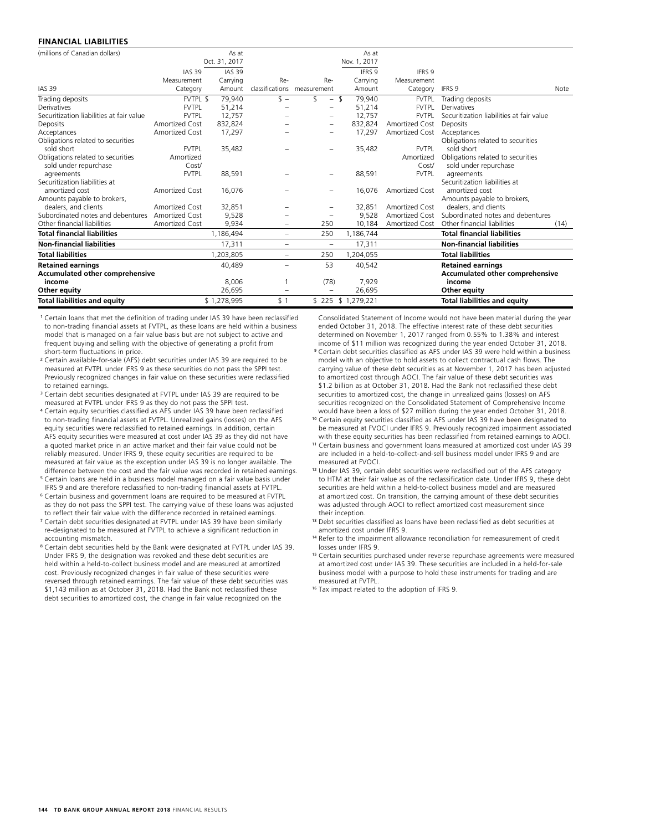#### **FINANCIAL LIABILITIES**

| (millions of Canadian dollars)           |                       | As at         |                          |                          | As at            |                       |                                          |      |
|------------------------------------------|-----------------------|---------------|--------------------------|--------------------------|------------------|-----------------------|------------------------------------------|------|
|                                          |                       | Oct. 31, 2017 |                          |                          | Nov. 1, 2017     |                       |                                          |      |
|                                          |                       |               |                          |                          |                  |                       |                                          |      |
|                                          | <b>IAS 39</b>         | <b>IAS 39</b> |                          |                          | IFRS 9           | IFRS 9                |                                          |      |
|                                          | Measurement           | Carrying      | Re-                      | Re-                      | Carrying         | Measurement           |                                          |      |
| <b>IAS 39</b>                            | Category              | Amount        | classifications          | measurement              | Amount           | Category              | IFRS 9                                   | Note |
| Trading deposits                         | FVTPL \$              | 79,940        | $S -$                    | \$<br>$-5$               | 79,940           | <b>FVTPL</b>          | Trading deposits                         |      |
| Derivatives                              | <b>FVTPL</b>          | 51,214        | -                        |                          | 51,214           | <b>FVTPL</b>          | Derivatives                              |      |
| Securitization liabilities at fair value | <b>FVTPL</b>          | 12,757        |                          |                          | 12,757           | <b>FVTPL</b>          | Securitization liabilities at fair value |      |
| Deposits                                 | <b>Amortized Cost</b> | 832,824       |                          | $\qquad \qquad -$        | 832,824          | <b>Amortized Cost</b> | Deposits                                 |      |
| Acceptances                              | <b>Amortized Cost</b> | 17,297        |                          |                          | 17.297           | Amortized Cost        | Acceptances                              |      |
| Obligations related to securities        |                       |               |                          |                          |                  |                       | Obligations related to securities        |      |
| sold short                               | <b>FVTPL</b>          | 35,482        |                          |                          | 35,482           | <b>FVTPL</b>          | sold short                               |      |
| Obligations related to securities        | Amortized             |               |                          |                          |                  | Amortized             | Obligations related to securities        |      |
| sold under repurchase                    | Cost/                 |               |                          |                          |                  | Cost/                 | sold under repurchase                    |      |
| agreements                               | <b>FVTPL</b>          | 88,591        |                          |                          | 88,591           | <b>FVTPL</b>          | agreements                               |      |
| Securitization liabilities at            |                       |               |                          |                          |                  |                       | Securitization liabilities at            |      |
| amortized cost                           | Amortized Cost        | 16,076        |                          |                          | 16.076           | Amortized Cost        | amortized cost                           |      |
| Amounts payable to brokers,              |                       |               |                          |                          |                  |                       | Amounts payable to brokers,              |      |
| dealers, and clients                     | Amortized Cost        | 32,851        | $\overline{\phantom{0}}$ |                          | 32.851           | <b>Amortized Cost</b> | dealers, and clients                     |      |
| Subordinated notes and debentures        | Amortized Cost        | 9,528         |                          |                          | 9,528            | Amortized Cost        | Subordinated notes and debentures        |      |
| Other financial liabilities              | <b>Amortized Cost</b> | 9,934         |                          | 250                      | 10,184           | Amortized Cost        | Other financial liabilities              | (14) |
| <b>Total financial liabilities</b>       |                       | 1,186,494     | $\overline{a}$           | 250                      | 1,186,744        |                       | <b>Total financial liabilities</b>       |      |
| <b>Non-financial liabilities</b>         |                       | 17,311        | $\overline{\phantom{0}}$ | $\overline{\phantom{m}}$ | 17,311           |                       | <b>Non-financial liabilities</b>         |      |
| <b>Total liabilities</b>                 |                       | 1,203,805     | $\overline{\phantom{m}}$ | 250                      | 1,204,055        |                       | <b>Total liabilities</b>                 |      |
| <b>Retained earnings</b>                 |                       | 40,489        | $\overline{\phantom{0}}$ | 53                       | 40,542           |                       | <b>Retained earnings</b>                 |      |
| Accumulated other comprehensive          |                       |               |                          |                          |                  |                       | <b>Accumulated other comprehensive</b>   |      |
| income                                   |                       | 8,006         |                          | (78)                     | 7,929            |                       | income                                   |      |
| Other equity                             |                       | 26,695        | $\overline{\phantom{0}}$ | $\qquad \qquad -$        | 26,695           |                       | Other equity                             |      |
| <b>Total liabilities and equity</b>      |                       | \$1,278,995   | \$1                      |                          | \$225\$1,279,221 |                       | <b>Total liabilities and equity</b>      |      |

<sup>1</sup> Certain loans that met the definition of trading under IAS 39 have been reclassified to non-trading financial assets at FVTPL, as these loans are held within a business model that is managed on a fair value basis but are not subject to active and frequent buying and selling with the objective of generating a profit from short-term fluctuations in price.

<sup>2</sup> Certain available-for-sale (AFS) debt securities under IAS 39 are required to be measured at FVTPL under IFRS 9 as these securities do not pass the SPPI test. Previously recognized changes in fair value on these securities were reclassified to retained earnings.

- <sup>3</sup> Certain debt securities designated at FVTPL under IAS 39 are required to be measured at FVTPL under IFRS 9 as they do not pass the SPPI test.
- <sup>4</sup> Certain equity securities classified as AFS under IAS 39 have been reclassified to non-trading financial assets at FVTPL. Unrealized gains (losses) on the AFS equity securities were reclassified to retained earnings. In addition, certain AFS equity securities were measured at cost under IAS 39 as they did not have a quoted market price in an active market and their fair value could not be reliably measured. Under IFRS 9, these equity securities are required to be measured at fair value as the exception under IAS 39 is no longer available. The difference between the cost and the fair value was recorded in retained earnings.
- <sup>5</sup> Certain loans are held in a business model managed on a fair value basis under IFRS 9 and are therefore reclassified to non-trading financial assets at FVTPL.
- <sup>6</sup> Certain business and government loans are required to be measured at FVTPL as they do not pass the SPPI test. The carrying value of these loans was adjusted to reflect their fair value with the difference recorded in retained earnings.
- <sup>7</sup> Certain debt securities designated at FVTPL under IAS 39 have been similarly re-designated to be measured at FVTPL to achieve a significant reduction in accounting mismatch.
- <sup>8</sup> Certain debt securities held by the Bank were designated at FVTPL under IAS 39. Under IFRS 9, the designation was revoked and these debt securities are held within a held-to-collect business model and are measured at amortized cost. Previously recognized changes in fair value of these securities were reversed through retained earnings. The fair value of these debt securities was \$1,143 million as at October 31, 2018. Had the Bank not reclassified these debt securities to amortized cost, the change in fair value recognized on the

Consolidated Statement of Income would not have been material during the year ended October 31, 2018. The effective interest rate of these debt securities determined on November 1, 2017 ranged from 0.55% to 1.38% and interest income of \$11 million was recognized during the year ended October 31, 2018.

- <sup>9</sup> Certain debt securities classified as AFS under IAS 39 were held within a business model with an objective to hold assets to collect contractual cash flows. The carrying value of these debt securities as at November 1, 2017 has been adjusted to amortized cost through AOCI. The fair value of these debt securities was \$1.2 billion as at October 31, 2018. Had the Bank not reclassified these debt securities to amortized cost, the change in unrealized gains (losses) on AFS securities recognized on the Consolidated Statement of Comprehensive Income would have been a loss of \$27 million during the year ended October 31, 2018.
- <sup>10</sup> Certain equity securities classified as AFS under IAS 39 have been designated to be measured at FVOCI under IFRS 9. Previously recognized impairment associated with these equity securities has been reclassified from retained earnings to AOCI.
- <sup>11</sup> Certain business and government loans measured at amortized cost under IAS 39 are included in a held-to-collect-and-sell business model under IFRS 9 and are measured at FVOCI.
- <sup>12</sup> Under IAS 39, certain debt securities were reclassified out of the AFS category to HTM at their fair value as of the reclassification date. Under IFRS 9, these debt securities are held within a held-to-collect business model and are measured at amortized cost. On transition, the carrying amount of these debt securities was adjusted through AOCI to reflect amortized cost measurement since their inception.
- <sup>13</sup> Debt securities classified as loans have been reclassified as debt securities at amortized cost under IFRS 9.
- <sup>14</sup> Refer to the impairment allowance reconciliation for remeasurement of credit losses under IFRS 9.
- <sup>15</sup> Certain securities purchased under reverse repurchase agreements were measured at amortized cost under IAS 39. These securities are included in a held-for-sale business model with a purpose to hold these instruments for trading and are measured at FVTPL.
- <sup>16</sup> Tax impact related to the adoption of IFRS 9.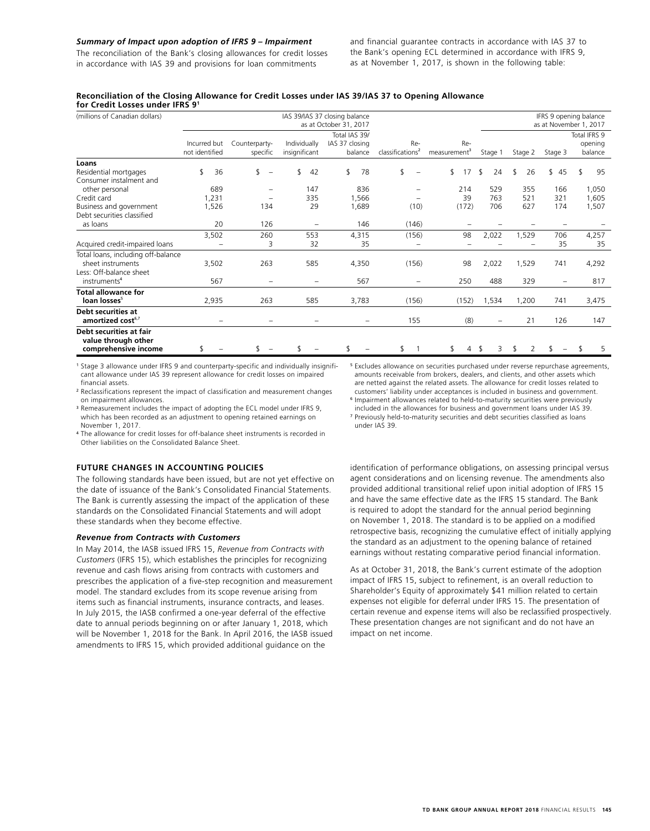#### *Summary of Impact upon adoption of IFRS 9 – Impairment*

The reconciliation of the Bank's closing allowances for credit losses in accordance with IAS 39 and provisions for loan commitments

and financial guarantee contracts in accordance with IAS 37 to the Bank's opening ECL determined in accordance with IFRS 9, as at November 1, 2017, is shown in the following table:

|                                 | Reconciliation of the Closing Allowance for Credit Losses under IAS 39/IAS 37 to Opening Allowance |  |  |  |
|---------------------------------|----------------------------------------------------------------------------------------------------|--|--|--|
| for Cradit Loccoc under IEDC 01 |                                                                                                    |  |  |  |

| (millions of Canadian dollars)     |                |       |               |                          |               |                          | IAS 39/IAS 37 closing balance |         |                              |                          |                          |       |     |         |          | IFRS 9 opening balance   |              |
|------------------------------------|----------------|-------|---------------|--------------------------|---------------|--------------------------|-------------------------------|---------|------------------------------|--------------------------|--------------------------|-------|-----|---------|----------|--------------------------|--------------|
|                                    |                |       |               |                          |               |                          | as at October 31, 2017        |         |                              |                          |                          |       |     |         |          | as at November 1, 2017   |              |
|                                    |                |       |               |                          |               |                          | Total IAS 39/                 |         |                              |                          |                          |       |     |         |          |                          | Total IFRS 9 |
|                                    | Incurred but   |       | Counterparty- |                          | Individually  |                          | IAS 37 closing                |         |                              | Re-                      |                          | Re-   |     |         |          |                          | opening      |
|                                    | not identified |       | specific      |                          | insignificant |                          |                               | balance | classifications <sup>2</sup> |                          | measurement <sup>3</sup> |       |     | Stage 1 | Stage 2  | Stage 3                  | balance      |
| Loans                              |                |       |               |                          |               |                          |                               |         |                              |                          |                          |       |     |         |          |                          |              |
| Residential mortgages              | \$             | 36    | \$            | $\overline{\phantom{0}}$ | \$            | 42                       | \$                            | 78      | \$                           | $\overline{\phantom{0}}$ | \$                       | 17    | \$. | 24      | 26<br>\$ | 45<br>\$                 | \$<br>95     |
| Consumer instalment and            |                |       |               |                          |               |                          |                               |         |                              |                          |                          |       |     |         |          |                          |              |
| other personal                     |                | 689   |               | -                        |               | 147                      |                               | 836     |                              | -                        |                          | 214   |     | 529     | 355      | 166                      | 1,050        |
| Credit card                        |                | 1,231 |               |                          |               | 335                      |                               | 1,566   |                              |                          |                          | 39    |     | 763     | 521      | 321                      | 1,605        |
| Business and government            |                | 1,526 |               | 134                      |               | 29                       |                               | 1,689   |                              | (10)                     |                          | (172) |     | 706     | 627      | 174                      | 1,507        |
| Debt securities classified         |                |       |               |                          |               |                          |                               |         |                              |                          |                          |       |     |         |          |                          |              |
| as loans                           |                | 20    |               | 126                      |               |                          |                               | 146     |                              | (146)                    |                          |       |     |         |          |                          |              |
|                                    |                | 3,502 |               | 260                      |               | 553                      |                               | 4,315   |                              | (156)                    |                          | 98    |     | 2,022   | 1,529    | 706                      | 4,257        |
| Acquired credit-impaired loans     |                |       |               | 3                        |               | 32                       |                               | 35      |                              |                          |                          |       |     |         |          | 35                       | 35           |
| Total loans, including off-balance |                |       |               |                          |               |                          |                               |         |                              |                          |                          |       |     |         |          |                          |              |
| sheet instruments                  |                | 3,502 |               | 263                      |               | 585                      |                               | 4,350   |                              | (156)                    |                          | 98    |     | 2,022   | 1,529    | 741                      | 4,292        |
| Less: Off-balance sheet            |                |       |               |                          |               |                          |                               |         |                              |                          |                          |       |     |         |          |                          |              |
| instruments <sup>4</sup>           |                | 567   |               | $\overline{\phantom{0}}$ |               | $\overline{\phantom{a}}$ |                               | 567     |                              | -                        |                          | 250   |     | 488     | 329      | $\overline{\phantom{0}}$ | 817          |
| <b>Total allowance for</b>         |                |       |               |                          |               |                          |                               |         |                              |                          |                          |       |     |         |          |                          |              |
| loan losses <sup>5</sup>           |                | 2,935 |               | 263                      |               | 585                      |                               | 3,783   |                              | (156)                    |                          | (152) |     | 1,534   | 1,200    | 741                      | 3,475        |
| Debt securities at                 |                |       |               |                          |               |                          |                               |         |                              |                          |                          |       |     |         |          |                          |              |
| amortized cost <sup>6,7</sup>      |                |       |               |                          |               |                          |                               |         |                              | 155                      |                          | (8)   |     |         | 21       | 126                      | 147          |
| Debt securities at fair            |                |       |               |                          |               |                          |                               |         |                              |                          |                          |       |     |         |          |                          |              |
| value through other                |                |       |               |                          |               |                          |                               |         |                              |                          |                          |       |     |         |          |                          |              |
| comprehensive income               | \$             |       |               |                          |               |                          | \$                            |         | \$                           |                          | \$                       | 4     | S   | 3       | 2<br>\$  | \$<br>-                  | \$<br>5      |

<sup>1</sup> Stage 3 allowance under IFRS 9 and counterparty-specific and individually insignificant allowance under IAS 39 represent allowance for credit losses on impaired financial assets.

- <sup>2</sup> Reclassifications represent the impact of classification and measurement changes on impairment allowances.
- <sup>3</sup> Remeasurement includes the impact of adopting the ECL model under IFRS 9. which has been recorded as an adjustment to opening retained earnings on November 1, 2017.

<sup>4</sup> The allowance for credit losses for off-balance sheet instruments is recorded in Other liabilities on the Consolidated Balance Sheet.

## **FUTURE CHANGES IN ACCOUNTING POLICIES**

The following standards have been issued, but are not yet effective on the date of issuance of the Bank's Consolidated Financial Statements. The Bank is currently assessing the impact of the application of these standards on the Consolidated Financial Statements and will adopt these standards when they become effective.

## *Revenue from Contracts with Customers*

In May 2014, the IASB issued IFRS 15, *Revenue from Contracts with Customers* (IFRS 15), which establishes the principles for recognizing revenue and cash flows arising from contracts with customers and prescribes the application of a five-step recognition and measurement model. The standard excludes from its scope revenue arising from items such as financial instruments, insurance contracts, and leases. In July 2015, the IASB confirmed a one-year deferral of the effective date to annual periods beginning on or after January 1, 2018, which will be November 1, 2018 for the Bank. In April 2016, the IASB issued amendments to IFRS 15, which provided additional guidance on the

<sup>5</sup> Excludes allowance on securities purchased under reverse repurchase agreements, amounts receivable from brokers, dealers, and clients, and other assets which are netted against the related assets. The allowance for credit losses related to customers' liability under acceptances is included in business and government.

<sup>6</sup> Impairment allowances related to held-to-maturity securities were previously included in the allowances for business and government loans under IAS 39. <sup>7</sup> Previously held-to-maturity securities and debt securities classified as loans under IAS 39.

identification of performance obligations, on assessing principal versus agent considerations and on licensing revenue. The amendments also provided additional transitional relief upon initial adoption of IFRS 15 and have the same effective date as the IFRS 15 standard. The Bank is required to adopt the standard for the annual period beginning on November 1, 2018. The standard is to be applied on a modified retrospective basis, recognizing the cumulative effect of initially applying the standard as an adjustment to the opening balance of retained earnings without restating comparative period financial information.

As at October 31, 2018, the Bank's current estimate of the adoption impact of IFRS 15, subject to refinement, is an overall reduction to Shareholder's Equity of approximately \$41 million related to certain expenses not eligible for deferral under IFRS 15. The presentation of certain revenue and expense items will also be reclassified prospectively. These presentation changes are not significant and do not have an impact on net income.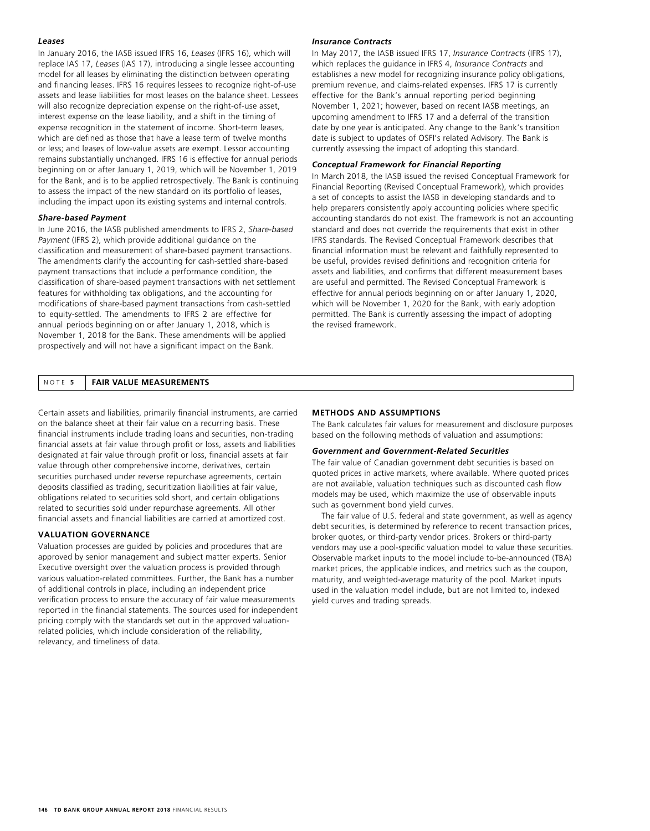#### *Leases*

In January 2016, the IASB issued IFRS 16, *Leases* (IFRS 16), which will replace IAS 17, *Leases* (IAS 17), introducing a single lessee accounting model for all leases by eliminating the distinction between operating and financing leases. IFRS 16 requires lessees to recognize right-of-use assets and lease liabilities for most leases on the balance sheet. Lessees will also recognize depreciation expense on the right-of-use asset, interest expense on the lease liability, and a shift in the timing of expense recognition in the statement of income. Short-term leases, which are defined as those that have a lease term of twelve months or less; and leases of low-value assets are exempt. Lessor accounting remains substantially unchanged. IFRS 16 is effective for annual periods beginning on or after January 1, 2019, which will be November 1, 2019 for the Bank, and is to be applied retrospectively. The Bank is continuing to assess the impact of the new standard on its portfolio of leases, including the impact upon its existing systems and internal controls.

#### *Share-based Payment*

In June 2016, the IASB published amendments to IFRS 2, *Share-based Payment* (IFRS 2), which provide additional guidance on the classification and measurement of share-based payment transactions. The amendments clarify the accounting for cash-settled share-based payment transactions that include a performance condition, the classification of share-based payment transactions with net settlement features for withholding tax obligations, and the accounting for modifications of share-based payment transactions from cash-settled to equity-settled. The amendments to IFRS 2 are effective for annual periods beginning on or after January 1, 2018, which is November 1, 2018 for the Bank. These amendments will be applied prospectively and will not have a significant impact on the Bank.

## *Insurance Contracts*

In May 2017, the IASB issued IFRS 17, *Insurance Contracts* (IFRS 17), which replaces the guidance in IFRS 4, *Insurance Contracts* and establishes a new model for recognizing insurance policy obligations, premium revenue, and claims-related expenses. IFRS 17 is currently effective for the Bank's annual reporting period beginning November 1, 2021; however, based on recent IASB meetings, an upcoming amendment to IFRS 17 and a deferral of the transition date by one year is anticipated. Any change to the Bank's transition date is subject to updates of OSFI's related Advisory. The Bank is currently assessing the impact of adopting this standard.

### *Conceptual Framework for Financial Reporting*

In March 2018, the IASB issued the revised Conceptual Framework for Financial Reporting (Revised Conceptual Framework), which provides a set of concepts to assist the IASB in developing standards and to help preparers consistently apply accounting policies where specific accounting standards do not exist. The framework is not an accounting standard and does not override the requirements that exist in other IFRS standards. The Revised Conceptual Framework describes that financial information must be relevant and faithfully represented to be useful, provides revised definitions and recognition criteria for assets and liabilities, and confirms that different measurement bases are useful and permitted. The Revised Conceptual Framework is effective for annual periods beginning on or after January 1, 2020, which will be November 1, 2020 for the Bank, with early adoption permitted. The Bank is currently assessing the impact of adopting the revised framework.

## NOTE **5 FAIR VALUE MEASUREMENTS**

Certain assets and liabilities, primarily financial instruments, are carried on the balance sheet at their fair value on a recurring basis. These financial instruments include trading loans and securities, non-trading financial assets at fair value through profit or loss, assets and liabilities designated at fair value through profit or loss, financial assets at fair value through other comprehensive income, derivatives, certain securities purchased under reverse repurchase agreements, certain deposits classified as trading, securitization liabilities at fair value, obligations related to securities sold short, and certain obligations related to securities sold under repurchase agreements. All other financial assets and financial liabilities are carried at amortized cost.

### **VALUATION GOVERNANCE**

Valuation processes are guided by policies and procedures that are approved by senior management and subject matter experts. Senior Executive oversight over the valuation process is provided through various valuation-related committees. Further, the Bank has a number of additional controls in place, including an independent price verification process to ensure the accuracy of fair value measurements reported in the financial statements. The sources used for independent pricing comply with the standards set out in the approved valuationrelated policies, which include consideration of the reliability, relevancy, and timeliness of data.

#### **METHODS AND ASSUMPTIONS**

The Bank calculates fair values for measurement and disclosure purposes based on the following methods of valuation and assumptions:

#### *Government and Government-Related Securities*

The fair value of Canadian government debt securities is based on quoted prices in active markets, where available. Where quoted prices are not available, valuation techniques such as discounted cash flow models may be used, which maximize the use of observable inputs such as government bond yield curves.

The fair value of U.S. federal and state government, as well as agency debt securities, is determined by reference to recent transaction prices, broker quotes, or third-party vendor prices. Brokers or third-party vendors may use a pool-specific valuation model to value these securities. Observable market inputs to the model include to-be-announced (TBA) market prices, the applicable indices, and metrics such as the coupon, maturity, and weighted-average maturity of the pool. Market inputs used in the valuation model include, but are not limited to, indexed yield curves and trading spreads.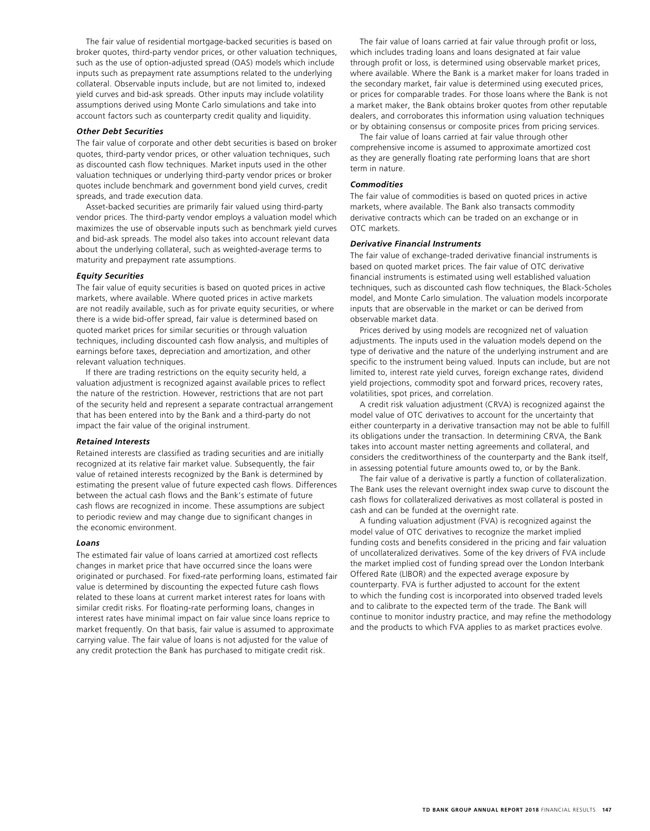The fair value of residential mortgage-backed securities is based on broker quotes, third-party vendor prices, or other valuation techniques, such as the use of option-adjusted spread (OAS) models which include inputs such as prepayment rate assumptions related to the underlying collateral. Observable inputs include, but are not limited to, indexed yield curves and bid-ask spreads. Other inputs may include volatility assumptions derived using Monte Carlo simulations and take into account factors such as counterparty credit quality and liquidity.

#### *Other Debt Securities*

The fair value of corporate and other debt securities is based on broker quotes, third-party vendor prices, or other valuation techniques, such as discounted cash flow techniques. Market inputs used in the other valuation techniques or underlying third-party vendor prices or broker quotes include benchmark and government bond yield curves, credit spreads, and trade execution data.

Asset-backed securities are primarily fair valued using third-party vendor prices. The third-party vendor employs a valuation model which maximizes the use of observable inputs such as benchmark yield curves and bid-ask spreads. The model also takes into account relevant data about the underlying collateral, such as weighted-average terms to maturity and prepayment rate assumptions.

#### *Equity Securities*

The fair value of equity securities is based on quoted prices in active markets, where available. Where quoted prices in active markets are not readily available, such as for private equity securities, or where there is a wide bid-offer spread, fair value is determined based on quoted market prices for similar securities or through valuation techniques, including discounted cash flow analysis, and multiples of earnings before taxes, depreciation and amortization, and other relevant valuation techniques.

If there are trading restrictions on the equity security held, a valuation adjustment is recognized against available prices to reflect the nature of the restriction. However, restrictions that are not part of the security held and represent a separate contractual arrangement that has been entered into by the Bank and a third-party do not impact the fair value of the original instrument.

#### *Retained Interests*

Retained interests are classified as trading securities and are initially recognized at its relative fair market value. Subsequently, the fair value of retained interests recognized by the Bank is determined by estimating the present value of future expected cash flows. Differences between the actual cash flows and the Bank's estimate of future cash flows are recognized in income. These assumptions are subject to periodic review and may change due to significant changes in the economic environment.

## *Loans*

The estimated fair value of loans carried at amortized cost reflects changes in market price that have occurred since the loans were originated or purchased. For fixed-rate performing loans, estimated fair value is determined by discounting the expected future cash flows related to these loans at current market interest rates for loans with similar credit risks. For floating-rate performing loans, changes in interest rates have minimal impact on fair value since loans reprice to market frequently. On that basis, fair value is assumed to approximate carrying value. The fair value of loans is not adjusted for the value of any credit protection the Bank has purchased to mitigate credit risk.

The fair value of loans carried at fair value through profit or loss, which includes trading loans and loans designated at fair value through profit or loss, is determined using observable market prices, where available. Where the Bank is a market maker for loans traded in the secondary market, fair value is determined using executed prices, or prices for comparable trades. For those loans where the Bank is not a market maker, the Bank obtains broker quotes from other reputable dealers, and corroborates this information using valuation techniques or by obtaining consensus or composite prices from pricing services.

The fair value of loans carried at fair value through other comprehensive income is assumed to approximate amortized cost as they are generally floating rate performing loans that are short term in nature.

#### *Commodities*

The fair value of commodities is based on quoted prices in active markets, where available. The Bank also transacts commodity derivative contracts which can be traded on an exchange or in OTC markets.

#### *Derivative Financial Instruments*

The fair value of exchange-traded derivative financial instruments is based on quoted market prices. The fair value of OTC derivative financial instruments is estimated using well established valuation techniques, such as discounted cash flow techniques, the Black-Scholes model, and Monte Carlo simulation. The valuation models incorporate inputs that are observable in the market or can be derived from observable market data.

Prices derived by using models are recognized net of valuation adjustments. The inputs used in the valuation models depend on the type of derivative and the nature of the underlying instrument and are specific to the instrument being valued. Inputs can include, but are not limited to, interest rate yield curves, foreign exchange rates, dividend yield projections, commodity spot and forward prices, recovery rates, volatilities, spot prices, and correlation.

A credit risk valuation adjustment (CRVA) is recognized against the model value of OTC derivatives to account for the uncertainty that either counterparty in a derivative transaction may not be able to fulfill its obligations under the transaction. In determining CRVA, the Bank takes into account master netting agreements and collateral, and considers the creditworthiness of the counterparty and the Bank itself, in assessing potential future amounts owed to, or by the Bank.

The fair value of a derivative is partly a function of collateralization. The Bank uses the relevant overnight index swap curve to discount the cash flows for collateralized derivatives as most collateral is posted in cash and can be funded at the overnight rate.

A funding valuation adjustment (FVA) is recognized against the model value of OTC derivatives to recognize the market implied funding costs and benefits considered in the pricing and fair valuation of uncollateralized derivatives. Some of the key drivers of FVA include the market implied cost of funding spread over the London Interbank Offered Rate (LIBOR) and the expected average exposure by counterparty. FVA is further adjusted to account for the extent to which the funding cost is incorporated into observed traded levels and to calibrate to the expected term of the trade. The Bank will continue to monitor industry practice, and may refine the methodology and the products to which FVA applies to as market practices evolve.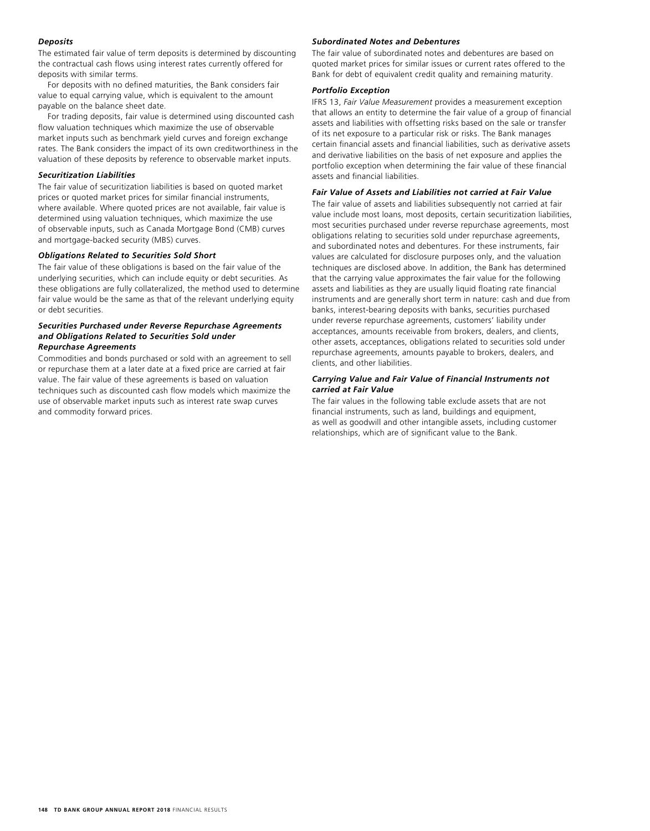### *Deposits*

The estimated fair value of term deposits is determined by discounting the contractual cash flows using interest rates currently offered for deposits with similar terms.

For deposits with no defined maturities, the Bank considers fair value to equal carrying value, which is equivalent to the amount payable on the balance sheet date.

For trading deposits, fair value is determined using discounted cash flow valuation techniques which maximize the use of observable market inputs such as benchmark yield curves and foreign exchange rates. The Bank considers the impact of its own creditworthiness in the valuation of these deposits by reference to observable market inputs.

### *Securitization Liabilities*

The fair value of securitization liabilities is based on quoted market prices or quoted market prices for similar financial instruments, where available. Where quoted prices are not available, fair value is determined using valuation techniques, which maximize the use of observable inputs, such as Canada Mortgage Bond (CMB) curves and mortgage-backed security (MBS) curves.

#### *Obligations Related to Securities Sold Short*

The fair value of these obligations is based on the fair value of the underlying securities, which can include equity or debt securities. As these obligations are fully collateralized, the method used to determine fair value would be the same as that of the relevant underlying equity or debt securities.

#### *Securities Purchased under Reverse Repurchase Agreements and Obligations Related to Securities Sold under Repurchase Agreements*

Commodities and bonds purchased or sold with an agreement to sell or repurchase them at a later date at a fixed price are carried at fair value. The fair value of these agreements is based on valuation techniques such as discounted cash flow models which maximize the use of observable market inputs such as interest rate swap curves and commodity forward prices.

#### *Subordinated Notes and Debentures*

The fair value of subordinated notes and debentures are based on quoted market prices for similar issues or current rates offered to the Bank for debt of equivalent credit quality and remaining maturity.

#### *Portfolio Exception*

IFRS 13, *Fair Value Measurement* provides a measurement exception that allows an entity to determine the fair value of a group of financial assets and liabilities with offsetting risks based on the sale or transfer of its net exposure to a particular risk or risks. The Bank manages certain financial assets and financial liabilities, such as derivative assets and derivative liabilities on the basis of net exposure and applies the portfolio exception when determining the fair value of these financial assets and financial liabilities.

## *Fair Value of Assets and Liabilities not carried at Fair Value*

The fair value of assets and liabilities subsequently not carried at fair value include most loans, most deposits, certain securitization liabilities, most securities purchased under reverse repurchase agreements, most obligations relating to securities sold under repurchase agreements, and subordinated notes and debentures. For these instruments, fair values are calculated for disclosure purposes only, and the valuation techniques are disclosed above. In addition, the Bank has determined that the carrying value approximates the fair value for the following assets and liabilities as they are usually liquid floating rate financial instruments and are generally short term in nature: cash and due from banks, interest-bearing deposits with banks, securities purchased under reverse repurchase agreements, customers' liability under acceptances, amounts receivable from brokers, dealers, and clients, other assets, acceptances, obligations related to securities sold under repurchase agreements, amounts payable to brokers, dealers, and clients, and other liabilities.

### *Carrying Value and Fair Value of Financial Instruments not carried at Fair Value*

The fair values in the following table exclude assets that are not financial instruments, such as land, buildings and equipment, as well as goodwill and other intangible assets, including customer relationships, which are of significant value to the Bank.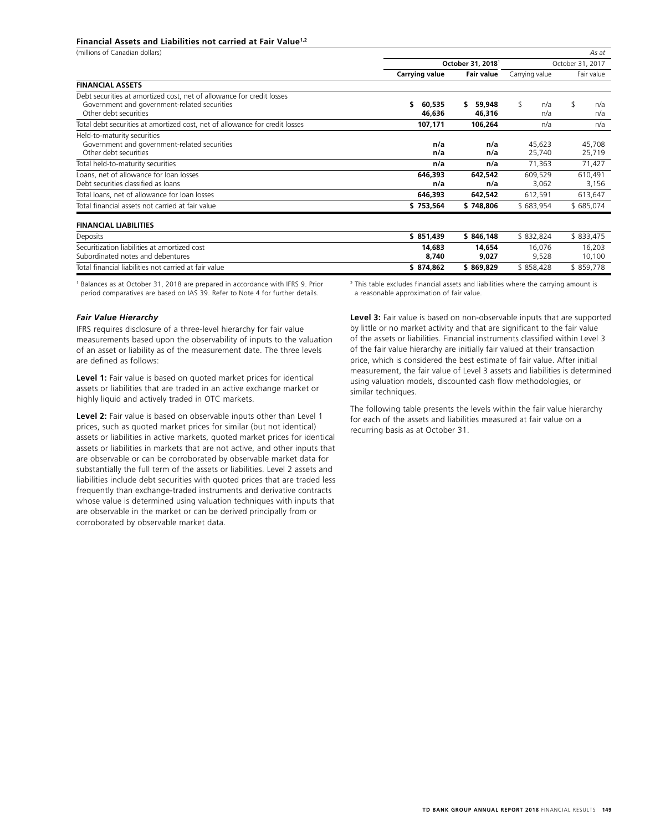## **Financial Assets and Liabilities not carried at Fair Value1,2**

| (millions of Canadian dollars)                                                                                                                 |                           |                               |                             | As at                       |
|------------------------------------------------------------------------------------------------------------------------------------------------|---------------------------|-------------------------------|-----------------------------|-----------------------------|
|                                                                                                                                                |                           | October 31, 2018 <sup>1</sup> |                             | October 31, 2017            |
|                                                                                                                                                | Carrying value            | <b>Fair value</b>             | Carrying value              | Fair value                  |
| <b>FINANCIAL ASSETS</b>                                                                                                                        |                           |                               |                             |                             |
| Debt securities at amortized cost, net of allowance for credit losses<br>Government and government-related securities<br>Other debt securities | 60,535<br>s.<br>46,636    | 59,948<br>s.<br>46,316        | \$<br>n/a<br>n/a            | \$<br>n/a<br>n/a            |
| Total debt securities at amortized cost, net of allowance for credit losses                                                                    | 107,171                   | 106,264                       | n/a                         | n/a                         |
| Held-to-maturity securities<br>Government and government-related securities<br>Other debt securities                                           | n/a<br>n/a                | n/a<br>n/a                    | 45,623<br>25,740            | 45,708<br>25,719            |
| Total held-to-maturity securities                                                                                                              | n/a                       | n/a                           | 71,363                      | 71,427                      |
| Loans, net of allowance for loan losses<br>Debt securities classified as loans<br>Total loans, net of allowance for loan losses                | 646,393<br>n/a<br>646,393 | 642,542<br>n/a<br>642,542     | 609.529<br>3,062<br>612,591 | 610,491<br>3,156<br>613,647 |
| Total financial assets not carried at fair value                                                                                               | \$753,564                 | \$748,806                     | \$683,954                   | \$685,074                   |
| <b>FINANCIAL LIABILITIES</b>                                                                                                                   |                           |                               |                             |                             |
| Deposits                                                                                                                                       | \$851,439                 | \$846,148                     | \$832,824                   | \$833,475                   |
| Securitization liabilities at amortized cost<br>Subordinated notes and debentures                                                              | 14,683<br>8.740           | 14,654<br>9.027               | 16,076<br>9.528             | 16,203<br>10.100            |

Total financial liabilities not carried at fair value **\$ 874,862 \$ 869,829** \$ 858,428 \$ 859,778

<sup>1</sup> Balances as at October 31, 2018 are prepared in accordance with IFRS 9. Prior period comparatives are based on IAS 39. Refer to Note 4 for further details.

#### *Fair Value Hierarchy*

IFRS requires disclosure of a three-level hierarchy for fair value measurements based upon the observability of inputs to the valuation of an asset or liability as of the measurement date. The three levels are defined as follows:

**Level 1:** Fair value is based on quoted market prices for identical assets or liabilities that are traded in an active exchange market or highly liquid and actively traded in OTC markets.

**Level 2:** Fair value is based on observable inputs other than Level 1 prices, such as quoted market prices for similar (but not identical) assets or liabilities in active markets, quoted market prices for identical assets or liabilities in markets that are not active, and other inputs that are observable or can be corroborated by observable market data for substantially the full term of the assets or liabilities. Level 2 assets and liabilities include debt securities with quoted prices that are traded less frequently than exchange-traded instruments and derivative contracts whose value is determined using valuation techniques with inputs that are observable in the market or can be derived principally from or corroborated by observable market data.

<sup>2</sup> This table excludes financial assets and liabilities where the carrying amount is a reasonable approximation of fair value.

Level 3: Fair value is based on non-observable inputs that are supported by little or no market activity and that are significant to the fair value of the assets or liabilities. Financial instruments classified within Level 3 of the fair value hierarchy are initially fair valued at their transaction price, which is considered the best estimate of fair value. After initial measurement, the fair value of Level 3 assets and liabilities is determined using valuation models, discounted cash flow methodologies, or similar techniques.

The following table presents the levels within the fair value hierarchy for each of the assets and liabilities measured at fair value on a recurring basis as at October 31.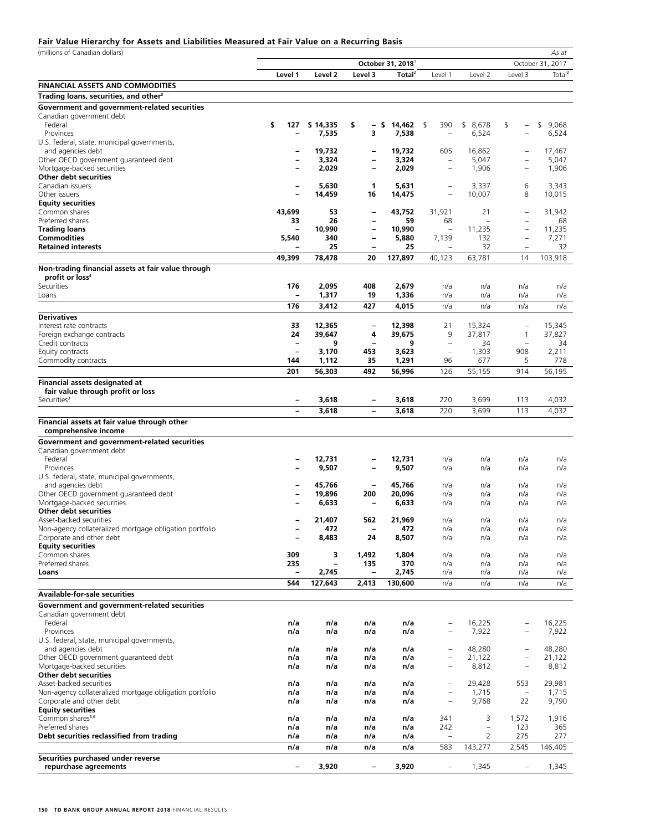## **Fair Value Hierarchy for Assets and Liabilities Measured at Fair Value on a Recurring Basis**

| ran value merarchy for Assets and Liabinties ineasured at ran value on a heturing basis |                                                      |                          |                               |                               |                                        |                          |                                   |                    |  |
|-----------------------------------------------------------------------------------------|------------------------------------------------------|--------------------------|-------------------------------|-------------------------------|----------------------------------------|--------------------------|-----------------------------------|--------------------|--|
| (millions of Canadian dollars)                                                          |                                                      |                          |                               |                               |                                        |                          |                                   | As at              |  |
|                                                                                         |                                                      |                          |                               | October 31, 2018 <sup>1</sup> |                                        | October 31, 2017         |                                   |                    |  |
|                                                                                         | Level 1                                              | Level 2                  | Level 3                       | Total <sup>2</sup>            | Level 1                                | Level 2                  | Level 3                           | Total <sup>2</sup> |  |
| FINANCIAL ASSETS AND COMMODITIES                                                        |                                                      |                          |                               |                               |                                        |                          |                                   |                    |  |
| Trading loans, securities, and other <sup>3</sup>                                       |                                                      |                          |                               |                               |                                        |                          |                                   |                    |  |
| Government and government-related securities                                            |                                                      |                          |                               |                               |                                        |                          |                                   |                    |  |
| Canadian government debt                                                                |                                                      |                          |                               |                               |                                        |                          |                                   |                    |  |
| Federal                                                                                 | s<br>127                                             | \$14,335                 | \$                            | 14,462 $\frac{1}{2}$<br>s     | 390                                    | \$<br>8,678              | \$                                | \$<br>9,068        |  |
| Provinces                                                                               |                                                      | 7,535                    | з                             | 7,538                         | $\overline{\phantom{a}}$               | 6,524                    |                                   | 6,524              |  |
| U.S. federal, state, municipal governments,                                             |                                                      |                          |                               |                               |                                        |                          |                                   |                    |  |
| and agencies debt                                                                       |                                                      | 19,732                   |                               | 19,732                        | 605                                    | 16,862                   | $\overline{\phantom{0}}$          | 17,467             |  |
| Other OECD government guaranteed debt                                                   | $\overline{\phantom{0}}$                             | 3,324                    | $\qquad \qquad -$             | 3,324                         | $\overline{\phantom{a}}$               | 5,047                    | $\overline{\phantom{a}}$          | 5,047              |  |
| Mortgage-backed securities                                                              |                                                      | 2,029                    | $\overline{\phantom{0}}$      | 2,029                         | $\qquad \qquad -$                      | 1,906                    | L.                                | 1,906              |  |
| <b>Other debt securities</b>                                                            |                                                      |                          |                               |                               |                                        |                          |                                   |                    |  |
| Canadian issuers<br>Other issuers                                                       | $\overline{\phantom{m}}$<br>$\overline{\phantom{0}}$ | 5,630<br>14,459          | 1<br>16                       | 5,631<br>14,475               | $\qquad \qquad -$<br>$\qquad \qquad -$ | 3,337<br>10,007          | 6<br>8                            | 3,343<br>10,015    |  |
| <b>Equity securities</b>                                                                |                                                      |                          |                               |                               |                                        |                          |                                   |                    |  |
| Common shares                                                                           | 43,699                                               | 53                       | -                             | 43,752                        | 31,921                                 | 21                       | $\qquad \qquad -$                 | 31,942             |  |
| Preferred shares                                                                        | 33                                                   | 26                       | $\overline{\phantom{0}}$      | 59                            | 68                                     |                          | $\overline{\phantom{0}}$          | 68                 |  |
| <b>Trading loans</b>                                                                    |                                                      | 10,990                   | $\qquad \qquad -$             | 10,990                        | $\overline{\phantom{a}}$               | 11,235                   | $\qquad \qquad -$                 | 11,235             |  |
| <b>Commodities</b>                                                                      | 5,540                                                | 340                      | $\overline{\phantom{0}}$      | 5,880                         | 7,139                                  | 132                      | $\qquad \qquad -$                 | 7,271              |  |
| <b>Retained interests</b>                                                               |                                                      | 25                       | $\qquad \qquad -$             | 25                            | $\overline{\phantom{a}}$               | 32                       | $\qquad \qquad -$                 | 32                 |  |
|                                                                                         | 49,399                                               | 78,478                   | 20                            | 127,897                       | 40,123                                 | 63,781                   | 14                                | 103,918            |  |
| Non-trading financial assets at fair value through                                      |                                                      |                          |                               |                               |                                        |                          |                                   |                    |  |
| profit or loss <sup>4</sup>                                                             |                                                      |                          |                               |                               |                                        |                          |                                   |                    |  |
| Securities                                                                              | 176                                                  | 2,095                    | 408                           | 2,679                         | n/a                                    | n/a                      | n/a                               | n/a                |  |
| Loans                                                                                   | $\overline{\phantom{a}}$                             | 1,317                    | 19                            | 1,336                         | n/a                                    | n/a                      | n/a                               | n/a                |  |
|                                                                                         | 176                                                  | 3,412                    | 427                           | 4,015                         | n/a                                    | n/a                      | n/a                               | n/a                |  |
|                                                                                         |                                                      |                          |                               |                               |                                        |                          |                                   |                    |  |
| <b>Derivatives</b>                                                                      |                                                      |                          |                               |                               |                                        |                          |                                   |                    |  |
| Interest rate contracts                                                                 | 33                                                   | 12,365                   | $\overline{\phantom{a}}$      | 12,398                        | 21                                     | 15,324                   | $\qquad \qquad -$                 | 15,345             |  |
| Foreign exchange contracts<br>Credit contracts                                          | 24<br>$\overline{\phantom{a}}$                       | 39,647<br>9              | 4<br>$\overline{\phantom{0}}$ | 39,675<br>9                   | 9<br>$\qquad \qquad -$                 | 37,817<br>34             | 1<br>$\qquad \qquad -$            | 37,827             |  |
| Equity contracts                                                                        | $\overline{\phantom{a}}$                             | 3,170                    | 453                           | 3,623                         | $\overline{\phantom{a}}$               | 1,303                    | 908                               | 34<br>2,211        |  |
| Commodity contracts                                                                     | 144                                                  | 1,112                    | 35                            | 1,291                         | 96                                     | 677                      | 5                                 | 778                |  |
|                                                                                         |                                                      |                          | 492                           |                               |                                        |                          | 914                               |                    |  |
|                                                                                         | 201                                                  | 56,303                   |                               | 56,996                        | 126                                    | 55,155                   |                                   | 56,195             |  |
| Financial assets designated at                                                          |                                                      |                          |                               |                               |                                        |                          |                                   |                    |  |
| fair value through profit or loss                                                       |                                                      |                          |                               |                               |                                        |                          |                                   |                    |  |
| Securities <sup>3</sup>                                                                 | $\overline{\phantom{m}}$                             | 3,618                    |                               | 3,618                         | 220                                    | 3,699                    | 113                               | 4,032              |  |
|                                                                                         |                                                      | 3,618                    | $\qquad \qquad -$             | 3,618                         | 220                                    | 3,699                    | 113                               | 4,032              |  |
| Financial assets at fair value through other                                            |                                                      |                          |                               |                               |                                        |                          |                                   |                    |  |
| comprehensive income                                                                    |                                                      |                          |                               |                               |                                        |                          |                                   |                    |  |
| Government and government-related securities                                            |                                                      |                          |                               |                               |                                        |                          |                                   |                    |  |
| Canadian government debt                                                                |                                                      |                          |                               |                               |                                        |                          |                                   |                    |  |
| Federal                                                                                 |                                                      | 12,731                   |                               | 12,731                        | n/a                                    | n/a                      | n/a                               | n/a                |  |
| Provinces                                                                               |                                                      | 9,507                    |                               | 9,507                         | n/a                                    | n/a                      | n/a                               | n/a                |  |
| U.S. federal, state, municipal governments,                                             |                                                      |                          |                               |                               |                                        |                          |                                   |                    |  |
| and agencies debt                                                                       |                                                      | 45,766                   |                               | 45,766                        | n/a                                    | n/a                      | n/a                               | n/a                |  |
| Other OECD government guaranteed debt<br>Mortgage-backed securities                     |                                                      | 19,896                   | 200                           | 20.096                        | n/a                                    | n/a                      | n/a                               | n/a                |  |
| <b>Other debt securities</b>                                                            |                                                      | 6,633                    |                               | 6,633                         | n/a                                    | n/a                      | n/a                               | n/a                |  |
| Asset-backed securities                                                                 |                                                      | 21,407                   | 562                           | 21,969                        | n/a                                    | n/a                      | n/a                               | n/a                |  |
| Non-agency collateralized mortgage obligation portfolio                                 |                                                      | 472                      | -                             | 472                           | n/a                                    | n/a                      | n/a                               | n/a                |  |
| Corporate and other debt                                                                |                                                      | 8,483                    | 24                            | 8,507                         | n/a                                    | n/a                      | n/a                               | n/a                |  |
| <b>Equity securities</b>                                                                |                                                      |                          |                               |                               |                                        |                          |                                   |                    |  |
| Common shares                                                                           | 309                                                  | з                        | 1,492                         | 1,804                         | n/a                                    | n/a                      | n/a                               | n/a                |  |
| Preferred shares                                                                        | 235                                                  | $\overline{\phantom{0}}$ | 135                           | 370                           | n/a                                    | n/a                      | n/a                               | n/a                |  |
| Loans                                                                                   | $\overline{\phantom{0}}$                             | 2,745                    | $\overline{\phantom{0}}$      | 2,745                         | n/a                                    | n/a                      | n/a                               | n/a                |  |
|                                                                                         | 544                                                  | 127,643                  | 2,413                         | 130,600                       | n/a                                    | n/a                      | n/a                               | n/a                |  |
| <b>Available-for-sale securities</b>                                                    |                                                      |                          |                               |                               |                                        |                          |                                   |                    |  |
|                                                                                         |                                                      |                          |                               |                               |                                        |                          |                                   |                    |  |
| Government and government-related securities<br>Canadian government debt                |                                                      |                          |                               |                               |                                        |                          |                                   |                    |  |
| Federal                                                                                 | n/a                                                  | n/a                      | n/a                           | n/a                           |                                        | 16,225                   |                                   | 16,225             |  |
| Provinces                                                                               | n/a                                                  | n/a                      | n/a                           | n/a                           | $\overline{\phantom{a}}$               | 7,922                    | $\overline{\phantom{a}}$          | 7,922              |  |
| U.S. federal, state, municipal governments,                                             |                                                      |                          |                               |                               |                                        |                          |                                   |                    |  |
| and agencies debt                                                                       | n/a                                                  | n/a                      | n/a                           | n/a                           |                                        | 48,280                   |                                   | 48,280             |  |
| Other OECD government guaranteed debt                                                   | n/a                                                  | n/a                      | n/a                           | n/a                           | $\overline{\phantom{a}}$               | 21,122                   | -                                 | 21,122             |  |
| Mortgage-backed securities                                                              | n/a                                                  | n/a                      | n/a                           | n/a                           |                                        | 8,812                    | $\overline{\phantom{a}}$          | 8,812              |  |
| <b>Other debt securities</b>                                                            |                                                      |                          |                               |                               |                                        |                          |                                   |                    |  |
| Asset-backed securities                                                                 | n/a                                                  | n/a                      | n/a                           | n/a                           |                                        | 29,428                   | 553                               | 29,981             |  |
| Non-agency collateralized mortgage obligation portfolio                                 | n/a                                                  | n/a                      | n/a                           | n/a                           | $\overline{\phantom{0}}$               | 1,715                    | $\hspace{1.0cm} - \hspace{1.0cm}$ | 1,715              |  |
| Corporate and other debt                                                                | n/a                                                  | n/a                      | n/a                           | n/a                           | $\overline{\phantom{0}}$               | 9,768                    | 22                                | 9,790              |  |
| <b>Equity securities</b>                                                                |                                                      |                          |                               |                               |                                        |                          |                                   |                    |  |
| Common shares <sup>5,6</sup>                                                            | n/a                                                  | n/a                      | n/a                           | n/a                           | 341                                    | 3                        | 1,572                             | 1,916              |  |
| Preferred shares                                                                        | n/a                                                  | n/a                      | n/a                           | n/a                           | 242                                    | $\overline{\phantom{a}}$ | 123                               | 365                |  |
| Debt securities reclassified from trading                                               | n/a                                                  | n/a                      | n/a                           | n/a                           | $\overline{\phantom{a}}$               | 2                        | 275                               | 277                |  |
|                                                                                         | n/a                                                  | n/a                      | n/a                           | n/a                           | 583                                    | 143,277                  | 2,545                             | 146,405            |  |
| Securities purchased under reverse                                                      |                                                      |                          |                               |                               |                                        |                          |                                   |                    |  |
| repurchase agreements                                                                   |                                                      | 3,920                    |                               | 3,920                         |                                        | 1,345                    | $\overline{\phantom{a}}$          | 1,345              |  |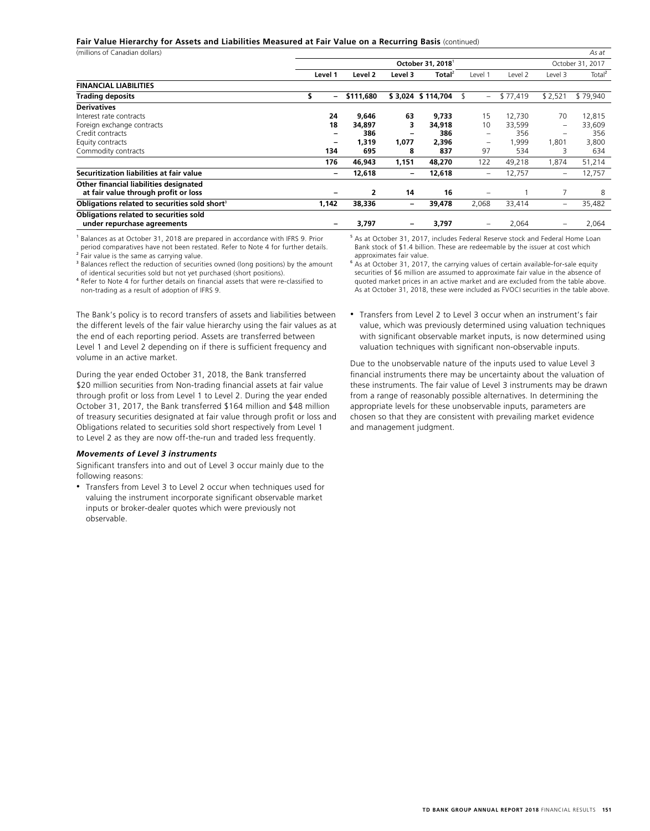#### **Fair Value Hierarchy for Assets and Liabilities Measured at Fair Value on a Recurring Basis** (continued)

(millions of Canadian dollars) *As at* **October 31, 2018**<sup>1</sup> Corober 31, 2017 **Level 1 Level 2 Level 3 Total**<sup>2</sup> Level 1 Level 2 Level 3 Total<sup>2</sup> **FINANCIAL LIABILITIES Trading deposits \$ – \$111,680 \$ 3,024 \$ 114,704** \$ – \$ 77,419 \$ 2,521 \$ 79,940 **Derivatives**<br>Interest rate contracts Interest rate contracts **24 9,646 63 9,733** 15 12,730 70 12,815 Foreign exchange contracts **18 34,897 3 34,918** 10 33,599 – 33,609 Credit contracts **– 386 – 386** – 356 – 356 Equity contracts **– 1,319 1,077 2,396** – 1,999 1,801 3,800 Commodity contracts **134 695 8 837** 97 534 3 634 **176 46,943 1,151 48,270** 122 49,218 1,874 51,214 **Securitization liabilities at fair value – 12,618 – 12,618** – 12,757 – 12,757 **Other financial liabilities designated at fair value through profit or loss – 2 14 16** – 1 7 8 **Obligations related to securities sold short**<sup>3</sup> **1,142 38,336 – 39,478** 2,068 33,414 – 35,482 **Obligations related to securities sold under repurchase agreements – 3,797 – 3,797** – 2,064 – 2,064

<sup>1</sup> Balances as at October 31, 2018 are prepared in accordance with IFRS 9. Prior period comparatives have not been restated. Refer to Note 4 for further details. <sup>2</sup> Fair value is the same as carrying value.

<sup>3</sup> Balances reflect the reduction of securities owned (long positions) by the amount of identical securities sold but not yet purchased (short positions).

Refer to Note 4 for further details on financial assets that were re-classified to non-trading as a result of adoption of IFRS 9.

The Bank's policy is to record transfers of assets and liabilities between the different levels of the fair value hierarchy using the fair values as at the end of each reporting period. Assets are transferred between Level 1 and Level 2 depending on if there is sufficient frequency and volume in an active market.

During the year ended October 31, 2018, the Bank transferred \$20 million securities from Non-trading financial assets at fair value through profit or loss from Level 1 to Level 2. During the year ended October 31, 2017, the Bank transferred \$164 million and \$48 million of treasury securities designated at fair value through profit or loss and Obligations related to securities sold short respectively from Level 1 to Level 2 as they are now off-the-run and traded less frequently.

#### *Movements of Level 3 instruments*

Significant transfers into and out of Level 3 occur mainly due to the following reasons:

• Transfers from Level 3 to Level 2 occur when techniques used for valuing the instrument incorporate significant observable market inputs or broker-dealer quotes which were previously not observable.

<sup>5</sup> As at October 31, 2017, includes Federal Reserve stock and Federal Home Loan Bank stock of \$1.4 billion. These are redeemable by the issuer at cost which approximates fair value.

<sup>6</sup> As at October 31, 2017, the carrying values of certain available-for-sale equity securities of \$6 million are assumed to approximate fair value in the absence of quoted market prices in an active market and are excluded from the table above. As at October 31, 2018, these were included as FVOCI securities in the table above.

• Transfers from Level 2 to Level 3 occur when an instrument's fair value, which was previously determined using valuation techniques with significant observable market inputs, is now determined using valuation techniques with significant non-observable inputs.

Due to the unobservable nature of the inputs used to value Level 3 financial instruments there may be uncertainty about the valuation of these instruments. The fair value of Level 3 instruments may be drawn from a range of reasonably possible alternatives. In determining the appropriate levels for these unobservable inputs, parameters are chosen so that they are consistent with prevailing market evidence and management judgment.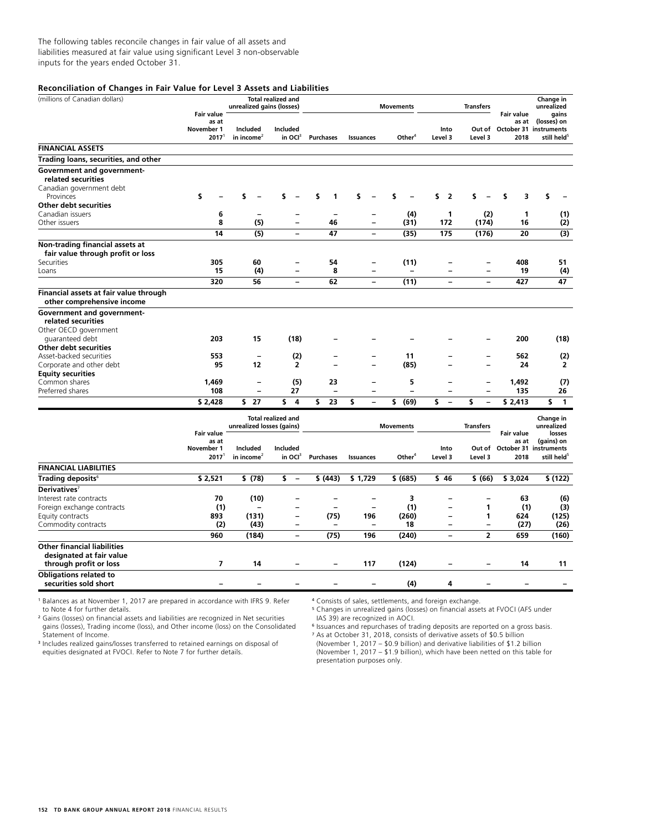The following tables reconcile changes in fair value of all assets and liabilities measured at fair value using significant Level 3 non-observable inputs for the years ended October 31.

## **Reconciliation of Changes in Fair Value for Level 3 Assets and Liabilities**

| Reconciliation of Changes in Fair value for Level 3 Assets and Liabilities<br>(millions of Canadian dollars) |                             |                                    | <b>Total realized and</b>      |                          |                          |                    |                          |                          |                   | Change in                                                                                      |
|--------------------------------------------------------------------------------------------------------------|-----------------------------|------------------------------------|--------------------------------|--------------------------|--------------------------|--------------------|--------------------------|--------------------------|-------------------|------------------------------------------------------------------------------------------------|
|                                                                                                              | <b>Fair value</b>           | unrealized gains (losses)          |                                |                          |                          | <b>Movements</b>   |                          | <b>Transfers</b>         | <b>Fair value</b> | unrealized<br>gains<br>(losses) on<br>Out of October 31 instruments<br>still held <sup>5</sup> |
|                                                                                                              | as at<br>November 1<br>2017 | Included<br>in income <sup>2</sup> | Included<br>in $OCl3$          | <b>Purchases</b>         | Issuances                | Other <sup>4</sup> | Into<br>Level 3          | Level 3                  | as at<br>2018     |                                                                                                |
| <b>FINANCIAL ASSETS</b>                                                                                      |                             |                                    |                                |                          |                          |                    |                          |                          |                   |                                                                                                |
|                                                                                                              |                             |                                    |                                |                          |                          |                    |                          |                          |                   |                                                                                                |
| Trading loans, securities, and other                                                                         |                             |                                    |                                |                          |                          |                    |                          |                          |                   |                                                                                                |
| Government and government-<br>related securities                                                             |                             |                                    |                                |                          |                          |                    |                          |                          |                   |                                                                                                |
| Canadian government debt                                                                                     |                             |                                    |                                |                          |                          |                    |                          |                          |                   |                                                                                                |
| Provinces                                                                                                    | \$                          | Ś                                  |                                | \$<br>1                  | \$                       | \$                 | \$<br>$\overline{2}$     | \$                       | 3<br>\$           | \$                                                                                             |
| Other debt securities                                                                                        |                             |                                    |                                |                          |                          |                    |                          |                          |                   |                                                                                                |
| Canadian issuers                                                                                             | 6                           |                                    |                                | $\overline{a}$           |                          | (4)                | 1                        | (2)                      | 1                 | (1)                                                                                            |
| Other issuers                                                                                                | 8                           | (5)                                | $\equiv$                       | 46                       | $\overline{a}$           | (31)               | 172                      | (174)                    | 16                | (2)                                                                                            |
|                                                                                                              | 14                          | (5)                                | $\qquad \qquad -$              | 47                       | $\qquad \qquad -$        | (35)               | 175                      | (176)                    | 20                | (3)                                                                                            |
| Non-trading financial assets at                                                                              |                             |                                    |                                |                          |                          |                    |                          |                          |                   |                                                                                                |
| fair value through profit or loss                                                                            |                             |                                    |                                |                          |                          |                    |                          |                          |                   |                                                                                                |
| Securities                                                                                                   | 305                         | 60                                 | $\qquad \qquad -$              | 54                       | $\overline{\phantom{0}}$ | (11)               |                          |                          | 408               | 51                                                                                             |
| Loans                                                                                                        | 15                          | (4)                                | $\overline{\phantom{0}}$       | 8                        | -                        |                    |                          | -                        | 19                | (4)                                                                                            |
|                                                                                                              | 320                         | 56                                 | $\overline{\phantom{0}}$       | 62                       | $\overline{\phantom{0}}$ | (11)               | $\overline{\phantom{0}}$ | $\overline{\phantom{0}}$ | 427               | 47                                                                                             |
| Financial assets at fair value through                                                                       |                             |                                    |                                |                          |                          |                    |                          |                          |                   |                                                                                                |
| other comprehensive income                                                                                   |                             |                                    |                                |                          |                          |                    |                          |                          |                   |                                                                                                |
| Government and government-<br>related securities                                                             |                             |                                    |                                |                          |                          |                    |                          |                          |                   |                                                                                                |
| Other OECD government                                                                                        |                             |                                    |                                |                          |                          |                    |                          |                          |                   |                                                                                                |
| quaranteed debt                                                                                              | 203                         | 15                                 | (18)                           |                          |                          |                    |                          |                          | 200               | (18)                                                                                           |
| Other debt securities                                                                                        |                             |                                    |                                |                          |                          |                    |                          |                          |                   |                                                                                                |
| Asset-backed securities                                                                                      | 553                         | $\overline{\phantom{0}}$           | (2)                            |                          |                          | 11                 |                          |                          | 562               | (2)                                                                                            |
| Corporate and other debt                                                                                     | 95                          | 12                                 | $\overline{2}$                 |                          |                          | (85)               |                          |                          | 24                | $\overline{2}$                                                                                 |
| <b>Equity securities</b>                                                                                     |                             |                                    |                                |                          |                          |                    |                          |                          |                   |                                                                                                |
| Common shares                                                                                                | 1,469                       |                                    | (5)                            | 23                       |                          | 5                  |                          |                          | 1,492             | (7)                                                                                            |
| Preferred shares                                                                                             | 108                         | L,                                 | 27                             | L.                       |                          | $\equiv$           |                          |                          | 135               | 26                                                                                             |
|                                                                                                              | \$2,428                     | \$ 27                              | \$<br>$\overline{4}$           | \$<br>23                 | \$<br>$\qquad \qquad -$  | (69)<br>\$.        | \$                       | \$                       | \$2,413           | \$<br>$\mathbf{1}$                                                                             |
|                                                                                                              |                             | unrealized losses (gains)          | <b>Total realized and</b>      |                          |                          | <b>Movements</b>   |                          | <b>Transfers</b>         |                   | Change in<br>unrealized                                                                        |
|                                                                                                              | <b>Fair value</b>           |                                    |                                |                          |                          |                    |                          |                          | <b>Fair value</b> | losses                                                                                         |
|                                                                                                              | as at                       |                                    |                                |                          |                          |                    |                          |                          | as at             | (gains) on                                                                                     |
|                                                                                                              | November 1                  | Included                           | Included                       |                          |                          |                    | Into                     | Out of                   |                   | October 31 instruments                                                                         |
|                                                                                                              | 2017 <sup>1</sup>           | in income <sup>2</sup>             | in $OCl3$                      | <b>Purchases</b>         | Issuances                | Other <sup>4</sup> | Level 3                  | Level 3                  | 2018              | still held <sup>5</sup>                                                                        |
| <b>FINANCIAL LIABILITIES</b>                                                                                 |                             |                                    |                                |                          |                          |                    |                          |                          |                   |                                                                                                |
| Trading deposits <sup>6</sup>                                                                                | \$2,521                     | \$(78)                             | \$<br>$\overline{\phantom{0}}$ | \$ (443)                 | \$1,729                  | \$ (685)           | \$ 46                    | \$ (66)                  | \$3,024           | \$(122)                                                                                        |
| Derivatives $7$                                                                                              |                             |                                    |                                |                          |                          |                    |                          |                          |                   |                                                                                                |
| Interest rate contracts                                                                                      | 70                          | (10)                               |                                | $\overline{\phantom{0}}$ | ÷                        | 3                  | ÷                        |                          | 63                | (6)                                                                                            |
| Foreign exchange contracts                                                                                   | (1)                         |                                    |                                |                          | ÷                        | (1)                |                          | 1                        | (1)               | (3)                                                                                            |
| Equity contracts                                                                                             | 893                         | (131)                              | $\overline{\phantom{0}}$       | (75)                     | 196                      | (260)              | $\overline{\phantom{0}}$ | 1                        | 624               | (125)                                                                                          |
| Commodity contracts                                                                                          | (2)                         | (43)                               | ÷                              | $\qquad \qquad -$        | ÷                        | 18                 | $\overline{\phantom{0}}$ | $\qquad \qquad -$        | (27)              | (26)                                                                                           |
|                                                                                                              | 960                         | (184)                              | $\equiv$                       | (75)                     | 196                      | (240)              | $\overline{\phantom{0}}$ | $\overline{2}$           | 659               | (160)                                                                                          |
| <b>Other financial liabilities</b>                                                                           |                             |                                    |                                |                          |                          |                    |                          |                          |                   |                                                                                                |
| designated at fair value                                                                                     |                             |                                    |                                |                          |                          |                    |                          |                          |                   |                                                                                                |
| through profit or loss                                                                                       | 7                           | 14                                 |                                | $\overline{\phantom{0}}$ | 117                      | (124)              | $\overline{\phantom{0}}$ |                          | 14                | 11                                                                                             |
| <b>Obligations related to</b><br>securities sold short                                                       |                             |                                    |                                |                          |                          | (4)                | 4                        |                          |                   |                                                                                                |
|                                                                                                              |                             |                                    |                                |                          |                          |                    |                          |                          |                   |                                                                                                |

<sup>1</sup> Balances as at November 1, 2017 are prepared in accordance with IFRS 9. Refer to Note 4 for further details.

<sup>2</sup> Gains (losses) on financial assets and liabilities are recognized in Net securities gains (losses), Trading income (loss), and Other income (loss) on the Consolidated Statement of Income.

<sup>3</sup> Includes realized gains/losses transferred to retained earnings on disposal of equities designated at FVOCI. Refer to Note 7 for further details.

<sup>4</sup> Consists of sales, settlements, and foreign exchange.

<sup>5</sup> Changes in unrealized gains (losses) on financial assets at FVOCI (AFS under IAS 39) are recognized in AOCI.

<sup>6</sup> Issuances and repurchases of trading deposits are reported on a gross basis. <sup>7</sup> As at October 31, 2018, consists of derivative assets of \$0.5 billion (November 1, 2017 – \$0.9 billion) and derivative liabilities of \$1.2 billion (November 1, 2017 – \$1.9 billion), which have been netted on this table for presentation purposes only.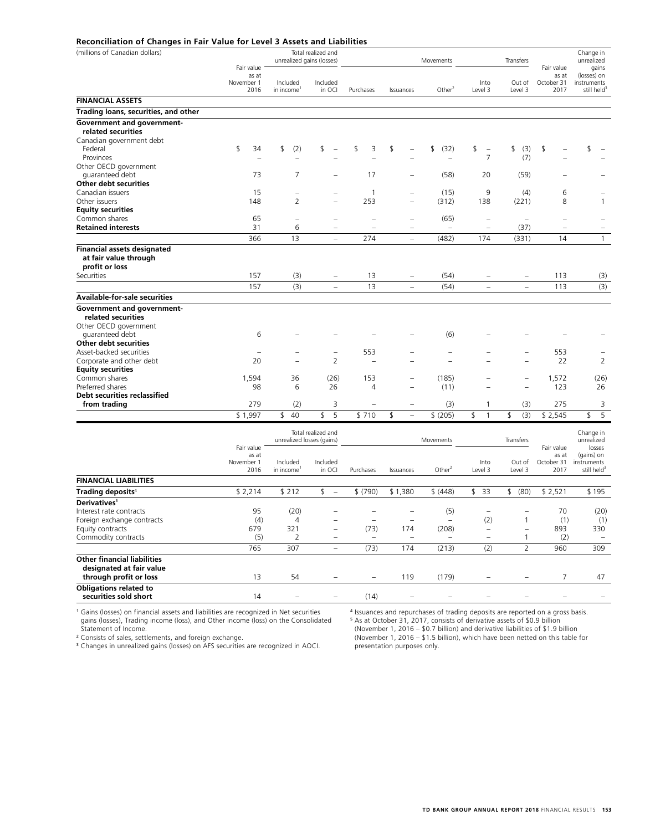## **Reconciliation of Changes in Fair Value for Level 3 Assets and Liabilities**

| Reconciliation of Changes in Fair Value for Level 3 Assets and Liabilities<br>(millions of Canadian dollars) |                                   | unrealized gains (losses) | Total realized and                  |                          |                                           | Movements                         |                                                  | Transfers                |                                   | Change in<br>unrealized                |
|--------------------------------------------------------------------------------------------------------------|-----------------------------------|---------------------------|-------------------------------------|--------------------------|-------------------------------------------|-----------------------------------|--------------------------------------------------|--------------------------|-----------------------------------|----------------------------------------|
|                                                                                                              | Fair value<br>as at<br>November 1 | Included                  | Included                            |                          |                                           |                                   | Into                                             | Out of                   | Fair value<br>as at<br>October 31 | gains<br>(losses) on<br>instruments    |
|                                                                                                              | 2016                              | in income                 | in OCI                              | Purchases                | Issuances                                 | Other <sup>4</sup>                | Level 3                                          | Level 3                  | 2017                              | still held <sup>3</sup>                |
| <b>FINANCIAL ASSETS</b>                                                                                      |                                   |                           |                                     |                          |                                           |                                   |                                                  |                          |                                   |                                        |
| Trading loans, securities, and other                                                                         |                                   |                           |                                     |                          |                                           |                                   |                                                  |                          |                                   |                                        |
| Government and government-<br>related securities                                                             |                                   |                           |                                     |                          |                                           |                                   |                                                  |                          |                                   |                                        |
| Canadian government debt                                                                                     |                                   |                           |                                     |                          |                                           |                                   |                                                  |                          |                                   |                                        |
| Federal<br>Provinces                                                                                         | \$<br>34                          | \$<br>(2)                 | \$                                  | \$<br>3                  | \$                                        | \$<br>(32)                        | \$<br>$\overline{\phantom{a}}$<br>$\overline{7}$ | (3)<br>\$<br>(7)         | \$                                | ٩                                      |
| Other OECD government                                                                                        |                                   |                           |                                     |                          |                                           |                                   |                                                  |                          |                                   |                                        |
| quaranteed debt                                                                                              | 73                                | 7                         |                                     | 17                       | $\overline{\phantom{0}}$                  | (58)                              | 20                                               | (59)                     |                                   |                                        |
| <b>Other debt securities</b>                                                                                 |                                   |                           |                                     |                          |                                           |                                   |                                                  |                          |                                   |                                        |
| Canadian issuers                                                                                             | 15                                | $\overline{\phantom{a}}$  |                                     | $\overline{1}$           |                                           | (15)                              | 9                                                | (4)                      | 6                                 |                                        |
| Other issuers                                                                                                | 148                               | $\overline{2}$            |                                     | 253                      |                                           | (312)                             | 138                                              | (221)                    | 8                                 | $\mathbf{1}$                           |
| <b>Equity securities</b>                                                                                     |                                   |                           |                                     |                          |                                           |                                   |                                                  |                          |                                   |                                        |
| Common shares                                                                                                | 65                                | $\overline{\phantom{a}}$  |                                     |                          | -                                         | (65)                              |                                                  | $\overline{\phantom{a}}$ |                                   |                                        |
| <b>Retained interests</b>                                                                                    | 31                                | 6                         | $\overline{\phantom{a}}$            | $\equiv$                 | L,                                        | $\overline{\phantom{a}}$          | $\equiv$                                         | (37)                     | ÷                                 | $\overline{\phantom{0}}$               |
|                                                                                                              | 366                               | 13                        | $\overline{\phantom{a}}$            | 274                      | L,                                        | (482)                             | 174                                              | (331)                    | 14                                | $\mathbf{1}$                           |
| <b>Financial assets designated</b><br>at fair value through<br>profit or loss                                |                                   |                           |                                     |                          |                                           |                                   |                                                  |                          |                                   |                                        |
| Securities                                                                                                   | 157                               | (3)                       | $\qquad \qquad -$                   | 13                       |                                           | (54)                              |                                                  |                          | 113                               | (3)                                    |
|                                                                                                              | 157                               | (3)                       | $\overline{a}$                      | 13                       | $\overline{\phantom{0}}$                  | (54)                              | $\overline{\phantom{a}}$                         | $\overline{\phantom{a}}$ | 113                               | (3)                                    |
| <b>Available-for-sale securities</b>                                                                         |                                   |                           |                                     |                          |                                           |                                   |                                                  |                          |                                   |                                        |
| Government and government-                                                                                   |                                   |                           |                                     |                          |                                           |                                   |                                                  |                          |                                   |                                        |
| related securities                                                                                           |                                   |                           |                                     |                          |                                           |                                   |                                                  |                          |                                   |                                        |
| Other OECD government                                                                                        |                                   |                           |                                     |                          |                                           |                                   |                                                  |                          |                                   |                                        |
| quaranteed debt                                                                                              | 6                                 |                           |                                     |                          |                                           | (6)                               |                                                  |                          |                                   |                                        |
| <b>Other debt securities</b><br>Asset-backed securities                                                      | $\overline{\phantom{a}}$          |                           |                                     | 553                      |                                           |                                   |                                                  |                          | 553                               |                                        |
| Corporate and other debt                                                                                     | 20                                |                           | $\qquad \qquad -$<br>$\overline{2}$ |                          |                                           |                                   |                                                  |                          | 22                                | $\overline{2}$                         |
| <b>Equity securities</b>                                                                                     |                                   |                           |                                     |                          |                                           |                                   |                                                  |                          |                                   |                                        |
| Common shares                                                                                                | 1,594                             | 36                        | (26)                                | 153                      |                                           | (185)                             |                                                  |                          | 1,572                             | (26)                                   |
| Preferred shares                                                                                             | 98                                | 6                         | 26                                  | $\overline{4}$           | $\overline{\phantom{0}}$                  | (11)                              |                                                  | $\overline{\phantom{0}}$ | 123                               | 26                                     |
| <b>Debt securities reclassified</b>                                                                          |                                   |                           |                                     |                          |                                           |                                   |                                                  |                          |                                   |                                        |
| from trading                                                                                                 | 279                               | (2)                       | 3                                   | $\equiv$                 |                                           | (3)                               | 1                                                | (3)                      | 275                               | 3                                      |
|                                                                                                              | \$1,997                           | \$<br>40                  | 5<br>\$                             | \$710                    | $\mathsf{\$}$<br>$\overline{\phantom{0}}$ | \$(205)                           | \$<br>$\mathbf{1}$                               | \$<br>(3)                | $\overline{\$}$ 2,545             | $\overline{5}$<br>\$                   |
|                                                                                                              |                                   |                           | Total realized and                  |                          |                                           |                                   |                                                  |                          |                                   | Change in                              |
|                                                                                                              | Fair value                        | unrealized losses (gains) |                                     |                          | Movements                                 |                                   |                                                  | Transfers                | Fair value                        | unrealized<br>losses                   |
|                                                                                                              | as at                             |                           |                                     |                          |                                           |                                   |                                                  |                          | as at                             | (gains) on                             |
|                                                                                                              | November 1<br>2016                | Included<br>in income     | Included<br>in OCI                  | Purchases                | Issuances                                 | Other $\overline{ }$              | Into<br>Level 3                                  | Out of<br>Level 3        | October 31<br>2017                | instruments<br>still held <sup>3</sup> |
| <b>FINANCIAL LIABILITIES</b>                                                                                 |                                   |                           |                                     |                          |                                           |                                   |                                                  |                          |                                   |                                        |
| Trading deposits <sup>4</sup>                                                                                | \$2,214                           | \$212                     | \$<br>$\overline{\phantom{a}}$      | \$ (790)                 | \$1,380                                   | \$ (448)                          | \$<br>33                                         | \$<br>(80)               | \$2,521                           | \$195                                  |
| Derivatives <sup>5</sup>                                                                                     |                                   |                           |                                     |                          |                                           |                                   |                                                  |                          |                                   |                                        |
| Interest rate contracts                                                                                      | 95                                | (20)                      |                                     |                          |                                           | (5)                               |                                                  |                          | 70                                | (20)                                   |
| Foreign exchange contracts                                                                                   | (4)                               | 4                         | $\overline{\phantom{0}}$            | $\overline{\phantom{a}}$ | $\overline{\phantom{a}}$                  | $\qquad \qquad -$                 | (2)                                              | 1                        | (1)                               | (1)                                    |
| Equity contracts                                                                                             | 679                               | 321                       | $\overline{\phantom{a}}$            | (73)                     | 174                                       | (208)                             | $\overline{\phantom{a}}$                         | $\qquad \qquad -$        | 893                               | 330                                    |
| Commodity contracts                                                                                          | (5)                               | $\overline{2}$            | $\qquad \qquad -$                   | $\overline{\phantom{a}}$ | $\qquad \qquad -$                         | $\hspace{0.1in} - \hspace{0.1in}$ | $\qquad \qquad -$                                | $\mathbf{1}$             | (2)                               |                                        |
|                                                                                                              | 765                               | 307                       | $\overline{\phantom{a}}$            | (73)                     | 174                                       | (213)                             | (2)                                              | $\overline{2}$           | 960                               | 309                                    |
| <b>Other financial liabilities</b>                                                                           |                                   |                           |                                     |                          |                                           |                                   |                                                  |                          |                                   |                                        |
| designated at fair value                                                                                     |                                   |                           |                                     |                          |                                           |                                   |                                                  |                          |                                   |                                        |
| through profit or loss                                                                                       | 13                                | 54                        |                                     | $\qquad \qquad -$        | 119                                       | (179)                             |                                                  |                          | $\overline{7}$                    | 47                                     |
| <b>Obligations related to</b><br>securities sold short                                                       | 14                                |                           |                                     | (14)                     |                                           |                                   |                                                  |                          |                                   |                                        |

<sup>1</sup> Gains (losses) on financial assets and liabilities are recognized in Net securities gains (losses), Trading income (loss), and Other income (loss) on the Consolidated

Statement of Income.

<sup>2</sup> Consists of sales, settlements, and foreign exchange.

<sup>3</sup> Changes in unrealized gains (losses) on AFS securities are recognized in AOCI.

<sup>4</sup> Issuances and repurchases of trading deposits are reported on a gross basis. <sup>5</sup> As at October 31, 2017, consists of derivative assets of \$0.9 billion (November 1, 2016 – \$0.7 billion) and derivative liabilities of \$1.9 billion (November 1, 2016 – \$1.5 billion), which have been netted on this table for presentation purposes only.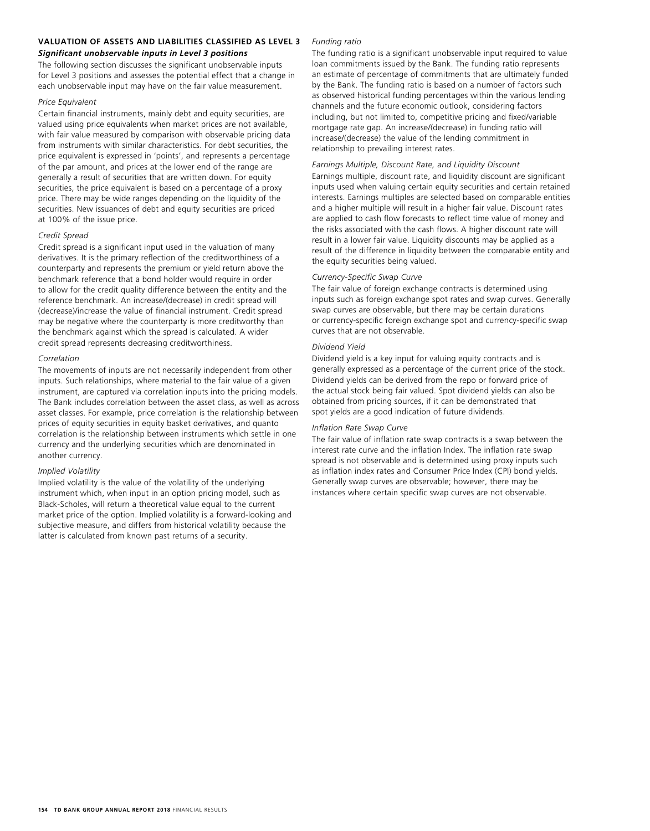## **VALUATION OF ASSETS AND LIABILITIES CLASSIFIED AS LEVEL 3** *Significant unobservable inputs in Level 3 positions*

The following section discusses the significant unobservable inputs for Level 3 positions and assesses the potential effect that a change in each unobservable input may have on the fair value measurement.

## *Price Equivalent*

Certain financial instruments, mainly debt and equity securities, are valued using price equivalents when market prices are not available, with fair value measured by comparison with observable pricing data from instruments with similar characteristics. For debt securities, the price equivalent is expressed in 'points', and represents a percentage of the par amount, and prices at the lower end of the range are generally a result of securities that are written down. For equity securities, the price equivalent is based on a percentage of a proxy price. There may be wide ranges depending on the liquidity of the securities. New issuances of debt and equity securities are priced at 100% of the issue price.

## *Credit Spread*

Credit spread is a significant input used in the valuation of many derivatives. It is the primary reflection of the creditworthiness of a counterparty and represents the premium or yield return above the benchmark reference that a bond holder would require in order to allow for the credit quality difference between the entity and the reference benchmark. An increase/(decrease) in credit spread will (decrease)/increase the value of financial instrument. Credit spread may be negative where the counterparty is more creditworthy than the benchmark against which the spread is calculated. A wider credit spread represents decreasing creditworthiness.

## *Correlation*

The movements of inputs are not necessarily independent from other inputs. Such relationships, where material to the fair value of a given instrument, are captured via correlation inputs into the pricing models. The Bank includes correlation between the asset class, as well as across asset classes. For example, price correlation is the relationship between prices of equity securities in equity basket derivatives, and quanto correlation is the relationship between instruments which settle in one currency and the underlying securities which are denominated in another currency.

## *Implied Volatility*

Implied volatility is the value of the volatility of the underlying instrument which, when input in an option pricing model, such as Black-Scholes, will return a theoretical value equal to the current market price of the option. Implied volatility is a forward-looking and subjective measure, and differs from historical volatility because the latter is calculated from known past returns of a security.

# *Funding ratio*

The funding ratio is a significant unobservable input required to value loan commitments issued by the Bank. The funding ratio represents an estimate of percentage of commitments that are ultimately funded by the Bank. The funding ratio is based on a number of factors such as observed historical funding percentages within the various lending channels and the future economic outlook, considering factors including, but not limited to, competitive pricing and fixed/variable mortgage rate gap. An increase/(decrease) in funding ratio will increase/(decrease) the value of the lending commitment in relationship to prevailing interest rates.

## *Earnings Multiple, Discount Rate, and Liquidity Discount*

Earnings multiple, discount rate, and liquidity discount are significant inputs used when valuing certain equity securities and certain retained interests. Earnings multiples are selected based on comparable entities and a higher multiple will result in a higher fair value. Discount rates are applied to cash flow forecasts to reflect time value of money and the risks associated with the cash flows. A higher discount rate will result in a lower fair value. Liquidity discounts may be applied as a result of the difference in liquidity between the comparable entity and the equity securities being valued.

## *Currency-Specific Swap Curve*

The fair value of foreign exchange contracts is determined using inputs such as foreign exchange spot rates and swap curves. Generally swap curves are observable, but there may be certain durations or currency-specific foreign exchange spot and currency-specific swap curves that are not observable.

# *Dividend Yield*

Dividend yield is a key input for valuing equity contracts and is generally expressed as a percentage of the current price of the stock. Dividend yields can be derived from the repo or forward price of the actual stock being fair valued. Spot dividend yields can also be obtained from pricing sources, if it can be demonstrated that spot yields are a good indication of future dividends.

## *Inflation Rate Swap Curve*

The fair value of inflation rate swap contracts is a swap between the interest rate curve and the inflation Index. The inflation rate swap spread is not observable and is determined using proxy inputs such as inflation index rates and Consumer Price Index (CPI) bond yields. Generally swap curves are observable; however, there may be instances where certain specific swap curves are not observable.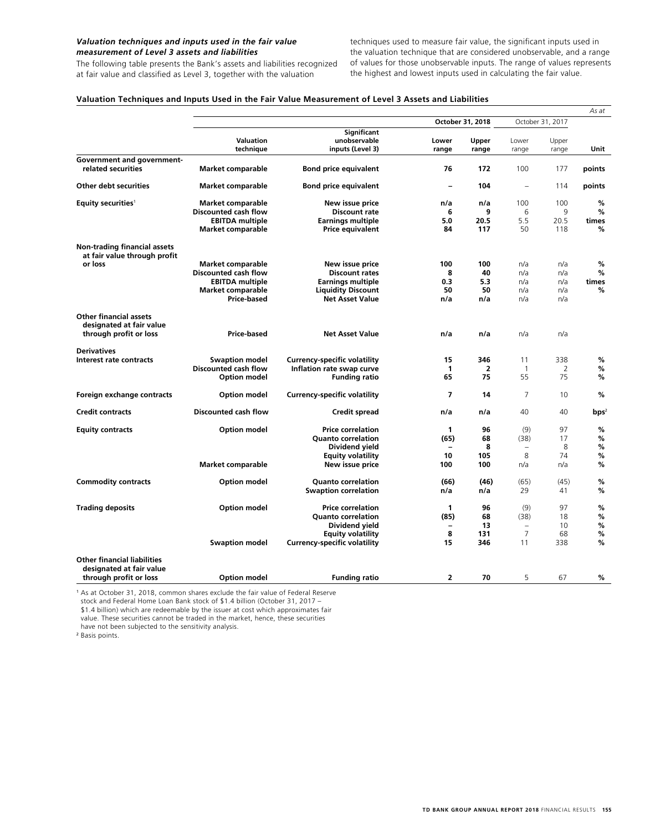## *Valuation techniques and inputs used in the fair value measurement of Level 3 assets and liabilities*

The following table presents the Bank's assets and liabilities recognized at fair value and classified as Level 3, together with the valuation

techniques used to measure fair value, the significant inputs used in the valuation technique that are considered unobservable, and a range of values for those unobservable inputs. The range of values represents the highest and lowest inputs used in calculating the fair value.

### **Valuation Techniques and Inputs Used in the Fair Value Measurement of Level 3 Assets and Liabilities**

|                                                                                     |                             |                                     |                          |                  |                          |                  | As at            |
|-------------------------------------------------------------------------------------|-----------------------------|-------------------------------------|--------------------------|------------------|--------------------------|------------------|------------------|
|                                                                                     |                             |                                     |                          | October 31, 2018 |                          | October 31, 2017 |                  |
|                                                                                     |                             | Significant                         |                          |                  |                          |                  |                  |
|                                                                                     | <b>Valuation</b>            | unobservable                        | Lower                    | Upper            | Lower                    | Upper            |                  |
|                                                                                     | technique                   | inputs (Level 3)                    | range                    | range            | range                    | range            | Unit             |
| Government and government-                                                          |                             |                                     |                          |                  |                          |                  |                  |
| related securities                                                                  | <b>Market comparable</b>    | <b>Bond price equivalent</b>        | 76                       | 172              | 100                      | 177              | points           |
|                                                                                     |                             |                                     |                          |                  |                          |                  |                  |
| <b>Other debt securities</b>                                                        | <b>Market comparable</b>    | <b>Bond price equivalent</b>        | $\overline{\phantom{0}}$ | 104              | $\qquad \qquad -$        | 114              | points           |
| Equity securities $^1$                                                              | <b>Market comparable</b>    | New issue price                     | n/a                      | n/a              | 100                      | 100              | %                |
|                                                                                     | <b>Discounted cash flow</b> | <b>Discount rate</b>                | 6                        | 9                | 6                        | 9                | %                |
|                                                                                     | <b>EBITDA</b> multiple      | <b>Earnings multiple</b>            | 5.0                      | 20.5             | 5.5                      | 20.5             | times            |
|                                                                                     | <b>Market comparable</b>    | Price equivalent                    | 84                       | 117              | 50                       | 118              | $\%$             |
| <b>Non-trading financial assets</b><br>at fair value through profit                 |                             |                                     |                          |                  |                          |                  |                  |
| or loss                                                                             | <b>Market comparable</b>    | New issue price                     | 100                      | 100              | n/a                      | n/a              | %                |
|                                                                                     | <b>Discounted cash flow</b> | <b>Discount rates</b>               | 8                        | 40               | n/a                      | n/a              | %                |
|                                                                                     | <b>EBITDA multiple</b>      | <b>Earnings multiple</b>            | 0.3                      | 5.3              | n/a                      | n/a              | times            |
|                                                                                     | <b>Market comparable</b>    | <b>Liquidity Discount</b>           | 50                       | 50               | n/a                      | n/a              | %                |
|                                                                                     | <b>Price-based</b>          | <b>Net Asset Value</b>              | n/a                      | n/a              | n/a                      | n/a              |                  |
| <b>Other financial assets</b><br>designated at fair value<br>through profit or loss | <b>Price-based</b>          | <b>Net Asset Value</b>              | n/a                      | n/a              | n/a                      | n/a              |                  |
|                                                                                     |                             |                                     |                          |                  |                          |                  |                  |
| <b>Derivatives</b><br>Interest rate contracts                                       | <b>Swaption model</b>       | <b>Currency-specific volatility</b> | 15                       | 346              | 11                       | 338              | %                |
|                                                                                     | <b>Discounted cash flow</b> | Inflation rate swap curve           | $\mathbf{1}$             | $\overline{2}$   | $\mathbf{1}$             | $\overline{2}$   | $\%$             |
|                                                                                     | <b>Option model</b>         | <b>Funding ratio</b>                |                          | 75               | 55                       | 75               | %                |
|                                                                                     |                             |                                     | 65                       |                  |                          |                  |                  |
| Foreign exchange contracts                                                          | <b>Option model</b>         | <b>Currency-specific volatility</b> | $\overline{7}$           | 14               | 7                        | 10               | %                |
| <b>Credit contracts</b>                                                             | Discounted cash flow        | <b>Credit spread</b>                | n/a                      | n/a              | 40                       | 40               | bps <sup>2</sup> |
| <b>Equity contracts</b>                                                             | <b>Option model</b>         | <b>Price correlation</b>            | 1                        | 96               | (9)                      | 97               | %                |
|                                                                                     |                             | <b>Quanto correlation</b>           | (65)                     | 68               | (38)                     | 17               | %                |
|                                                                                     |                             | Dividend yield                      |                          | 8                | ÷                        | 8                | $\%$             |
|                                                                                     |                             | <b>Equity volatility</b>            | 10                       | 105              | 8                        | 74               | $\%$             |
|                                                                                     | <b>Market comparable</b>    | New issue price                     | 100                      | 100              | n/a                      | n/a              | %                |
| <b>Commodity contracts</b>                                                          | <b>Option model</b>         | <b>Ouanto correlation</b>           | (66)                     | (46)             | (65)                     | (45)             | $\%$             |
|                                                                                     |                             | <b>Swaption correlation</b>         | n/a                      | n/a              | 29                       | 41               | %                |
|                                                                                     |                             |                                     |                          |                  |                          |                  |                  |
| <b>Trading deposits</b>                                                             | <b>Option model</b>         | <b>Price correlation</b>            | 1                        | 96               | (9)                      | 97               | %                |
|                                                                                     |                             | <b>Quanto correlation</b>           | (85)                     | 68               | (38)                     | 18               | $\%$             |
|                                                                                     |                             | Dividend yield                      | $\overline{\phantom{m}}$ | 13               | $\overline{\phantom{0}}$ | 10               | $\%$             |
|                                                                                     |                             | <b>Equity volatility</b>            | 8                        | 131              | $\overline{7}$           | 68               | $\%$             |
|                                                                                     | <b>Swaption model</b>       | <b>Currency-specific volatility</b> | 15                       | 346              | 11                       | 338              | $\%$             |
| <b>Other financial liabilities</b>                                                  |                             |                                     |                          |                  |                          |                  |                  |
| designated at fair value                                                            |                             |                                     |                          |                  |                          |                  |                  |
| through profit or loss                                                              | <b>Option model</b>         | <b>Funding ratio</b>                | 2                        | 70               | 5                        | 67               | %                |

<sup>1</sup> As at October 31, 2018, common shares exclude the fair value of Federal Reserve

stock and Federal Home Loan Bank stock of \$1.4 billion (October 31, 2017 –

\$1.4 billion) which are redeemable by the issuer at cost which approximates fair

value. These securities cannot be traded in the market, hence, these securities

have not been subjected to the sensitivity analysis.

2 Basis points.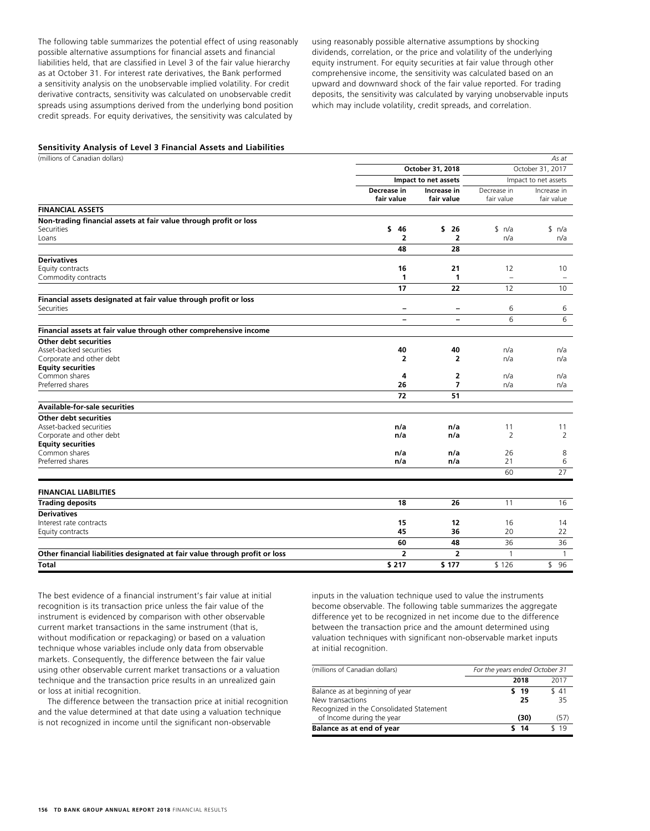The following table summarizes the potential effect of using reasonably possible alternative assumptions for financial assets and financial liabilities held, that are classified in Level 3 of the fair value hierarchy as at October 31. For interest rate derivatives, the Bank performed a sensitivity analysis on the unobservable implied volatility. For credit derivative contracts, sensitivity was calculated on unobservable credit spreads using assumptions derived from the underlying bond position credit spreads. For equity derivatives, the sensitivity was calculated by

using reasonably possible alternative assumptions by shocking dividends, correlation, or the price and volatility of the underlying equity instrument. For equity securities at fair value through other comprehensive income, the sensitivity was calculated based on an upward and downward shock of the fair value reported. For trading deposits, the sensitivity was calculated by varying unobservable inputs which may include volatility, credit spreads, and correlation.

## **Sensitivity Analysis of Level 3 Financial Assets and Liabilities**

| ------- <i>--</i> , ------, --- --                                          |                          |                          |                |                      |
|-----------------------------------------------------------------------------|--------------------------|--------------------------|----------------|----------------------|
| (millions of Canadian dollars)                                              |                          |                          |                | As at                |
|                                                                             |                          | October 31, 2018         |                | October 31, 2017     |
|                                                                             |                          | Impact to net assets     |                | Impact to net assets |
|                                                                             | Decrease in              | Increase in              | Decrease in    | Increase in          |
|                                                                             | fair value               | fair value               | fair value     | fair value           |
| <b>FINANCIAL ASSETS</b>                                                     |                          |                          |                |                      |
| Non-trading financial assets at fair value through profit or loss           |                          |                          |                |                      |
| Securities                                                                  | \$.<br>-46               | \$ 26                    | sin/a          | sin/a                |
| Loans                                                                       | 2                        | 2                        | n/a            | n/a                  |
|                                                                             | 48                       | 28                       |                |                      |
| <b>Derivatives</b>                                                          |                          |                          |                |                      |
| Equity contracts                                                            | 16                       | 21                       | 12             | 10                   |
| Commodity contracts                                                         | 1                        | 1                        |                |                      |
|                                                                             | 17                       | 22                       | 12             | 10 <sup>°</sup>      |
| Financial assets designated at fair value through profit or loss            |                          |                          |                |                      |
| Securities                                                                  |                          | $\qquad \qquad -$        | 6              | 6                    |
|                                                                             | $\overline{\phantom{a}}$ | $\overline{\phantom{0}}$ | 6              | 6                    |
| Financial assets at fair value through other comprehensive income           |                          |                          |                |                      |
| <b>Other debt securities</b>                                                |                          |                          |                |                      |
| Asset-backed securities                                                     | 40                       | 40                       | n/a            | n/a                  |
| Corporate and other debt                                                    | 2                        | 2                        | n/a            | n/a                  |
| <b>Equity securities</b>                                                    |                          |                          |                |                      |
| Common shares                                                               | 4                        | 2                        | n/a            | n/a                  |
| Preferred shares                                                            | 26                       | $\overline{\phantom{a}}$ | n/a            | n/a                  |
|                                                                             | 72                       | 51                       |                |                      |
| <b>Available-for-sale securities</b>                                        |                          |                          |                |                      |
| <b>Other debt securities</b>                                                |                          |                          |                |                      |
| Asset-backed securities                                                     | n/a                      | n/a                      | 11             | 11                   |
| Corporate and other debt                                                    | n/a                      | n/a                      | $\overline{2}$ | 2                    |
| <b>Equity securities</b>                                                    |                          |                          |                |                      |
| Common shares                                                               | n/a                      | n/a                      | 26             | 8                    |
| Preferred shares                                                            | n/a                      | n/a                      | 21             | 6                    |
|                                                                             |                          |                          | 60             | 27                   |
| <b>FINANCIAL LIABILITIES</b>                                                |                          |                          |                |                      |
| <b>Trading deposits</b>                                                     | 18                       | 26                       | 11             | 16                   |
| <b>Derivatives</b>                                                          |                          |                          |                |                      |
| Interest rate contracts                                                     | 15                       | 12                       | 16             | 14                   |
| Equity contracts                                                            | 45                       | 36                       | 20             | 22                   |
|                                                                             | 60                       | 48                       | 36             | 36                   |
| Other financial liabilities designated at fair value through profit or loss | 2                        | 2                        | 1              | $\mathbf{1}$         |
| <b>Total</b>                                                                | \$217                    | \$177                    | \$126          | 96<br>\$             |

The best evidence of a financial instrument's fair value at initial recognition is its transaction price unless the fair value of the instrument is evidenced by comparison with other observable current market transactions in the same instrument (that is, without modification or repackaging) or based on a valuation technique whose variables include only data from observable markets. Consequently, the difference between the fair value using other observable current market transactions or a valuation technique and the transaction price results in an unrealized gain or loss at initial recognition.

The difference between the transaction price at initial recognition and the value determined at that date using a valuation technique is not recognized in income until the significant non-observable

inputs in the valuation technique used to value the instruments become observable. The following table summarizes the aggregate difference yet to be recognized in net income due to the difference between the transaction price and the amount determined using valuation techniques with significant non-observable market inputs at initial recognition.

| (millions of Canadian dollars)           | For the years ended October 31 |      |  |
|------------------------------------------|--------------------------------|------|--|
|                                          | 2018                           | 2017 |  |
| Balance as at beginning of year          | - 19                           | \$41 |  |
| New transactions                         | 25                             | 35   |  |
| Recognized in the Consolidated Statement |                                |      |  |
| of Income during the year                | (30)                           | (57) |  |
| <b>Balance as at end of year</b>         | -14                            | \$19 |  |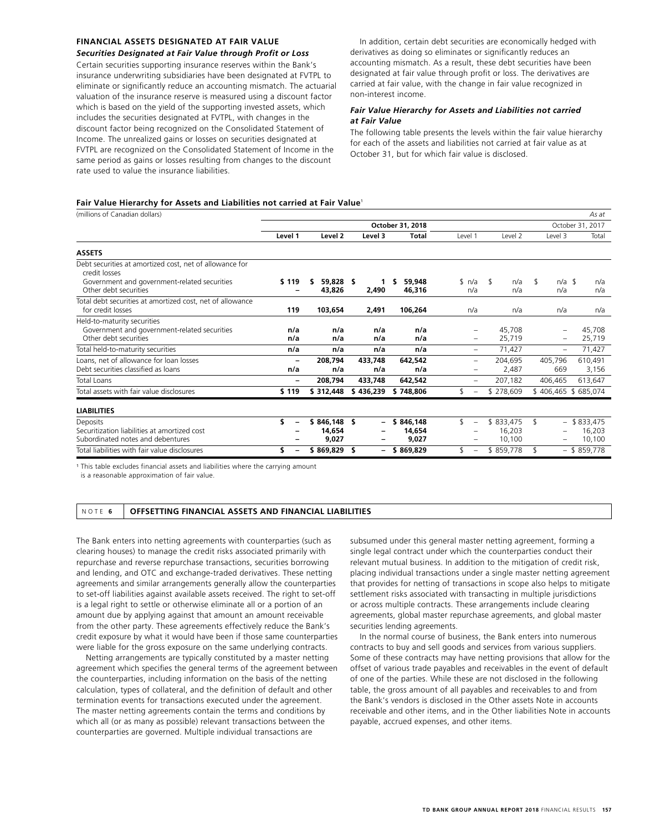## **FINANCIAL ASSETS DESIGNATED AT FAIR VALUE** *Securities Designated at Fair Value through Profit or Loss*

Certain securities supporting insurance reserves within the Bank's insurance underwriting subsidiaries have been designated at FVTPL to eliminate or significantly reduce an accounting mismatch. The actuarial valuation of the insurance reserve is measured using a discount factor which is based on the yield of the supporting invested assets, which includes the securities designated at FVTPL, with changes in the discount factor being recognized on the Consolidated Statement of Income. The unrealized gains or losses on securities designated at FVTPL are recognized on the Consolidated Statement of Income in the same period as gains or losses resulting from changes to the discount rate used to value the insurance liabilities.

In addition, certain debt securities are economically hedged with derivatives as doing so eliminates or significantly reduces an accounting mismatch. As a result, these debt securities have been designated at fair value through profit or loss. The derivatives are carried at fair value, with the change in fair value recognized in non-interest income.

## *Fair Value Hierarchy for Assets and Liabilities not carried at Fair Value*

The following table presents the levels within the fair value hierarchy for each of the assets and liabilities not carried at fair value as at October 31, but for which fair value is disclosed.

## **Fair Value Hierarchy for Assets and Liabilities not carried at Fair Value**<sup>1</sup>

|         |           |           |                                        |                         |                      | As at                              |  |  |
|---------|-----------|-----------|----------------------------------------|-------------------------|----------------------|------------------------------------|--|--|
|         |           |           |                                        | October 31, 2017        |                      |                                    |  |  |
| Level 1 | Level 2   | Level 3   | <b>Total</b>                           | Level 1                 | Level 2              | Level 3<br>Total                   |  |  |
|         |           |           |                                        |                         |                      |                                    |  |  |
|         |           |           |                                        |                         |                      |                                    |  |  |
| \$119   | s         |           | 59,948<br>s                            | sin/a                   | $\mathcal{S}$<br>n/a | \$.<br>$n/a \simeq$<br>n/a         |  |  |
|         | 43,826    | 2,490     | 46,316                                 | n/a                     | n/a                  | n/a<br>n/a                         |  |  |
|         |           |           |                                        |                         |                      |                                    |  |  |
| 119     | 103,654   | 2,491     | 106,264                                | n/a                     | n/a                  | n/a<br>n/a                         |  |  |
|         |           |           |                                        |                         |                      |                                    |  |  |
| n/a     | n/a       | n/a       | n/a                                    | -                       | 45,708               | 45,708<br>$\overline{\phantom{a}}$ |  |  |
| n/a     | n/a       | n/a       |                                        | -                       | 25,719               | 25,719<br>$\overline{\phantom{0}}$ |  |  |
| n/a     | n/a       | n/a       | n/a                                    | -                       | 71,427               | 71,427<br>$\overline{\phantom{0}}$ |  |  |
| -       | 208,794   | 433,748   | 642,542                                | -                       | 204,695              | 610,491<br>405,796                 |  |  |
| n/a     | n/a       | n/a       | n/a                                    | -                       | 2,487                | 669<br>3,156                       |  |  |
| -       | 208,794   | 433,748   | 642,542                                | -                       | 207,182              | 613,647<br>406,465                 |  |  |
| \$119   | \$312,448 | \$436,239 | \$748,806                              |                         | \$278,609            | \$406,465 \$685,074                |  |  |
|         |           |           |                                        |                         |                      |                                    |  |  |
| Ś.<br>۳ |           | Ξ.        | \$846,148                              | \$                      | \$833,475            | \$<br>$-$ \$833,475                |  |  |
|         | 14,654    |           | 14,654                                 |                         | 16,203               | 16,203                             |  |  |
|         | 9,027     |           | 9,027                                  |                         | 10,100               | 10,100<br>$\qquad \qquad -$        |  |  |
| s<br>-  |           | -S<br>-   | \$869,829                              | \$                      | \$859,778            | \$<br>$-$ \$ 859,778               |  |  |
|         |           |           | 59,828 \$<br>\$846.148 \$<br>\$869,829 | October 31, 2018<br>n/a |                      |                                    |  |  |

<sup>1</sup> This table excludes financial assets and liabilities where the carrying amount

is a reasonable approximation of fair value.

#### NOTE **6 OFFSETTING FINANCIAL ASSETS AND FINANCIAL LIABILITIES**

The Bank enters into netting agreements with counterparties (such as clearing houses) to manage the credit risks associated primarily with repurchase and reverse repurchase transactions, securities borrowing and lending, and OTC and exchange-traded derivatives. These netting agreements and similar arrangements generally allow the counterparties to set-off liabilities against available assets received. The right to set-off is a legal right to settle or otherwise eliminate all or a portion of an amount due by applying against that amount an amount receivable from the other party. These agreements effectively reduce the Bank's credit exposure by what it would have been if those same counterparties were liable for the gross exposure on the same underlying contracts.

Netting arrangements are typically constituted by a master netting agreement which specifies the general terms of the agreement between the counterparties, including information on the basis of the netting calculation, types of collateral, and the definition of default and other termination events for transactions executed under the agreement. The master netting agreements contain the terms and conditions by which all (or as many as possible) relevant transactions between the counterparties are governed. Multiple individual transactions are

subsumed under this general master netting agreement, forming a single legal contract under which the counterparties conduct their relevant mutual business. In addition to the mitigation of credit risk, placing individual transactions under a single master netting agreement that provides for netting of transactions in scope also helps to mitigate settlement risks associated with transacting in multiple jurisdictions or across multiple contracts. These arrangements include clearing agreements, global master repurchase agreements, and global master securities lending agreements.

In the normal course of business, the Bank enters into numerous contracts to buy and sell goods and services from various suppliers. Some of these contracts may have netting provisions that allow for the offset of various trade payables and receivables in the event of default of one of the parties. While these are not disclosed in the following table, the gross amount of all payables and receivables to and from the Bank's vendors is disclosed in the Other assets Note in accounts receivable and other items, and in the Other liabilities Note in accounts payable, accrued expenses, and other items.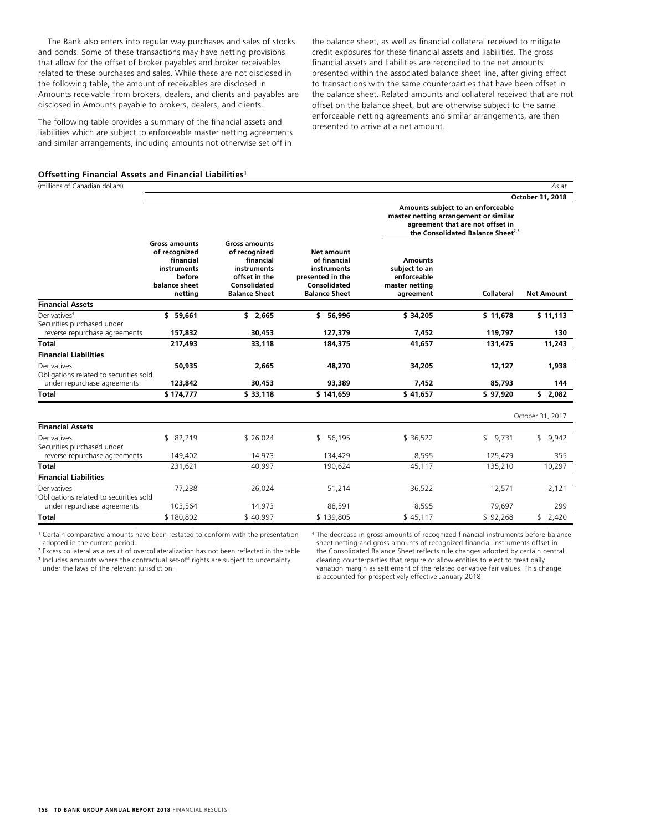The Bank also enters into regular way purchases and sales of stocks and bonds. Some of these transactions may have netting provisions that allow for the offset of broker payables and broker receivables related to these purchases and sales. While these are not disclosed in the following table, the amount of receivables are disclosed in Amounts receivable from brokers, dealers, and clients and payables are disclosed in Amounts payable to brokers, dealers, and clients.

The following table provides a summary of the financial assets and liabilities which are subject to enforceable master netting agreements and similar arrangements, including amounts not otherwise set off in

the balance sheet, as well as financial collateral received to mitigate credit exposures for these financial assets and liabilities. The gross financial assets and liabilities are reconciled to the net amounts presented within the associated balance sheet line, after giving effect to transactions with the same counterparties that have been offset in the balance sheet. Related amounts and collateral received that are not offset on the balance sheet, but are otherwise subject to the same enforceable netting agreements and similar arrangements, are then presented to arrive at a net amount.

## **Offsetting Financial Assets and Financial Liabilities1**

| (millions of Canadian dollars)         |                                                                                                         |                                                                                                                                   |                                                                                                       |                                                                               |                                               | As at             |
|----------------------------------------|---------------------------------------------------------------------------------------------------------|-----------------------------------------------------------------------------------------------------------------------------------|-------------------------------------------------------------------------------------------------------|-------------------------------------------------------------------------------|-----------------------------------------------|-------------------|
|                                        |                                                                                                         |                                                                                                                                   |                                                                                                       |                                                                               |                                               | October 31, 2018  |
|                                        |                                                                                                         |                                                                                                                                   |                                                                                                       |                                                                               | Amounts subject to an enforceable             |                   |
|                                        |                                                                                                         |                                                                                                                                   |                                                                                                       | master netting arrangement or similar                                         |                                               |                   |
|                                        |                                                                                                         |                                                                                                                                   |                                                                                                       |                                                                               | agreement that are not offset in              |                   |
|                                        |                                                                                                         |                                                                                                                                   |                                                                                                       |                                                                               | the Consolidated Balance Sheet <sup>2,3</sup> |                   |
|                                        | <b>Gross amounts</b><br>of recognized<br>financial<br>instruments<br>before<br>balance sheet<br>netting | <b>Gross amounts</b><br>of recognized<br>financial<br>instruments<br>offset in the<br><b>Consolidated</b><br><b>Balance Sheet</b> | Net amount<br>of financial<br>instruments<br>presented in the<br>Consolidated<br><b>Balance Sheet</b> | <b>Amounts</b><br>subject to an<br>enforceable<br>master netting<br>agreement | Collateral                                    | <b>Net Amount</b> |
| <b>Financial Assets</b>                |                                                                                                         |                                                                                                                                   |                                                                                                       |                                                                               |                                               |                   |
| Derivatives <sup>4</sup>               | \$ 59,661                                                                                               | \$2,665                                                                                                                           | s.<br>56,996                                                                                          | \$34,205                                                                      | \$11,678                                      | \$11,113          |
| Securities purchased under             |                                                                                                         |                                                                                                                                   |                                                                                                       |                                                                               |                                               |                   |
| reverse repurchase agreements          | 157.832                                                                                                 | 30.453                                                                                                                            | 127,379                                                                                               | 7.452                                                                         | 119,797                                       | 130               |
| Total                                  | 217,493                                                                                                 | 33,118                                                                                                                            | 184,375                                                                                               | 41,657                                                                        | 131,475                                       | 11,243            |
| <b>Financial Liabilities</b>           |                                                                                                         |                                                                                                                                   |                                                                                                       |                                                                               |                                               |                   |
| <b>Derivatives</b>                     | 50,935                                                                                                  | 2,665                                                                                                                             | 48,270                                                                                                | 34,205                                                                        | 12,127                                        | 1,938             |
| Obligations related to securities sold |                                                                                                         |                                                                                                                                   |                                                                                                       |                                                                               |                                               |                   |
| under repurchase agreements            | 123,842                                                                                                 | 30.453                                                                                                                            | 93,389                                                                                                | 7.452                                                                         | 85,793                                        | 144               |
| <b>Total</b>                           | \$174,777                                                                                               | \$33,118                                                                                                                          | \$141,659                                                                                             | \$41,657                                                                      | \$97,920                                      | \$2,082           |
|                                        |                                                                                                         |                                                                                                                                   |                                                                                                       |                                                                               |                                               | October 31, 2017  |
| <b>Financial Assets</b>                |                                                                                                         |                                                                                                                                   |                                                                                                       |                                                                               |                                               |                   |
| Derivatives                            | \$82,219                                                                                                | \$26,024                                                                                                                          | 56,195<br>\$                                                                                          | \$36,522                                                                      | \$9,731                                       | \$9,942           |
| Securities purchased under             |                                                                                                         |                                                                                                                                   |                                                                                                       |                                                                               |                                               |                   |
| reverse repurchase agreements          | 149,402                                                                                                 | 14,973                                                                                                                            | 134,429                                                                                               | 8,595                                                                         | 125,479                                       | 355               |
| Total                                  | 231,621                                                                                                 | 40,997                                                                                                                            | 190,624                                                                                               | 45,117                                                                        | 135,210                                       | 10,297            |
| <b>Financial Liabilities</b>           |                                                                                                         |                                                                                                                                   |                                                                                                       |                                                                               |                                               |                   |
| <b>Derivatives</b>                     | 77,238                                                                                                  | 26,024                                                                                                                            | 51,214                                                                                                | 36,522                                                                        | 12,571                                        | 2,121             |
| Obligations related to securities sold |                                                                                                         |                                                                                                                                   |                                                                                                       |                                                                               |                                               |                   |
| under repurchase agreements            | 103,564                                                                                                 | 14,973                                                                                                                            | 88,591                                                                                                | 8,595                                                                         | 79,697                                        | 299               |
| <b>Total</b>                           | \$180,802                                                                                               | \$40,997                                                                                                                          | \$139,805                                                                                             | \$45,117                                                                      | \$92,268                                      | \$2,420           |

<sup>1</sup> Certain comparative amounts have been restated to conform with the presentation adopted in the current period.

<sup>2</sup> Excess collateral as a result of overcollateralization has not been reflected in the table. <sup>3</sup> Includes amounts where the contractual set-off rights are subject to uncertainty under the laws of the relevant jurisdiction.

<sup>4</sup> The decrease in gross amounts of recognized financial instruments before balance sheet netting and gross amounts of recognized financial instruments offset in the Consolidated Balance Sheet reflects rule changes adopted by certain central clearing counterparties that require or allow entities to elect to treat daily variation margin as settlement of the related derivative fair values. This change is accounted for prospectively effective January 2018.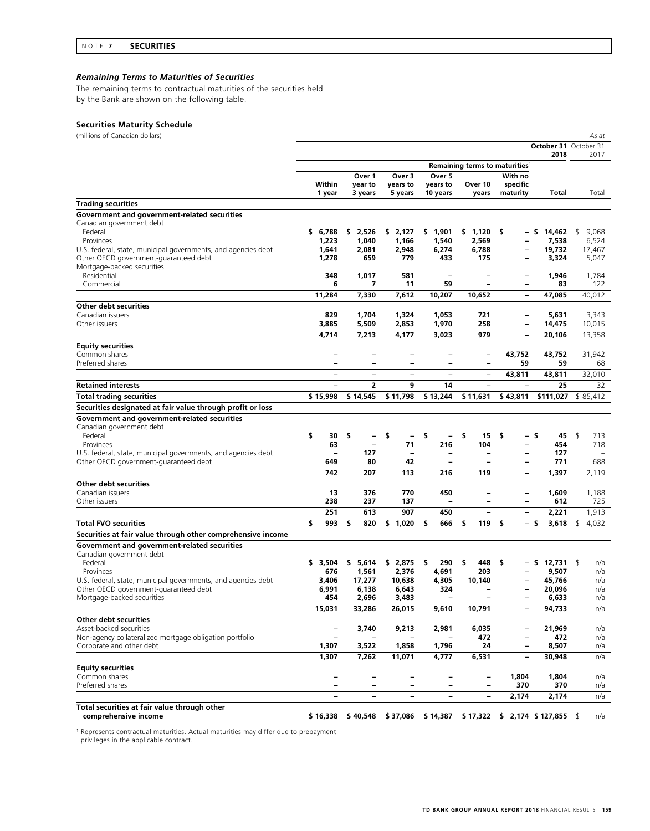# *Remaining Terms to Maturities of Securities*

The remaining terms to contractual maturities of the securities held by the Bank are shown on the following table.

#### **Securities Maturity Schedule**

| (millions of Canadian dollars)                                                                         |                          |                          |                                |                               |                                |                          |                                                                   | As at                |
|--------------------------------------------------------------------------------------------------------|--------------------------|--------------------------|--------------------------------|-------------------------------|--------------------------------|--------------------------|-------------------------------------------------------------------|----------------------|
|                                                                                                        |                          |                          |                                |                               |                                |                          | October 31 October 31<br>2018                                     | 2017                 |
|                                                                                                        |                          |                          |                                |                               | Remaining terms to maturities' |                          |                                                                   |                      |
|                                                                                                        |                          | Over 1                   | Over 3                         | Over 5                        |                                | With no                  |                                                                   |                      |
|                                                                                                        | Within<br>1 year         | year to<br>3 years       | years to<br>5 years            | years to<br>10 years          | Over 10<br>years               | specific<br>maturity     | Total                                                             | Total                |
| <b>Trading securities</b>                                                                              |                          |                          |                                |                               |                                |                          |                                                                   |                      |
| Government and government-related securities                                                           |                          |                          |                                |                               |                                |                          |                                                                   |                      |
| Canadian government debt                                                                               |                          |                          |                                |                               |                                |                          |                                                                   |                      |
| Federal<br>Provinces                                                                                   | \$ 6,788<br>1,223        | \$2,526<br>1,040         | \$2,127<br>1,166               | \$1,901<br>1,540              | \$1,120<br>2,569               | - \$                     | $-5$ 14,462<br>7,538                                              | \$<br>9,068<br>6,524 |
| U.S. federal, state, municipal governments, and agencies debt                                          | 1,641                    | 2,081                    | 2,948                          | 6,274                         | 6,788                          |                          | 19.732                                                            | 17,467               |
| Other OECD government-guaranteed debt                                                                  | 1,278                    | 659                      | 779                            | 433                           | 175                            |                          | 3,324                                                             | 5,047                |
| Mortgage-backed securities                                                                             |                          |                          |                                |                               |                                |                          |                                                                   |                      |
| Residential                                                                                            | 348                      | 1,017                    | 581                            |                               | $\overline{\phantom{0}}$       |                          | 1,946                                                             | 1,784                |
| Commercial                                                                                             | 6                        | 7                        | 11                             | 59                            |                                |                          | 83                                                                | 122                  |
|                                                                                                        | 11,284                   | 7,330                    | 7,612                          | 10,207                        | 10,652                         | $\overline{\phantom{a}}$ | 47,085                                                            | 40,012               |
| <b>Other debt securities</b><br>Canadian issuers                                                       | 829                      | 1,704                    | 1,324                          | 1,053                         | 721                            | $\qquad \qquad -$        | 5,631                                                             | 3,343                |
| Other issuers                                                                                          | 3,885                    | 5,509                    | 2,853                          | 1,970                         | 258                            |                          | 14,475                                                            | 10,015               |
|                                                                                                        | 4,714                    | 7,213                    | 4,177                          | 3,023                         | 979                            | $\overline{\phantom{a}}$ | 20,106                                                            | 13,358               |
| <b>Equity securities</b>                                                                               |                          |                          |                                |                               |                                |                          |                                                                   |                      |
| Common shares                                                                                          | $\overline{\phantom{0}}$ | ÷                        | $\overline{\phantom{0}}$       | $\overline{\phantom{0}}$      | $\overline{\phantom{0}}$       | 43,752                   | 43,752                                                            | 31,942               |
| Preferred shares                                                                                       |                          | -                        |                                |                               | -                              | 59                       | 59                                                                | 68                   |
|                                                                                                        |                          | -                        | $\qquad \qquad -$              |                               | $\qquad \qquad -$              | 43,811                   | 43,811                                                            | 32,010               |
| <b>Retained interests</b>                                                                              | ÷                        | $\overline{2}$           | 9                              | 14                            | $\overline{\phantom{0}}$       | $\overline{\phantom{0}}$ | 25                                                                | 32                   |
| <b>Total trading securities</b>                                                                        | \$15,998                 | \$14,545                 | \$11,798                       | \$13,244                      | \$11,631                       | \$43,811                 | \$111,027                                                         | \$85,412             |
| Securities designated at fair value through profit or loss                                             |                          |                          |                                |                               |                                |                          |                                                                   |                      |
| Government and government-related securities                                                           |                          |                          |                                |                               |                                |                          |                                                                   |                      |
| Canadian government debt                                                                               |                          |                          |                                |                               |                                |                          |                                                                   |                      |
| Federal                                                                                                | s<br>30                  | \$<br>-                  | \$<br>$\overline{\phantom{0}}$ | s<br>$\overline{\phantom{0}}$ | \$<br>15                       | S                        | - s<br>45                                                         | \$<br>713            |
| Provinces                                                                                              | 63                       | ÷                        | 71                             | 216                           | 104                            | $\overline{\phantom{0}}$ | 454                                                               | 718<br>$\sim$        |
| U.S. federal, state, municipal governments, and agencies debt<br>Other OECD government-guaranteed debt | 649                      | 127<br>80                | $\overline{\phantom{0}}$<br>42 |                               | $\overline{\phantom{0}}$       |                          | 127<br>771                                                        | 688                  |
|                                                                                                        | 742                      | 207                      | 113                            | 216                           | 119                            | $\qquad \qquad$          | 1,397                                                             | 2,119                |
| <b>Other debt securities</b>                                                                           |                          |                          |                                |                               |                                |                          |                                                                   |                      |
| Canadian issuers                                                                                       | 13                       | 376                      | 770                            | 450                           | $\overline{a}$                 | $\qquad \qquad -$        | 1,609                                                             | 1,188                |
| Other issuers                                                                                          | 238                      | 237                      | 137                            |                               | -                              |                          | 612                                                               | 725                  |
|                                                                                                        | 251                      | 613                      | 907                            | 450                           | $\qquad \qquad -$              | $\overline{\phantom{a}}$ | 2,221                                                             | 1,913                |
| <b>Total FVO securities</b>                                                                            | \$<br>993                | \$<br>820                | \$1,020                        | \$<br>666                     | \$<br>119                      | \$                       | - s<br>3,618                                                      | \$<br>4,032          |
| Securities at fair value through other comprehensive income                                            |                          |                          |                                |                               |                                |                          |                                                                   |                      |
| Government and government-related securities                                                           |                          |                          |                                |                               |                                |                          |                                                                   |                      |
| Canadian government debt                                                                               |                          |                          |                                |                               |                                |                          |                                                                   |                      |
| Federal                                                                                                | \$3,504                  | \$5,614                  | \$2,875                        | \$<br>290                     | Ŝ.<br>448                      | - \$                     | - \$12,731 \$                                                     | n/a                  |
| Provinces<br>U.S. federal, state, municipal governments, and agencies debt                             | 676<br>3,406             | 1,561<br>17,277          | 2,376<br>10,638                | 4,691<br>4,305                | 203<br>10,140                  |                          | 9,507<br>45,766                                                   | n/a<br>n/a           |
| Other OECD government-guaranteed debt                                                                  | 6,991                    | 6,138                    | 6,643                          | 324                           |                                |                          | 20,096                                                            | n/a                  |
| Mortgage-backed securities                                                                             | 454                      | 2,696                    | 3,483                          | $\overline{\phantom{a}}$      | $\overline{\phantom{0}}$       |                          | 6,633                                                             | n/a                  |
|                                                                                                        | 15,031                   | 33,286                   | 26,015                         | 9,610                         | 10,791                         |                          | 94,733                                                            | n/a                  |
| <b>Other debt securities</b>                                                                           |                          |                          |                                |                               |                                |                          |                                                                   |                      |
| Asset-backed securities                                                                                | -                        | 3,740                    | 9,213                          | 2,981                         | 6,035                          |                          | 21,969                                                            | n/a                  |
| Non-agency collateralized mortgage obligation portfolio                                                |                          |                          |                                |                               | 472                            |                          | 472                                                               | n/a                  |
| Corporate and other debt                                                                               | 1,307                    | 3,522                    | 1,858                          | 1,796                         | 24                             | $\overline{\phantom{0}}$ | 8,507                                                             | n/a                  |
|                                                                                                        | 1,307                    | 7,262                    | 11,071                         | 4,777                         | 6,531                          | $\qquad \qquad -$        | 30,948                                                            | n/a                  |
| <b>Equity securities</b><br>Common shares                                                              |                          |                          |                                |                               | -                              | 1,804                    | 1,804                                                             |                      |
| Preferred shares                                                                                       | -                        | -<br>÷                   |                                |                               | $\overline{\phantom{0}}$       | 370                      | 370                                                               | n/a<br>n/a           |
|                                                                                                        | ÷                        | $\overline{\phantom{0}}$ | $\overline{\phantom{0}}$       | $\overline{\phantom{a}}$      | $\overline{\phantom{0}}$       | 2,174                    | 2,174                                                             | n/a                  |
| Total securities at fair value through other                                                           |                          |                          |                                |                               |                                |                          |                                                                   |                      |
| comprehensive income                                                                                   |                          |                          |                                |                               |                                |                          | \$16,338 \$40,548 \$37,086 \$14,387 \$17,322 \$2,174 \$127,855 \$ | n/a                  |

<sup>1</sup> Represents contractual maturities. Actual maturities may differ due to prepayment privileges in the applicable contract.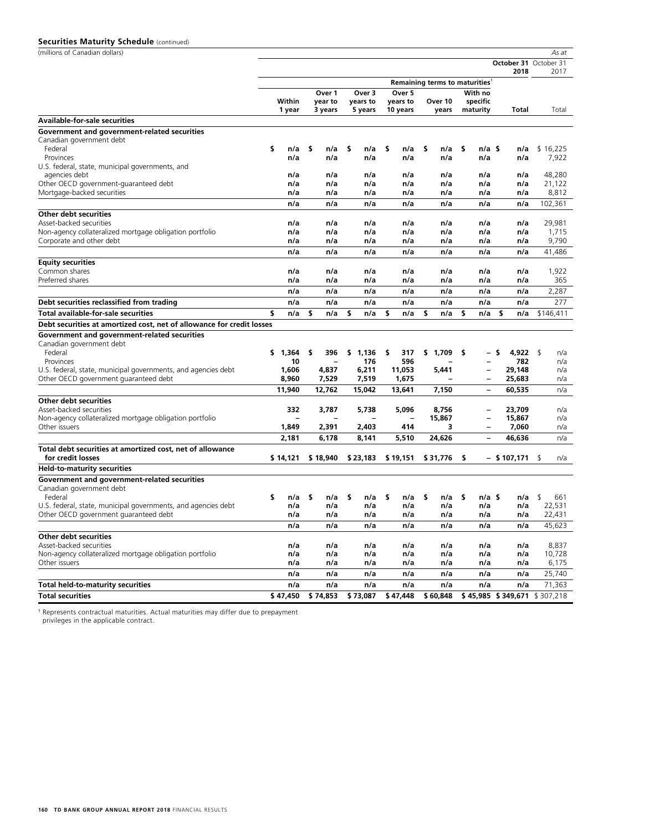#### **Securities Maturity Schedule** (continued)

(millions of Canadian dollars) *As at*

|                                                                                    |                  |            |    |                    |                     |    |                      |                               |    |                          |      | 2018        | October 31 October 31        | 2017  |
|------------------------------------------------------------------------------------|------------------|------------|----|--------------------|---------------------|----|----------------------|-------------------------------|----|--------------------------|------|-------------|------------------------------|-------|
|                                                                                    |                  |            |    |                    |                     |    |                      | Remaining terms to maturities |    |                          |      |             |                              |       |
|                                                                                    |                  |            |    | Over 1             | Over 3              |    | Over 5               |                               |    | With no                  |      |             |                              |       |
|                                                                                    | Within<br>1 year |            |    | year to<br>3 years | years to<br>5 years |    | years to<br>10 years | Over 10<br>years              |    | specific<br>maturity     |      | Total       |                              | Total |
| <b>Available-for-sale securities</b>                                               |                  |            |    |                    |                     |    |                      |                               |    |                          |      |             |                              |       |
| Government and government-related securities                                       |                  |            |    |                    |                     |    |                      |                               |    |                          |      |             |                              |       |
| Canadian government debt                                                           |                  |            |    |                    |                     |    |                      |                               |    |                          |      |             |                              |       |
| Federal                                                                            | Ś.               | n/a        | -S | n/a                | \$<br>n/a           | s  | n/a                  | \$<br>n/a                     | s  | $n/a$ \$                 |      | n/a         | \$16,225                     |       |
| Provinces                                                                          |                  | n/a        |    | n/a                | n/a                 |    | n/a                  | n/a                           |    | n/a                      |      | n/a         |                              | 7,922 |
| U.S. federal, state, municipal governments, and                                    |                  |            |    |                    |                     |    |                      |                               |    |                          |      |             |                              |       |
| agencies debt                                                                      |                  | n/a        |    | n/a                | n/a                 |    | n/a                  | n/a                           |    | n/a                      |      | n/a         | 48.280                       |       |
| Other OECD government-guaranteed debt                                              |                  | n/a        |    | n/a                | n/a                 |    | n/a                  | n/a                           |    | n/a                      |      | n/a         | 21,122                       |       |
| Mortgage-backed securities                                                         |                  | n/a        |    | n/a                | n/a                 |    | n/a                  | n/a                           |    | n/a                      |      | n/a         |                              | 8.812 |
|                                                                                    |                  | n/a        |    | n/a                | n/a                 |    | n/a                  | n/a                           |    | n/a                      |      | n/a         | 102,361                      |       |
| <b>Other debt securities</b>                                                       |                  |            |    |                    |                     |    |                      |                               |    |                          |      |             |                              |       |
| Asset-backed securities<br>Non-agency collateralized mortgage obligation portfolio |                  | n/a<br>n/a |    | n/a<br>n/a         | n/a<br>n/a          |    | n/a<br>n/a           | n/a<br>n/a                    |    | n/a<br>n/a               |      | n/a<br>n/a  | 29,981                       | 1,715 |
| Corporate and other debt                                                           |                  | n/a        |    | n/a                | n/a                 |    | n/a                  | n/a                           |    | n/a                      |      | n/a         |                              | 9,790 |
|                                                                                    |                  | n/a        |    | n/a                | n/a                 |    | n/a                  | n/a                           |    | n/a                      |      | n/a         | 41,486                       |       |
| <b>Equity securities</b>                                                           |                  |            |    |                    |                     |    |                      |                               |    |                          |      |             |                              |       |
| Common shares                                                                      |                  | n/a        |    | n/a                | n/a                 |    | n/a                  | n/a                           |    | n/a                      |      | n/a         |                              | 1,922 |
| Preferred shares                                                                   |                  | n/a        |    | n/a                | n/a                 |    | n/a                  | n/a                           |    | n/a                      |      | n/a         |                              | 365   |
|                                                                                    |                  | n/a        |    | n/a                | n/a                 |    | n/a                  | n/a                           |    | n/a                      |      | n/a         |                              | 2.287 |
| Debt securities reclassified from trading                                          |                  | n/a        |    | n/a                | n/a                 |    | n/a                  | n/a                           |    | n/a                      |      | n/a         |                              | 277   |
| Total available-for-sale securities                                                | Ŝ.               | n/a        | \$ | n/a                | \$<br>n/a           | \$ | n/a                  | \$<br>n/a                     | \$ | n/a                      | \$   | n/a         | \$146,411                    |       |
| Debt securities at amortized cost, net of allowance for credit losses              |                  |            |    |                    |                     |    |                      |                               |    |                          |      |             |                              |       |
| Government and government-related securities                                       |                  |            |    |                    |                     |    |                      |                               |    |                          |      |             |                              |       |
| Canadian government debt                                                           |                  |            |    |                    |                     |    |                      |                               |    |                          |      |             |                              |       |
| Federal                                                                            | 1,364<br>۰       |            | Ŝ. | 396                | \$1,136             | \$ | 317                  | \$1.709                       | \$ |                          | - \$ | 4,922 \$    |                              | n/a   |
| Provinces                                                                          |                  | 10         |    |                    | 176                 |    | 596                  |                               |    |                          |      | 782         |                              | n/a   |
| U.S. federal, state, municipal governments, and agencies debt                      |                  | 1.606      |    | 4.837              | 6.211               |    | 11,053               | 5.441                         |    | $\overline{\phantom{0}}$ |      | 29,148      |                              | n/a   |
| Other OECD government guaranteed debt                                              |                  | 8,960      |    | 7,529              | 7,519               |    | 1,675                |                               |    | $\equiv$                 |      | 25,683      |                              | n/a   |
|                                                                                    | 11,940           |            |    | 12,762             | 15,042              |    | 13,641               | 7,150                         |    | $\overline{\phantom{a}}$ |      | 60,535      |                              | n/a   |
| <b>Other debt securities</b>                                                       |                  |            |    |                    |                     |    |                      |                               |    |                          |      |             |                              |       |
| Asset-backed securities                                                            |                  | 332        |    | 3,787              | 5,738               |    | 5,096                | 8,756                         |    | $\overline{\phantom{a}}$ |      | 23,709      |                              | n/a   |
| Non-agency collateralized mortgage obligation portfolio                            |                  |            |    |                    |                     |    |                      | 15,867                        |    | $\overline{\phantom{m}}$ |      | 15,867      |                              | n/a   |
| Other issuers                                                                      |                  | 1,849      |    | 2,391              | 2,403               |    | 414                  | 3                             |    |                          |      | 7,060       |                              | n/a   |
|                                                                                    |                  | 2,181      |    | 6,178              | 8,141               |    | 5,510                | 24,626                        |    | $\overline{\phantom{m}}$ |      | 46,636      |                              | n/a   |
| Total debt securities at amortized cost, net of allowance<br>for credit losses     |                  |            |    |                    |                     |    |                      | \$31,776                      | \$ |                          |      |             | Ŝ.                           |       |
|                                                                                    | \$14,121         |            |    | \$18,940           | \$23,183            |    | \$19,151             |                               |    |                          |      | $-5107,171$ |                              | n/a   |
| <b>Held-to-maturity securities</b>                                                 |                  |            |    |                    |                     |    |                      |                               |    |                          |      |             |                              |       |
| Government and government-related securities<br>Canadian government debt           |                  |            |    |                    |                     |    |                      |                               |    |                          |      |             |                              |       |
| Federal                                                                            | s                | n/a        | s  | n/a                | \$<br>n/a           | \$ | n/a                  | \$<br>n/a                     | \$ | $n/a$ \$                 |      | n/a         | \$                           | 661   |
| U.S. federal, state, municipal governments, and agencies debt                      |                  | n/a        |    | n/a                | n/a                 |    | n/a                  | n/a                           |    | n/a                      |      | n/a         | 22,531                       |       |
| Other OECD government guaranteed debt                                              |                  | n/a        |    | n/a                | n/a                 |    | n/a                  | n/a                           |    | n/a                      |      | n/a         | 22,431                       |       |
|                                                                                    |                  | n/a        |    | n/a                | n/a                 |    | n/a                  | n/a                           |    | n/a                      |      | n/a         | 45.623                       |       |
| <b>Other debt securities</b>                                                       |                  |            |    |                    |                     |    |                      |                               |    |                          |      |             |                              |       |
| Asset-backed securities                                                            |                  | n/a        |    | n/a                | n/a                 |    | n/a                  | n/a                           |    | n/a                      |      | n/a         |                              | 8,837 |
| Non-agency collateralized mortgage obligation portfolio                            |                  | n/a        |    | n/a                | n/a                 |    | n/a                  | n/a                           |    | n/a                      |      | n/a         | 10.728                       |       |
| Other issuers                                                                      |                  | n/a        |    | n/a                | n/a                 |    | n/a                  | n/a                           |    | n/a                      |      | n/a         |                              | 6,175 |
|                                                                                    |                  | n/a        |    | n/a                | n/a                 |    | n/a                  | n/a                           |    | n/a                      |      | n/a         | 25,740                       |       |
| <b>Total held-to-maturity securities</b>                                           |                  | n/a        |    | n/a                | n/a                 |    | n/a                  | n/a                           |    | n/a                      |      | n/a         | 71,363                       |       |
| <b>Total securities</b>                                                            | \$47,450         |            |    | \$74,853           | \$73,087            |    | \$47,448             | \$60,848                      |    |                          |      |             | \$45,985 \$349,671 \$307,218 |       |

<sup>1</sup> Represents contractual maturities. Actual maturities may differ due to prepayment

privileges in the applicable contract.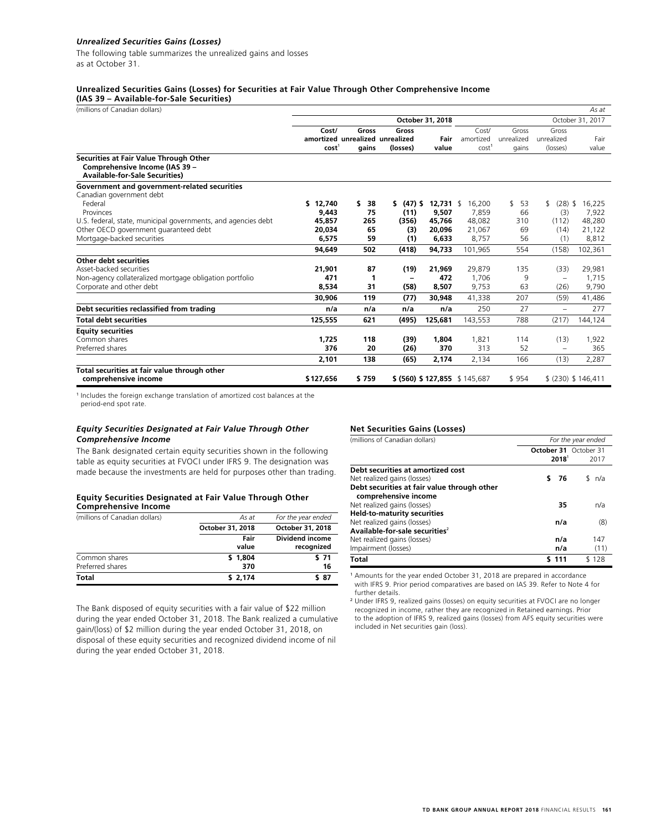# *Unrealized Securities Gains (Losses)*

The following table summarizes the unrealized gains and losses as at October 31.

# **Unrealized Securities Gains (Losses) for Securities at Fair Value Through Other Comprehensive Income**

| (millions of Canadian dollars)                                                                                    |                                                               |                |                    |                      |                                         |                              |                                 | As at                 |
|-------------------------------------------------------------------------------------------------------------------|---------------------------------------------------------------|----------------|--------------------|----------------------|-----------------------------------------|------------------------------|---------------------------------|-----------------------|
|                                                                                                                   |                                                               |                |                    | October 31, 2018     |                                         |                              |                                 | October 31, 2017      |
|                                                                                                                   | Cost/<br>amortized unrealized unrealized<br>cost <sup>1</sup> | Gross<br>gains | Gross<br>(losses)  | Fair<br>value        | Cost/<br>amortized<br>cost <sup>1</sup> | Gross<br>unrealized<br>gains | Gross<br>unrealized<br>(losses) | Fair<br>value         |
| Securities at Fair Value Through Other<br>Comprehensive Income (IAS 39 -<br><b>Available-for-Sale Securities)</b> |                                                               |                |                    |                      |                                         |                              |                                 |                       |
| Government and government-related securities                                                                      |                                                               |                |                    |                      |                                         |                              |                                 |                       |
| Canadian government debt<br>Federal<br>Provinces                                                                  | \$12,740<br>9,443                                             | s<br>38<br>75  | \$ (47) \$<br>(11) | $12,731$ \$<br>9,507 | 16,200<br>7,859                         | \$.<br>53<br>66              | \$<br>$(28)$ \$<br>(3)          | 16,225<br>7,922       |
| U.S. federal, state, municipal governments, and agencies debt                                                     | 45,857                                                        | 265            | (356)              | 45.766               | 48,082                                  | 310                          | (112)                           | 48,280                |
| Other OECD government guaranteed debt                                                                             | 20,034                                                        | 65             | (3)                | 20,096               | 21,067                                  | 69                           | (14)                            | 21,122                |
| Mortgage-backed securities                                                                                        | 6,575                                                         | 59             | (1)                | 6,633                | 8,757                                   | 56                           | (1)                             | 8,812                 |
|                                                                                                                   | 94,649                                                        | 502            | (418)              | 94.733               | 101,965                                 | 554                          | (158)                           | 102,361               |
| Other debt securities                                                                                             |                                                               |                |                    |                      |                                         |                              |                                 |                       |
| Asset-backed securities                                                                                           | 21,901                                                        | 87             | (19)               | 21,969               | 29,879                                  | 135                          | (33)                            | 29,981                |
| Non-agency collateralized mortgage obligation portfolio                                                           | 471                                                           | 1              |                    | 472                  | 1,706                                   | 9                            |                                 | 1,715                 |
| Corporate and other debt                                                                                          | 8,534                                                         | 31             | (58)               | 8,507                | 9,753                                   | 63                           | (26)                            | 9,790                 |
|                                                                                                                   | 30,906                                                        | 119            | (77)               | 30,948               | 41.338                                  | 207                          | (59)                            | 41,486                |
| Debt securities reclassified from trading                                                                         | n/a                                                           | n/a            | n/a                | n/a                  | 250                                     | 27                           |                                 | 277                   |
| <b>Total debt securities</b>                                                                                      | 125,555                                                       | 621            | (495)              | 125,681              | 143,553                                 | 788                          | (217)                           | 144,124               |
| <b>Equity securities</b>                                                                                          |                                                               |                |                    |                      |                                         |                              |                                 |                       |
| Common shares                                                                                                     | 1.725                                                         | 118            | (39)               | 1,804                | 1,821                                   | 114                          | (13)                            | 1,922                 |
| Preferred shares                                                                                                  | 376                                                           | 20             | (26)               | 370                  | 313                                     | 52                           |                                 | 365                   |
|                                                                                                                   | 2,101                                                         | 138            | (65)               | 2.174                | 2,134                                   | 166                          | (13)                            | 2,287                 |
| Total securities at fair value through other<br>comprehensive income                                              | \$127,656                                                     | \$759          |                    |                      | $$$ (560) \$127,855 \$145,687           | \$954                        |                                 | $$$ (230) $$$ 146,411 |

<sup>1</sup> Includes the foreign exchange translation of amortized cost balances at the period-end spot rate.

## *Equity Securities Designated at Fair Value Through Other Comprehensive Income*

The Bank designated certain equity securities shown in the following table as equity securities at FVOCI under IFRS 9. The designation was made because the investments are held for purposes other than trading.

## **Equity Securities Designated at Fair Value Through Other Comprehensive Income**

| (millions of Canadian dollars) | As at            | For the year ended |
|--------------------------------|------------------|--------------------|
|                                | October 31, 2018 | October 31, 2018   |
|                                | Fair             | Dividend income    |
|                                | value            | recognized         |
| Common shares                  | \$1.804          | \$71               |
| Preferred shares               | 370              | 16                 |
| Total                          | \$ 2,174         | \$ 87              |

The Bank disposed of equity securities with a fair value of \$22 million during the year ended October 31, 2018. The Bank realized a cumulative gain/(loss) of \$2 million during the year ended October 31, 2018, on disposal of these equity securities and recognized dividend income of nil during the year ended October 31, 2018.

## **Net Securities Gains (Losses)**

| (millions of Canadian dollars)              | For the year ended    |       |  |  |  |  |
|---------------------------------------------|-----------------------|-------|--|--|--|--|
|                                             | October 31 October 31 |       |  |  |  |  |
|                                             | $2018^1$              | 2017  |  |  |  |  |
| Debt securities at amortized cost           |                       |       |  |  |  |  |
| Net realized gains (losses)                 | -76<br>s.             | \$n/a |  |  |  |  |
| Debt securities at fair value through other |                       |       |  |  |  |  |
| comprehensive income                        |                       |       |  |  |  |  |
| Net realized gains (losses)                 | 35                    | n/a   |  |  |  |  |
| <b>Held-to-maturity securities</b>          |                       |       |  |  |  |  |
| Net realized gains (losses)                 | n/a                   | (8)   |  |  |  |  |
| Available-for-sale securities <sup>2</sup>  |                       |       |  |  |  |  |
| Net realized gains (losses)                 | n/a                   | 147   |  |  |  |  |
| Impairment (losses)                         | n/a                   | (11)  |  |  |  |  |
| Total                                       | S                     | 128   |  |  |  |  |

<sup>1</sup> Amounts for the year ended October 31, 2018 are prepared in accordance with IFRS 9. Prior period comparatives are based on IAS 39. Refer to Note 4 for further details.

<sup>2</sup> Under IFRS 9, realized gains (losses) on equity securities at FVOCI are no longer recognized in income, rather they are recognized in Retained earnings. Prior to the adoption of IFRS 9, realized gains (losses) from AFS equity securities were included in Net securities gain (loss).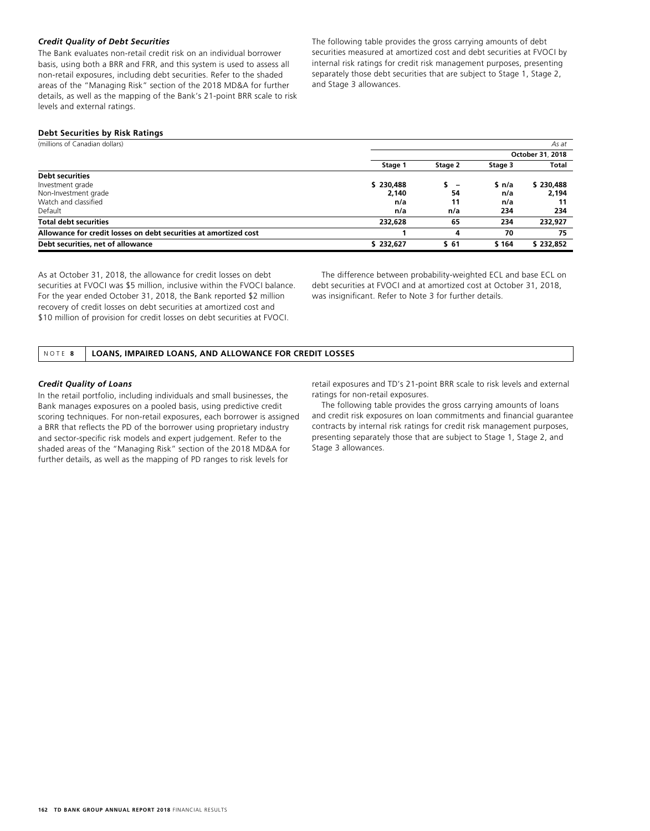# *Credit Quality of Debt Securities*

The Bank evaluates non-retail credit risk on an individual borrower basis, using both a BRR and FRR, and this system is used to assess all non-retail exposures, including debt securities. Refer to the shaded areas of the "Managing Risk" section of the 2018 MD&A for further details, as well as the mapping of the Bank's 21-point BRR scale to risk levels and external ratings.

The following table provides the gross carrying amounts of debt securities measured at amortized cost and debt securities at FVOCI by internal risk ratings for credit risk management purposes, presenting separately those debt securities that are subject to Stage 1, Stage 2, and Stage 3 allowances.

## **Debt Securities by Risk Ratings**

| (millions of Canadian dollars)                                   |           |                          |         | As at        |  |  |
|------------------------------------------------------------------|-----------|--------------------------|---------|--------------|--|--|
|                                                                  |           | October 31, 2018         |         |              |  |  |
|                                                                  | Stage 1   | Stage 2                  | Stage 3 | <b>Total</b> |  |  |
| <b>Debt securities</b>                                           |           |                          |         |              |  |  |
| Investment grade                                                 | \$230,488 | $\overline{\phantom{a}}$ | S n/a   | \$230,488    |  |  |
| Non-Investment grade                                             | 2,140     | 54                       | n/a     | 2.194        |  |  |
| Watch and classified                                             | n/a       | 11                       | n/a     |              |  |  |
| Default                                                          | n/a       | n/a                      | 234     | 234          |  |  |
| <b>Total debt securities</b>                                     | 232,628   | 65                       | 234     | 232,927      |  |  |
| Allowance for credit losses on debt securities at amortized cost |           | 4                        | 70      | 75           |  |  |
| Debt securities, net of allowance                                | \$232,627 | \$ 61                    | \$164   | \$232,852    |  |  |

As at October 31, 2018, the allowance for credit losses on debt securities at FVOCI was \$5 million, inclusive within the FVOCI balance. For the year ended October 31, 2018, the Bank reported \$2 million recovery of credit losses on debt securities at amortized cost and \$10 million of provision for credit losses on debt securities at FVOCI.

The difference between probability-weighted ECL and base ECL on debt securities at FVOCI and at amortized cost at October 31, 2018, was insignificant. Refer to Note 3 for further details.

# NOTE **8 LOANS, IMPAIRED LOANS, AND ALLOWANCE FOR CREDIT LOSSES**

### *Credit Quality of Loans*

In the retail portfolio, including individuals and small businesses, the Bank manages exposures on a pooled basis, using predictive credit scoring techniques. For non-retail exposures, each borrower is assigned a BRR that reflects the PD of the borrower using proprietary industry and sector-specific risk models and expert judgement. Refer to the shaded areas of the "Managing Risk" section of the 2018 MD&A for further details, as well as the mapping of PD ranges to risk levels for

retail exposures and TD's 21-point BRR scale to risk levels and external ratings for non-retail exposures.

The following table provides the gross carrying amounts of loans and credit risk exposures on loan commitments and financial guarantee contracts by internal risk ratings for credit risk management purposes, presenting separately those that are subject to Stage 1, Stage 2, and Stage 3 allowances.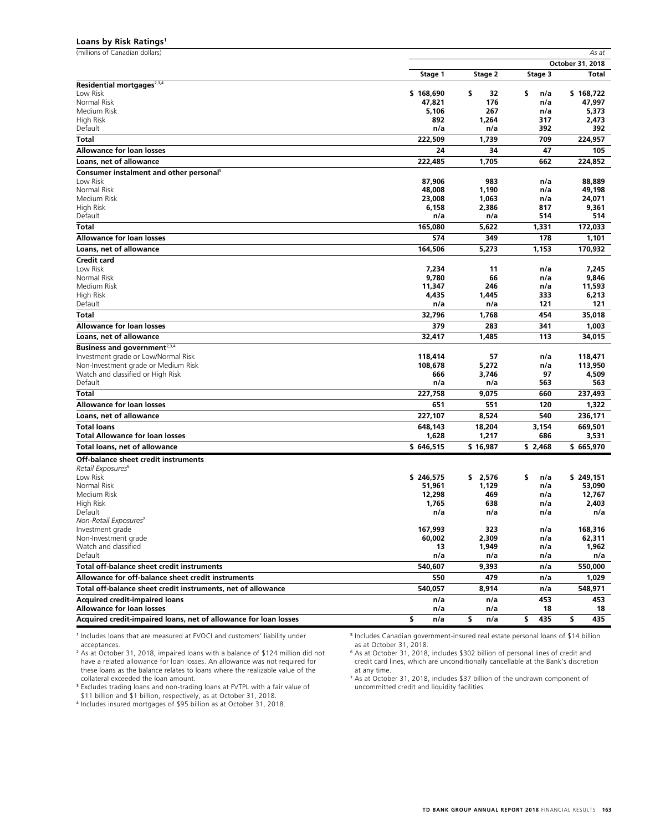## **Loans by Risk Ratings1**

| October 31, 2018<br>Total<br>Stage 1<br>Stage 2<br>Stage 3<br>Residential mortgages <sup>2,3,4</sup><br>\$<br>Low Risk<br>\$<br>\$168,722<br>\$168,690<br>32<br>n/a<br>Normal Risk<br>47,821<br>176<br>47,997<br>n/a<br>Medium Risk<br>5,106<br>267<br>5,373<br>n/a<br>High Risk<br>892<br>1,264<br>317<br>2,473<br>392<br>Default<br>n/a<br>392<br>n/a<br>222,509<br>1,739<br>709<br>224,957<br>Total<br>47<br>24<br>34<br><b>Allowance for loan losses</b><br>105<br>222,485<br>1,705<br>662<br>224,852<br>Loans, net of allowance<br>Consumer instalment and other personal <sup>5</sup><br>87,906<br>88,889<br>Low Risk<br>983<br>n/a<br>Normal Risk<br>48,008<br>1,190<br>49,198<br>n/a<br>Medium Risk<br>23,008<br>1,063<br>24,071<br>n/a<br>High Risk<br>6,158<br>2,386<br>817<br>9,361<br>Default<br>514<br>n/a<br>n/a<br>514<br>Total<br>165,080<br>5,622<br>1,331<br>172,033<br>574<br>349<br>178<br><b>Allowance for loan losses</b><br>1,101<br>Loans, net of allowance<br>164,506<br>5,273<br>1,153<br>170,932<br><b>Credit card</b><br>Low Risk<br>7,234<br>7,245<br>11<br>n/a<br>9,780<br>Normal Risk<br>66<br>n/a<br>9,846<br>Medium Risk<br>246<br>11,347<br>n/a<br>11,593<br>High Risk<br>4,435<br>1,445<br>333<br>6,213<br>Default<br>n/a<br>n/a<br>121<br>121<br><b>Total</b><br>32,796<br>1,768<br>454<br>35,018<br><b>Allowance for loan losses</b><br>379<br>283<br>341<br>1,003<br>32,417<br>1,485<br>113<br>34,015<br>Loans, net of allowance<br><b>Business and government</b> <sup>2,3,4</sup><br>Investment grade or Low/Normal Risk<br>118,414<br>57<br>n/a<br>118,471<br>113,950<br>Non-Investment grade or Medium Risk<br>108,678<br>5,272<br>n/a<br>Watch and classified or High Risk<br>666<br>3,746<br>97<br>4,509<br>Default<br>563<br>n/a<br>n/a<br>563<br>Total<br>227,758<br>9,075<br>660<br>237,493<br><b>Allowance for loan losses</b><br>551<br>120<br>1,322<br>651<br>8,524<br>540<br>236,171<br>Loans, net of allowance<br>227,107<br><b>Total loans</b><br>648,143<br>18,204<br>3,154<br>669,501<br><b>Total Allowance for loan losses</b><br>1,628<br>1,217<br>686<br>3,531<br>Total loans, net of allowance<br>\$16,987<br>\$665,970<br>\$646,515<br>\$2,468<br>Off-balance sheet credit instruments<br>Retail Exposures <sup>6</sup><br>\$<br>Low Risk<br>\$246,575<br>\$2,576<br>\$249,151<br>n/a<br>Normal Risk<br>51,961<br>1,129<br>53,090<br>n/a<br>Medium Risk<br>469<br>12,767<br>12,298<br>n/a<br>High Risk<br>1,765<br>638<br>n/a<br>2,403<br>Default<br>n/a<br>n/a<br>n/a<br>n/a<br>Non-Retail Exposures <sup>7</sup><br>323<br>Investment grade<br>167,993<br>168,316<br>n/a<br>Non-Investment grade<br>60,002<br>2,309<br>62,311<br>n/a<br>Watch and classified<br>1,949<br>1,962<br>13<br>n/a<br>Default<br>n/a<br>n/a<br>n/a<br>n/a<br><b>Total off-balance sheet credit instruments</b><br>540,607<br>9,393<br>550,000<br>n/a<br>Allowance for off-balance sheet credit instruments<br>550<br>479<br>1,029<br>n/a<br>Total off-balance sheet credit instruments, net of allowance<br>540,057<br>8,914<br>n/a<br>548,971<br>453<br><b>Acquired credit-impaired loans</b><br>n/a<br>453<br>n/a<br><b>Allowance for loan losses</b><br>18<br>n/a<br>n/a<br>18<br>\$<br>\$<br>Acquired credit-impaired loans, net of allowance for loan losses<br>\$<br>435<br>\$<br>n/a<br>435<br>n/a | Luans vy msk natinys           |  |       |
|--------------------------------------------------------------------------------------------------------------------------------------------------------------------------------------------------------------------------------------------------------------------------------------------------------------------------------------------------------------------------------------------------------------------------------------------------------------------------------------------------------------------------------------------------------------------------------------------------------------------------------------------------------------------------------------------------------------------------------------------------------------------------------------------------------------------------------------------------------------------------------------------------------------------------------------------------------------------------------------------------------------------------------------------------------------------------------------------------------------------------------------------------------------------------------------------------------------------------------------------------------------------------------------------------------------------------------------------------------------------------------------------------------------------------------------------------------------------------------------------------------------------------------------------------------------------------------------------------------------------------------------------------------------------------------------------------------------------------------------------------------------------------------------------------------------------------------------------------------------------------------------------------------------------------------------------------------------------------------------------------------------------------------------------------------------------------------------------------------------------------------------------------------------------------------------------------------------------------------------------------------------------------------------------------------------------------------------------------------------------------------------------------------------------------------------------------------------------------------------------------------------------------------------------------------------------------------------------------------------------------------------------------------------------------------------------------------------------------------------------------------------------------------------------------------------------------------------------------------------------------------------------------------------------------------------------------------------------------------------------------------------------------------------------------------------------------------------------------------------------------------------------------------------------------------------------------------------------------------------------------------------------------------------------------------------------------------------------------|--------------------------------|--|-------|
|                                                                                                                                                                                                                                                                                                                                                                                                                                                                                                                                                                                                                                                                                                                                                                                                                                                                                                                                                                                                                                                                                                                                                                                                                                                                                                                                                                                                                                                                                                                                                                                                                                                                                                                                                                                                                                                                                                                                                                                                                                                                                                                                                                                                                                                                                                                                                                                                                                                                                                                                                                                                                                                                                                                                                                                                                                                                                                                                                                                                                                                                                                                                                                                                                                                                                                                                                  | (millions of Canadian dollars) |  | As at |
|                                                                                                                                                                                                                                                                                                                                                                                                                                                                                                                                                                                                                                                                                                                                                                                                                                                                                                                                                                                                                                                                                                                                                                                                                                                                                                                                                                                                                                                                                                                                                                                                                                                                                                                                                                                                                                                                                                                                                                                                                                                                                                                                                                                                                                                                                                                                                                                                                                                                                                                                                                                                                                                                                                                                                                                                                                                                                                                                                                                                                                                                                                                                                                                                                                                                                                                                                  |                                |  |       |
|                                                                                                                                                                                                                                                                                                                                                                                                                                                                                                                                                                                                                                                                                                                                                                                                                                                                                                                                                                                                                                                                                                                                                                                                                                                                                                                                                                                                                                                                                                                                                                                                                                                                                                                                                                                                                                                                                                                                                                                                                                                                                                                                                                                                                                                                                                                                                                                                                                                                                                                                                                                                                                                                                                                                                                                                                                                                                                                                                                                                                                                                                                                                                                                                                                                                                                                                                  |                                |  |       |
|                                                                                                                                                                                                                                                                                                                                                                                                                                                                                                                                                                                                                                                                                                                                                                                                                                                                                                                                                                                                                                                                                                                                                                                                                                                                                                                                                                                                                                                                                                                                                                                                                                                                                                                                                                                                                                                                                                                                                                                                                                                                                                                                                                                                                                                                                                                                                                                                                                                                                                                                                                                                                                                                                                                                                                                                                                                                                                                                                                                                                                                                                                                                                                                                                                                                                                                                                  |                                |  |       |
|                                                                                                                                                                                                                                                                                                                                                                                                                                                                                                                                                                                                                                                                                                                                                                                                                                                                                                                                                                                                                                                                                                                                                                                                                                                                                                                                                                                                                                                                                                                                                                                                                                                                                                                                                                                                                                                                                                                                                                                                                                                                                                                                                                                                                                                                                                                                                                                                                                                                                                                                                                                                                                                                                                                                                                                                                                                                                                                                                                                                                                                                                                                                                                                                                                                                                                                                                  |                                |  |       |
|                                                                                                                                                                                                                                                                                                                                                                                                                                                                                                                                                                                                                                                                                                                                                                                                                                                                                                                                                                                                                                                                                                                                                                                                                                                                                                                                                                                                                                                                                                                                                                                                                                                                                                                                                                                                                                                                                                                                                                                                                                                                                                                                                                                                                                                                                                                                                                                                                                                                                                                                                                                                                                                                                                                                                                                                                                                                                                                                                                                                                                                                                                                                                                                                                                                                                                                                                  |                                |  |       |
|                                                                                                                                                                                                                                                                                                                                                                                                                                                                                                                                                                                                                                                                                                                                                                                                                                                                                                                                                                                                                                                                                                                                                                                                                                                                                                                                                                                                                                                                                                                                                                                                                                                                                                                                                                                                                                                                                                                                                                                                                                                                                                                                                                                                                                                                                                                                                                                                                                                                                                                                                                                                                                                                                                                                                                                                                                                                                                                                                                                                                                                                                                                                                                                                                                                                                                                                                  |                                |  |       |
|                                                                                                                                                                                                                                                                                                                                                                                                                                                                                                                                                                                                                                                                                                                                                                                                                                                                                                                                                                                                                                                                                                                                                                                                                                                                                                                                                                                                                                                                                                                                                                                                                                                                                                                                                                                                                                                                                                                                                                                                                                                                                                                                                                                                                                                                                                                                                                                                                                                                                                                                                                                                                                                                                                                                                                                                                                                                                                                                                                                                                                                                                                                                                                                                                                                                                                                                                  |                                |  |       |
|                                                                                                                                                                                                                                                                                                                                                                                                                                                                                                                                                                                                                                                                                                                                                                                                                                                                                                                                                                                                                                                                                                                                                                                                                                                                                                                                                                                                                                                                                                                                                                                                                                                                                                                                                                                                                                                                                                                                                                                                                                                                                                                                                                                                                                                                                                                                                                                                                                                                                                                                                                                                                                                                                                                                                                                                                                                                                                                                                                                                                                                                                                                                                                                                                                                                                                                                                  |                                |  |       |
|                                                                                                                                                                                                                                                                                                                                                                                                                                                                                                                                                                                                                                                                                                                                                                                                                                                                                                                                                                                                                                                                                                                                                                                                                                                                                                                                                                                                                                                                                                                                                                                                                                                                                                                                                                                                                                                                                                                                                                                                                                                                                                                                                                                                                                                                                                                                                                                                                                                                                                                                                                                                                                                                                                                                                                                                                                                                                                                                                                                                                                                                                                                                                                                                                                                                                                                                                  |                                |  |       |
|                                                                                                                                                                                                                                                                                                                                                                                                                                                                                                                                                                                                                                                                                                                                                                                                                                                                                                                                                                                                                                                                                                                                                                                                                                                                                                                                                                                                                                                                                                                                                                                                                                                                                                                                                                                                                                                                                                                                                                                                                                                                                                                                                                                                                                                                                                                                                                                                                                                                                                                                                                                                                                                                                                                                                                                                                                                                                                                                                                                                                                                                                                                                                                                                                                                                                                                                                  |                                |  |       |
|                                                                                                                                                                                                                                                                                                                                                                                                                                                                                                                                                                                                                                                                                                                                                                                                                                                                                                                                                                                                                                                                                                                                                                                                                                                                                                                                                                                                                                                                                                                                                                                                                                                                                                                                                                                                                                                                                                                                                                                                                                                                                                                                                                                                                                                                                                                                                                                                                                                                                                                                                                                                                                                                                                                                                                                                                                                                                                                                                                                                                                                                                                                                                                                                                                                                                                                                                  |                                |  |       |
|                                                                                                                                                                                                                                                                                                                                                                                                                                                                                                                                                                                                                                                                                                                                                                                                                                                                                                                                                                                                                                                                                                                                                                                                                                                                                                                                                                                                                                                                                                                                                                                                                                                                                                                                                                                                                                                                                                                                                                                                                                                                                                                                                                                                                                                                                                                                                                                                                                                                                                                                                                                                                                                                                                                                                                                                                                                                                                                                                                                                                                                                                                                                                                                                                                                                                                                                                  |                                |  |       |
|                                                                                                                                                                                                                                                                                                                                                                                                                                                                                                                                                                                                                                                                                                                                                                                                                                                                                                                                                                                                                                                                                                                                                                                                                                                                                                                                                                                                                                                                                                                                                                                                                                                                                                                                                                                                                                                                                                                                                                                                                                                                                                                                                                                                                                                                                                                                                                                                                                                                                                                                                                                                                                                                                                                                                                                                                                                                                                                                                                                                                                                                                                                                                                                                                                                                                                                                                  |                                |  |       |
|                                                                                                                                                                                                                                                                                                                                                                                                                                                                                                                                                                                                                                                                                                                                                                                                                                                                                                                                                                                                                                                                                                                                                                                                                                                                                                                                                                                                                                                                                                                                                                                                                                                                                                                                                                                                                                                                                                                                                                                                                                                                                                                                                                                                                                                                                                                                                                                                                                                                                                                                                                                                                                                                                                                                                                                                                                                                                                                                                                                                                                                                                                                                                                                                                                                                                                                                                  |                                |  |       |
|                                                                                                                                                                                                                                                                                                                                                                                                                                                                                                                                                                                                                                                                                                                                                                                                                                                                                                                                                                                                                                                                                                                                                                                                                                                                                                                                                                                                                                                                                                                                                                                                                                                                                                                                                                                                                                                                                                                                                                                                                                                                                                                                                                                                                                                                                                                                                                                                                                                                                                                                                                                                                                                                                                                                                                                                                                                                                                                                                                                                                                                                                                                                                                                                                                                                                                                                                  |                                |  |       |
|                                                                                                                                                                                                                                                                                                                                                                                                                                                                                                                                                                                                                                                                                                                                                                                                                                                                                                                                                                                                                                                                                                                                                                                                                                                                                                                                                                                                                                                                                                                                                                                                                                                                                                                                                                                                                                                                                                                                                                                                                                                                                                                                                                                                                                                                                                                                                                                                                                                                                                                                                                                                                                                                                                                                                                                                                                                                                                                                                                                                                                                                                                                                                                                                                                                                                                                                                  |                                |  |       |
|                                                                                                                                                                                                                                                                                                                                                                                                                                                                                                                                                                                                                                                                                                                                                                                                                                                                                                                                                                                                                                                                                                                                                                                                                                                                                                                                                                                                                                                                                                                                                                                                                                                                                                                                                                                                                                                                                                                                                                                                                                                                                                                                                                                                                                                                                                                                                                                                                                                                                                                                                                                                                                                                                                                                                                                                                                                                                                                                                                                                                                                                                                                                                                                                                                                                                                                                                  |                                |  |       |
|                                                                                                                                                                                                                                                                                                                                                                                                                                                                                                                                                                                                                                                                                                                                                                                                                                                                                                                                                                                                                                                                                                                                                                                                                                                                                                                                                                                                                                                                                                                                                                                                                                                                                                                                                                                                                                                                                                                                                                                                                                                                                                                                                                                                                                                                                                                                                                                                                                                                                                                                                                                                                                                                                                                                                                                                                                                                                                                                                                                                                                                                                                                                                                                                                                                                                                                                                  |                                |  |       |
|                                                                                                                                                                                                                                                                                                                                                                                                                                                                                                                                                                                                                                                                                                                                                                                                                                                                                                                                                                                                                                                                                                                                                                                                                                                                                                                                                                                                                                                                                                                                                                                                                                                                                                                                                                                                                                                                                                                                                                                                                                                                                                                                                                                                                                                                                                                                                                                                                                                                                                                                                                                                                                                                                                                                                                                                                                                                                                                                                                                                                                                                                                                                                                                                                                                                                                                                                  |                                |  |       |
|                                                                                                                                                                                                                                                                                                                                                                                                                                                                                                                                                                                                                                                                                                                                                                                                                                                                                                                                                                                                                                                                                                                                                                                                                                                                                                                                                                                                                                                                                                                                                                                                                                                                                                                                                                                                                                                                                                                                                                                                                                                                                                                                                                                                                                                                                                                                                                                                                                                                                                                                                                                                                                                                                                                                                                                                                                                                                                                                                                                                                                                                                                                                                                                                                                                                                                                                                  |                                |  |       |
|                                                                                                                                                                                                                                                                                                                                                                                                                                                                                                                                                                                                                                                                                                                                                                                                                                                                                                                                                                                                                                                                                                                                                                                                                                                                                                                                                                                                                                                                                                                                                                                                                                                                                                                                                                                                                                                                                                                                                                                                                                                                                                                                                                                                                                                                                                                                                                                                                                                                                                                                                                                                                                                                                                                                                                                                                                                                                                                                                                                                                                                                                                                                                                                                                                                                                                                                                  |                                |  |       |
|                                                                                                                                                                                                                                                                                                                                                                                                                                                                                                                                                                                                                                                                                                                                                                                                                                                                                                                                                                                                                                                                                                                                                                                                                                                                                                                                                                                                                                                                                                                                                                                                                                                                                                                                                                                                                                                                                                                                                                                                                                                                                                                                                                                                                                                                                                                                                                                                                                                                                                                                                                                                                                                                                                                                                                                                                                                                                                                                                                                                                                                                                                                                                                                                                                                                                                                                                  |                                |  |       |
|                                                                                                                                                                                                                                                                                                                                                                                                                                                                                                                                                                                                                                                                                                                                                                                                                                                                                                                                                                                                                                                                                                                                                                                                                                                                                                                                                                                                                                                                                                                                                                                                                                                                                                                                                                                                                                                                                                                                                                                                                                                                                                                                                                                                                                                                                                                                                                                                                                                                                                                                                                                                                                                                                                                                                                                                                                                                                                                                                                                                                                                                                                                                                                                                                                                                                                                                                  |                                |  |       |
|                                                                                                                                                                                                                                                                                                                                                                                                                                                                                                                                                                                                                                                                                                                                                                                                                                                                                                                                                                                                                                                                                                                                                                                                                                                                                                                                                                                                                                                                                                                                                                                                                                                                                                                                                                                                                                                                                                                                                                                                                                                                                                                                                                                                                                                                                                                                                                                                                                                                                                                                                                                                                                                                                                                                                                                                                                                                                                                                                                                                                                                                                                                                                                                                                                                                                                                                                  |                                |  |       |
|                                                                                                                                                                                                                                                                                                                                                                                                                                                                                                                                                                                                                                                                                                                                                                                                                                                                                                                                                                                                                                                                                                                                                                                                                                                                                                                                                                                                                                                                                                                                                                                                                                                                                                                                                                                                                                                                                                                                                                                                                                                                                                                                                                                                                                                                                                                                                                                                                                                                                                                                                                                                                                                                                                                                                                                                                                                                                                                                                                                                                                                                                                                                                                                                                                                                                                                                                  |                                |  |       |
|                                                                                                                                                                                                                                                                                                                                                                                                                                                                                                                                                                                                                                                                                                                                                                                                                                                                                                                                                                                                                                                                                                                                                                                                                                                                                                                                                                                                                                                                                                                                                                                                                                                                                                                                                                                                                                                                                                                                                                                                                                                                                                                                                                                                                                                                                                                                                                                                                                                                                                                                                                                                                                                                                                                                                                                                                                                                                                                                                                                                                                                                                                                                                                                                                                                                                                                                                  |                                |  |       |
|                                                                                                                                                                                                                                                                                                                                                                                                                                                                                                                                                                                                                                                                                                                                                                                                                                                                                                                                                                                                                                                                                                                                                                                                                                                                                                                                                                                                                                                                                                                                                                                                                                                                                                                                                                                                                                                                                                                                                                                                                                                                                                                                                                                                                                                                                                                                                                                                                                                                                                                                                                                                                                                                                                                                                                                                                                                                                                                                                                                                                                                                                                                                                                                                                                                                                                                                                  |                                |  |       |
|                                                                                                                                                                                                                                                                                                                                                                                                                                                                                                                                                                                                                                                                                                                                                                                                                                                                                                                                                                                                                                                                                                                                                                                                                                                                                                                                                                                                                                                                                                                                                                                                                                                                                                                                                                                                                                                                                                                                                                                                                                                                                                                                                                                                                                                                                                                                                                                                                                                                                                                                                                                                                                                                                                                                                                                                                                                                                                                                                                                                                                                                                                                                                                                                                                                                                                                                                  |                                |  |       |
|                                                                                                                                                                                                                                                                                                                                                                                                                                                                                                                                                                                                                                                                                                                                                                                                                                                                                                                                                                                                                                                                                                                                                                                                                                                                                                                                                                                                                                                                                                                                                                                                                                                                                                                                                                                                                                                                                                                                                                                                                                                                                                                                                                                                                                                                                                                                                                                                                                                                                                                                                                                                                                                                                                                                                                                                                                                                                                                                                                                                                                                                                                                                                                                                                                                                                                                                                  |                                |  |       |
|                                                                                                                                                                                                                                                                                                                                                                                                                                                                                                                                                                                                                                                                                                                                                                                                                                                                                                                                                                                                                                                                                                                                                                                                                                                                                                                                                                                                                                                                                                                                                                                                                                                                                                                                                                                                                                                                                                                                                                                                                                                                                                                                                                                                                                                                                                                                                                                                                                                                                                                                                                                                                                                                                                                                                                                                                                                                                                                                                                                                                                                                                                                                                                                                                                                                                                                                                  |                                |  |       |
|                                                                                                                                                                                                                                                                                                                                                                                                                                                                                                                                                                                                                                                                                                                                                                                                                                                                                                                                                                                                                                                                                                                                                                                                                                                                                                                                                                                                                                                                                                                                                                                                                                                                                                                                                                                                                                                                                                                                                                                                                                                                                                                                                                                                                                                                                                                                                                                                                                                                                                                                                                                                                                                                                                                                                                                                                                                                                                                                                                                                                                                                                                                                                                                                                                                                                                                                                  |                                |  |       |
|                                                                                                                                                                                                                                                                                                                                                                                                                                                                                                                                                                                                                                                                                                                                                                                                                                                                                                                                                                                                                                                                                                                                                                                                                                                                                                                                                                                                                                                                                                                                                                                                                                                                                                                                                                                                                                                                                                                                                                                                                                                                                                                                                                                                                                                                                                                                                                                                                                                                                                                                                                                                                                                                                                                                                                                                                                                                                                                                                                                                                                                                                                                                                                                                                                                                                                                                                  |                                |  |       |
|                                                                                                                                                                                                                                                                                                                                                                                                                                                                                                                                                                                                                                                                                                                                                                                                                                                                                                                                                                                                                                                                                                                                                                                                                                                                                                                                                                                                                                                                                                                                                                                                                                                                                                                                                                                                                                                                                                                                                                                                                                                                                                                                                                                                                                                                                                                                                                                                                                                                                                                                                                                                                                                                                                                                                                                                                                                                                                                                                                                                                                                                                                                                                                                                                                                                                                                                                  |                                |  |       |
|                                                                                                                                                                                                                                                                                                                                                                                                                                                                                                                                                                                                                                                                                                                                                                                                                                                                                                                                                                                                                                                                                                                                                                                                                                                                                                                                                                                                                                                                                                                                                                                                                                                                                                                                                                                                                                                                                                                                                                                                                                                                                                                                                                                                                                                                                                                                                                                                                                                                                                                                                                                                                                                                                                                                                                                                                                                                                                                                                                                                                                                                                                                                                                                                                                                                                                                                                  |                                |  |       |
|                                                                                                                                                                                                                                                                                                                                                                                                                                                                                                                                                                                                                                                                                                                                                                                                                                                                                                                                                                                                                                                                                                                                                                                                                                                                                                                                                                                                                                                                                                                                                                                                                                                                                                                                                                                                                                                                                                                                                                                                                                                                                                                                                                                                                                                                                                                                                                                                                                                                                                                                                                                                                                                                                                                                                                                                                                                                                                                                                                                                                                                                                                                                                                                                                                                                                                                                                  |                                |  |       |
|                                                                                                                                                                                                                                                                                                                                                                                                                                                                                                                                                                                                                                                                                                                                                                                                                                                                                                                                                                                                                                                                                                                                                                                                                                                                                                                                                                                                                                                                                                                                                                                                                                                                                                                                                                                                                                                                                                                                                                                                                                                                                                                                                                                                                                                                                                                                                                                                                                                                                                                                                                                                                                                                                                                                                                                                                                                                                                                                                                                                                                                                                                                                                                                                                                                                                                                                                  |                                |  |       |
|                                                                                                                                                                                                                                                                                                                                                                                                                                                                                                                                                                                                                                                                                                                                                                                                                                                                                                                                                                                                                                                                                                                                                                                                                                                                                                                                                                                                                                                                                                                                                                                                                                                                                                                                                                                                                                                                                                                                                                                                                                                                                                                                                                                                                                                                                                                                                                                                                                                                                                                                                                                                                                                                                                                                                                                                                                                                                                                                                                                                                                                                                                                                                                                                                                                                                                                                                  |                                |  |       |
|                                                                                                                                                                                                                                                                                                                                                                                                                                                                                                                                                                                                                                                                                                                                                                                                                                                                                                                                                                                                                                                                                                                                                                                                                                                                                                                                                                                                                                                                                                                                                                                                                                                                                                                                                                                                                                                                                                                                                                                                                                                                                                                                                                                                                                                                                                                                                                                                                                                                                                                                                                                                                                                                                                                                                                                                                                                                                                                                                                                                                                                                                                                                                                                                                                                                                                                                                  |                                |  |       |
|                                                                                                                                                                                                                                                                                                                                                                                                                                                                                                                                                                                                                                                                                                                                                                                                                                                                                                                                                                                                                                                                                                                                                                                                                                                                                                                                                                                                                                                                                                                                                                                                                                                                                                                                                                                                                                                                                                                                                                                                                                                                                                                                                                                                                                                                                                                                                                                                                                                                                                                                                                                                                                                                                                                                                                                                                                                                                                                                                                                                                                                                                                                                                                                                                                                                                                                                                  |                                |  |       |
|                                                                                                                                                                                                                                                                                                                                                                                                                                                                                                                                                                                                                                                                                                                                                                                                                                                                                                                                                                                                                                                                                                                                                                                                                                                                                                                                                                                                                                                                                                                                                                                                                                                                                                                                                                                                                                                                                                                                                                                                                                                                                                                                                                                                                                                                                                                                                                                                                                                                                                                                                                                                                                                                                                                                                                                                                                                                                                                                                                                                                                                                                                                                                                                                                                                                                                                                                  |                                |  |       |
|                                                                                                                                                                                                                                                                                                                                                                                                                                                                                                                                                                                                                                                                                                                                                                                                                                                                                                                                                                                                                                                                                                                                                                                                                                                                                                                                                                                                                                                                                                                                                                                                                                                                                                                                                                                                                                                                                                                                                                                                                                                                                                                                                                                                                                                                                                                                                                                                                                                                                                                                                                                                                                                                                                                                                                                                                                                                                                                                                                                                                                                                                                                                                                                                                                                                                                                                                  |                                |  |       |
|                                                                                                                                                                                                                                                                                                                                                                                                                                                                                                                                                                                                                                                                                                                                                                                                                                                                                                                                                                                                                                                                                                                                                                                                                                                                                                                                                                                                                                                                                                                                                                                                                                                                                                                                                                                                                                                                                                                                                                                                                                                                                                                                                                                                                                                                                                                                                                                                                                                                                                                                                                                                                                                                                                                                                                                                                                                                                                                                                                                                                                                                                                                                                                                                                                                                                                                                                  |                                |  |       |
|                                                                                                                                                                                                                                                                                                                                                                                                                                                                                                                                                                                                                                                                                                                                                                                                                                                                                                                                                                                                                                                                                                                                                                                                                                                                                                                                                                                                                                                                                                                                                                                                                                                                                                                                                                                                                                                                                                                                                                                                                                                                                                                                                                                                                                                                                                                                                                                                                                                                                                                                                                                                                                                                                                                                                                                                                                                                                                                                                                                                                                                                                                                                                                                                                                                                                                                                                  |                                |  |       |
|                                                                                                                                                                                                                                                                                                                                                                                                                                                                                                                                                                                                                                                                                                                                                                                                                                                                                                                                                                                                                                                                                                                                                                                                                                                                                                                                                                                                                                                                                                                                                                                                                                                                                                                                                                                                                                                                                                                                                                                                                                                                                                                                                                                                                                                                                                                                                                                                                                                                                                                                                                                                                                                                                                                                                                                                                                                                                                                                                                                                                                                                                                                                                                                                                                                                                                                                                  |                                |  |       |
|                                                                                                                                                                                                                                                                                                                                                                                                                                                                                                                                                                                                                                                                                                                                                                                                                                                                                                                                                                                                                                                                                                                                                                                                                                                                                                                                                                                                                                                                                                                                                                                                                                                                                                                                                                                                                                                                                                                                                                                                                                                                                                                                                                                                                                                                                                                                                                                                                                                                                                                                                                                                                                                                                                                                                                                                                                                                                                                                                                                                                                                                                                                                                                                                                                                                                                                                                  |                                |  |       |
|                                                                                                                                                                                                                                                                                                                                                                                                                                                                                                                                                                                                                                                                                                                                                                                                                                                                                                                                                                                                                                                                                                                                                                                                                                                                                                                                                                                                                                                                                                                                                                                                                                                                                                                                                                                                                                                                                                                                                                                                                                                                                                                                                                                                                                                                                                                                                                                                                                                                                                                                                                                                                                                                                                                                                                                                                                                                                                                                                                                                                                                                                                                                                                                                                                                                                                                                                  |                                |  |       |
|                                                                                                                                                                                                                                                                                                                                                                                                                                                                                                                                                                                                                                                                                                                                                                                                                                                                                                                                                                                                                                                                                                                                                                                                                                                                                                                                                                                                                                                                                                                                                                                                                                                                                                                                                                                                                                                                                                                                                                                                                                                                                                                                                                                                                                                                                                                                                                                                                                                                                                                                                                                                                                                                                                                                                                                                                                                                                                                                                                                                                                                                                                                                                                                                                                                                                                                                                  |                                |  |       |
|                                                                                                                                                                                                                                                                                                                                                                                                                                                                                                                                                                                                                                                                                                                                                                                                                                                                                                                                                                                                                                                                                                                                                                                                                                                                                                                                                                                                                                                                                                                                                                                                                                                                                                                                                                                                                                                                                                                                                                                                                                                                                                                                                                                                                                                                                                                                                                                                                                                                                                                                                                                                                                                                                                                                                                                                                                                                                                                                                                                                                                                                                                                                                                                                                                                                                                                                                  |                                |  |       |
|                                                                                                                                                                                                                                                                                                                                                                                                                                                                                                                                                                                                                                                                                                                                                                                                                                                                                                                                                                                                                                                                                                                                                                                                                                                                                                                                                                                                                                                                                                                                                                                                                                                                                                                                                                                                                                                                                                                                                                                                                                                                                                                                                                                                                                                                                                                                                                                                                                                                                                                                                                                                                                                                                                                                                                                                                                                                                                                                                                                                                                                                                                                                                                                                                                                                                                                                                  |                                |  |       |
|                                                                                                                                                                                                                                                                                                                                                                                                                                                                                                                                                                                                                                                                                                                                                                                                                                                                                                                                                                                                                                                                                                                                                                                                                                                                                                                                                                                                                                                                                                                                                                                                                                                                                                                                                                                                                                                                                                                                                                                                                                                                                                                                                                                                                                                                                                                                                                                                                                                                                                                                                                                                                                                                                                                                                                                                                                                                                                                                                                                                                                                                                                                                                                                                                                                                                                                                                  |                                |  |       |
|                                                                                                                                                                                                                                                                                                                                                                                                                                                                                                                                                                                                                                                                                                                                                                                                                                                                                                                                                                                                                                                                                                                                                                                                                                                                                                                                                                                                                                                                                                                                                                                                                                                                                                                                                                                                                                                                                                                                                                                                                                                                                                                                                                                                                                                                                                                                                                                                                                                                                                                                                                                                                                                                                                                                                                                                                                                                                                                                                                                                                                                                                                                                                                                                                                                                                                                                                  |                                |  |       |
|                                                                                                                                                                                                                                                                                                                                                                                                                                                                                                                                                                                                                                                                                                                                                                                                                                                                                                                                                                                                                                                                                                                                                                                                                                                                                                                                                                                                                                                                                                                                                                                                                                                                                                                                                                                                                                                                                                                                                                                                                                                                                                                                                                                                                                                                                                                                                                                                                                                                                                                                                                                                                                                                                                                                                                                                                                                                                                                                                                                                                                                                                                                                                                                                                                                                                                                                                  |                                |  |       |
|                                                                                                                                                                                                                                                                                                                                                                                                                                                                                                                                                                                                                                                                                                                                                                                                                                                                                                                                                                                                                                                                                                                                                                                                                                                                                                                                                                                                                                                                                                                                                                                                                                                                                                                                                                                                                                                                                                                                                                                                                                                                                                                                                                                                                                                                                                                                                                                                                                                                                                                                                                                                                                                                                                                                                                                                                                                                                                                                                                                                                                                                                                                                                                                                                                                                                                                                                  |                                |  |       |
|                                                                                                                                                                                                                                                                                                                                                                                                                                                                                                                                                                                                                                                                                                                                                                                                                                                                                                                                                                                                                                                                                                                                                                                                                                                                                                                                                                                                                                                                                                                                                                                                                                                                                                                                                                                                                                                                                                                                                                                                                                                                                                                                                                                                                                                                                                                                                                                                                                                                                                                                                                                                                                                                                                                                                                                                                                                                                                                                                                                                                                                                                                                                                                                                                                                                                                                                                  |                                |  |       |
|                                                                                                                                                                                                                                                                                                                                                                                                                                                                                                                                                                                                                                                                                                                                                                                                                                                                                                                                                                                                                                                                                                                                                                                                                                                                                                                                                                                                                                                                                                                                                                                                                                                                                                                                                                                                                                                                                                                                                                                                                                                                                                                                                                                                                                                                                                                                                                                                                                                                                                                                                                                                                                                                                                                                                                                                                                                                                                                                                                                                                                                                                                                                                                                                                                                                                                                                                  |                                |  |       |
|                                                                                                                                                                                                                                                                                                                                                                                                                                                                                                                                                                                                                                                                                                                                                                                                                                                                                                                                                                                                                                                                                                                                                                                                                                                                                                                                                                                                                                                                                                                                                                                                                                                                                                                                                                                                                                                                                                                                                                                                                                                                                                                                                                                                                                                                                                                                                                                                                                                                                                                                                                                                                                                                                                                                                                                                                                                                                                                                                                                                                                                                                                                                                                                                                                                                                                                                                  |                                |  |       |

<sup>1</sup> Includes loans that are measured at FVOCI and customers' liability under acceptances.

<sup>2</sup> As at October 31, 2018, impaired loans with a balance of \$124 million did not have a related allowance for loan losses. An allowance was not required for these loans as the balance relates to loans where the realizable value of the collateral exceeded the loan amount.

<sup>3</sup> Excludes trading loans and non-trading loans at FVTPL with a fair value of \$11 billion and \$1 billion, respectively, as at October 31, 2018.

<sup>4</sup> Includes insured mortgages of \$95 billion as at October 31, 2018.

<sup>5</sup> Includes Canadian government-insured real estate personal loans of \$14 billion as at October 31, 2018.

<sup>6</sup> As at October 31, 2018, includes \$302 billion of personal lines of credit and credit card lines, which are unconditionally cancellable at the Bank's discretion at any time.

<sup>7</sup> As at October 31, 2018, includes \$37 billion of the undrawn component of uncommitted credit and liquidity facilities.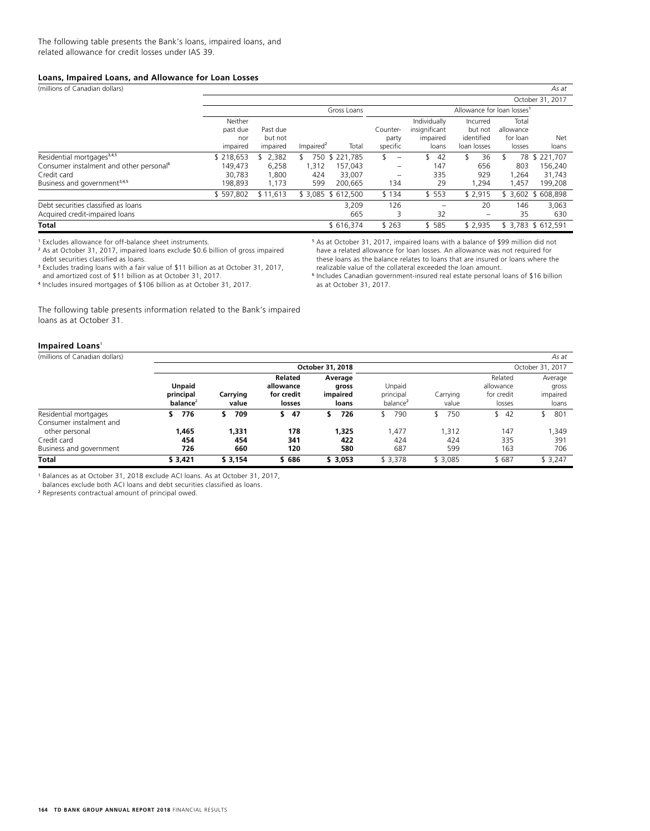## **Loans, Impaired Loans, and Allowance for Loan Losses**

| (millions of Canadian dollars)                      |                     |          |                       |                   |          |                               |                                        |                    | As at               |
|-----------------------------------------------------|---------------------|----------|-----------------------|-------------------|----------|-------------------------------|----------------------------------------|--------------------|---------------------|
|                                                     |                     |          |                       |                   |          |                               |                                        |                    | October 31, 2017    |
|                                                     |                     |          |                       | Gross Loans       |          |                               | Allowance for loan losses <sup>1</sup> |                    |                     |
|                                                     | Neither<br>past due | Past due |                       |                   | Counter- | Individually<br>insignificant | Incurred<br>but not                    | Total<br>allowance |                     |
|                                                     | nor                 | but not  |                       |                   | party    | impaired                      | identified                             | for loan           | Net                 |
|                                                     | impaired            | impaired | Impaired <sup>2</sup> | Total             | specific | loans                         | loan losses                            | losses             | loans               |
| Residential mortgages <sup>3,4,5</sup>              | \$218,653           | 2,382    |                       | 750 \$ 221,785    | -        | 42                            | 36                                     |                    | 78 \$ 221,707       |
| Consumer instalment and other personal <sup>6</sup> | 149.473             | 6,258    | 1,312                 | 157.043           | -        | 147                           | 656                                    | 803                | 156,240             |
| Credit card                                         | 30.783              | 1,800    | 424                   | 33,007            | -        | 335                           | 929                                    | 1,264              | 31,743              |
| Business and government <sup>3,4,5</sup>            | 198,893             | 1,173    | 599                   | 200,665           | 134      | 29                            | 1,294                                  | 1,457              | 199,208             |
|                                                     | \$597,802           | \$11,613 |                       | \$3.085 \$612.500 | \$134    | \$553                         | \$2,915                                |                    | \$ 3.602 \$ 608.898 |
| Debt securities classified as loans                 |                     |          |                       | 3,209             | 126      | -                             | 20                                     | 146                | 3,063               |
| Acquired credit-impaired loans                      |                     |          |                       | 665               |          | 32                            | -                                      | 35                 | 630                 |
| Total                                               |                     |          |                       | \$616,374         | \$ 263   | \$585                         | \$2,935                                |                    | \$ 3,783 \$ 612,591 |

<sup>1</sup> Excludes allowance for off-balance sheet instruments.

and amortized cost of \$11 billion as at October 31, 2017. <sup>4</sup> Includes insured mortgages of \$106 billion as at October 31, 2017.

<sup>2</sup> As at October 31, 2017, impaired loans exclude \$0.6 billion of gross impaired debt securities classified as loans. <sup>3</sup> Excludes trading loans with a fair value of \$11 billion as at October 31, 2017, <sup>5</sup> As at October 31, 2017, impaired loans with a balance of \$99 million did not have a related allowance for loan losses. An allowance was not required for these loans as the balance relates to loans that are insured or loans where the realizable value of the collateral exceeded the loan amount.

<sup>6</sup> Includes Canadian government-insured real estate personal loans of \$16 billion as at October 31, 2017.

The following table presents information related to the Bank's impaired loans as at October 31.

## **Impaired Loans**<sup>1</sup>

| (millions of Canadian dollars)                           |                                                |                     |                                              |                                       |                                             |                    |                                              | As at                                 |
|----------------------------------------------------------|------------------------------------------------|---------------------|----------------------------------------------|---------------------------------------|---------------------------------------------|--------------------|----------------------------------------------|---------------------------------------|
|                                                          |                                                |                     |                                              | October 31, 2018                      |                                             |                    |                                              | October 31, 2017                      |
|                                                          | Unpaid<br>principal<br>$b$ alance <sup>2</sup> | Carrying<br>value   | Related<br>allowance<br>for credit<br>losses | Average<br>gross<br>impaired<br>loans | Unpaid<br>principal<br>balance <sup>2</sup> | Carrying<br>value  | Related<br>allowance<br>for credit<br>losses | Average<br>gross<br>impaired<br>loans |
| Residential mortgages<br>Consumer instalment and         | 776                                            | 709                 | 47                                           | 726                                   | 790                                         | 750                | \$42                                         | 801                                   |
| other personal<br>Credit card<br>Business and government | 1,465<br>454<br>726                            | 1,331<br>454<br>660 | 178<br>341<br>120                            | 1,325<br>422<br>580                   | 1.477<br>424<br>687                         | .312<br>424<br>599 | 147<br>335<br>163                            | .349<br>391<br>706                    |
| <b>Total</b>                                             | \$3,421                                        | \$ 3.154            | \$ 686                                       | \$ 3,053                              | \$3.378                                     | \$3,085            | \$ 687                                       | \$3,247                               |

<sup>1</sup> Balances as at October 31, 2018 exclude ACI loans. As at October 31, 2017,

balances exclude both ACI loans and debt securities classified as loans.

2 Represents contractual amount of principal owed.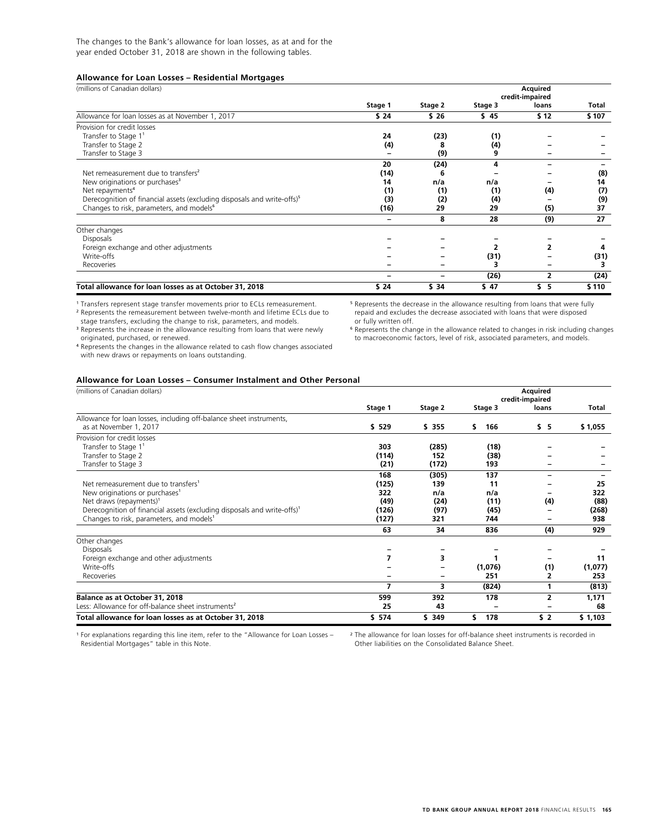The changes to the Bank's allowance for loan losses, as at and for the year ended October 31, 2018 are shown in the following tables.

## **Allowance for Loan Losses – Residential Mortgages**

| (millions of Canadian dollars)                                                      | credit-impaired |         |         |                          |       |
|-------------------------------------------------------------------------------------|-----------------|---------|---------|--------------------------|-------|
|                                                                                     | Stage 1         | Stage 2 | Stage 3 | loans                    | Total |
| Allowance for loan losses as at November 1, 2017                                    | \$24            | \$26    | \$45    | \$12                     | \$107 |
| Provision for credit losses                                                         |                 |         |         |                          |       |
| Transfer to Stage 1 <sup>1</sup>                                                    | 24              | (23)    | (1)     |                          |       |
| Transfer to Stage 2                                                                 | (4)             | 8       | (4)     |                          |       |
| Transfer to Stage 3                                                                 |                 | (9)     | 9       |                          |       |
|                                                                                     | 20              | (24)    | 4       |                          |       |
| Net remeasurement due to transfers <sup>2</sup>                                     | (14)            | 6       |         |                          | (8)   |
| New originations or purchases <sup>3</sup>                                          | 14              | n/a     | n/a     |                          | 14    |
| Net repayments <sup>4</sup>                                                         | (1)             | (1)     | (1)     | (4)                      | (7)   |
| Derecognition of financial assets (excluding disposals and write-offs) <sup>5</sup> | (3)             | (2)     | (4)     |                          | (9)   |
| Changes to risk, parameters, and models <sup>6</sup>                                | (16)            | 29      | 29      | (5)                      | 37    |
|                                                                                     |                 | 8       | 28      | (9)                      | 27    |
| Other changes                                                                       |                 |         |         |                          |       |
| <b>Disposals</b>                                                                    |                 |         |         |                          |       |
| Foreign exchange and other adjustments                                              |                 |         |         | 2                        |       |
| Write-offs                                                                          |                 |         | (31)    |                          | (31)  |
| Recoveries                                                                          |                 |         |         |                          |       |
|                                                                                     |                 |         | (26)    | $\overline{\phantom{a}}$ | (24)  |
| Total allowance for loan losses as at October 31, 2018                              | \$24            | \$ 34   | \$ 47   | \$<br>5                  | \$110 |

<sup>1</sup> Transfers represent stage transfer movements prior to ECLs remeasurement. <sup>2</sup> Represents the remeasurement between twelve-month and lifetime ECLs due to <sup>5</sup> Represents the decrease in the allowance resulting from loans that were fully repaid and excludes the decrease associated with loans that were disposed or fully written off.

stage transfers, excluding the change to risk, parameters, and models. <sup>3</sup> Represents the increase in the allowance resulting from loans that were newly

originated, purchased, or renewed. <sup>4</sup> Represents the changes in the allowance related to cash flow changes associated

with new draws or repayments on loans outstanding.

<sup>6</sup> Represents the change in the allowance related to changes in risk including changes to macroeconomic factors, level of risk, associated parameters, and models.

# **Allowance for Loan Losses – Consumer Instalment and Other Personal**

| (millions of Canadian dollars)                                                      |                          |         |           | Acquired<br>credit-impaired |         |
|-------------------------------------------------------------------------------------|--------------------------|---------|-----------|-----------------------------|---------|
|                                                                                     | Stage 1                  | Stage 2 | Stage 3   | loans                       | Total   |
| Allowance for loan losses, including off-balance sheet instruments,                 |                          |         |           |                             |         |
| as at November 1, 2017                                                              | \$ 529                   | \$ 355  | Ś<br>166  | \$ 5                        | \$1,055 |
| Provision for credit losses                                                         |                          |         |           |                             |         |
| Transfer to Stage 1 <sup>1</sup>                                                    | 303                      | (285)   | (18)      |                             |         |
| Transfer to Stage 2                                                                 | (114)                    | 152     | (38)      |                             |         |
| Transfer to Stage 3                                                                 | (21)                     | (172)   | 193       |                             |         |
|                                                                                     | 168                      | (305)   | 137       |                             |         |
| Net remeasurement due to transfers <sup>1</sup>                                     | (125)                    | 139     | 11        |                             | 25      |
| New originations or purchases <sup>1</sup>                                          | 322                      | n/a     | n/a       |                             | 322     |
| Net draws (repayments) <sup>1</sup>                                                 | (49)                     | (24)    | (11)      | (4)                         | (88)    |
| Derecognition of financial assets (excluding disposals and write-offs) <sup>1</sup> | (126)                    | (97)    | (45)      |                             | (268)   |
| Changes to risk, parameters, and models <sup>1</sup>                                | (127)                    | 321     | 744       |                             | 938     |
|                                                                                     | 63                       | 34      | 836       | (4)                         | 929     |
| Other changes                                                                       |                          |         |           |                             |         |
| Disposals                                                                           |                          |         |           |                             |         |
| Foreign exchange and other adjustments                                              |                          | 3       |           |                             | 11      |
| Write-offs                                                                          |                          |         | (1,076)   | (1)                         | (1,077) |
| Recoveries                                                                          |                          |         | 251       | $\overline{2}$              | 253     |
|                                                                                     | $\overline{\phantom{a}}$ | 3       | (824)     |                             | (813)   |
| Balance as at October 31, 2018                                                      | 599                      | 392     | 178       | $\overline{2}$              | 1,171   |
| Less: Allowance for off-balance sheet instruments <sup>2</sup>                      | 25                       | 43      |           |                             | 68      |
| Total allowance for loan losses as at October 31, 2018                              | \$ 574                   | \$ 349  | 178<br>\$ | 52                          | \$1,103 |

<sup>1</sup> For explanations regarding this line item, refer to the "Allowance for Loan Losses – Residential Mortgages" table in this Note.

<sup>2</sup> The allowance for loan losses for off-balance sheet instruments is recorded in Other liabilities on the Consolidated Balance Sheet.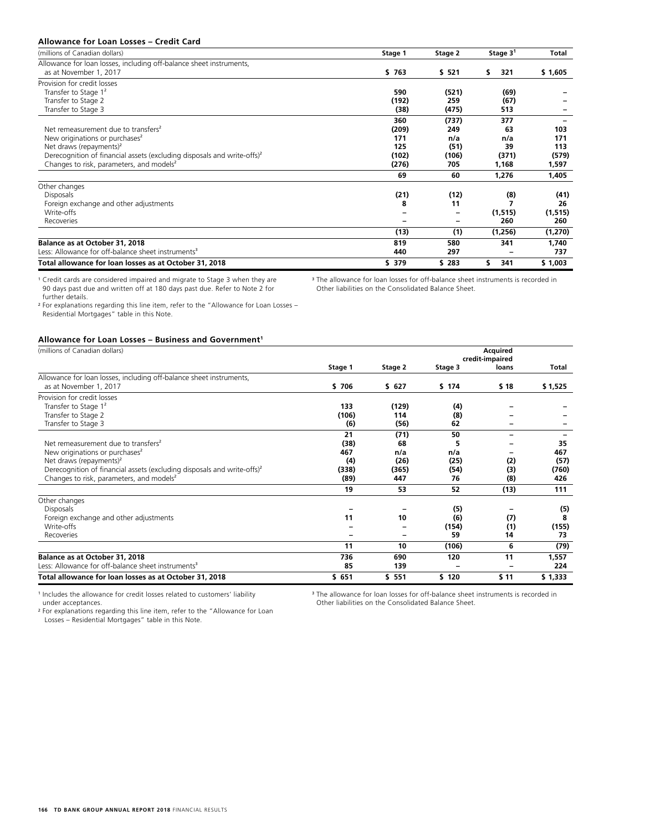## **Allowance for Loan Losses – Credit Card**

| (millions of Canadian dollars)                                                      | Stage 1 | Stage 2 | Stage $31$ | <b>Total</b> |
|-------------------------------------------------------------------------------------|---------|---------|------------|--------------|
| Allowance for loan losses, including off-balance sheet instruments,                 |         |         |            |              |
| as at November 1, 2017                                                              | \$763   | \$ 521  | s.<br>321  | \$1,605      |
| Provision for credit losses                                                         |         |         |            |              |
| Transfer to Stage $12$                                                              | 590     | (521)   | (69)       |              |
| Transfer to Stage 2                                                                 | (192)   | 259     | (67)       |              |
| Transfer to Stage 3                                                                 | (38)    | (475)   | 513        |              |
|                                                                                     | 360     | (737)   | 377        |              |
| Net remeasurement due to transfers <sup>2</sup>                                     | (209)   | 249     | 63         | 103          |
| New originations or purchases <sup>2</sup>                                          | 171     | n/a     | n/a        | 171          |
| Net draws (repayments) <sup>2</sup>                                                 | 125     | (51)    | 39         | 113          |
| Derecognition of financial assets (excluding disposals and write-offs) <sup>2</sup> | (102)   | (106)   | (371)      | (579)        |
| Changes to risk, parameters, and models <sup>2</sup>                                | (276)   | 705     | 1,168      | 1,597        |
|                                                                                     | 69      | 60      | 1,276      | 1,405        |
| Other changes                                                                       |         |         |            |              |
| Disposals                                                                           | (21)    | (12)    | (8)        | (41)         |
| Foreign exchange and other adjustments                                              | 8       | 11      |            | 26           |
| Write-offs                                                                          |         | -       | (1,515)    | (1, 515)     |
| Recoveries                                                                          |         | -       | 260        | 260          |
|                                                                                     | (13)    | (1)     | (1,256)    | (1,270)      |
| Balance as at October 31, 2018                                                      | 819     | 580     | 341        | 1.740        |
| Less: Allowance for off-balance sheet instruments <sup>3</sup>                      | 440     | 297     |            | 737          |
| Total allowance for loan losses as at October 31, 2018                              | \$ 379  | \$ 283  | \$<br>341  | \$1,003      |

90 days past due and written off at 180 days past due. Refer to Note 2 for further details. <sup>2</sup> For explanations regarding this line item, refer to the "Allowance for Loan Losses –

<sup>1</sup> Credit cards are considered impaired and migrate to Stage 3 when they are

Residential Mortgages" table in this Note.

## **Allowance for Loan Losses – Business and Government1**

| <b>Pasilicss and Government</b>                                                     |         |         |         |                                    |         |
|-------------------------------------------------------------------------------------|---------|---------|---------|------------------------------------|---------|
| (millions of Canadian dollars)                                                      |         |         |         | <b>Acquired</b><br>credit-impaired |         |
|                                                                                     | Stage 1 | Stage 2 | Stage 3 | loans                              | Total   |
| Allowance for loan losses, including off-balance sheet instruments,                 |         |         |         |                                    |         |
| as at November 1, 2017                                                              | \$706   | \$ 627  | \$174   | \$18                               | \$1,525 |
| Provision for credit losses                                                         |         |         |         |                                    |         |
| Transfer to Stage $12$                                                              | 133     | (129)   | (4)     |                                    |         |
| Transfer to Stage 2                                                                 | (106)   | 114     | (8)     |                                    |         |
| Transfer to Stage 3                                                                 | (6)     | (56)    | 62      |                                    |         |
|                                                                                     | 21      | (71)    | 50      |                                    |         |
| Net remeasurement due to transfers <sup>2</sup>                                     | (38)    | 68      | 5       |                                    | 35      |
| New originations or purchases <sup>2</sup>                                          | 467     | n/a     | n/a     |                                    | 467     |
| Net draws (repayments) <sup>2</sup>                                                 | (4)     | (26)    | (25)    | (2)                                | (57)    |
| Derecognition of financial assets (excluding disposals and write-offs) <sup>2</sup> | (338)   | (365)   | (54)    | (3)                                | (760)   |
| Changes to risk, parameters, and models <sup>2</sup>                                | (89)    | 447     | 76      | (8)                                | 426     |
|                                                                                     | 19      | 53      | 52      | (13)                               | 111     |
| Other changes                                                                       |         |         |         |                                    |         |
| <b>Disposals</b>                                                                    |         |         | (5)     |                                    | (5)     |
| Foreign exchange and other adjustments                                              | 11      | 10      | (6)     | (7)                                | 8       |
| Write-offs                                                                          |         |         | (154)   | (1)                                | (155)   |
| Recoveries                                                                          |         |         | 59      | 14                                 | 73      |
|                                                                                     | 11      | 10      | (106)   | 6                                  | (79)    |
| Balance as at October 31, 2018                                                      | 736     | 690     | 120     | 11                                 | 1,557   |
| Less: Allowance for off-balance sheet instruments <sup>3</sup>                      | 85      | 139     |         |                                    | 224     |
| Total allowance for loan losses as at October 31, 2018                              | \$ 651  | \$ 551  | \$120   | \$11                               | \$1,333 |

<sup>1</sup> Includes the allowance for credit losses related to customers' liability under acceptances.

<sup>3</sup> The allowance for loan losses for off-balance sheet instruments is recorded in Other liabilities on the Consolidated Balance Sheet.

<sup>3</sup> The allowance for loan losses for off-balance sheet instruments is recorded in

Other liabilities on the Consolidated Balance Sheet.

<sup>2</sup> For explanations regarding this line item, refer to the "Allowance for Loan Losses – Residential Mortgages" table in this Note.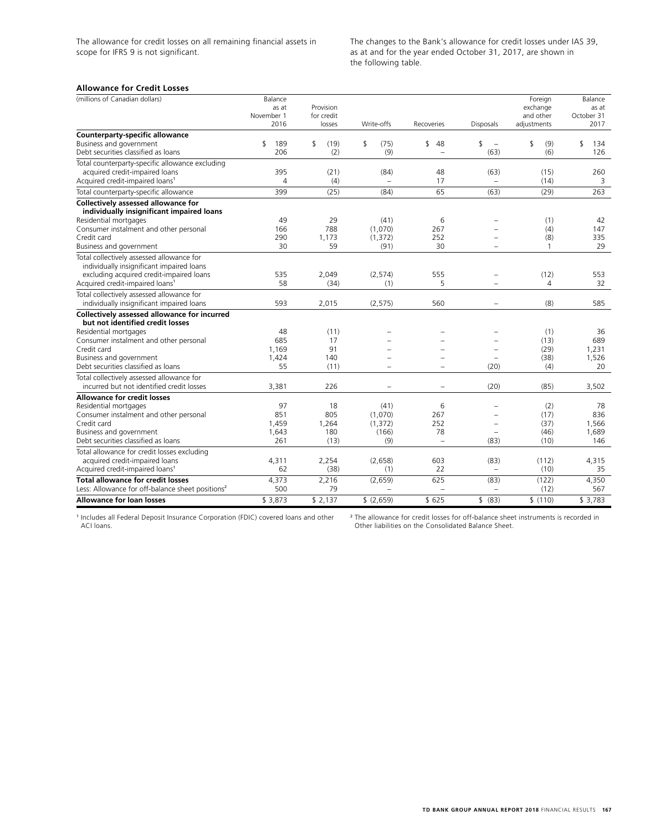The allowance for credit losses on all remaining financial assets in scope for IFRS 9 is not significant.

The changes to the Bank's allowance for credit losses under IAS 39, as at and for the year ended October 31, 2017, are shown in the following table.

# **Allowance for Credit Losses**

| (millions of Canadian dollars)                                                         | Balance            |            |             |                          |                          | Foreign      | Balance            |
|----------------------------------------------------------------------------------------|--------------------|------------|-------------|--------------------------|--------------------------|--------------|--------------------|
|                                                                                        | as at              | Provision  |             |                          |                          | exchange     | as at              |
|                                                                                        | November 1<br>2016 | for credit | Write-offs  |                          |                          | and other    | October 31<br>2017 |
|                                                                                        |                    | losses     |             | Recoveries               | <b>Disposals</b>         | adjustments  |                    |
| <b>Counterparty-specific allowance</b>                                                 | \$<br>189          | (19)       | \$          | \$<br>48                 | \$                       | \$           | \$                 |
| Business and government<br>Debt securities classified as loans                         | 206                | \$<br>(2)  | (75)<br>(9) | ÷                        | (63)                     | (9)<br>(6)   | 134<br>126         |
|                                                                                        |                    |            |             |                          |                          |              |                    |
| Total counterparty-specific allowance excluding<br>acquired credit-impaired loans      | 395                | (21)       |             | 48                       |                          | (15)         | 260                |
| Acquired credit-impaired loans <sup>1</sup>                                            | 4                  | (4)        | (84)        | 17                       | (63)<br>$\overline{a}$   | (14)         | 3                  |
|                                                                                        |                    |            |             |                          |                          |              |                    |
| Total counterparty-specific allowance                                                  | 399                | (25)       | (84)        | 65                       | (63)                     | (29)         | 263                |
| Collectively assessed allowance for                                                    |                    |            |             |                          |                          |              |                    |
| individually insignificant impaired loans<br>Residential mortgages                     | 49                 | 29         | (41)        | 6                        |                          | (1)          | 42                 |
| Consumer instalment and other personal                                                 | 166                | 788        | (1,070)     | 267                      |                          | (4)          | 147                |
| Credit card                                                                            | 290                | 1,173      | (1, 372)    | 252                      |                          | (8)          | 335                |
| Business and government                                                                | 30                 | 59         | (91)        | 30                       |                          | $\mathbf{1}$ | 29                 |
|                                                                                        |                    |            |             |                          |                          |              |                    |
| Total collectively assessed allowance for<br>individually insignificant impaired loans |                    |            |             |                          |                          |              |                    |
| excluding acquired credit-impaired loans                                               | 535                | 2,049      | (2,574)     | 555                      |                          | (12)         | 553                |
| Acquired credit-impaired loans <sup>1</sup>                                            | 58                 | (34)       | (1)         | 5                        | $\overline{a}$           | 4            | 32                 |
| Total collectively assessed allowance for                                              |                    |            |             |                          |                          |              |                    |
| individually insignificant impaired loans                                              | 593                | 2,015      | (2, 575)    | 560                      | $\overline{\phantom{0}}$ | (8)          | 585                |
| Collectively assessed allowance for incurred                                           |                    |            |             |                          |                          |              |                    |
| but not identified credit losses                                                       |                    |            |             |                          |                          |              |                    |
| Residential mortgages                                                                  | 48                 | (11)       |             |                          |                          | (1)          | 36                 |
| Consumer instalment and other personal                                                 | 685                | 17         |             |                          |                          | (13)         | 689                |
| Credit card                                                                            | 1,169              | 91         |             |                          |                          | (29)         | 1,231              |
| Business and government                                                                | 1,424              | 140        |             | $\equiv$                 | L.                       | (38)         | 1,526              |
| Debt securities classified as loans                                                    | 55                 | (11)       | $\equiv$    | ۳                        | (20)                     | (4)          | 20                 |
| Total collectively assessed allowance for                                              |                    |            |             |                          |                          |              |                    |
| incurred but not identified credit losses                                              | 3,381              | 226        |             | ۳                        | (20)                     | (85)         | 3,502              |
| <b>Allowance for credit losses</b>                                                     |                    |            |             |                          |                          |              |                    |
| Residential mortgages                                                                  | 97                 | 18         | (41)        | 6                        | L.                       | (2)          | 78                 |
| Consumer instalment and other personal                                                 | 851                | 805        | (1,070)     | 267                      |                          | (17)         | 836                |
| Credit card                                                                            | 1,459              | 1,264      | (1,372)     | 252                      |                          | (37)         | 1.566              |
| Business and government                                                                | 1,643              | 180        | (166)       | 78                       |                          | (46)         | 1,689              |
| Debt securities classified as loans                                                    | 261                | (13)       | (9)         | $\overline{\phantom{a}}$ | (83)                     | (10)         | 146                |
| Total allowance for credit losses excluding                                            |                    |            |             |                          |                          |              |                    |
| acquired credit-impaired loans                                                         | 4,311              | 2,254      | (2,658)     | 603                      | (83)                     | (112)        | 4,315              |
| Acquired credit-impaired loans <sup>1</sup>                                            | 62                 | (38)       | (1)         | 22                       | ÷,                       | (10)         | 35                 |
| <b>Total allowance for credit losses</b>                                               | 4,373              | 2,216      | (2,659)     | 625                      | (83)                     | (122)        | 4,350              |
| Less: Allowance for off-balance sheet positions <sup>2</sup>                           | 500                | 79         |             |                          | $\overline{\phantom{0}}$ | (12)         | 567                |
| <b>Allowance for loan losses</b>                                                       | \$3,873            | \$2,137    | \$(2,659)   | \$625                    | \$ (83)                  | \$(110)      | \$3,783            |

<sup>1</sup> Includes all Federal Deposit Insurance Corporation (FDIC) covered loans and other ACI loans.

<sup>2</sup> The allowance for credit losses for off-balance sheet instruments is recorded in Other liabilities on the Consolidated Balance Sheet.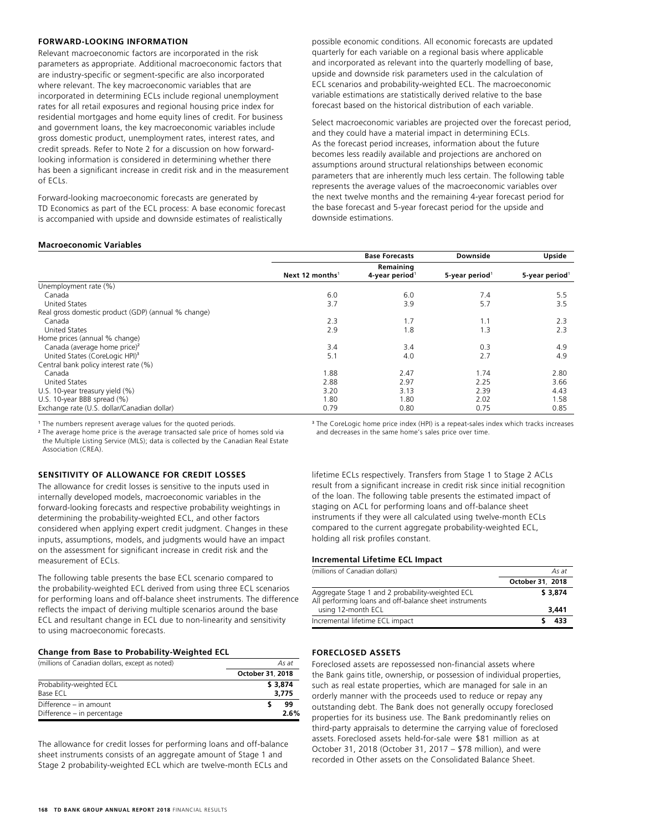## **FORWARD-LOOKING INFORMATION**

Relevant macroeconomic factors are incorporated in the risk parameters as appropriate. Additional macroeconomic factors that are industry-specific or segment-specific are also incorporated where relevant. The key macroeconomic variables that are incorporated in determining ECLs include regional unemployment rates for all retail exposures and regional housing price index for residential mortgages and home equity lines of credit. For business and government loans, the key macroeconomic variables include gross domestic product, unemployment rates, interest rates, and credit spreads. Refer to Note 2 for a discussion on how forwardlooking information is considered in determining whether there has been a significant increase in credit risk and in the measurement of ECLs.

Forward-looking macroeconomic forecasts are generated by TD Economics as part of the ECL process: A base economic forecast is accompanied with upside and downside estimates of realistically

possible economic conditions. All economic forecasts are updated quarterly for each variable on a regional basis where applicable and incorporated as relevant into the quarterly modelling of base, upside and downside risk parameters used in the calculation of ECL scenarios and probability-weighted ECL. The macroeconomic variable estimations are statistically derived relative to the base forecast based on the historical distribution of each variable.

Select macroeconomic variables are projected over the forecast period, and they could have a material impact in determining ECLs. As the forecast period increases, information about the future becomes less readily available and projections are anchored on assumptions around structural relationships between economic parameters that are inherently much less certain. The following table represents the average values of the macroeconomic variables over the next twelve months and the remaining 4-year forecast period for the base forecast and 5-year forecast period for the upside and downside estimations.

## **Macroeconomic Variables**

|                                                     |                             | <b>Base Forecasts</b> | Downside      | Upside            |
|-----------------------------------------------------|-----------------------------|-----------------------|---------------|-------------------|
|                                                     |                             | Remaining             |               |                   |
|                                                     | Next 12 months <sup>1</sup> | 4-year period $1$     | 5-year period | 5-year period $1$ |
| Unemployment rate (%)                               |                             |                       |               |                   |
| Canada                                              | 6.0                         | 6.0                   | 7.4           | 5.5               |
| <b>United States</b>                                | 3.7                         | 3.9                   | 5.7           | 3.5               |
| Real gross domestic product (GDP) (annual % change) |                             |                       |               |                   |
| Canada                                              | 2.3                         | 1.7                   | 1.1           | 2.3               |
| <b>United States</b>                                | 2.9                         | 1.8                   | 1.3           | 2.3               |
| Home prices (annual % change)                       |                             |                       |               |                   |
| Canada (average home price) <sup>2</sup>            | 3.4                         | 3.4                   | 0.3           | 4.9               |
| United States (CoreLogic HPI) <sup>3</sup>          | 5.1                         | 4.0                   | 2.7           | 4.9               |
| Central bank policy interest rate (%)               |                             |                       |               |                   |
| Canada                                              | 1.88                        | 2.47                  | 1.74          | 2.80              |
| <b>United States</b>                                | 2.88                        | 2.97                  | 2.25          | 3.66              |
| U.S. 10-year treasury yield (%)                     | 3.20                        | 3.13                  | 2.39          | 4.43              |
| U.S. 10-year BBB spread (%)                         | 1.80                        | 1.80                  | 2.02          | 1.58              |
| Exchange rate (U.S. dollar/Canadian dollar)         | 0.79                        | 0.80                  | 0.75          | 0.85              |

<sup>1</sup> The numbers represent average values for the quoted periods.

<sup>2</sup> The average home price is the average transacted sale price of homes sold via the Multiple Listing Service (MLS); data is collected by the Canadian Real Estate Association (CREA).

## **SENSITIVITY OF ALLOWANCE FOR CREDIT LOSSES**

The allowance for credit losses is sensitive to the inputs used in internally developed models, macroeconomic variables in the forward-looking forecasts and respective probability weightings in determining the probability-weighted ECL, and other factors considered when applying expert credit judgment. Changes in these inputs, assumptions, models, and judgments would have an impact on the assessment for significant increase in credit risk and the measurement of ECLs.

The following table presents the base ECL scenario compared to the probability-weighted ECL derived from using three ECL scenarios for performing loans and off-balance sheet instruments. The difference reflects the impact of deriving multiple scenarios around the base ECL and resultant change in ECL due to non-linearity and sensitivity to using macroeconomic forecasts.

### **Change from Base to Probability-Weighted ECL**

| (millions of Canadian dollars, except as noted) | As at            |
|-------------------------------------------------|------------------|
|                                                 | October 31, 2018 |
| Probability-weighted ECL                        | \$3.874          |
| Base ECL                                        | 3.775            |
| Difference - in amount                          | 99               |
| Difference - in percentage                      | 2.6%             |

The allowance for credit losses for performing loans and off-balance sheet instruments consists of an aggregate amount of Stage 1 and Stage 2 probability-weighted ECL which are twelve-month ECLs and

<sup>3</sup> The CoreLogic home price index (HPI) is a repeat-sales index which tracks increases and decreases in the same home's sales price over time.

lifetime ECLs respectively. Transfers from Stage 1 to Stage 2 ACLs result from a significant increase in credit risk since initial recognition of the loan. The following table presents the estimated impact of staging on ACL for performing loans and off-balance sheet instruments if they were all calculated using twelve-month ECLs compared to the current aggregate probability-weighted ECL, holding all risk profiles constant.

#### **Incremental Lifetime ECL Impact**

| (millions of Canadian dollars)                                                                             | As at            |
|------------------------------------------------------------------------------------------------------------|------------------|
|                                                                                                            | October 31, 2018 |
| Aggregate Stage 1 and 2 probability-weighted ECL<br>All performing loans and off-balance sheet instruments | \$ 3,874         |
| using 12-month ECL                                                                                         | 3,441            |
| Incremental lifetime ECL impact                                                                            | 433              |

#### **FORECLOSED ASSETS**

Foreclosed assets are repossessed non-financial assets where the Bank gains title, ownership, or possession of individual properties, such as real estate properties, which are managed for sale in an orderly manner with the proceeds used to reduce or repay any outstanding debt. The Bank does not generally occupy foreclosed properties for its business use. The Bank predominantly relies on third-party appraisals to determine the carrying value of foreclosed assets. Foreclosed assets held-for-sale were \$81 million as at October 31, 2018 (October 31, 2017 – \$78 million), and were recorded in Other assets on the Consolidated Balance Sheet.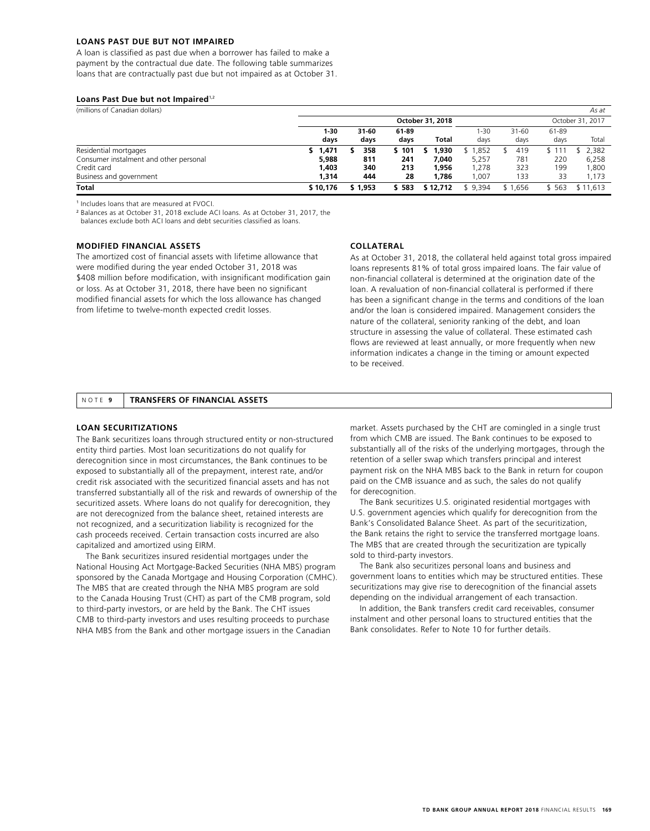# **LOANS PAST DUE BUT NOT IMPAIRED**

A loan is classified as past due when a borrower has failed to make a payment by the contractual due date. The following table summarizes loans that are contractually past due but not impaired as at October 31.

#### Loans Past Due but not Impaired<sup>1,2</sup>

| (millions of Canadian dollars)                        |                |               |               |                  |                |                   |               | As at            |
|-------------------------------------------------------|----------------|---------------|---------------|------------------|----------------|-------------------|---------------|------------------|
|                                                       |                |               |               | October 31, 2018 |                |                   |               | October 31, 2017 |
|                                                       | 1-30<br>days   | 31-60<br>days | 61-89<br>days | Total            | 1-30<br>days   | $31 - 60$<br>days | 61-89<br>days | Total            |
| Residential mortgages                                 | \$1,471        | 358           | \$101         | 1.930            | 1,852          | 419               | \$ 111        | 2,382            |
| Consumer instalment and other personal<br>Credit card | 5,988<br>1,403 | 811<br>340    | 241<br>213    | 7.040<br>1.956   | 5.257<br>1,278 | 781<br>323        | 220<br>199    | 6.258<br>1,800   |
| Business and government                               | 1,314          | 444           | 28            | 1.786            | 1,007          | 133               | 33            | 1.173            |
| <b>Total</b>                                          | \$10,176       | \$1,953       | \$583         | \$12,712         | \$9.394        | \$1,656           | \$ 563        | \$11,613         |

<sup>1</sup> Includes loans that are measured at FVOCI.

<sup>2</sup> Balances as at October 31, 2018 exclude ACI loans. As at October 31, 2017, the balances exclude both ACI loans and debt securities classified as loans.

#### **MODIFIED FINANCIAL ASSETS**

The amortized cost of financial assets with lifetime allowance that were modified during the year ended October 31, 2018 was \$408 million before modification, with insignificant modification gain or loss. As at October 31, 2018, there have been no significant modified financial assets for which the loss allowance has changed from lifetime to twelve-month expected credit losses.

## **COLLATERAL**

As at October 31, 2018, the collateral held against total gross impaired loans represents 81% of total gross impaired loans. The fair value of non-financial collateral is determined at the origination date of the loan. A revaluation of non-financial collateral is performed if there has been a significant change in the terms and conditions of the loan and/or the loan is considered impaired. Management considers the nature of the collateral, seniority ranking of the debt, and loan structure in assessing the value of collateral. These estimated cash flows are reviewed at least annually, or more frequently when new information indicates a change in the timing or amount expected to be received.

## NOTE **9 TRANSFERS OF FINANCIAL ASSETS**

## **LOAN SECURITIZATIONS**

The Bank securitizes loans through structured entity or non-structured entity third parties. Most loan securitizations do not qualify for derecognition since in most circumstances, the Bank continues to be exposed to substantially all of the prepayment, interest rate, and/or credit risk associated with the securitized financial assets and has not transferred substantially all of the risk and rewards of ownership of the securitized assets. Where loans do not qualify for derecognition, they are not derecognized from the balance sheet, retained interests are not recognized, and a securitization liability is recognized for the cash proceeds received. Certain transaction costs incurred are also capitalized and amortized using EIRM.

The Bank securitizes insured residential mortgages under the National Housing Act Mortgage-Backed Securities (NHA MBS) program sponsored by the Canada Mortgage and Housing Corporation (CMHC). The MBS that are created through the NHA MBS program are sold to the Canada Housing Trust (CHT) as part of the CMB program, sold to third-party investors, or are held by the Bank. The CHT issues CMB to third-party investors and uses resulting proceeds to purchase NHA MBS from the Bank and other mortgage issuers in the Canadian

market. Assets purchased by the CHT are comingled in a single trust from which CMB are issued. The Bank continues to be exposed to substantially all of the risks of the underlying mortgages, through the retention of a seller swap which transfers principal and interest payment risk on the NHA MBS back to the Bank in return for coupon paid on the CMB issuance and as such, the sales do not qualify for derecognition.

The Bank securitizes U.S. originated residential mortgages with U.S. government agencies which qualify for derecognition from the Bank's Consolidated Balance Sheet. As part of the securitization, the Bank retains the right to service the transferred mortgage loans. The MBS that are created through the securitization are typically sold to third-party investors.

The Bank also securitizes personal loans and business and government loans to entities which may be structured entities. These securitizations may give rise to derecognition of the financial assets depending on the individual arrangement of each transaction.

In addition, the Bank transfers credit card receivables, consumer instalment and other personal loans to structured entities that the Bank consolidates. Refer to Note 10 for further details.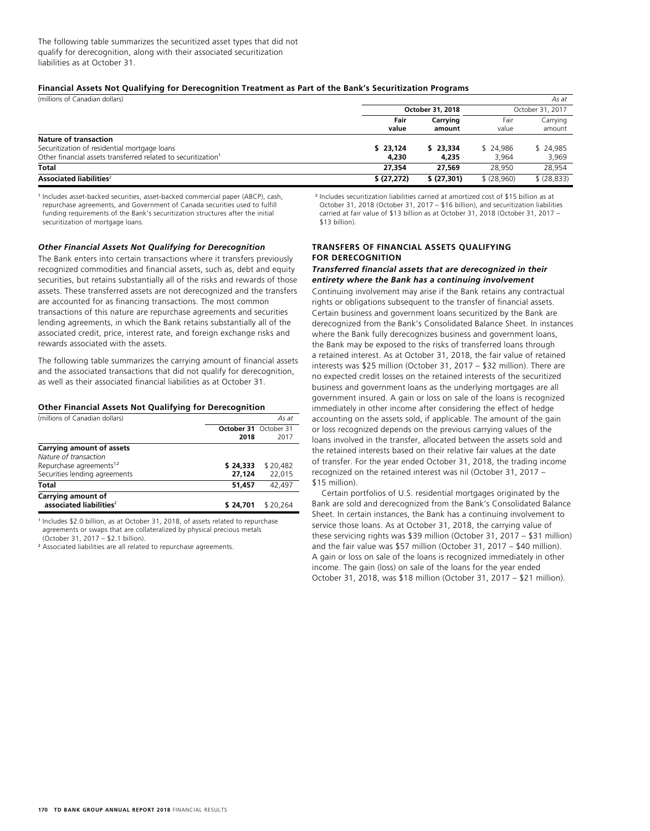## **Financial Assets Not Qualifying for Derecognition Treatment as Part of the Bank's Securitization Programs**

| (millions of Canadian dollars)                                                                                                                            |                   |                    |                   | As at              |
|-----------------------------------------------------------------------------------------------------------------------------------------------------------|-------------------|--------------------|-------------------|--------------------|
|                                                                                                                                                           |                   | October 31, 2018   |                   | October 31, 2017   |
|                                                                                                                                                           | Fair<br>value     | Carrying<br>amount | Fair<br>value     | Carrying<br>amount |
| <b>Nature of transaction</b><br>Securitization of residential mortgage loans<br>Other financial assets transferred related to securitization <sup>1</sup> | \$23.124<br>4,230 | \$23,334<br>4,235  | \$24,986<br>3.964 | 24.985<br>3,969    |
| Total                                                                                                                                                     | 27,354            | 27,569             | 28,950            | 28,954             |
| Associated liabilities <sup>2</sup>                                                                                                                       | \$(27,272)        | \$(27,301)         | \$ (28,960)       | \$ (28,833)        |

<sup>1</sup> Includes asset-backed securities, asset-backed commercial paper (ABCP), cash, repurchase agreements, and Government of Canada securities used to fulfill funding requirements of the Bank's securitization structures after the initial securitization of mortgage loans.

<sup>2</sup> Includes securitization liabilities carried at amortized cost of \$15 billion as at October 31, 2018 (October 31, 2017 – \$16 billion), and securitization liabilities carried at fair value of \$13 billion as at October 31, 2018 (October 31, 2017 – \$13 billion).

## *Other Financial Assets Not Qualifying for Derecognition*

The Bank enters into certain transactions where it transfers previously recognized commodities and financial assets, such as, debt and equity securities, but retains substantially all of the risks and rewards of those assets. These transferred assets are not derecognized and the transfers are accounted for as financing transactions. The most common transactions of this nature are repurchase agreements and securities lending agreements, in which the Bank retains substantially all of the associated credit, price, interest rate, and foreign exchange risks and rewards associated with the assets.

The following table summarizes the carrying amount of financial assets and the associated transactions that did not qualify for derecognition, as well as their associated financial liabilities as at October 31.

#### **Other Financial Assets Not Qualifying for Derecognition**

| Carrying amount of<br>associated liabilities <sup>2</sup>                                                                   | \$24,701                             | \$20,264           |
|-----------------------------------------------------------------------------------------------------------------------------|--------------------------------------|--------------------|
| Total                                                                                                                       | 51,457                               | 42,497             |
| Carrying amount of assets<br>Nature of transaction<br>Repurchase agreements <sup>1,2</sup><br>Securities lending agreements | \$24,333<br>27.124                   | \$20,482<br>22,015 |
| (millions of Canadian dollars)                                                                                              | <b>October 31</b> October 31<br>2018 | As at<br>2017      |

<sup>1</sup> Includes \$2.0 billion, as at October 31, 2018, of assets related to repurchase agreements or swaps that are collateralized by physical precious metals (October 31, 2017 – \$2.1 billion).

<sup>2</sup> Associated liabilities are all related to repurchase agreements.

# **TRANSFERS OF FINANCIAL ASSETS QUALIFYING FOR DERECOGNITION**

## *Transferred financial assets that are derecognized in their entirety where the Bank has a continuing involvement*

Continuing involvement may arise if the Bank retains any contractual rights or obligations subsequent to the transfer of financial assets. Certain business and government loans securitized by the Bank are derecognized from the Bank's Consolidated Balance Sheet. In instances where the Bank fully derecognizes business and government loans, the Bank may be exposed to the risks of transferred loans through a retained interest. As at October 31, 2018, the fair value of retained interests was \$25 million (October 31, 2017 – \$32 million). There are no expected credit losses on the retained interests of the securitized business and government loans as the underlying mortgages are all government insured. A gain or loss on sale of the loans is recognized immediately in other income after considering the effect of hedge accounting on the assets sold, if applicable. The amount of the gain or loss recognized depends on the previous carrying values of the loans involved in the transfer, allocated between the assets sold and the retained interests based on their relative fair values at the date of transfer. For the year ended October 31, 2018, the trading income recognized on the retained interest was nil (October 31, 2017 – \$15 million).

Certain portfolios of U.S. residential mortgages originated by the Bank are sold and derecognized from the Bank's Consolidated Balance Sheet. In certain instances, the Bank has a continuing involvement to service those loans. As at October 31, 2018, the carrying value of these servicing rights was \$39 million (October 31, 2017 – \$31 million) and the fair value was \$57 million (October 31, 2017 – \$40 million). A gain or loss on sale of the loans is recognized immediately in other income. The gain (loss) on sale of the loans for the year ended October 31, 2018, was \$18 million (October 31, 2017 – \$21 million).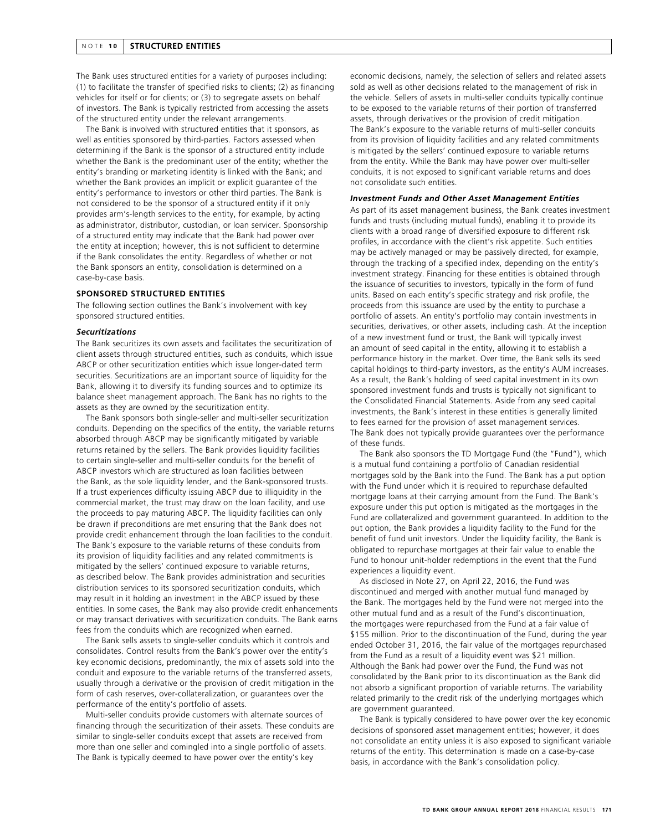The Bank uses structured entities for a variety of purposes including: (1) to facilitate the transfer of specified risks to clients; (2) as financing vehicles for itself or for clients; or (3) to segregate assets on behalf of investors. The Bank is typically restricted from accessing the assets of the structured entity under the relevant arrangements.

The Bank is involved with structured entities that it sponsors, as well as entities sponsored by third-parties. Factors assessed when determining if the Bank is the sponsor of a structured entity include whether the Bank is the predominant user of the entity; whether the entity's branding or marketing identity is linked with the Bank; and whether the Bank provides an implicit or explicit guarantee of the entity's performance to investors or other third parties. The Bank is not considered to be the sponsor of a structured entity if it only provides arm's-length services to the entity, for example, by acting as administrator, distributor, custodian, or loan servicer. Sponsorship of a structured entity may indicate that the Bank had power over the entity at inception; however, this is not sufficient to determine if the Bank consolidates the entity. Regardless of whether or not the Bank sponsors an entity, consolidation is determined on a case-by-case basis.

#### **SPONSORED STRUCTURED ENTITIES**

The following section outlines the Bank's involvement with key sponsored structured entities.

#### *Securitizations*

The Bank securitizes its own assets and facilitates the securitization of client assets through structured entities, such as conduits, which issue ABCP or other securitization entities which issue longer-dated term securities. Securitizations are an important source of liquidity for the Bank, allowing it to diversify its funding sources and to optimize its balance sheet management approach. The Bank has no rights to the assets as they are owned by the securitization entity.

The Bank sponsors both single-seller and multi-seller securitization conduits. Depending on the specifics of the entity, the variable returns absorbed through ABCP may be significantly mitigated by variable returns retained by the sellers. The Bank provides liquidity facilities to certain single-seller and multi-seller conduits for the benefit of ABCP investors which are structured as loan facilities between the Bank, as the sole liquidity lender, and the Bank-sponsored trusts. If a trust experiences difficulty issuing ABCP due to illiquidity in the commercial market, the trust may draw on the loan facility, and use the proceeds to pay maturing ABCP. The liquidity facilities can only be drawn if preconditions are met ensuring that the Bank does not provide credit enhancement through the loan facilities to the conduit. The Bank's exposure to the variable returns of these conduits from its provision of liquidity facilities and any related commitments is mitigated by the sellers' continued exposure to variable returns, as described below. The Bank provides administration and securities distribution services to its sponsored securitization conduits, which may result in it holding an investment in the ABCP issued by these entities. In some cases, the Bank may also provide credit enhancements or may transact derivatives with securitization conduits. The Bank earns fees from the conduits which are recognized when earned.

The Bank sells assets to single-seller conduits which it controls and consolidates. Control results from the Bank's power over the entity's key economic decisions, predominantly, the mix of assets sold into the conduit and exposure to the variable returns of the transferred assets, usually through a derivative or the provision of credit mitigation in the form of cash reserves, over-collateralization, or guarantees over the performance of the entity's portfolio of assets.

Multi-seller conduits provide customers with alternate sources of financing through the securitization of their assets. These conduits are similar to single-seller conduits except that assets are received from more than one seller and comingled into a single portfolio of assets. The Bank is typically deemed to have power over the entity's key

economic decisions, namely, the selection of sellers and related assets sold as well as other decisions related to the management of risk in the vehicle. Sellers of assets in multi-seller conduits typically continue to be exposed to the variable returns of their portion of transferred assets, through derivatives or the provision of credit mitigation. The Bank's exposure to the variable returns of multi-seller conduits from its provision of liquidity facilities and any related commitments is mitigated by the sellers' continued exposure to variable returns from the entity. While the Bank may have power over multi-seller conduits, it is not exposed to significant variable returns and does not consolidate such entities.

#### *Investment Funds and Other Asset Management Entities*

As part of its asset management business, the Bank creates investment funds and trusts (including mutual funds), enabling it to provide its clients with a broad range of diversified exposure to different risk profiles, in accordance with the client's risk appetite. Such entities may be actively managed or may be passively directed, for example, through the tracking of a specified index, depending on the entity's investment strategy. Financing for these entities is obtained through the issuance of securities to investors, typically in the form of fund units. Based on each entity's specific strategy and risk profile, the proceeds from this issuance are used by the entity to purchase a portfolio of assets. An entity's portfolio may contain investments in securities, derivatives, or other assets, including cash. At the inception of a new investment fund or trust, the Bank will typically invest an amount of seed capital in the entity, allowing it to establish a performance history in the market. Over time, the Bank sells its seed capital holdings to third-party investors, as the entity's AUM increases. As a result, the Bank's holding of seed capital investment in its own sponsored investment funds and trusts is typically not significant to the Consolidated Financial Statements. Aside from any seed capital investments, the Bank's interest in these entities is generally limited to fees earned for the provision of asset management services. The Bank does not typically provide guarantees over the performance of these funds.

The Bank also sponsors the TD Mortgage Fund (the "Fund"), which is a mutual fund containing a portfolio of Canadian residential mortgages sold by the Bank into the Fund. The Bank has a put option with the Fund under which it is required to repurchase defaulted mortgage loans at their carrying amount from the Fund. The Bank's exposure under this put option is mitigated as the mortgages in the Fund are collateralized and government guaranteed. In addition to the put option, the Bank provides a liquidity facility to the Fund for the benefit of fund unit investors. Under the liquidity facility, the Bank is obligated to repurchase mortgages at their fair value to enable the Fund to honour unit-holder redemptions in the event that the Fund experiences a liquidity event.

As disclosed in Note 27, on April 22, 2016, the Fund was discontinued and merged with another mutual fund managed by the Bank. The mortgages held by the Fund were not merged into the other mutual fund and as a result of the Fund's discontinuation, the mortgages were repurchased from the Fund at a fair value of \$155 million. Prior to the discontinuation of the Fund, during the year ended October 31, 2016, the fair value of the mortgages repurchased from the Fund as a result of a liquidity event was \$21 million. Although the Bank had power over the Fund, the Fund was not consolidated by the Bank prior to its discontinuation as the Bank did not absorb a significant proportion of variable returns. The variability related primarily to the credit risk of the underlying mortgages which are government guaranteed.

The Bank is typically considered to have power over the key economic decisions of sponsored asset management entities; however, it does not consolidate an entity unless it is also exposed to significant variable returns of the entity. This determination is made on a case-by-case basis, in accordance with the Bank's consolidation policy.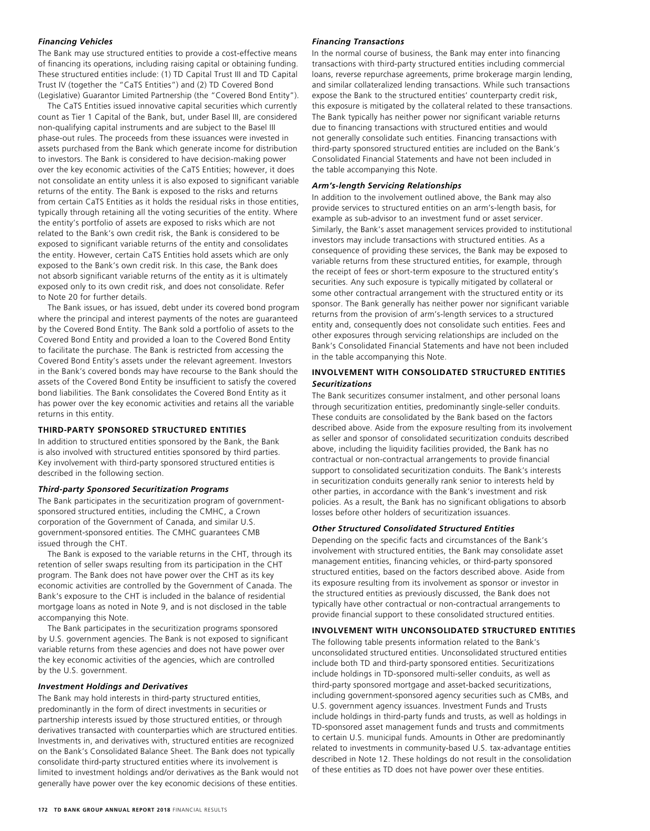## *Financing Vehicles*

The Bank may use structured entities to provide a cost-effective means of financing its operations, including raising capital or obtaining funding. These structured entities include: (1) TD Capital Trust III and TD Capital Trust IV (together the "CaTS Entities") and (2) TD Covered Bond (Legislative) Guarantor Limited Partnership (the "Covered Bond Entity").

The CaTS Entities issued innovative capital securities which currently count as Tier 1 Capital of the Bank, but, under Basel III, are considered non-qualifying capital instruments and are subject to the Basel III phase-out rules. The proceeds from these issuances were invested in assets purchased from the Bank which generate income for distribution to investors. The Bank is considered to have decision-making power over the key economic activities of the CaTS Entities; however, it does not consolidate an entity unless it is also exposed to significant variable returns of the entity. The Bank is exposed to the risks and returns from certain CaTS Entities as it holds the residual risks in those entities, typically through retaining all the voting securities of the entity. Where the entity's portfolio of assets are exposed to risks which are not related to the Bank's own credit risk, the Bank is considered to be exposed to significant variable returns of the entity and consolidates the entity. However, certain CaTS Entities hold assets which are only exposed to the Bank's own credit risk. In this case, the Bank does not absorb significant variable returns of the entity as it is ultimately exposed only to its own credit risk, and does not consolidate. Refer to Note 20 for further details.

The Bank issues, or has issued, debt under its covered bond program where the principal and interest payments of the notes are guaranteed by the Covered Bond Entity. The Bank sold a portfolio of assets to the Covered Bond Entity and provided a loan to the Covered Bond Entity to facilitate the purchase. The Bank is restricted from accessing the Covered Bond Entity's assets under the relevant agreement. Investors in the Bank's covered bonds may have recourse to the Bank should the assets of the Covered Bond Entity be insufficient to satisfy the covered bond liabilities. The Bank consolidates the Covered Bond Entity as it has power over the key economic activities and retains all the variable returns in this entity.

## **THIRD-PARTY SPONSORED STRUCTURED ENTITIES**

In addition to structured entities sponsored by the Bank, the Bank is also involved with structured entities sponsored by third parties. Key involvement with third-party sponsored structured entities is described in the following section.

## *Third-party Sponsored Securitization Programs*

The Bank participates in the securitization program of governmentsponsored structured entities, including the CMHC, a Crown corporation of the Government of Canada, and similar U.S. government-sponsored entities. The CMHC guarantees CMB issued through the CHT.

The Bank is exposed to the variable returns in the CHT, through its retention of seller swaps resulting from its participation in the CHT program. The Bank does not have power over the CHT as its key economic activities are controlled by the Government of Canada. The Bank's exposure to the CHT is included in the balance of residential mortgage loans as noted in Note 9, and is not disclosed in the table accompanying this Note.

The Bank participates in the securitization programs sponsored by U.S. government agencies. The Bank is not exposed to significant variable returns from these agencies and does not have power over the key economic activities of the agencies, which are controlled by the U.S. government.

#### *Investment Holdings and Derivatives*

The Bank may hold interests in third-party structured entities, predominantly in the form of direct investments in securities or partnership interests issued by those structured entities, or through derivatives transacted with counterparties which are structured entities. Investments in, and derivatives with, structured entities are recognized on the Bank's Consolidated Balance Sheet. The Bank does not typically consolidate third-party structured entities where its involvement is limited to investment holdings and/or derivatives as the Bank would not generally have power over the key economic decisions of these entities.

## *Financing Transactions*

In the normal course of business, the Bank may enter into financing transactions with third-party structured entities including commercial loans, reverse repurchase agreements, prime brokerage margin lending, and similar collateralized lending transactions. While such transactions expose the Bank to the structured entities' counterparty credit risk, this exposure is mitigated by the collateral related to these transactions. The Bank typically has neither power nor significant variable returns due to financing transactions with structured entities and would not generally consolidate such entities. Financing transactions with third-party sponsored structured entities are included on the Bank's Consolidated Financial Statements and have not been included in the table accompanying this Note.

## *Arm's-length Servicing Relationships*

In addition to the involvement outlined above, the Bank may also provide services to structured entities on an arm's-length basis, for example as sub-advisor to an investment fund or asset servicer. Similarly, the Bank's asset management services provided to institutional investors may include transactions with structured entities. As a consequence of providing these services, the Bank may be exposed to variable returns from these structured entities, for example, through the receipt of fees or short-term exposure to the structured entity's securities. Any such exposure is typically mitigated by collateral or some other contractual arrangement with the structured entity or its sponsor. The Bank generally has neither power nor significant variable returns from the provision of arm's-length services to a structured entity and, consequently does not consolidate such entities. Fees and other exposures through servicing relationships are included on the Bank's Consolidated Financial Statements and have not been included in the table accompanying this Note.

# **INVOLVEMENT WITH CONSOLIDATED STRUCTURED ENTITIES** *Securitizations*

The Bank securitizes consumer instalment, and other personal loans through securitization entities, predominantly single-seller conduits. These conduits are consolidated by the Bank based on the factors described above. Aside from the exposure resulting from its involvement as seller and sponsor of consolidated securitization conduits described above, including the liquidity facilities provided, the Bank has no contractual or non-contractual arrangements to provide financial support to consolidated securitization conduits. The Bank's interests in securitization conduits generally rank senior to interests held by other parties, in accordance with the Bank's investment and risk policies. As a result, the Bank has no significant obligations to absorb losses before other holders of securitization issuances.

#### *Other Structured Consolidated Structured Entities*

Depending on the specific facts and circumstances of the Bank's involvement with structured entities, the Bank may consolidate asset management entities, financing vehicles, or third-party sponsored structured entities, based on the factors described above. Aside from its exposure resulting from its involvement as sponsor or investor in the structured entities as previously discussed, the Bank does not typically have other contractual or non-contractual arrangements to provide financial support to these consolidated structured entities.

### **INVOLVEMENT WITH UNCONSOLIDATED STRUCTURED ENTITIES**

The following table presents information related to the Bank's unconsolidated structured entities. Unconsolidated structured entities include both TD and third-party sponsored entities. Securitizations include holdings in TD-sponsored multi-seller conduits, as well as third-party sponsored mortgage and asset-backed securitizations, including government-sponsored agency securities such as CMBs, and U.S. government agency issuances. Investment Funds and Trusts include holdings in third-party funds and trusts, as well as holdings in TD-sponsored asset management funds and trusts and commitments to certain U.S. municipal funds. Amounts in Other are predominantly related to investments in community-based U.S. tax-advantage entities described in Note 12. These holdings do not result in the consolidation of these entities as TD does not have power over these entities.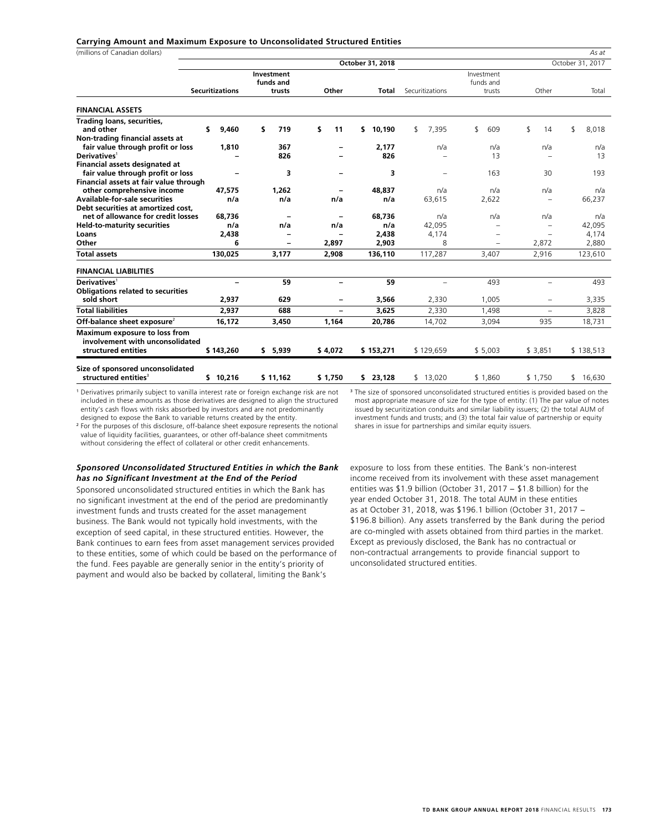#### **Carrying Amount and Maximum Exposure to Unconsolidated Structured Entities**

| (millions of Canadian dollars)           |                        |                          |                          |                  |                          |            |                          | As at            |
|------------------------------------------|------------------------|--------------------------|--------------------------|------------------|--------------------------|------------|--------------------------|------------------|
|                                          |                        |                          |                          | October 31, 2018 |                          |            |                          | October 31, 2017 |
|                                          |                        | Investment               |                          |                  |                          | Investment |                          |                  |
|                                          |                        | funds and                |                          |                  |                          | funds and  |                          |                  |
|                                          | <b>Securitizations</b> | trusts                   | Other                    | Total            | Securitizations          | trusts     | Other                    | Total            |
| <b>FINANCIAL ASSETS</b>                  |                        |                          |                          |                  |                          |            |                          |                  |
| Trading loans, securities,               |                        |                          |                          |                  |                          |            |                          |                  |
| and other                                | s<br>9,460             | 719<br>s                 | \$<br>11                 | 10,190<br>s      | \$<br>7.395              | \$<br>609  | \$<br>14                 | 8,018<br>\$      |
| Non-trading financial assets at          |                        |                          |                          |                  |                          |            |                          |                  |
| fair value through profit or loss        | 1,810                  | 367                      | -                        | 2,177            | n/a                      | n/a        | n/a                      | n/a              |
| Derivatives <sup>1</sup>                 |                        | 826                      |                          | 826              |                          | 13         |                          | 13               |
| Financial assets designated at           |                        |                          |                          |                  |                          |            |                          |                  |
| fair value through profit or loss        |                        | 3                        | $\overline{\phantom{0}}$ | 3                | $\overline{\phantom{a}}$ | 163        | 30                       | 193              |
| Financial assets at fair value through   |                        |                          |                          |                  |                          |            |                          |                  |
| other comprehensive income               | 47,575                 | 1,262                    |                          | 48,837           | n/a                      | n/a        | n/a                      | n/a              |
| <b>Available-for-sale securities</b>     | n/a                    | n/a                      | n/a                      | n/a              | 63,615                   | 2,622      | $\overline{\phantom{a}}$ | 66,237           |
| Debt securities at amortized cost.       |                        |                          |                          |                  |                          |            |                          |                  |
| net of allowance for credit losses       | 68.736                 |                          |                          | 68,736           | n/a                      | n/a        | n/a                      | n/a              |
| <b>Held-to-maturity securities</b>       | n/a                    | n/a                      | n/a                      | n/a              | 42,095                   |            | $\overline{\phantom{0}}$ | 42,095           |
| Loans                                    | 2,438                  |                          |                          | 2,438            | 4,174                    | ۳          |                          | 4,174            |
| Other                                    | 6                      | $\overline{\phantom{0}}$ | 2,897                    | 2,903            | 8                        | -          | 2,872                    | 2,880            |
| <b>Total assets</b>                      | 130,025                | 3,177                    | 2,908                    | 136,110          | 117,287                  | 3,407      | 2,916                    | 123,610          |
| <b>FINANCIAL LIABILITIES</b>             |                        |                          |                          |                  |                          |            |                          |                  |
| Derivatives <sup>1</sup>                 | $\equiv$               | 59                       | $\overline{\phantom{0}}$ | 59               | $\overline{\phantom{a}}$ | 493        | $\overline{\phantom{0}}$ | 493              |
| <b>Obligations related to securities</b> |                        |                          |                          |                  |                          |            |                          |                  |
| sold short                               | 2,937                  | 629                      | -                        | 3,566            | 2,330                    | 1,005      | -                        | 3,335            |
| <b>Total liabilities</b>                 | 2,937                  | 688                      | $\overline{\phantom{m}}$ | 3,625            | 2,330                    | 1,498      | $\overline{\phantom{0}}$ | 3,828            |
| Off-balance sheet exposure <sup>2</sup>  | 16,172                 | 3,450                    | 1,164                    | 20,786           | 14,702                   | 3,094      | 935                      | 18,731           |
| Maximum exposure to loss from            |                        |                          |                          |                  |                          |            |                          |                  |
| involvement with unconsolidated          |                        |                          |                          |                  |                          |            |                          |                  |
| structured entities                      | \$143,260              | 5.939                    | \$4,072                  | \$153,271        | \$129,659                | \$5,003    | \$3,851                  | \$138,513        |
| Size of sponsored unconsolidated         |                        |                          |                          |                  |                          |            |                          |                  |
| structured entities <sup>3</sup>         | \$10,216               | \$11,162                 | \$1,750                  | \$23,128         | \$13,020                 | \$1,860    | \$1,750                  | 16,630<br>\$     |
|                                          |                        |                          |                          |                  |                          |            |                          |                  |

<sup>1</sup> Derivatives primarily subject to vanilla interest rate or foreign exchange risk are not included in these amounts as those derivatives are designed to align the structured entity's cash flows with risks absorbed by investors and are not predominantly designed to expose the Bank to variable returns created by the entity.

<sup>3</sup> The size of sponsored unconsolidated structured entities is provided based on the most appropriate measure of size for the type of entity: (1) The par value of notes issued by securitization conduits and similar liability issuers; (2) the total AUM of investment funds and trusts; and (3) the total fair value of partnership or equity shares in issue for partnerships and similar equity issuers.

<sup>2</sup> For the purposes of this disclosure, off-balance sheet exposure represents the notional value of liquidity facilities, guarantees, or other off-balance sheet commitments without considering the effect of collateral or other credit enhancements.

## *Sponsored Unconsolidated Structured Entities in which the Bank has no Significant Investment at the End of the Period*

Sponsored unconsolidated structured entities in which the Bank has no significant investment at the end of the period are predominantly investment funds and trusts created for the asset management business. The Bank would not typically hold investments, with the exception of seed capital, in these structured entities. However, the Bank continues to earn fees from asset management services provided to these entities, some of which could be based on the performance of the fund. Fees payable are generally senior in the entity's priority of payment and would also be backed by collateral, limiting the Bank's

exposure to loss from these entities. The Bank's non-interest income received from its involvement with these asset management entities was \$1.9 billion (October 31, 2017 – \$1.8 billion) for the year ended October 31, 2018. The total AUM in these entities as at October 31, 2018, was \$196.1 billion (October 31, 2017 – \$196.8 billion). Any assets transferred by the Bank during the period are co-mingled with assets obtained from third parties in the market. Except as previously disclosed, the Bank has no contractual or non-contractual arrangements to provide financial support to unconsolidated structured entities.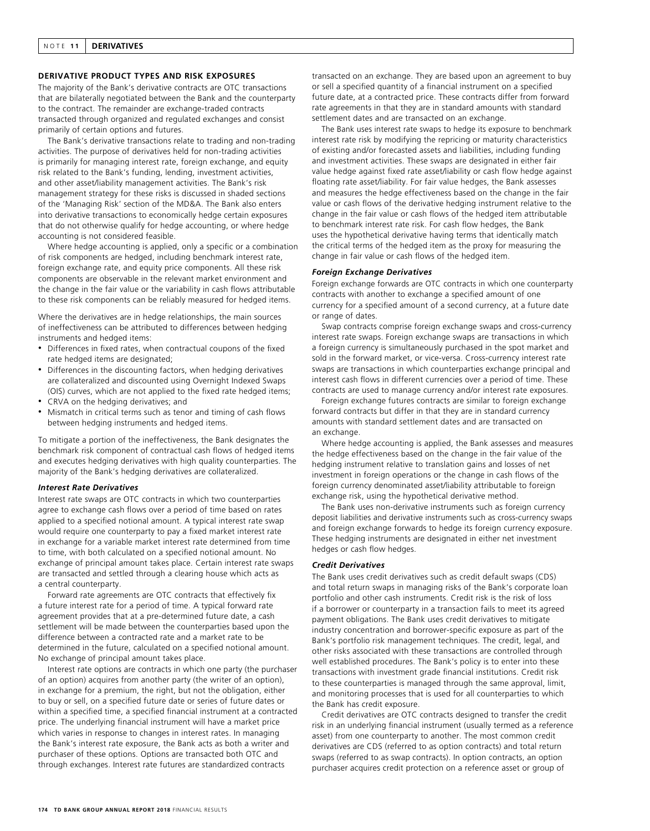# **DERIVATIVE PRODUCT TYPES AND RISK EXPOSURES**

The majority of the Bank's derivative contracts are OTC transactions that are bilaterally negotiated between the Bank and the counterparty to the contract. The remainder are exchange-traded contracts transacted through organized and regulated exchanges and consist primarily of certain options and futures.

The Bank's derivative transactions relate to trading and non-trading activities. The purpose of derivatives held for non-trading activities is primarily for managing interest rate, foreign exchange, and equity risk related to the Bank's funding, lending, investment activities, and other asset/liability management activities. The Bank's risk management strategy for these risks is discussed in shaded sections of the 'Managing Risk' section of the MD&A. The Bank also enters into derivative transactions to economically hedge certain exposures that do not otherwise qualify for hedge accounting, or where hedge accounting is not considered feasible.

Where hedge accounting is applied, only a specific or a combination of risk components are hedged, including benchmark interest rate, foreign exchange rate, and equity price components. All these risk components are observable in the relevant market environment and the change in the fair value or the variability in cash flows attributable to these risk components can be reliably measured for hedged items.

Where the derivatives are in hedge relationships, the main sources of ineffectiveness can be attributed to differences between hedging instruments and hedged items:

- Differences in fixed rates, when contractual coupons of the fixed rate hedged items are designated;
- Differences in the discounting factors, when hedging derivatives are collateralized and discounted using Overnight Indexed Swaps (OIS) curves, which are not applied to the fixed rate hedged items;
- CRVA on the hedging derivatives; and
- Mismatch in critical terms such as tenor and timing of cash flows between hedging instruments and hedged items.

To mitigate a portion of the ineffectiveness, the Bank designates the benchmark risk component of contractual cash flows of hedged items and executes hedging derivatives with high quality counterparties. The majority of the Bank's hedging derivatives are collateralized.

#### *Interest Rate Derivatives*

Interest rate swaps are OTC contracts in which two counterparties agree to exchange cash flows over a period of time based on rates applied to a specified notional amount. A typical interest rate swap would require one counterparty to pay a fixed market interest rate in exchange for a variable market interest rate determined from time to time, with both calculated on a specified notional amount. No exchange of principal amount takes place. Certain interest rate swaps are transacted and settled through a clearing house which acts as a central counterparty.

Forward rate agreements are OTC contracts that effectively fix a future interest rate for a period of time. A typical forward rate agreement provides that at a pre-determined future date, a cash settlement will be made between the counterparties based upon the difference between a contracted rate and a market rate to be determined in the future, calculated on a specified notional amount. No exchange of principal amount takes place.

Interest rate options are contracts in which one party (the purchaser of an option) acquires from another party (the writer of an option), in exchange for a premium, the right, but not the obligation, either to buy or sell, on a specified future date or series of future dates or within a specified time, a specified financial instrument at a contracted price. The underlying financial instrument will have a market price which varies in response to changes in interest rates. In managing the Bank's interest rate exposure, the Bank acts as both a writer and purchaser of these options. Options are transacted both OTC and through exchanges. Interest rate futures are standardized contracts

transacted on an exchange. They are based upon an agreement to buy or sell a specified quantity of a financial instrument on a specified future date, at a contracted price. These contracts differ from forward rate agreements in that they are in standard amounts with standard settlement dates and are transacted on an exchange.

The Bank uses interest rate swaps to hedge its exposure to benchmark interest rate risk by modifying the repricing or maturity characteristics of existing and/or forecasted assets and liabilities, including funding and investment activities. These swaps are designated in either fair value hedge against fixed rate asset/liability or cash flow hedge against floating rate asset/liability. For fair value hedges, the Bank assesses and measures the hedge effectiveness based on the change in the fair value or cash flows of the derivative hedging instrument relative to the change in the fair value or cash flows of the hedged item attributable to benchmark interest rate risk. For cash flow hedges, the Bank uses the hypothetical derivative having terms that identically match the critical terms of the hedged item as the proxy for measuring the change in fair value or cash flows of the hedged item.

#### *Foreign Exchange Derivatives*

Foreign exchange forwards are OTC contracts in which one counterparty contracts with another to exchange a specified amount of one currency for a specified amount of a second currency, at a future date or range of dates.

Swap contracts comprise foreign exchange swaps and cross-currency interest rate swaps. Foreign exchange swaps are transactions in which a foreign currency is simultaneously purchased in the spot market and sold in the forward market, or vice-versa. Cross-currency interest rate swaps are transactions in which counterparties exchange principal and interest cash flows in different currencies over a period of time. These contracts are used to manage currency and/or interest rate exposures.

Foreign exchange futures contracts are similar to foreign exchange forward contracts but differ in that they are in standard currency amounts with standard settlement dates and are transacted on an exchange.

Where hedge accounting is applied, the Bank assesses and measures the hedge effectiveness based on the change in the fair value of the hedging instrument relative to translation gains and losses of net investment in foreign operations or the change in cash flows of the foreign currency denominated asset/liability attributable to foreign exchange risk, using the hypothetical derivative method.

The Bank uses non-derivative instruments such as foreign currency deposit liabilities and derivative instruments such as cross-currency swaps and foreign exchange forwards to hedge its foreign currency exposure. These hedging instruments are designated in either net investment hedges or cash flow hedges.

#### *Credit Derivatives*

The Bank uses credit derivatives such as credit default swaps (CDS) and total return swaps in managing risks of the Bank's corporate loan portfolio and other cash instruments. Credit risk is the risk of loss if a borrower or counterparty in a transaction fails to meet its agreed payment obligations. The Bank uses credit derivatives to mitigate industry concentration and borrower-specific exposure as part of the Bank's portfolio risk management techniques. The credit, legal, and other risks associated with these transactions are controlled through well established procedures. The Bank's policy is to enter into these transactions with investment grade financial institutions. Credit risk to these counterparties is managed through the same approval, limit, and monitoring processes that is used for all counterparties to which the Bank has credit exposure.

Credit derivatives are OTC contracts designed to transfer the credit risk in an underlying financial instrument (usually termed as a reference asset) from one counterparty to another. The most common credit derivatives are CDS (referred to as option contracts) and total return swaps (referred to as swap contracts). In option contracts, an option purchaser acquires credit protection on a reference asset or group of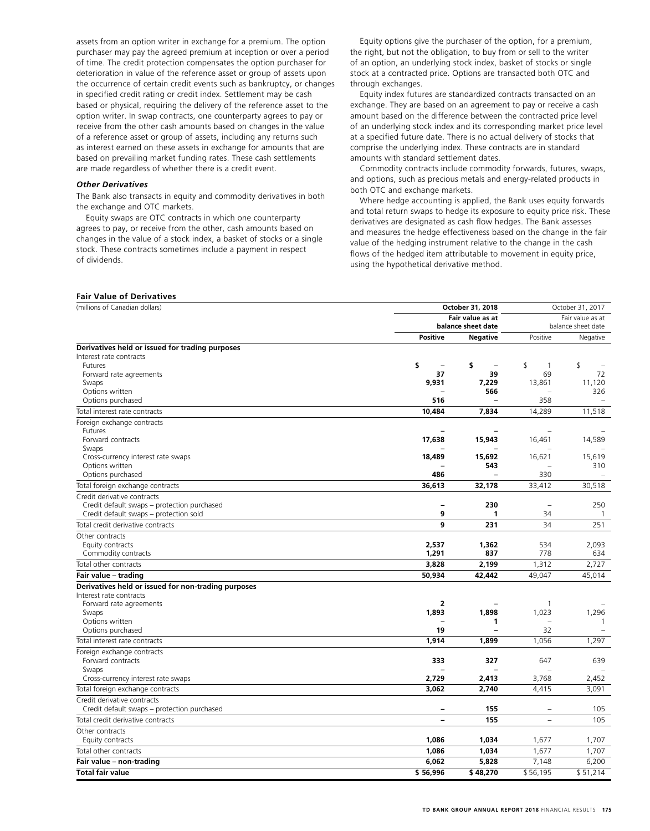assets from an option writer in exchange for a premium. The option purchaser may pay the agreed premium at inception or over a period of time. The credit protection compensates the option purchaser for deterioration in value of the reference asset or group of assets upon the occurrence of certain credit events such as bankruptcy, or changes in specified credit rating or credit index. Settlement may be cash based or physical, requiring the delivery of the reference asset to the option writer. In swap contracts, one counterparty agrees to pay or receive from the other cash amounts based on changes in the value of a reference asset or group of assets, including any returns such as interest earned on these assets in exchange for amounts that are based on prevailing market funding rates. These cash settlements are made regardless of whether there is a credit event.

#### *Other Derivatives*

The Bank also transacts in equity and commodity derivatives in both the exchange and OTC markets.

Equity swaps are OTC contracts in which one counterparty agrees to pay, or receive from the other, cash amounts based on changes in the value of a stock index, a basket of stocks or a single stock. These contracts sometimes include a payment in respect of dividends.

## **Fair Value of Derivatives**

Equity options give the purchaser of the option, for a premium, the right, but not the obligation, to buy from or sell to the writer of an option, an underlying stock index, basket of stocks or single stock at a contracted price. Options are transacted both OTC and through exchanges.

Equity index futures are standardized contracts transacted on an exchange. They are based on an agreement to pay or receive a cash amount based on the difference between the contracted price level of an underlying stock index and its corresponding market price level at a specified future date. There is no actual delivery of stocks that comprise the underlying index. These contracts are in standard amounts with standard settlement dates.

Commodity contracts include commodity forwards, futures, swaps, and options, such as precious metals and energy-related products in both OTC and exchange markets.

Where hedge accounting is applied, the Bank uses equity forwards and total return swaps to hedge its exposure to equity price risk. These derivatives are designated as cash flow hedges. The Bank assesses and measures the hedge effectiveness based on the change in the fair value of the hedging instrument relative to the change in the cash flows of the hedged item attributable to movement in equity price, using the hypothetical derivative method.

| (millions of Canadian dollars)                      | October 31, 2018         | October 31, 2017   |                          |                       |  |
|-----------------------------------------------------|--------------------------|--------------------|--------------------------|-----------------------|--|
|                                                     | Fair value as at         |                    |                          |                       |  |
|                                                     |                          | balance sheet date |                          | balance sheet date    |  |
|                                                     | <b>Positive</b>          | <b>Negative</b>    | Positive                 | Negative              |  |
| Derivatives held or issued for trading purposes     |                          |                    |                          |                       |  |
| Interest rate contracts                             |                          |                    |                          |                       |  |
| Futures                                             | \$<br>-                  | \$                 | \$<br>1                  | \$                    |  |
| Forward rate agreements                             | 37                       | 39                 | 69                       | 72                    |  |
| Swaps<br>Options written                            | 9,931                    | 7,229<br>566       | 13,861                   | 11,120<br>326         |  |
| Options purchased                                   | 516                      |                    | 358                      |                       |  |
| Total interest rate contracts                       | 10,484                   | 7,834              | 14,289                   | 11,518                |  |
| Foreign exchange contracts                          |                          |                    |                          |                       |  |
| Futures                                             |                          |                    |                          |                       |  |
| Forward contracts                                   | 17,638                   | 15,943             | 16,461                   | 14,589                |  |
| Swaps                                               |                          |                    |                          |                       |  |
| Cross-currency interest rate swaps                  | 18,489                   | 15,692             | 16,621                   | 15,619                |  |
| Options written                                     |                          | 543                |                          | 310                   |  |
| Options purchased                                   | 486                      |                    | 330                      |                       |  |
| Total foreign exchange contracts                    | 36,613                   | 32,178             | 33,412                   | 30,518                |  |
| Credit derivative contracts                         |                          |                    |                          |                       |  |
| Credit default swaps - protection purchased         | $\overline{\phantom{0}}$ | 230                | ۰                        | 250                   |  |
| Credit default swaps - protection sold              | 9                        | 1                  | 34                       | $\mathbf{1}$          |  |
| Total credit derivative contracts                   | 9                        | 231                | 34                       | 251                   |  |
| Other contracts                                     |                          |                    |                          |                       |  |
| Equity contracts                                    | 2,537                    | 1,362              | 534                      | 2,093                 |  |
| Commodity contracts                                 | 1,291                    | 837                | 778                      | 634                   |  |
| Total other contracts                               | 3,828                    | 2,199              | 1,312                    | 2,727                 |  |
| Fair value - trading                                | 50,934                   | 42,442             | 49,047                   | 45,014                |  |
| Derivatives held or issued for non-trading purposes |                          |                    |                          |                       |  |
| Interest rate contracts                             |                          |                    |                          |                       |  |
| Forward rate agreements                             | 2                        |                    | 1                        |                       |  |
| Swaps<br>Options written                            | 1,893                    | 1,898<br>1         | 1,023<br>÷,              | 1,296<br>$\mathbf{1}$ |  |
| Options purchased                                   | 19                       |                    | 32                       |                       |  |
| Total interest rate contracts                       | 1,914                    | 1,899              | 1,056                    | 1,297                 |  |
| Foreign exchange contracts                          |                          |                    |                          |                       |  |
| Forward contracts                                   | 333                      | 327                | 647                      | 639                   |  |
| Swaps                                               |                          |                    |                          |                       |  |
| Cross-currency interest rate swaps                  | 2,729                    | 2,413              | 3,768                    | 2,452                 |  |
| Total foreign exchange contracts                    | 3,062                    | 2.740              | 4,415                    | 3,091                 |  |
| Credit derivative contracts                         |                          |                    |                          |                       |  |
| Credit default swaps - protection purchased         |                          | 155                |                          | 105                   |  |
| Total credit derivative contracts                   | $\overline{\phantom{0}}$ | 155                | $\overline{\phantom{a}}$ | 105                   |  |
| Other contracts                                     |                          |                    |                          |                       |  |
| Equity contracts                                    | 1,086                    | 1,034              | 1,677                    | 1,707                 |  |
| Total other contracts                               | 1,086                    | 1,034              | 1,677                    | 1,707                 |  |
| Fair value - non-trading                            | 6,062                    | 5,828              | 7,148                    | 6,200                 |  |
| <b>Total fair value</b>                             | \$56,996                 | \$48,270           | \$56.195                 | \$51,214              |  |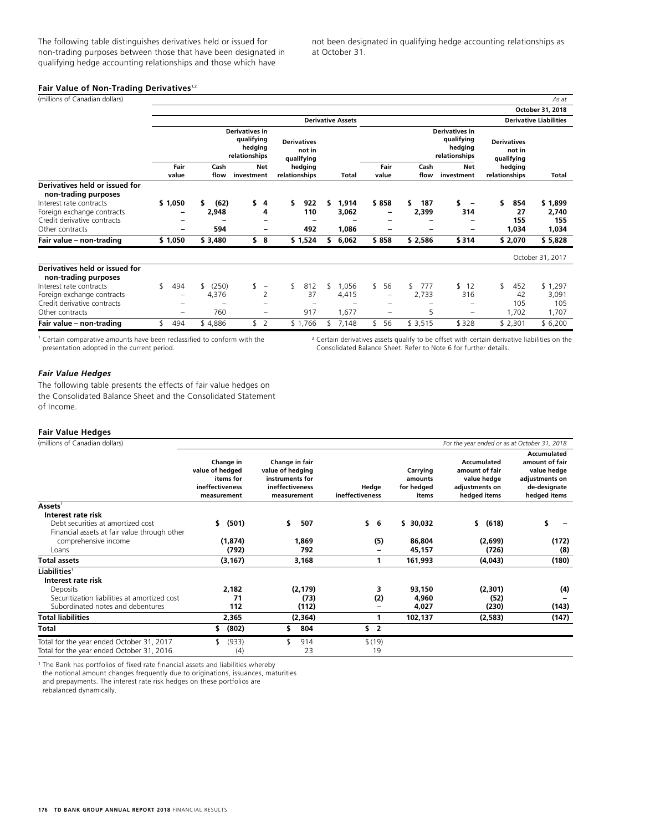not been designated in qualifying hedge accounting relationships as at October 31.

## **Fair Value of Non-Trading Derivatives**<sup>1,2</sup>

| (millions of Canadian dollars)                         |                          |              |                                                                 |                                            |                          |                          |              |                                                                 |                                            | As at                         |
|--------------------------------------------------------|--------------------------|--------------|-----------------------------------------------------------------|--------------------------------------------|--------------------------|--------------------------|--------------|-----------------------------------------------------------------|--------------------------------------------|-------------------------------|
|                                                        |                          |              |                                                                 |                                            |                          |                          |              |                                                                 |                                            | October 31, 2018              |
|                                                        |                          |              |                                                                 |                                            | <b>Derivative Assets</b> |                          |              |                                                                 |                                            | <b>Derivative Liabilities</b> |
|                                                        |                          |              | <b>Derivatives in</b><br>qualifying<br>hedging<br>relationships | <b>Derivatives</b><br>not in<br>qualifying |                          |                          |              | <b>Derivatives in</b><br>qualifying<br>hedging<br>relationships | <b>Derivatives</b><br>not in<br>qualifying |                               |
|                                                        | Fair<br>value            | Cash<br>flow | <b>Net</b><br>investment                                        | hedging<br>relationships                   | <b>Total</b>             | Fair<br>value            | Cash<br>flow | <b>Net</b><br>investment                                        | hedging<br>relationships                   | Total                         |
| Derivatives held or issued for<br>non-trading purposes |                          |              |                                                                 |                                            |                          |                          |              |                                                                 |                                            |                               |
| Interest rate contracts                                | \$1,050                  | (62)<br>s    | \$.<br>4                                                        | s<br>922                                   | \$<br>1,914              | \$858                    | 187<br>\$    | s.<br>$\overline{\phantom{m}}$                                  | s.<br>854                                  | \$1,899                       |
| Foreign exchange contracts                             |                          | 2,948        | 4                                                               | 110                                        | 3,062                    | -                        | 2,399        | 314                                                             | 27                                         | 2,740                         |
| Credit derivative contracts                            |                          |              |                                                                 |                                            |                          |                          |              |                                                                 | 155                                        | 155                           |
| Other contracts                                        |                          | 594          |                                                                 | 492                                        | 1,086                    |                          |              |                                                                 | 1,034                                      | 1,034                         |
| Fair value - non-trading                               | \$1,050                  | \$3,480      | \$.<br>8                                                        | \$1,524                                    | 6,062                    | \$858                    | \$2,586      | \$314                                                           | \$2,070                                    | \$5,828                       |
|                                                        |                          |              |                                                                 |                                            |                          |                          |              |                                                                 |                                            | October 31, 2017              |
| Derivatives held or issued for<br>non-trading purposes |                          |              |                                                                 |                                            |                          |                          |              |                                                                 |                                            |                               |
| Interest rate contracts                                | \$<br>494                | (250)<br>٢.  | \$<br>$\overline{\phantom{a}}$                                  | $\mathbf{S}$<br>812                        | \$<br>1.056              | \$<br>56                 | 777<br>\$    | \$12                                                            | \$<br>452                                  | \$1,297                       |
| Foreign exchange contracts                             | $\overline{\phantom{a}}$ | 4,376        | $\overline{2}$                                                  | 37                                         | 4,415                    | -                        | 2,733        | 316                                                             | 42                                         | 3,091                         |
| Credit derivative contracts                            |                          |              |                                                                 |                                            |                          | $\overline{\phantom{a}}$ |              |                                                                 | 105                                        | 105                           |
| Other contracts                                        | -                        | 760          | -                                                               | 917                                        | 1,677                    | $\overline{\phantom{0}}$ | 5            | $\overline{\phantom{a}}$                                        | 1,702                                      | 1,707                         |
| Fair value - non-trading                               | \$<br>494                | \$4,886      | \$<br>2                                                         | \$1,766                                    | 7,148                    | \$<br>56                 | \$3,515      | \$328                                                           | \$2,301                                    | \$6,200                       |

<sup>1</sup> Certain comparative amounts have been reclassified to conform with the presentation adopted in the current period.

<sup>2</sup> Certain derivatives assets qualify to be offset with certain derivative liabilities on the Consolidated Balance Sheet. Refer to Note 6 for further details.

# *Fair Value Hedges*

The following table presents the effects of fair value hedges on the Consolidated Balance Sheet and the Consolidated Statement of Income.

## **Fair Value Hedges**

| (millions of Canadian dollars)                                                                          |                                                                             |                                                                                         |                          |                                            | For the year ended or as at October 31, 2018                                   |                                                                                                |
|---------------------------------------------------------------------------------------------------------|-----------------------------------------------------------------------------|-----------------------------------------------------------------------------------------|--------------------------|--------------------------------------------|--------------------------------------------------------------------------------|------------------------------------------------------------------------------------------------|
|                                                                                                         | Change in<br>value of hedged<br>items for<br>ineffectiveness<br>measurement | Change in fair<br>value of hedging<br>instruments for<br>ineffectiveness<br>measurement | Hedge<br>ineffectiveness | Carrying<br>amounts<br>for hedged<br>items | Accumulated<br>amount of fair<br>value hedge<br>adjustments on<br>hedged items | Accumulated<br>amount of fair<br>value hedge<br>adjustments on<br>de-designate<br>hedged items |
| Assets <sup>1</sup>                                                                                     |                                                                             |                                                                                         |                          |                                            |                                                                                |                                                                                                |
| Interest rate risk<br>Debt securities at amortized cost<br>Financial assets at fair value through other | (501)<br>\$.                                                                | \$.<br>507                                                                              | \$6                      | \$ 30,032                                  | s.<br>(618)                                                                    | \$                                                                                             |
| comprehensive income                                                                                    | (1, 874)                                                                    | 1,869                                                                                   | (5)                      | 86,804                                     | (2,699)                                                                        | (172)                                                                                          |
| Loans                                                                                                   | (792)                                                                       | 792                                                                                     |                          | 45,157                                     | (726)                                                                          | (8)                                                                                            |
| <b>Total assets</b>                                                                                     | (3, 167)                                                                    | 3,168                                                                                   | 1                        | 161,993                                    | (4,043)                                                                        | (180)                                                                                          |
| $Liabilities1$                                                                                          |                                                                             |                                                                                         |                          |                                            |                                                                                |                                                                                                |
| Interest rate risk                                                                                      |                                                                             |                                                                                         |                          |                                            |                                                                                |                                                                                                |
| Deposits                                                                                                | 2,182                                                                       | (2, 179)                                                                                | з                        | 93,150                                     | (2,301)                                                                        | (4)                                                                                            |
| Securitization liabilities at amortized cost                                                            | 71                                                                          | (73)                                                                                    | (2)                      | 4,960                                      | (52)                                                                           |                                                                                                |
| Subordinated notes and debentures                                                                       | 112                                                                         | (112)                                                                                   |                          | 4,027                                      | (230)                                                                          | (143)                                                                                          |
| <b>Total liabilities</b>                                                                                | 2,365                                                                       | (2,364)                                                                                 | 1                        | 102,137                                    | (2,583)                                                                        | (147)                                                                                          |
| Total                                                                                                   | (802)<br>\$.                                                                | 804                                                                                     | \$.<br>$\overline{2}$    |                                            |                                                                                |                                                                                                |
| Total for the year ended October 31, 2017<br>Total for the year ended October 31, 2016                  | (933)<br>\$.<br>(4)                                                         | \$<br>914<br>23                                                                         | \$(19)<br>19             |                                            |                                                                                |                                                                                                |
|                                                                                                         |                                                                             |                                                                                         |                          |                                            |                                                                                |                                                                                                |

<sup>1</sup> The Bank has portfolios of fixed rate financial assets and liabilities whereby

the notional amount changes frequently due to originations, issuances, maturities

and prepayments. The interest rate risk hedges on these portfolios are

rebalanced dynamically.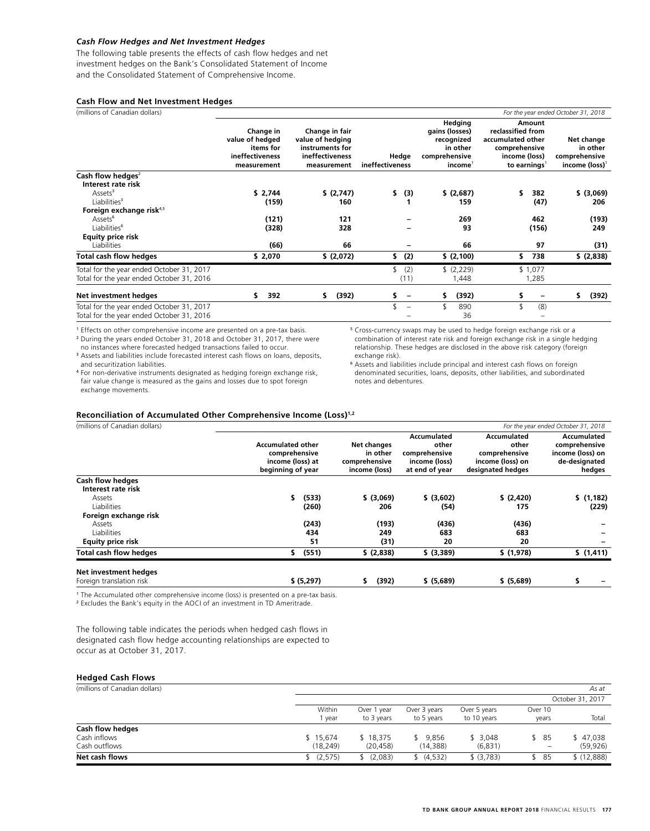# *Cash Flow Hedges and Net Investment Hedges*

The following table presents the effects of cash flow hedges and net investment hedges on the Bank's Consolidated Statement of Income and the Consolidated Statement of Comprehensive Income.

## **Cash Flow and Net Investment Hedges**

| (millions of Canadian dollars)            |                              |                                    |                                |                              |                                        | For the year ended October 31, 2018 |
|-------------------------------------------|------------------------------|------------------------------------|--------------------------------|------------------------------|----------------------------------------|-------------------------------------|
|                                           |                              |                                    |                                | Hedging                      | Amount                                 |                                     |
|                                           | Change in<br>value of hedged | Change in fair<br>value of hedging |                                | gains (losses)<br>recognized | reclassified from<br>accumulated other | Net change                          |
|                                           | items for                    | instruments for                    |                                | in other                     | comprehensive                          | in other                            |
|                                           | ineffectiveness              | ineffectiveness                    | Hedge                          | comprehensive                | income (loss)                          | comprehensive                       |
|                                           | measurement                  | measurement                        | <i>ineffectiveness</i>         | income <sup>1</sup>          | to earnings <sup>1</sup>               | income (loss) <sup>1</sup>          |
| Cash flow hedges <sup>2</sup>             |                              |                                    |                                |                              |                                        |                                     |
| Interest rate risk                        |                              |                                    |                                |                              |                                        |                                     |
| Assets <sup>3</sup>                       | \$2.744                      | (2,747)                            | \$.<br>(3)                     | \$(2,687)                    | 382                                    | \$ (3,069)                          |
| Liabilities <sup>3</sup>                  | (159)                        | 160                                |                                | 159                          | (47)                                   | 206                                 |
| Foreign exchange risk <sup>4,5</sup>      |                              |                                    |                                |                              |                                        |                                     |
| Assets <sup>6</sup>                       | (121)                        | 121                                |                                | 269                          | 462                                    | (193)                               |
| Liabilities <sup>6</sup>                  | (328)                        | 328                                |                                | 93                           | (156)                                  | 249                                 |
| <b>Equity price risk</b>                  |                              |                                    |                                |                              |                                        |                                     |
| Liabilities                               | (66)                         | 66                                 |                                | 66                           | 97                                     | (31)                                |
| <b>Total cash flow hedges</b>             | \$ 2,070                     | \$(2,072)                          | (2)<br>\$                      | \$ (2,100)                   | 738<br>s.                              | \$ (2,838)                          |
| Total for the year ended October 31, 2017 |                              |                                    | \$<br>(2)                      | (2,229)                      | \$1,077                                |                                     |
| Total for the year ended October 31, 2016 |                              |                                    | (11)                           | 1,448                        | 1,285                                  |                                     |
| Net investment hedges                     | 392                          | (392)<br>s.                        | \$                             | (392)<br>s                   | 5                                      | (392)<br>s.                         |
| Total for the year ended October 31, 2017 |                              |                                    | \$<br>$\overline{\phantom{a}}$ | \$<br>890                    | \$<br>(8)                              |                                     |
| Total for the year ended October 31, 2016 |                              |                                    |                                | 36                           |                                        |                                     |

<sup>1</sup> Effects on other comprehensive income are presented on a pre-tax basis.

<sup>2</sup> During the years ended October 31, 2018 and October 31, 2017, there were

no instances where forecasted hedged transactions failed to occur. <sup>3</sup> Assets and liabilities include forecasted interest cash flows on loans, deposits, <sup>5</sup> Cross-currency swaps may be used to hedge foreign exchange risk or a combination of interest rate risk and foreign exchange risk in a single hedging relationship. These hedges are disclosed in the above risk category (foreign exchange risk).

and securitization liabilities. <sup>4</sup> For non-derivative instruments designated as hedging foreign exchange risk, fair value change is measured as the gains and losses due to spot foreign exchange movements.

<sup>6</sup> Assets and liabilities include principal and interest cash flows on foreign denominated securities, loans, deposits, other liabilities, and subordinated notes and debentures.

## **Reconciliation of Accumulated Other Comprehensive Income (Loss)1,2**

(millions of Canadian dollars) *For the year ended October 31, 2018*

| (Thing is of Canadian abiliars)<br>Tor the year ended october 31, 2010 |                                                                                    |                                                                  |                                                                          |                                                                                |                                                                             |
|------------------------------------------------------------------------|------------------------------------------------------------------------------------|------------------------------------------------------------------|--------------------------------------------------------------------------|--------------------------------------------------------------------------------|-----------------------------------------------------------------------------|
|                                                                        | <b>Accumulated other</b><br>comprehensive<br>income (loss) at<br>beginning of year | <b>Net changes</b><br>in other<br>comprehensive<br>income (loss) | Accumulated<br>other<br>comprehensive<br>income (loss)<br>at end of year | Accumulated<br>other<br>comprehensive<br>income (loss) on<br>designated hedges | Accumulated<br>comprehensive<br>income (loss) on<br>de-designated<br>hedges |
| <b>Cash flow hedges</b>                                                |                                                                                    |                                                                  |                                                                          |                                                                                |                                                                             |
| Interest rate risk                                                     |                                                                                    |                                                                  |                                                                          |                                                                                |                                                                             |
| Assets                                                                 | (533)                                                                              | \$ (3,069)                                                       | \$ (3,602)                                                               | \$(2,420)                                                                      | \$(1,182)                                                                   |
| Liabilities                                                            | (260)                                                                              | 206                                                              | (54)                                                                     | 175                                                                            | (229)                                                                       |
| Foreign exchange risk                                                  |                                                                                    |                                                                  |                                                                          |                                                                                |                                                                             |
| Assets                                                                 | (243)                                                                              | (193)                                                            | (436)                                                                    | (436)                                                                          |                                                                             |
| Liabilities                                                            | 434                                                                                | 249                                                              | 683                                                                      | 683                                                                            |                                                                             |
| Equity price risk                                                      | 51                                                                                 | (31)                                                             | 20                                                                       | 20                                                                             |                                                                             |
| <b>Total cash flow hedges</b>                                          | (551)<br>ς                                                                         | \$(2,838)                                                        | \$ (3,389)                                                               | \$(1,978)                                                                      | \$(1,411)                                                                   |
| Net investment hedges                                                  |                                                                                    |                                                                  |                                                                          |                                                                                |                                                                             |
| Foreign translation risk                                               | \$ (5,297)                                                                         | (392)                                                            | \$ (5,689)                                                               | \$ (5,689)                                                                     |                                                                             |

<sup>1</sup> The Accumulated other comprehensive income (loss) is presented on a pre-tax basis.

<sup>2</sup> Excludes the Bank's equity in the AOCI of an investment in TD Ameritrade.

The following table indicates the periods when hedged cash flows in designated cash flow hedge accounting relationships are expected to occur as at October 31, 2017.

## **Hedged Cash Flows**

| (millions of Canadian dollars) |                  |                           |                            |                             |                   | As at            |
|--------------------------------|------------------|---------------------------|----------------------------|-----------------------------|-------------------|------------------|
|                                |                  |                           |                            |                             |                   | October 31, 2017 |
|                                | Within<br>l year | Over 1 year<br>to 3 years | Over 3 years<br>to 5 years | Over 5 years<br>to 10 years | Over 10<br>years  | Total            |
| Cash flow hedges               |                  |                           |                            |                             |                   |                  |
| Cash inflows                   | \$15.674         | \$18.375                  | 9.856                      | \$3,048                     | \$ 85             | 47.038           |
| Cash outflows                  | (18.249)         | (20, 458)                 | (14, 388)                  | (6,831)                     | $\qquad \qquad -$ | (59, 926)        |
| Net cash flows                 | (2, 575)         | (2,083)                   | (4,532)                    | \$ (3,783)                  | \$ 85             | \$(12,888)       |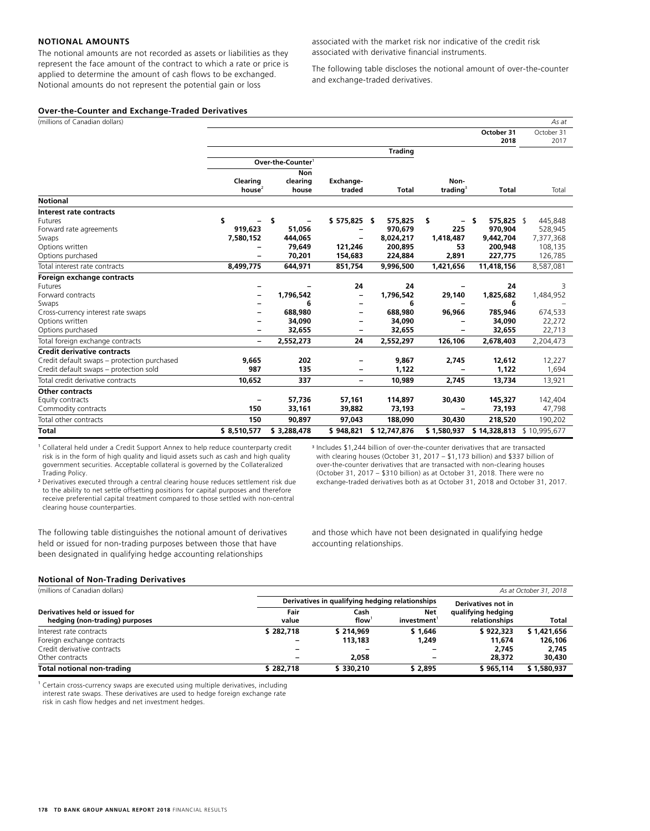# **NOTIONAL AMOUNTS**

The notional amounts are not recorded as assets or liabilities as they represent the face amount of the contract to which a rate or price is applied to determine the amount of cash flows to be exchanged. Notional amounts do not represent the potential gain or loss

associated with the market risk nor indicative of the credit risk associated with derivative financial instruments.

The following table discloses the notional amount of over-the-counter and exchange-traded derivatives.

## **Over-the-Counter and Exchange-Traded Derivatives**

| (millions of Canadian dollars)              |                          |                               |                          |                |                 |                 | As at        |
|---------------------------------------------|--------------------------|-------------------------------|--------------------------|----------------|-----------------|-----------------|--------------|
|                                             |                          |                               |                          |                |                 | October 31      | October 31   |
|                                             |                          |                               |                          |                |                 | 2018            | 2017         |
|                                             |                          |                               |                          | <b>Trading</b> |                 |                 |              |
|                                             |                          | Over-the-Counter <sup>1</sup> |                          |                |                 |                 |              |
|                                             |                          | <b>Non</b>                    |                          |                |                 |                 |              |
|                                             | Clearing                 | clearing                      | Exchange-                |                | Non-            |                 |              |
|                                             | house $2$                | house                         | traded                   | <b>Total</b>   | trading $3$     | <b>Total</b>    | Total        |
| <b>Notional</b>                             |                          |                               |                          |                |                 |                 |              |
| Interest rate contracts                     |                          |                               |                          |                |                 |                 |              |
| <b>Futures</b>                              | \$                       | s                             | $$575,825$ \$            | 575.825        | \$              | 575.825 \$<br>s | 445,848      |
| Forward rate agreements                     | 919.623                  | 51,056                        |                          | 970,679        | 225             | 970,904         | 528,945      |
| Swaps                                       | 7,580,152                | 444,065                       |                          | 8,024,217      | 1,418,487       | 9,442,704       | 7,377,368    |
| Options written                             |                          | 79,649                        | 121,246                  | 200,895        | 53              | 200,948         | 108,135      |
| Options purchased                           |                          | 70,201                        | 154,683                  | 224,884        | 2,891           | 227,775         | 126,785      |
| Total interest rate contracts               | 8,499,775                | 644,971                       | 851,754                  | 9,996,500      | 1,421,656       | 11,418,156      | 8,587,081    |
| Foreign exchange contracts                  |                          |                               |                          |                |                 |                 |              |
| <b>Futures</b>                              |                          |                               | 24                       | 24             |                 | 24              | 3            |
| Forward contracts                           |                          | 1,796,542                     | -                        | 1,796,542      | 29,140          | 1,825,682       | 1,484,952    |
| Swaps                                       |                          | 6                             | -                        | 6              |                 | 6               |              |
| Cross-currency interest rate swaps          |                          | 688,980                       | -                        | 688,980        | 96,966          | 785,946         | 674,533      |
| Options written                             |                          | 34,090                        | -                        | 34,090         |                 | 34,090          | 22,272       |
| Options purchased                           |                          | 32,655                        | -                        | 32,655         | $\qquad \qquad$ | 32,655          | 22,713       |
| Total foreign exchange contracts            | $\overline{\phantom{0}}$ | 2,552,273                     | 24                       | 2,552,297      | 126,106         | 2,678,403       | 2,204,473    |
| <b>Credit derivative contracts</b>          |                          |                               |                          |                |                 |                 |              |
| Credit default swaps - protection purchased | 9,665                    | 202                           |                          | 9,867          | 2,745           | 12,612          | 12,227       |
| Credit default swaps - protection sold      | 987                      | 135                           | ۳                        | 1,122          |                 | 1,122           | 1,694        |
| Total credit derivative contracts           | 10.652                   | 337                           | $\overline{\phantom{0}}$ | 10,989         | 2,745           | 13,734          | 13,921       |
| Other contracts                             |                          |                               |                          |                |                 |                 |              |
| Equity contracts                            |                          | 57.736                        | 57,161                   | 114,897        | 30,430          | 145,327         | 142,404      |
| Commodity contracts                         | 150                      | 33,161                        | 39,882                   | 73,193         |                 | 73,193          | 47,798       |
| Total other contracts                       | 150                      | 90.897                        | 97,043                   | 188,090        | 30,430          | 218,520         | 190,202      |
| <b>Total</b>                                | \$8,510,577              | \$3,288,478                   | \$948,821                | \$12,747,876   | \$1,580,937     | \$14,328,813    | \$10,995,677 |

<sup>1</sup> Collateral held under a Credit Support Annex to help reduce counterparty credit risk is in the form of high quality and liquid assets such as cash and high quality government securities. Acceptable collateral is governed by the Collateralized Trading Policy.

<sup>2</sup> Derivatives executed through a central clearing house reduces settlement risk due to the ability to net settle offsetting positions for capital purposes and therefore receive preferential capital treatment compared to those settled with non-central clearing house counterparties.

<sup>3</sup> Includes \$1,244 billion of over-the-counter derivatives that are transacted with clearing houses (October 31, 2017 – \$1,173 billion) and \$337 billion of over-the-counter derivatives that are transacted with non-clearing houses (October 31, 2017 – \$310 billion) as at October 31, 2018. There were no exchange-traded derivatives both as at October 31, 2018 and October 31, 2017.

The following table distinguishes the notional amount of derivatives held or issued for non-trading purposes between those that have been designated in qualifying hedge accounting relationships

and those which have not been designated in qualifying hedge accounting relationships.

## **Notional of Non-Trading Derivatives**

| (millions of Canadian dollars) |                              |                                                 |             |                    | As at October 31, 2018 |
|--------------------------------|------------------------------|-------------------------------------------------|-------------|--------------------|------------------------|
|                                |                              | Derivatives in qualifying hedging relationships |             |                    |                        |
| Derivatives held or issued for | Fair                         | Cash                                            | Net         | qualifying hedging |                        |
| hedging (non-trading) purposes | value                        | flow                                            | investment' | relationships      | <b>Total</b>           |
| Interest rate contracts        | \$282,718                    | \$214,969                                       | \$1.646     | \$922,323          | \$1,421,656            |
| Foreign exchange contracts     | $\qquad \qquad \blacksquare$ | 113,183                                         | 1,249       | 11.674             | 126,106                |
| Credit derivative contracts    | -                            |                                                 | $\equiv$    | 2.745              | 2.745                  |
| Other contracts                | -                            | 2.058                                           | -           | 28,372             | 30,430                 |
| Total notional non-trading     | \$282,718                    | \$330,210                                       | \$2.895     | \$965,114          | \$1,580,937            |

<sup>1</sup> Certain cross-currency swaps are executed using multiple derivatives, including interest rate swaps. These derivatives are used to hedge foreign exchange rate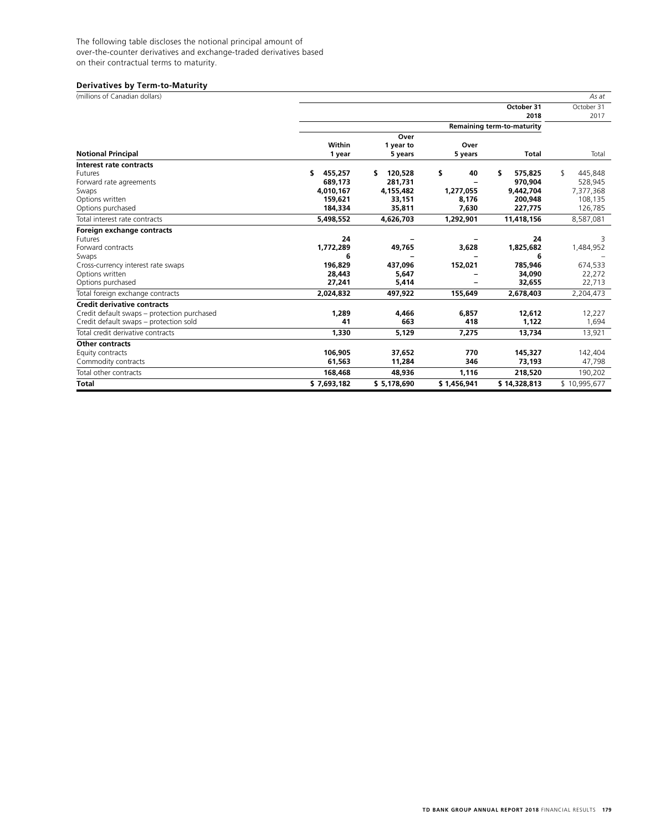## The following table discloses the notional principal amount of over-the-counter derivatives and exchange-traded derivatives based on their contractual terms to maturity.

# **Derivatives by Term-to-Maturity**

| (millions of Canadian dollars)              |               |              |             |                            | As at              |
|---------------------------------------------|---------------|--------------|-------------|----------------------------|--------------------|
|                                             |               |              |             | October 31<br>2018         | October 31<br>2017 |
|                                             |               |              |             | Remaining term-to-maturity |                    |
|                                             |               | Over         |             |                            |                    |
|                                             | Within        | 1 year to    | Over        |                            |                    |
| <b>Notional Principal</b>                   | 1 year        | 5 years      | 5 years     | <b>Total</b>               | Total              |
| Interest rate contracts                     |               |              |             |                            |                    |
| Futures                                     | 455,257<br>s. | 120,528<br>s | \$<br>40    | 575.825<br>s               | \$<br>445,848      |
| Forward rate agreements                     | 689,173       | 281,731      |             | 970,904                    | 528,945            |
| Swaps                                       | 4,010,167     | 4,155,482    | 1,277,055   | 9,442,704                  | 7,377,368          |
| Options written                             | 159,621       | 33,151       | 8,176       | 200,948                    | 108,135            |
| Options purchased                           | 184,334       | 35,811       | 7,630       | 227,775                    | 126,785            |
| Total interest rate contracts               | 5,498,552     | 4,626,703    | 1,292,901   | 11,418,156                 | 8,587,081          |
| Foreign exchange contracts                  |               |              |             |                            |                    |
| Futures                                     | 24            |              |             | 24                         |                    |
| Forward contracts                           | 1,772,289     | 49,765       | 3,628       | 1,825,682                  | 1,484,952          |
| Swaps                                       | 6             |              |             | 6                          |                    |
| Cross-currency interest rate swaps          | 196,829       | 437,096      | 152,021     | 785,946                    | 674,533            |
| Options written                             | 28,443        | 5,647        |             | 34,090                     | 22,272             |
| Options purchased                           | 27,241        | 5,414        |             | 32,655                     | 22,713             |
| Total foreign exchange contracts            | 2,024,832     | 497,922      | 155,649     | 2,678,403                  | 2,204,473          |
| <b>Credit derivative contracts</b>          |               |              |             |                            |                    |
| Credit default swaps - protection purchased | 1,289         | 4,466        | 6,857       | 12,612                     | 12,227             |
| Credit default swaps – protection sold      | 41            | 663          | 418         | 1.122                      | 1,694              |
| Total credit derivative contracts           | 1,330         | 5,129        | 7,275       | 13,734                     | 13,921             |
| <b>Other contracts</b>                      |               |              |             |                            |                    |
| Equity contracts                            | 106,905       | 37,652       | 770         | 145,327                    | 142,404            |
| Commodity contracts                         | 61,563        | 11,284       | 346         | 73,193                     | 47,798             |
| Total other contracts                       | 168,468       | 48,936       | 1,116       | 218,520                    | 190,202            |
| <b>Total</b>                                | \$7.693.182   | \$5.178.690  | \$1,456,941 | \$14,328,813               | \$10.995.677       |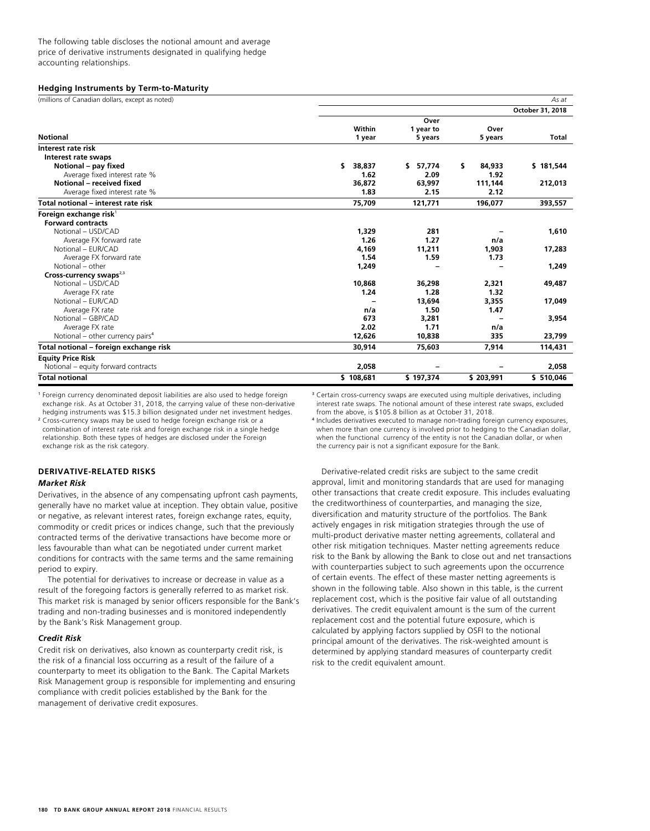The following table discloses the notional amount and average price of derivative instruments designated in qualifying hedge accounting relationships.

#### **Hedging Instruments by Term-to-Maturity**

| (millions of Canadian dollars, except as noted) |             |              |              | As at            |
|-------------------------------------------------|-------------|--------------|--------------|------------------|
|                                                 |             |              |              | October 31, 2018 |
|                                                 |             | Over         |              |                  |
|                                                 | Within      | 1 year to    | Over         |                  |
| <b>Notional</b>                                 | 1 year      | 5 years      | 5 years      | Total            |
| Interest rate risk                              |             |              |              |                  |
| Interest rate swaps                             |             |              |              |                  |
| Notional - pay fixed                            | s<br>38,837 | 57.774<br>\$ | \$<br>84,933 | \$181,544        |
| Average fixed interest rate %                   |             | 1.62<br>2.09 | 1.92         |                  |
| Notional - received fixed                       | 36.872      | 63.997       | 111,144      | 212,013          |
| Average fixed interest rate %                   |             | 1.83<br>2.15 | 2.12         |                  |
| Total notional - interest rate risk             | 75,709      | 121,771      | 196,077      | 393,557          |
| Foreign exchange risk $^1$                      |             |              |              |                  |
| <b>Forward contracts</b>                        |             |              |              |                  |
| Notional - USD/CAD                              | 1,329       | 281          |              | 1,610            |
| Average FX forward rate                         |             | 1.26<br>1.27 | n/a          |                  |
| Notional - EUR/CAD                              | 4,169       | 11,211       | 1,903        | 17,283           |
| Average FX forward rate                         |             | 1.54<br>1.59 | 1.73         |                  |
| Notional - other                                | 1,249       |              |              | 1,249            |
| Cross-currency swaps $^{2,3}$                   |             |              |              |                  |
| Notional - USD/CAD                              | 10,868      | 36,298       | 2,321        | 49,487           |
| Average FX rate                                 |             | 1.24<br>1.28 | 1.32         |                  |
| Notional - EUR/CAD                              |             | 13,694       | 3,355        | 17,049           |
| Average FX rate                                 |             | 1.50<br>n/a  | 1.47         |                  |
| Notional - GBP/CAD                              |             | 673<br>3,281 |              | 3,954            |
| Average FX rate                                 |             | 2.02<br>1.71 | n/a          |                  |
| Notional – other currency pairs <sup>4</sup>    | 12,626      | 10,838       | 335          | 23,799           |
| Total notional – foreign exchange risk          | 30,914      | 75,603       | 7,914        | 114,431          |
| <b>Equity Price Risk</b>                        |             |              |              |                  |
| Notional – equity forward contracts             | 2,058       |              |              | 2,058            |
| <b>Total notional</b>                           | \$108,681   | \$197,374    | \$203,991    | \$510,046        |

<sup>1</sup> Foreign currency denominated deposit liabilities are also used to hedge foreign exchange risk. As at October 31, 2018, the carrying value of these non-derivative hedging instruments was \$15.3 billion designated under net investment hedges.

<sup>3</sup> Certain cross-currency swaps are executed using multiple derivatives, including interest rate swaps. The notional amount of these interest rate swaps, excluded from the above, is \$105.8 billion as at October 31, 2018.

<sup>2</sup> Cross-currency swaps may be used to hedge foreign exchange risk or a combination of interest rate risk and foreign exchange risk in a single hedge relationship. Both these types of hedges are disclosed under the Foreign exchange risk as the risk category.

<sup>4</sup> Includes derivatives executed to manage non-trading foreign currency exposures, when more than one currency is involved prior to hedging to the Canadian dollar, when the functional currency of the entity is not the Canadian dollar, or when the currency pair is not a significant exposure for the Bank.

# **DERIVATIVE-RELATED RISKS**

## *Market Risk*

Derivatives, in the absence of any compensating upfront cash payments, generally have no market value at inception. They obtain value, positive or negative, as relevant interest rates, foreign exchange rates, equity, commodity or credit prices or indices change, such that the previously contracted terms of the derivative transactions have become more or less favourable than what can be negotiated under current market conditions for contracts with the same terms and the same remaining period to expiry.

The potential for derivatives to increase or decrease in value as a result of the foregoing factors is generally referred to as market risk. This market risk is managed by senior officers responsible for the Bank's trading and non-trading businesses and is monitored independently by the Bank's Risk Management group.

#### *Credit Risk*

Credit risk on derivatives, also known as counterparty credit risk, is the risk of a financial loss occurring as a result of the failure of a counterparty to meet its obligation to the Bank. The Capital Markets Risk Management group is responsible for implementing and ensuring compliance with credit policies established by the Bank for the management of derivative credit exposures.

Derivative-related credit risks are subject to the same credit approval, limit and monitoring standards that are used for managing other transactions that create credit exposure. This includes evaluating the creditworthiness of counterparties, and managing the size, diversification and maturity structure of the portfolios. The Bank actively engages in risk mitigation strategies through the use of multi-product derivative master netting agreements, collateral and other risk mitigation techniques. Master netting agreements reduce risk to the Bank by allowing the Bank to close out and net transactions with counterparties subject to such agreements upon the occurrence of certain events. The effect of these master netting agreements is shown in the following table. Also shown in this table, is the current replacement cost, which is the positive fair value of all outstanding derivatives. The credit equivalent amount is the sum of the current replacement cost and the potential future exposure, which is calculated by applying factors supplied by OSFI to the notional principal amount of the derivatives. The risk-weighted amount is determined by applying standard measures of counterparty credit risk to the credit equivalent amount.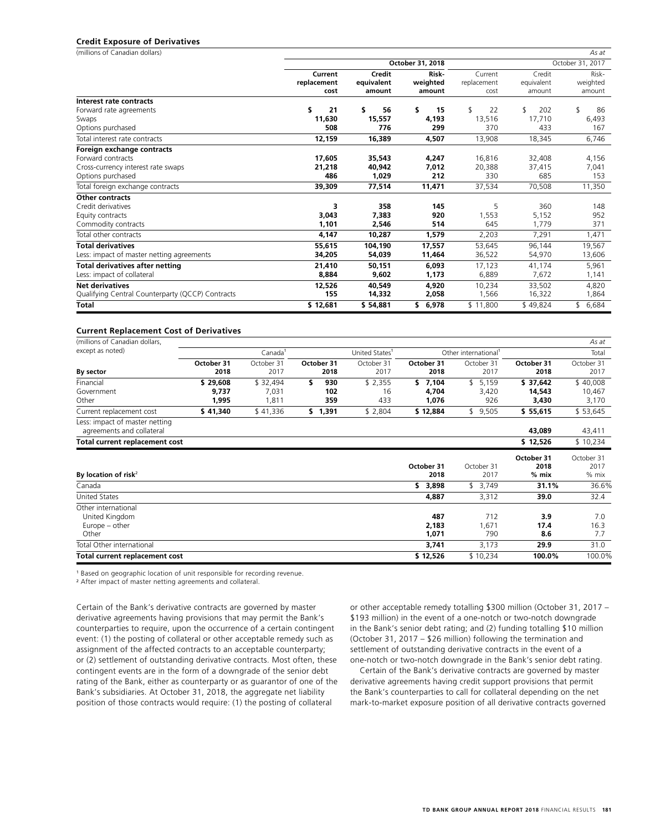#### **Credit Exposure of Derivatives**

| (millions of Canadian dollars)                   |             |            |                  |             |            | As at                  |
|--------------------------------------------------|-------------|------------|------------------|-------------|------------|------------------------|
|                                                  |             |            | October 31, 2018 |             |            | October 31, 2017       |
|                                                  | Current     | Credit     | Risk-            | Current     | Credit     | Risk-                  |
|                                                  | replacement | equivalent | weighted         | replacement | equivalent | weighted               |
|                                                  | cost        | amount     | amount           | cost        | amount     | amount                 |
| Interest rate contracts                          |             |            |                  |             |            |                        |
| Forward rate agreements                          | \$<br>21    | 56<br>s    | 15<br>s          | 22<br>\$    | \$<br>202  | \$<br>86               |
| Swaps                                            | 11,630      | 15,557     | 4,193            | 13,516      | 17,710     | 6,493                  |
| Options purchased                                | 508         | 776        | 299              | 370         | 433        | 167                    |
| Total interest rate contracts                    | 12,159      | 16,389     | 4,507            | 13,908      | 18,345     | 6,746                  |
| Foreign exchange contracts                       |             |            |                  |             |            |                        |
| Forward contracts                                | 17,605      | 35,543     | 4.247            | 16,816      | 32,408     | 4,156                  |
| Cross-currency interest rate swaps               | 21,218      | 40,942     | 7.012            | 20,388      | 37,415     | 7,041                  |
| Options purchased                                | 486         | 1,029      | 212              | 330         | 685        | 153                    |
| Total foreign exchange contracts                 | 39,309      | 77,514     | 11,471           | 37,534      | 70,508     | 11,350                 |
| <b>Other contracts</b>                           |             |            |                  |             |            |                        |
| Credit derivatives                               | 3           | 358        | 145              | 5           | 360        | 148                    |
| Equity contracts                                 | 3,043       | 7,383      | 920              | 1,553       | 5,152      | 952                    |
| Commodity contracts                              | 1,101       | 2,546      | 514              | 645         | 1,779      | 371                    |
| Total other contracts                            | 4,147       | 10,287     | 1,579            | 2,203       | 7,291      | 1,471                  |
| <b>Total derivatives</b>                         | 55,615      | 104,190    | 17,557           | 53,645      | 96,144     | 19,567                 |
| Less: impact of master netting agreements        | 34,205      | 54,039     | 11,464           | 36,522      | 54,970     | 13,606                 |
| Total derivatives after netting                  | 21,410      | 50,151     | 6.093            | 17,123      | 41,174     | 5,961                  |
| Less: impact of collateral                       | 8,884       | 9,602      | 1,173            | 6,889       | 7,672      | 1,141                  |
| <b>Net derivatives</b>                           | 12,526      | 40,549     | 4,920            | 10,234      | 33,502     | 4,820                  |
| Qualifying Central Counterparty (QCCP) Contracts | 155         | 14,332     | 2,058            | 1,566       | 16,322     | 1,864                  |
| <b>Total</b>                                     | \$12,681    | \$54,881   | 6,978<br>s       | \$11,800    | \$49,824   | $\mathcal{L}$<br>6,684 |

## **Current Replacement Cost of Derivatives**

| (millions of Canadian dollars,                                     |                            |                            |                        |                            |                               |                                  |                             | As at                       |
|--------------------------------------------------------------------|----------------------------|----------------------------|------------------------|----------------------------|-------------------------------|----------------------------------|-----------------------------|-----------------------------|
| except as noted)                                                   |                            | Canada <sup>1</sup>        |                        | United States <sup>1</sup> |                               | Other international <sup>1</sup> |                             | Total                       |
| By sector                                                          | October 31<br>2018         | October 31<br>2017         | October 31<br>2018     | October 31<br>2017         | October 31<br>2018            | October 31<br>2017               | October 31<br>2018          | October 31<br>2017          |
| Financial<br>Government<br>Other                                   | \$29,608<br>9,737<br>1,995 | \$32,494<br>7,031<br>1,811 | s<br>930<br>102<br>359 | \$2,355<br>16<br>433       | s.<br>7,104<br>4,704<br>1,076 | 5,159<br>3,420<br>926            | \$37,642<br>14,543<br>3,430 | \$40,008<br>10,467<br>3,170 |
| Current replacement cost                                           | \$41,340                   | \$41,336                   | \$1,391                | \$2,804                    | \$12,884                      | \$9,505                          | \$55,615                    | \$53,645                    |
| Less: impact of master netting<br>agreements and collateral        |                            |                            |                        |                            |                               |                                  | 43,089                      | 43,411                      |
| <b>Total current replacement cost</b>                              |                            |                            |                        |                            |                               |                                  | \$12,526                    | \$10,234                    |
|                                                                    |                            |                            |                        |                            |                               |                                  | October 31                  | October 31                  |
| By location of risk <sup>2</sup>                                   |                            |                            |                        |                            | October 31<br>2018            | October 31<br>2017               | 2018<br>% mix               | 2017<br>$%$ mix             |
| Canada                                                             |                            |                            |                        |                            | \$<br>3,898                   | \$3,749                          | 31.1%                       | 36.6%                       |
| <b>United States</b>                                               |                            |                            |                        |                            | 4,887                         | 3,312                            | 39.0                        | 32.4                        |
| Other international<br>United Kingdom<br>Europe $-$ other<br>Other |                            |                            |                        |                            | 487<br>2,183<br>1,071         | 712<br>1,671<br>790              | 3.9<br>17.4<br>8.6          | 7.0<br>16.3<br>7.7          |
| Total Other international                                          |                            |                            |                        |                            | 3,741                         | 3,173                            | 29.9                        | 31.0                        |
| Total current replacement cost                                     |                            |                            |                        |                            | \$12,526                      | \$10,234                         | 100.0%                      | 100.0%                      |

<sup>1</sup> Based on geographic location of unit responsible for recording revenue.

<sup>2</sup> After impact of master netting agreements and collateral.

Certain of the Bank's derivative contracts are governed by master derivative agreements having provisions that may permit the Bank's counterparties to require, upon the occurrence of a certain contingent event: (1) the posting of collateral or other acceptable remedy such as assignment of the affected contracts to an acceptable counterparty; or (2) settlement of outstanding derivative contracts. Most often, these contingent events are in the form of a downgrade of the senior debt rating of the Bank, either as counterparty or as guarantor of one of the Bank's subsidiaries. At October 31, 2018, the aggregate net liability position of those contracts would require: (1) the posting of collateral

or other acceptable remedy totalling \$300 million (October 31, 2017 – \$193 million) in the event of a one-notch or two-notch downgrade in the Bank's senior debt rating; and (2) funding totalling \$10 million (October 31, 2017 – \$26 million) following the termination and settlement of outstanding derivative contracts in the event of a one-notch or two-notch downgrade in the Bank's senior debt rating.

Certain of the Bank's derivative contracts are governed by master derivative agreements having credit support provisions that permit the Bank's counterparties to call for collateral depending on the net mark-to-market exposure position of all derivative contracts governed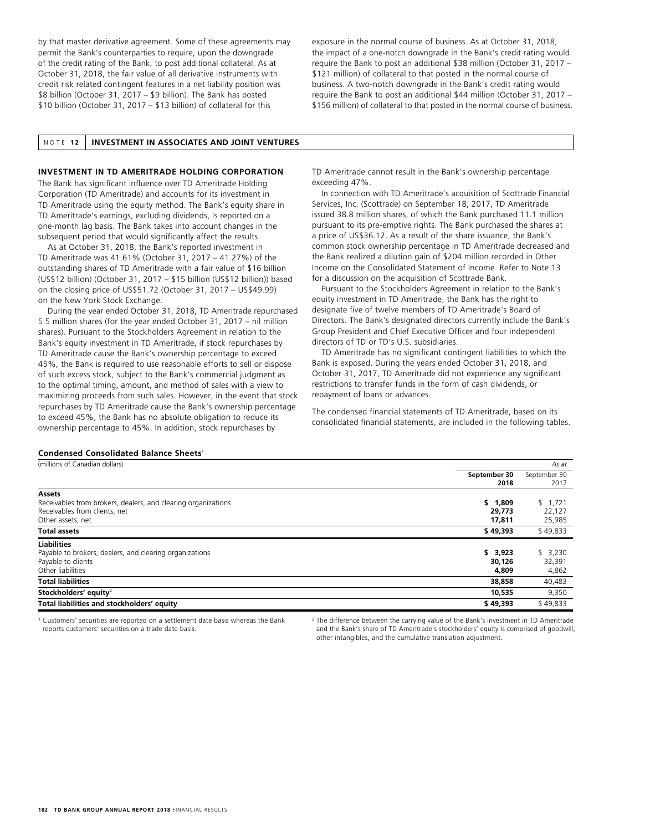by that master derivative agreement. Some of these agreements may permit the Bank's counterparties to require, upon the downgrade of the credit rating of the Bank, to post additional collateral. As at October 31, 2018, the fair value of all derivative instruments with credit risk related contingent features in a net liability position was \$8 billion (October 31, 2017 – \$9 billion). The Bank has posted \$10 billion (October 31, 2017 – \$13 billion) of collateral for this

# NOTE **1 2 INVESTMENT IN ASSOCIATES AND JOINT VENTURES**

## **INVESTMENT IN TD AMERITRADE HOLDING CORPORATION**

The Bank has significant influence over TD Ameritrade Holding Corporation (TD Ameritrade) and accounts for its investment in TD Ameritrade using the equity method. The Bank's equity share in TD Ameritrade's earnings, excluding dividends, is reported on a one-month lag basis. The Bank takes into account changes in the subsequent period that would significantly affect the results.

As at October 31, 2018, the Bank's reported investment in TD Ameritrade was 41.61% (October 31, 2017 – 41.27%) of the outstanding shares of TD Ameritrade with a fair value of \$16 billion (US\$12 billion) (October 31, 2017 – \$15 billion (US\$12 billion)) based on the closing price of US\$51.72 (October 31, 2017 – US\$49.99) on the New York Stock Exchange.

During the year ended October 31, 2018, TD Ameritrade repurchased 5.5 million shares (for the year ended October 31, 2017 – nil million shares). Pursuant to the Stockholders Agreement in relation to the Bank's equity investment in TD Ameritrade, if stock repurchases by TD Ameritrade cause the Bank's ownership percentage to exceed 45%, the Bank is required to use reasonable efforts to sell or dispose of such excess stock, subject to the Bank's commercial judgment as to the optimal timing, amount, and method of sales with a view to maximizing proceeds from such sales. However, in the event that stock repurchases by TD Ameritrade cause the Bank's ownership percentage to exceed 45%, the Bank has no absolute obligation to reduce its ownership percentage to 45%. In addition, stock repurchases by

exposure in the normal course of business. As at October 31, 2018, the impact of a one-notch downgrade in the Bank's credit rating would require the Bank to post an additional \$38 million (October 31, 2017 – \$121 million) of collateral to that posted in the normal course of business. A two-notch downgrade in the Bank's credit rating would require the Bank to post an additional \$44 million (October 31, 2017 – \$156 million) of collateral to that posted in the normal course of business.

TD Ameritrade cannot result in the Bank's ownership percentage exceeding 47%.

In connection with TD Ameritrade's acquisition of Scottrade Financial Services, Inc. (Scottrade) on September 18, 2017, TD Ameritrade issued 38.8 million shares, of which the Bank purchased 11.1 million pursuant to its pre-emptive rights. The Bank purchased the shares at a price of US\$36.12. As a result of the share issuance, the Bank's common stock ownership percentage in TD Ameritrade decreased and the Bank realized a dilution gain of \$204 million recorded in Other Income on the Consolidated Statement of Income. Refer to Note 13 for a discussion on the acquisition of Scottrade Bank.

Pursuant to the Stockholders Agreement in relation to the Bank's equity investment in TD Ameritrade, the Bank has the right to designate five of twelve members of TD Ameritrade's Board of Directors. The Bank's designated directors currently include the Bank's Group President and Chief Executive Officer and four independent directors of TD or TD's U.S. subsidiaries.

TD Ameritrade has no significant contingent liabilities to which the Bank is exposed. During the years ended October 31, 2018, and October 31, 2017, TD Ameritrade did not experience any significant restrictions to transfer funds in the form of cash dividends, or repayment of loans or advances.

The condensed financial statements of TD Ameritrade, based on its consolidated financial statements, are included in the following tables.

#### **Condensed Consolidated Balance Sheets**<sup>1</sup>

(millions of Canadian dollars) *As at* September 30 September 30 **2018** 2017 2018 **Assets** Receivables from brokers, dealers, and clearing organizations **\$ 1,809** \$ 1,721 Receivables from clients, net **29,773** 22,127 Other assets, net **17,811** 25,985 **Total assets \$ 49,393** \$ 49,833 **Liabilities** Payable to brokers, dealers, and clearing organizations **by a struck of the control of the set of the set of the set of the set of the set of the set of the set of the set of the set of the set of the set of the set of the** Payable to clients **30,126** 32,391 Other liabilities **4,809** 4,862 **Total liabilities 38,858** 40,483 **Stockholders' equity**<sup>2</sup> **10,535** 9,350 **Total liabilities and stockholders' equity \$ 49,393** \$ 49,833

<sup>1</sup> Customers' securities are reported on a settlement date basis whereas the Bank reports customers' securities on a trade date basis.

<sup>2</sup> The difference between the carrying value of the Bank's investment in TD Ameritrade and the Bank's share of TD Ameritrade's stockholders' equity is comprised of goodwill, other intangibles, and the cumulative translation adjustment.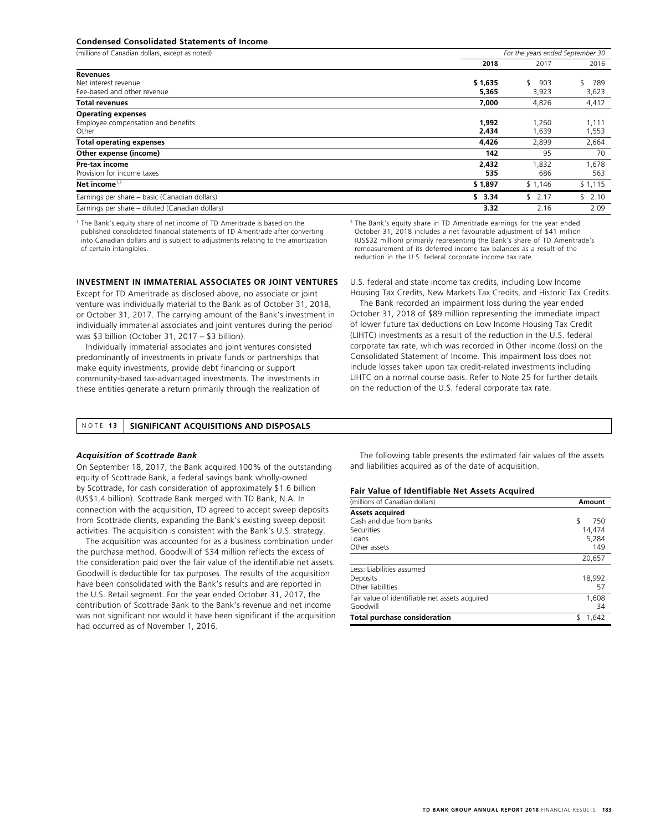#### **Condensed Consolidated Statements of Income**

| (millions of Canadian dollars, except as noted) | For the years ended September 30 |         |         |  |  |
|-------------------------------------------------|----------------------------------|---------|---------|--|--|
|                                                 | 2018                             | 2017    | 2016    |  |  |
| <b>Revenues</b>                                 |                                  |         |         |  |  |
| Net interest revenue                            | \$1,635                          | 903     | 789     |  |  |
| Fee-based and other revenue                     | 5,365                            | 3,923   | 3,623   |  |  |
| <b>Total revenues</b>                           | 7,000                            | 4,826   | 4,412   |  |  |
| <b>Operating expenses</b>                       |                                  |         |         |  |  |
| Employee compensation and benefits              | 1.992                            | 1,260   | 1,111   |  |  |
| Other                                           | 2,434                            | 1,639   | 1,553   |  |  |
| <b>Total operating expenses</b>                 | 4,426                            | 2,899   | 2,664   |  |  |
| Other expense (income)                          | 142                              | 95      | 70      |  |  |
| Pre-tax income                                  | 2,432                            | 1,832   | 1.678   |  |  |
| Provision for income taxes                      | 535                              | 686     | 563     |  |  |
| Net income $1,2$                                | \$1,897                          | \$1,146 | \$1,115 |  |  |
| Earnings per share – basic (Canadian dollars)   | \$3.34                           | \$2.17  | \$2.10  |  |  |
| Earnings per share - diluted (Canadian dollars) | 3.32                             | 2.16    | 2.09    |  |  |

<sup>1</sup> The Bank's equity share of net income of TD Ameritrade is based on the published consolidated financial statements of TD Ameritrade after converting into Canadian dollars and is subject to adjustments relating to the amortization of certain intangibles.

#### **INVESTMENT IN IMMATERIAL ASSOCIATES OR JOINT VENTURES**

Except for TD Ameritrade as disclosed above, no associate or joint venture was individually material to the Bank as of October 31, 2018, or October 31, 2017. The carrying amount of the Bank's investment in individually immaterial associates and joint ventures during the period was \$3 billion (October 31, 2017 – \$3 billion).

Individually immaterial associates and joint ventures consisted predominantly of investments in private funds or partnerships that make equity investments, provide debt financing or support community-based tax-advantaged investments. The investments in these entities generate a return primarily through the realization of <sup>2</sup> The Bank's equity share in TD Ameritrade earnings for the year ended October 31, 2018 includes a net favourable adjustment of \$41 million (US\$32 million) primarily representing the Bank's share of TD Ameritrade's remeasurement of its deferred income tax balances as a result of the reduction in the U.S. federal corporate income tax rate.

U.S. federal and state income tax credits, including Low Income Housing Tax Credits, New Markets Tax Credits, and Historic Tax Credits.

The Bank recorded an impairment loss during the year ended October 31, 2018 of \$89 million representing the immediate impact of lower future tax deductions on Low Income Housing Tax Credit (LIHTC) investments as a result of the reduction in the U.S. federal corporate tax rate, which was recorded in Other income (loss) on the Consolidated Statement of Income. This impairment loss does not include losses taken upon tax credit-related investments including LIHTC on a normal course basis. Refer to Note 25 for further details on the reduction of the U.S. federal corporate tax rate.

## NOTE **1 3 SIGNIFICANT ACQUISITIONS AND DISPOSALS**

#### *Acquisition of Scottrade Bank*

On September 18, 2017, the Bank acquired 100% of the outstanding equity of Scottrade Bank, a federal savings bank wholly-owned by Scottrade, for cash consideration of approximately \$1.6 billion (US\$1.4 billion). Scottrade Bank merged with TD Bank, N.A. In connection with the acquisition, TD agreed to accept sweep deposits from Scottrade clients, expanding the Bank's existing sweep deposit activities. The acquisition is consistent with the Bank's U.S. strategy.

The acquisition was accounted for as a business combination under the purchase method. Goodwill of \$34 million reflects the excess of the consideration paid over the fair value of the identifiable net assets. Goodwill is deductible for tax purposes. The results of the acquisition have been consolidated with the Bank's results and are reported in the U.S. Retail segment. For the year ended October 31, 2017, the contribution of Scottrade Bank to the Bank's revenue and net income was not significant nor would it have been significant if the acquisition had occurred as of November 1, 2016.

The following table presents the estimated fair values of the assets and liabilities acquired as of the date of acquisition.

#### **Fair Value of Identifiable Net Assets Acquired**

| (millions of Canadian dollars)                 | Amount   |
|------------------------------------------------|----------|
| <b>Assets acquired</b>                         |          |
| Cash and due from banks                        | S<br>750 |
| Securities                                     | 14,474   |
| Loans                                          | 5,284    |
| Other assets                                   | 149      |
|                                                | 20,657   |
| Less: Liabilities assumed                      |          |
| Deposits                                       | 18,992   |
| Other liabilities                              | 57       |
| Fair value of identifiable net assets acquired | 1,608    |
| Goodwill                                       | 34       |
| <b>Total purchase consideration</b>            | 1.642    |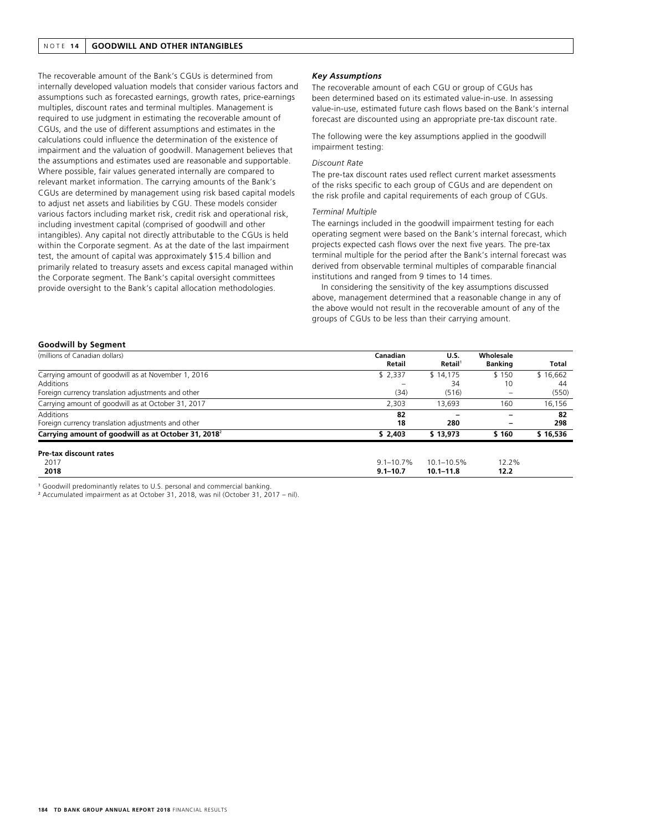The recoverable amount of the Bank's CGUs is determined from internally developed valuation models that consider various factors and assumptions such as forecasted earnings, growth rates, price-earnings multiples, discount rates and terminal multiples. Management is required to use judgment in estimating the recoverable amount of CGUs, and the use of different assumptions and estimates in the calculations could influence the determination of the existence of impairment and the valuation of goodwill. Management believes that the assumptions and estimates used are reasonable and supportable. Where possible, fair values generated internally are compared to relevant market information. The carrying amounts of the Bank's CGUs are determined by management using risk based capital models to adjust net assets and liabilities by CGU. These models consider various factors including market risk, credit risk and operational risk, including investment capital (comprised of goodwill and other intangibles). Any capital not directly attributable to the CGUs is held within the Corporate segment. As at the date of the last impairment test, the amount of capital was approximately \$15.4 billion and primarily related to treasury assets and excess capital managed within the Corporate segment. The Bank's capital oversight committees provide oversight to the Bank's capital allocation methodologies.

#### *Key Assumptions*

The recoverable amount of each CGU or group of CGUs has been determined based on its estimated value-in-use. In assessing value-in-use, estimated future cash flows based on the Bank's internal forecast are discounted using an appropriate pre-tax discount rate.

The following were the key assumptions applied in the goodwill impairment testing:

#### *Discount Rate*

The pre-tax discount rates used reflect current market assessments of the risks specific to each group of CGUs and are dependent on the risk profile and capital requirements of each group of CGUs.

#### *Terminal Multiple*

The earnings included in the goodwill impairment testing for each operating segment were based on the Bank's internal forecast, which projects expected cash flows over the next five years. The pre-tax terminal multiple for the period after the Bank's internal forecast was derived from observable terminal multiples of comparable financial institutions and ranged from 9 times to 14 times.

In considering the sensitivity of the key assumptions discussed above, management determined that a reasonable change in any of the above would not result in the recoverable amount of any of the groups of CGUs to be less than their carrying amount.

#### **Goodwill by Segment**

| (millions of Canadian dollars)                                  | Canadian       | U.S.                | Wholesale                |          |
|-----------------------------------------------------------------|----------------|---------------------|--------------------------|----------|
|                                                                 | Retail         | Retail <sup>1</sup> | <b>Banking</b>           | Total    |
| Carrying amount of goodwill as at November 1, 2016              | \$2,337        | \$14.175            | \$150                    | \$16,662 |
| <b>Additions</b>                                                |                | 34                  | 10                       | 44       |
| Foreign currency translation adjustments and other              | (34)           | (516)               | $\overline{\phantom{0}}$ | (550)    |
| Carrying amount of goodwill as at October 31, 2017              | 2.303          | 13.693              | 160                      | 16,156   |
| <b>Additions</b>                                                | 82             |                     |                          | 82       |
| Foreign currency translation adjustments and other              | 18             | 280                 |                          | 298      |
| Carrying amount of goodwill as at October 31, 2018 <sup>2</sup> | \$2.403        | \$13,973            | \$160                    | \$16,536 |
| Pre-tax discount rates                                          |                |                     |                          |          |
| 2017                                                            | $9.1 - 10.7\%$ | $10.1 - 10.5%$      | 12.2%                    |          |
| 2018                                                            | $9.1 - 10.7$   | $10.1 - 11.8$       | 12.2                     |          |

<sup>1</sup> Goodwill predominantly relates to U.S. personal and commercial banking.

<sup>2</sup> Accumulated impairment as at October 31, 2018, was nil (October 31, 2017 – nil).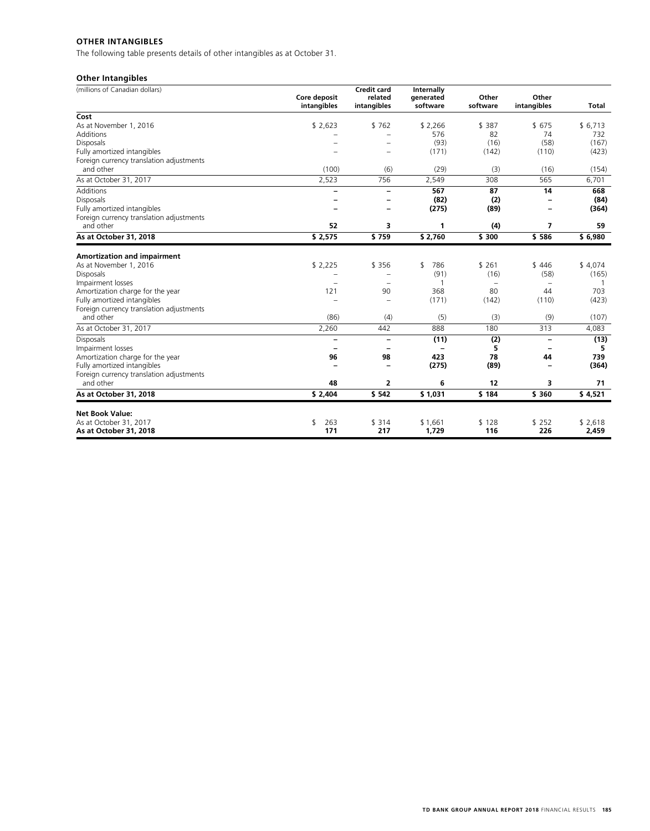# **OTHER INTANGIBLES**

The following table presents details of other intangibles as at October 31.

# **Other Intangibles**

| (millions of Canadian dollars)           |              | <b>Credit card</b>       | Internally |                          |                          |         |
|------------------------------------------|--------------|--------------------------|------------|--------------------------|--------------------------|---------|
|                                          | Core deposit | related                  | qenerated  | Other                    | Other                    |         |
|                                          | intangibles  | intangibles              | software   | software                 | intangibles              | Total   |
| Cost                                     |              |                          |            |                          |                          |         |
| As at November 1, 2016                   | \$2,623      | \$762                    | \$2,266    | \$ 387                   | \$ 675                   | \$6,713 |
| <b>Additions</b>                         |              | $\overline{\phantom{a}}$ | 576        | 82                       | 74                       | 732     |
| Disposals                                |              | $\overline{\phantom{a}}$ | (93)       | (16)                     | (58)                     | (167)   |
| Fully amortized intangibles              |              | $\overline{\phantom{a}}$ | (171)      | (142)                    | (110)                    | (423)   |
| Foreign currency translation adjustments |              |                          |            |                          |                          |         |
| and other                                | (100)        | (6)                      | (29)       | (3)                      | (16)                     | (154)   |
| As at October 31, 2017                   | 2,523        | 756                      | 2,549      | 308                      | 565                      | 6,701   |
| <b>Additions</b>                         | -            | $\overline{\phantom{0}}$ | 567        | 87                       | 14                       | 668     |
| <b>Disposals</b>                         |              |                          | (82)       | (2)                      | L.                       | (84)    |
| Fully amortized intangibles              |              | -                        | (275)      | (89)                     | -                        | (364)   |
| Foreign currency translation adjustments |              |                          |            |                          |                          |         |
| and other                                | 52           | 3                        | 1          | (4)                      | 7                        | 59      |
| As at October 31, 2018                   | \$2,575      | \$759                    | \$2,760    | \$ 300                   | \$586                    | \$6,980 |
| <b>Amortization and impairment</b>       |              |                          |            |                          |                          |         |
| As at November 1, 2016                   | \$2,225      | \$356                    | 786<br>\$  | \$261                    | \$446                    | \$4,074 |
| <b>Disposals</b>                         |              | ۰                        | (91)       | (16)                     | (58)                     | (165)   |
| Impairment losses                        |              |                          | -1         | $\overline{\phantom{a}}$ | L.                       |         |
| Amortization charge for the year         | 121          | 90                       | 368        | 80                       | 44                       | 703     |
| Fully amortized intangibles              |              | $\overline{\phantom{0}}$ | (171)      | (142)                    | (110)                    | (423)   |
| Foreign currency translation adjustments |              |                          |            |                          |                          |         |
| and other                                | (86)         | (4)                      | (5)        | (3)                      | (9)                      | (107)   |
| As at October 31, 2017                   | 2,260        | 442                      | 888        | 180                      | 313                      | 4,083   |
| <b>Disposals</b>                         | -            | -                        | (11)       | (2)                      | $\overline{\phantom{m}}$ | (13)    |
| Impairment losses                        |              |                          |            | 5                        |                          | 5       |
| Amortization charge for the year         | 96           | 98                       | 423        | 78                       | 44                       | 739     |
| Fully amortized intangibles              | $\equiv$     | ÷                        | (275)      | (89)                     | ÷                        | (364)   |
| Foreign currency translation adjustments |              |                          |            |                          |                          |         |
| and other                                | 48           | 2                        | 6          | 12                       | 3                        | 71      |
| As at October 31, 2018                   | \$ 2,404     | \$542                    | \$1,031    | \$184                    | \$ 360                   | \$4,521 |
| <b>Net Book Value:</b>                   |              |                          |            |                          |                          |         |
| As at October 31, 2017                   | \$<br>263    | \$314                    | \$1,661    | \$128                    | \$252                    | \$2,618 |
| As at October 31, 2018                   | 171          | 217                      | 1.729      | 116                      | 226                      | 2,459   |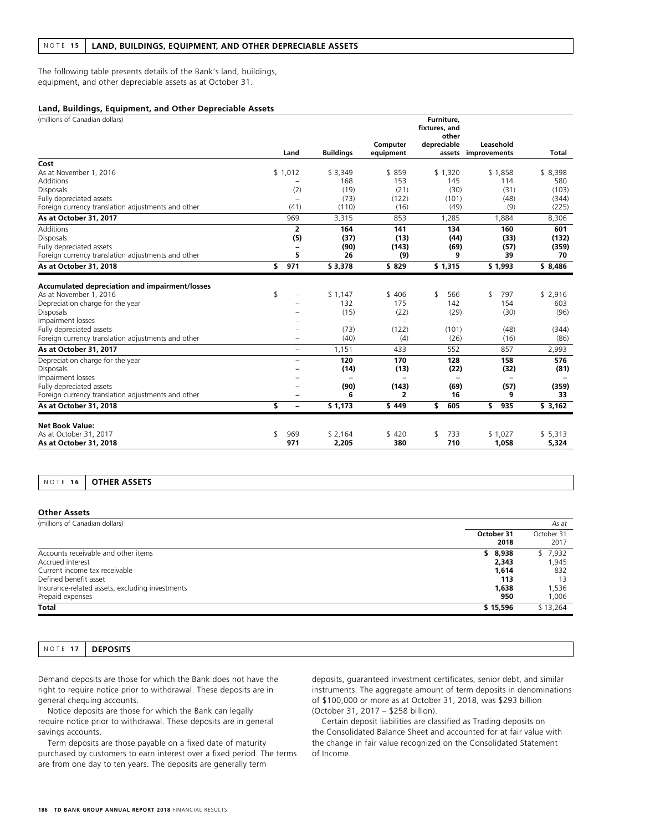# **NOTE 15 LAND, BUILDINGS, EQUIPMENT, AND OTHER DEPRECIABLE ASSETS**

The following table presents details of the Bank's land, buildings, equipment, and other depreciable assets as at October 31.

## **Land, Buildings, Equipment, and Other Depreciable Assets**

| (millions of Canadian dollars)                     |           |                                     |                          | Furniture.               |                          |          |
|----------------------------------------------------|-----------|-------------------------------------|--------------------------|--------------------------|--------------------------|----------|
|                                                    |           |                                     |                          | fixtures, and<br>other   |                          |          |
|                                                    |           |                                     | Computer                 | depreciable              | Leasehold                |          |
|                                                    | Land      | <b>Buildings</b>                    | equipment                | assets                   | improvements             | Total    |
| Cost                                               |           |                                     |                          |                          |                          |          |
| As at November 1, 2016                             | \$1,012   | \$3,349                             | \$859                    | \$1,320                  | \$1,858                  | \$8,398  |
| <b>Additions</b>                                   |           | 168                                 | 153                      | 145                      | 114                      | 580      |
| <b>Disposals</b>                                   |           | (19)<br>(2)                         | (21)                     | (30)                     | (31)                     | (103)    |
| Fully depreciated assets                           |           | (73)<br>$\overline{\phantom{a}}$    | (122)                    | (101)                    | (48)                     | (344)    |
| Foreign currency translation adjustments and other | (41)      | (110)                               | (16)                     | (49)                     | (9)                      | (225)    |
| As at October 31, 2017                             | 969       | 3,315                               | 853                      | 1,285                    | 1,884                    | 8,306    |
| <b>Additions</b>                                   |           | $\overline{2}$<br>164               | 141                      | 134                      | 160                      | 601      |
| <b>Disposals</b>                                   |           | (5)<br>(37)                         | (13)                     | (44)                     | (33)                     | (132)    |
| Fully depreciated assets                           |           | (90)<br>$\qquad \qquad$             | (143)                    | (69)                     | (57)                     | (359)    |
| Foreign currency translation adjustments and other |           | 5<br>26                             | (9)                      | 9                        | 39                       | 70       |
| As at October 31, 2018                             | 971<br>\$ | \$3,378                             | \$ 829                   | \$1,315                  | \$1,993                  | \$ 8,486 |
|                                                    |           |                                     |                          |                          |                          |          |
| Accumulated depreciation and impairment/losses     |           |                                     |                          |                          |                          |          |
| As at November 1, 2016                             | \$        | \$1,147                             | \$406                    | \$<br>566                | 797<br>\$                | \$2,916  |
| Depreciation charge for the year                   |           | 132                                 | 175                      | 142                      | 154                      | 603      |
| Disposals                                          |           | (15)                                | (22)                     | (29)                     | (30)                     | (96)     |
| Impairment losses                                  |           |                                     | $\overline{\phantom{a}}$ | $\overline{\phantom{0}}$ |                          |          |
| Fully depreciated assets                           |           | (73)                                | (122)                    | (101)                    | (48)                     | (344)    |
| Foreign currency translation adjustments and other |           | (40)<br>$\overline{\phantom{0}}$    | (4)                      | (26)                     | (16)                     | (86)     |
| As at October 31, 2017                             |           | 1,151<br>÷                          | 433                      | 552                      | 857                      | 2,993    |
| Depreciation charge for the year                   |           | 120<br>$\qquad \qquad -$            | 170                      | 128                      | 158                      | 576      |
| <b>Disposals</b>                                   |           | (14)                                | (13)                     | (22)                     | (32)                     | (81)     |
| Impairment losses                                  |           | $\overline{\phantom{a}}$            | $\qquad \qquad$          | $\overline{\phantom{0}}$ | $\overline{\phantom{0}}$ |          |
| Fully depreciated assets                           |           | (90)                                | (143)                    | (69)                     | (57)                     | (359)    |
| Foreign currency translation adjustments and other |           | 6                                   | 2                        | 16                       | 9                        | 33       |
| As at October 31, 2018                             | s         | \$1,173<br>$\overline{\phantom{0}}$ | \$449                    | \$.<br>605               | \$.<br>935               | \$3,162  |
| <b>Net Book Value:</b>                             |           |                                     |                          |                          |                          |          |
| As at October 31, 2017                             | 969<br>\$ | \$2,164                             | \$420                    | \$<br>733                | \$1,027                  | \$5,313  |
| As at October 31, 2018                             | 971       | 2,205                               | 380                      | 710                      | 1,058                    | 5,324    |
|                                                    |           |                                     |                          |                          |                          |          |

# NOTE 16 | OTHER ASSETS

| <b>Other Assets</b>                             |            |            |
|-------------------------------------------------|------------|------------|
| (millions of Canadian dollars)                  |            | As at      |
|                                                 | October 31 | October 31 |
|                                                 | 2018       | 2017       |
| Accounts receivable and other items             | \$8,938    | \$7,932    |
| Accrued interest                                | 2,343      | 1.945      |
| Current income tax receivable                   | 1,614      | 832        |
| Defined benefit asset                           | 113        | 13         |
| Insurance-related assets, excluding investments | 1,638      | 1.536      |
| Prepaid expenses                                | 950        | 1,006      |
| Total                                           | \$15,596   | \$13,264   |

NOTE **1 7 DEPOSITS**

Demand deposits are those for which the Bank does not have the right to require notice prior to withdrawal. These deposits are in general chequing accounts.

Notice deposits are those for which the Bank can legally require notice prior to withdrawal. These deposits are in general savings accounts.

Term deposits are those payable on a fixed date of maturity purchased by customers to earn interest over a fixed period. The terms are from one day to ten years. The deposits are generally term

deposits, guaranteed investment certificates, senior debt, and similar instruments. The aggregate amount of term deposits in denominations of \$100,000 or more as at October 31, 2018, was \$293 billion (October 31, 2017 – \$258 billion).

Certain deposit liabilities are classified as Trading deposits on the Consolidated Balance Sheet and accounted for at fair value with the change in fair value recognized on the Consolidated Statement of Income.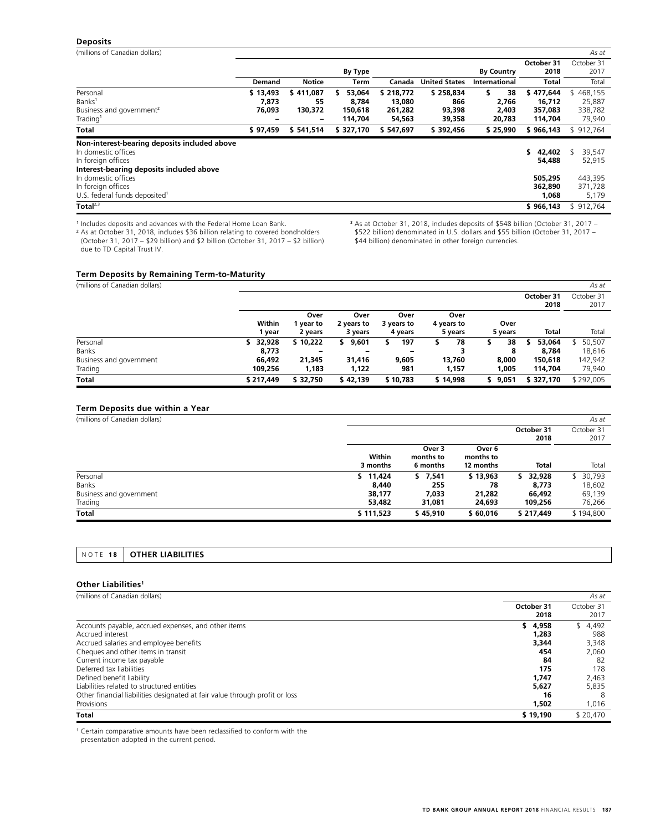## **Deposits**

| (millions of Canadian dollars)                                                                                                     |          |                              |           |           |                      |                   |                             | As at                       |
|------------------------------------------------------------------------------------------------------------------------------------|----------|------------------------------|-----------|-----------|----------------------|-------------------|-----------------------------|-----------------------------|
|                                                                                                                                    |          |                              |           |           |                      |                   | October 31                  | October 31                  |
|                                                                                                                                    |          |                              | By Type   |           |                      | <b>By Country</b> | 2018                        | 2017                        |
|                                                                                                                                    | Demand   | <b>Notice</b>                | Term      | Canada    | <b>United States</b> | International     | Total                       | Total                       |
| Personal                                                                                                                           | \$13,493 | \$411.087                    | 53,064    | \$218,772 | \$258,834            | 38<br>s           | \$477,644                   | 468,155<br>S                |
| Banks <sup>1</sup>                                                                                                                 | 7,873    | 55                           | 8.784     | 13,080    | 866                  | 2.766             | 16,712                      | 25,887                      |
| Business and government <sup>2</sup>                                                                                               | 76,093   | 130,372                      | 150,618   | 261,282   | 93,398               | 2,403             | 357,083                     | 338,782                     |
| Trading <sup>1</sup>                                                                                                               |          | $\qquad \qquad \blacksquare$ | 114,704   | 54,563    | 39,358               | 20,783            | 114,704                     | 79,940                      |
| Total                                                                                                                              | \$97,459 | \$541,514                    | \$327,170 | \$547.697 | \$392,456            | \$25,990          | \$966,143                   | 912,764<br>\$.              |
| Non-interest-bearing deposits included above<br>In domestic offices<br>In foreign offices                                          |          |                              |           |           |                      |                   | 42,402<br>s<br>54,488       | 39,547<br>S<br>52,915       |
| Interest-bearing deposits included above<br>In domestic offices<br>In foreign offices<br>U.S. federal funds deposited <sup>1</sup> |          |                              |           |           |                      |                   | 505,295<br>362,890<br>1,068 | 443,395<br>371,728<br>5,179 |
| Total $^{2,3}$                                                                                                                     |          |                              |           |           |                      |                   | \$966,143                   | \$912,764                   |

<sup>1</sup> Includes deposits and advances with the Federal Home Loan Bank.

<sup>2</sup> As at October 31, 2018, includes \$36 billion relating to covered bondholders (October 31, 2017 – \$29 billion) and \$2 billion (October 31, 2017 – \$2 billion) due to TD Capital Trust IV.

<sup>3</sup> As at October 31, 2018, includes deposits of \$548 billion (October 31, 2017 – \$522 billion) denominated in U.S. dollars and \$55 billion (October 31, 2017 – \$44 billion) denominated in other foreign currencies.

# **Term Deposits by Remaining Term-to-Maturity**

| (millions of Canadian dollars) |           |                          |             |            |            |          |            | As at      |
|--------------------------------|-----------|--------------------------|-------------|------------|------------|----------|------------|------------|
|                                |           |                          |             |            |            |          | October 31 | October 31 |
|                                |           |                          |             |            |            |          | 2018       | 2017       |
|                                |           | Over                     | Over        | Over       | Over       |          |            |            |
|                                | Within    | 1 year to                | 2 years to  | 3 years to | 4 years to | Over     |            |            |
|                                | 1 year    | 2 years                  | 3 years     | 4 years    | 5 years    | 5 years  | Total      | Total      |
| Personal                       | 32,928    | \$10,222                 | 9,601<br>S. | 197        | 78         | 38       | 53,064     | 50,507     |
| Banks                          | 8,773     | $\overline{\phantom{0}}$ |             | -          |            | 8        | 8.784      | 18,616     |
| Business and government        | 66,492    | 21,345                   | 31,416      | 9,605      | 13,760     | 8,000    | 150,618    | 142,942    |
| Trading                        | 109,256   | 1,183                    | 1,122       | 981        | 1,157      | 1.005    | 114,704    | 79,940     |
| <b>Total</b>                   | \$217,449 | \$32,750                 | \$42,139    | \$10,783   | \$14,998   | \$ 9,051 | \$327,170  | \$292,005  |

## **Term Deposits due within a Year**

(millions of Canadian dollars) *As at* **October 31** October 31<br>**2018** 2017 **2018** 2017 2018 **Over 3 Over 6**<br>Within months to months to **Within months to months to 3 months 6 months 12 months Total** Total Personal **\$ 11,424 \$ 7,541 \$ 13,963 \$ 32,928** \$ 30,793 Banks **8,440 255 78 8,773** 18,602 Business and government **38,177 7,033 21,282 66,492** 69,139 Trading **53,482 31,081 24,693 109,256** 76,266 **Total \$ 111,523 \$ 45,910 \$ 60,016 \$ 217,449** \$ 194,800

|  | INOTE 18   OTHER LIABILITIES |
|--|------------------------------|
|--|------------------------------|

#### **Other Liabilities1**

| (millions of Canadian dollars)                                              |            |              |  |
|-----------------------------------------------------------------------------|------------|--------------|--|
|                                                                             | October 31 | October 31   |  |
|                                                                             | 2018       | 2017         |  |
| Accounts payable, accrued expenses, and other items                         | 4,958      | 4,492<br>\$. |  |
| Accrued interest                                                            | 1,283      | 988          |  |
| Accrued salaries and employee benefits                                      | 3,344      | 3,348        |  |
| Cheques and other items in transit                                          | 454        | 2.060        |  |
| Current income tax payable                                                  | 84         | 82           |  |
| Deferred tax liabilities                                                    | 175        | 178          |  |
| Defined benefit liability                                                   | 1.747      | 2,463        |  |
| Liabilities related to structured entities                                  | 5,627      | 5,835        |  |
| Other financial liabilities designated at fair value through profit or loss | 16         | 8            |  |
| Provisions                                                                  | 1,502      | 1,016        |  |
| <b>Total</b>                                                                | \$19,190   | \$20,470     |  |

<sup>1</sup> Certain comparative amounts have been reclassified to conform with the presentation adopted in the current period.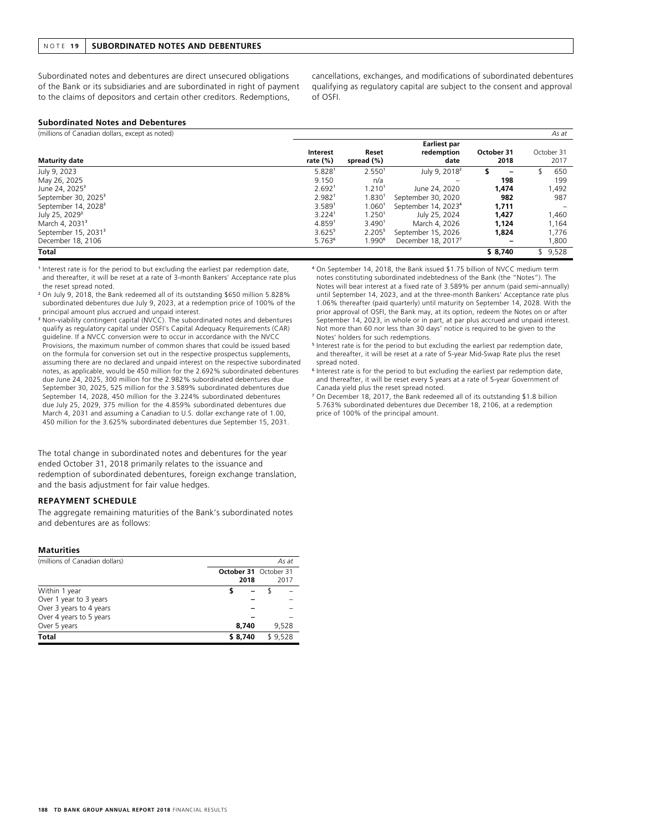Subordinated notes and debentures are direct unsecured obligations of the Bank or its subsidiaries and are subordinated in right of payment to the claims of depositors and certain other creditors. Redemptions,

cancellations, exchanges, and modifications of subordinated debentures qualifying as regulatory capital are subject to the consent and approval of OSFI.

## **Subordinated Notes and Debentures**

| (millions of Canadian dollars, except as noted) |                         |                     |                                    |                    | As at              |
|-------------------------------------------------|-------------------------|---------------------|------------------------------------|--------------------|--------------------|
| <b>Maturity date</b>                            | Interest<br>rate $(\%)$ | Reset<br>spread (%) | Earliest par<br>redemption<br>date | October 31<br>2018 | October 31<br>2017 |
| July 9, 2023                                    | 5.828 <sup>1</sup>      | 2.550 <sup>1</sup>  | July 9, 2018 <sup>2</sup>          |                    | 650                |
| May 26, 2025                                    | 9.150                   | n/a                 |                                    | 198                | 199                |
| June 24, 2025 <sup>3</sup>                      | 2.692 <sup>1</sup>      | 1.210 <sup>1</sup>  | June 24, 2020                      | 1,474              | 1,492              |
| September 30, 2025 <sup>3</sup>                 | 2.982 <sup>1</sup>      | 1.830 <sup>1</sup>  | September 30, 2020                 | 982                | 987                |
| September 14, 2028 <sup>3</sup>                 | 3.589 <sup>1</sup>      | 1.0601              | September 14, 2023 <sup>4</sup>    | 1,711              |                    |
| July 25, 2029 <sup>3</sup>                      | 3.224 <sup>1</sup>      | 1.250 <sup>1</sup>  | July 25, 2024                      | 1,427              | 1,460              |
| March 4, 2031 <sup>3</sup>                      | 4.859 <sup>1</sup>      | 3.490 <sup>1</sup>  | March 4, 2026                      | 1,124              | 1,164              |
| September 15, 2031 <sup>3</sup>                 | 3.625 <sup>5</sup>      | 2.205               | September 15, 2026                 | 1,824              | 1.776              |
| December 18, 2106                               | $5.763$ <sup>6</sup>    | 1.990 <sup>6</sup>  | December 18, 2017 <sup>7</sup>     |                    | ,800               |
| <b>Total</b>                                    |                         |                     |                                    | \$ 8,740           | \$9,528            |

<sup>1</sup> Interest rate is for the period to but excluding the earliest par redemption date, and thereafter, it will be reset at a rate of 3-month Bankers' Acceptance rate plus the reset spread noted.

- <sup>2</sup> On July 9, 2018, the Bank redeemed all of its outstanding \$650 million 5.828% subordinated debentures due July 9, 2023, at a redemption price of 100% of the principal amount plus accrued and unpaid interest.
- <sup>3</sup> Non-viability contingent capital (NVCC). The subordinated notes and debentures qualify as regulatory capital under OSFI's Capital Adequacy Requirements (CAR) guideline. If a NVCC conversion were to occur in accordance with the NVCC Provisions, the maximum number of common shares that could be issued based on the formula for conversion set out in the respective prospectus supplements, assuming there are no declared and unpaid interest on the respective subordinated notes, as applicable, would be 450 million for the 2.692% subordinated debentures due June 24, 2025, 300 million for the 2.982% subordinated debentures due September 30, 2025, 525 million for the 3.589% subordinated debentures due September 14, 2028, 450 million for the 3.224% subordinated debentures due July 25, 2029, 375 million for the 4.859% subordinated debentures due March 4, 2031 and assuming a Canadian to U.S. dollar exchange rate of 1.00, 450 million for the 3.625% subordinated debentures due September 15, 2031.

The total change in subordinated notes and debentures for the year ended October 31, 2018 primarily relates to the issuance and redemption of subordinated debentures, foreign exchange translation, and the basis adjustment for fair value hedges.

## **REPAYMENT SCHEDULE**

The aggregate remaining maturities of the Bank's subordinated notes and debentures are as follows:

### **Maturities**

| (millions of Canadian dollars) |                       | As at   |
|--------------------------------|-----------------------|---------|
|                                | October 31 October 31 |         |
|                                | 2018                  | 2017    |
| Within 1 year                  |                       |         |
| Over 1 year to 3 years         |                       |         |
| Over 3 years to 4 years        |                       |         |
| Over 4 years to 5 years        |                       |         |
| Over 5 years                   | 8.740                 | 9.528   |
| Total                          | \$8.740               | \$9.528 |

<sup>4</sup> On September 14, 2018, the Bank issued \$1.75 billion of NVCC medium term notes constituting subordinated indebtedness of the Bank (the "Notes"). The Notes will bear interest at a fixed rate of 3.589% per annum (paid semi-annually) until September 14, 2023, and at the three-month Bankers' Acceptance rate plus 1.06% thereafter (paid quarterly) until maturity on September 14, 2028. With the prior approval of OSFI, the Bank may, at its option, redeem the Notes on or after September 14, 2023, in whole or in part, at par plus accrued and unpaid interest. Not more than 60 nor less than 30 days' notice is required to be given to the Notes' holders for such redemptions.

<sup>5</sup> Interest rate is for the period to but excluding the earliest par redemption date, and thereafter, it will be reset at a rate of 5-year Mid-Swap Rate plus the reset spread noted.

<sup>6</sup> Interest rate is for the period to but excluding the earliest par redemption date, and thereafter, it will be reset every 5 years at a rate of 5-year Government of Canada yield plus the reset spread noted.

<sup>7</sup> On December 18, 2017, the Bank redeemed all of its outstanding \$1.8 billion 5.763% subordinated debentures due December 18, 2106, at a redemption price of 100% of the principal amount.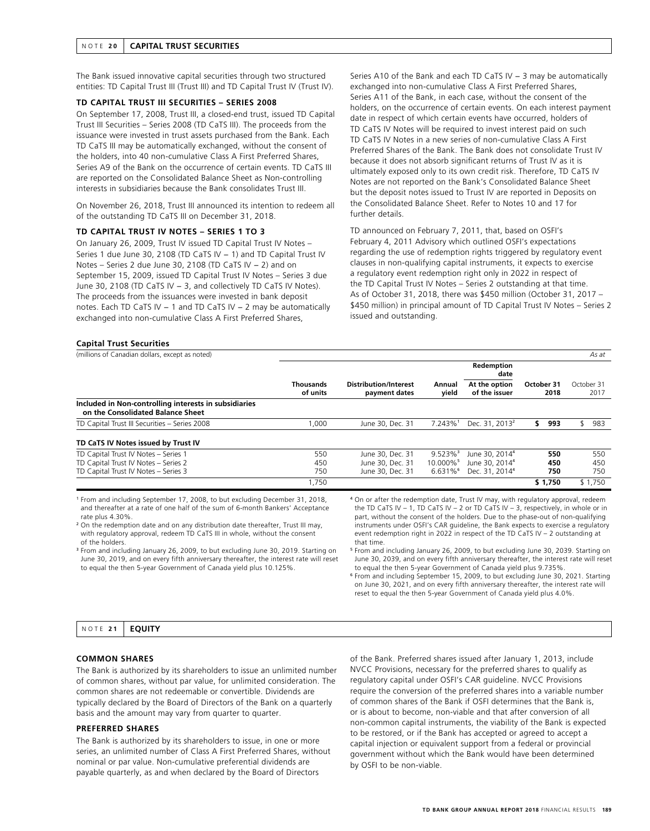## NOTE **2 0 CAPITAL TRUST SECURITIES**

The Bank issued innovative capital securities through two structured entities: TD Capital Trust III (Trust III) and TD Capital Trust IV (Trust IV).

#### **TD CAPITAL TRUST III SECURITIES – SERIES 2008**

On September 17, 2008, Trust III, a closed-end trust, issued TD Capital Trust III Securities – Series 2008 (TD CaTS III). The proceeds from the issuance were invested in trust assets purchased from the Bank. Each TD CaTS III may be automatically exchanged, without the consent of the holders, into 40 non-cumulative Class A First Preferred Shares, Series A9 of the Bank on the occurrence of certain events. TD CaTS III are reported on the Consolidated Balance Sheet as Non-controlling interests in subsidiaries because the Bank consolidates Trust III.

On November 26, 2018, Trust III announced its intention to redeem all of the outstanding TD CaTS III on December 31, 2018.

#### **TD CAPITAL TRUST IV NOTES – SERIES 1 TO 3**

On January 26, 2009, Trust IV issued TD Capital Trust IV Notes – Series 1 due June 30, 2108 (TD CaTS IV − 1) and TD Capital Trust IV Notes – Series 2 due June 30, 2108 (TD CaTS IV − 2) and on September 15, 2009, issued TD Capital Trust IV Notes – Series 3 due June 30, 2108 (TD CaTS IV − 3, and collectively TD CaTS IV Notes). The proceeds from the issuances were invested in bank deposit notes. Each TD CaTS IV − 1 and TD CaTS IV − 2 may be automatically exchanged into non-cumulative Class A First Preferred Shares,

## **Capital Trust Securities**

Series A10 of the Bank and each TD CaTS IV – 3 may be automatically exchanged into non-cumulative Class A First Preferred Shares, Series A11 of the Bank, in each case, without the consent of the holders, on the occurrence of certain events. On each interest payment date in respect of which certain events have occurred, holders of TD CaTS IV Notes will be required to invest interest paid on such TD CaTS IV Notes in a new series of non-cumulative Class A First Preferred Shares of the Bank. The Bank does not consolidate Trust IV because it does not absorb significant returns of Trust IV as it is ultimately exposed only to its own credit risk. Therefore, TD CaTS IV Notes are not reported on the Bank's Consolidated Balance Sheet but the deposit notes issued to Trust IV are reported in Deposits on the Consolidated Balance Sheet. Refer to Notes 10 and 17 for further details.

TD announced on February 7, 2011, that, based on OSFI's February 4, 2011 Advisory which outlined OSFI's expectations regarding the use of redemption rights triggered by regulatory event clauses in non-qualifying capital instruments, it expects to exercise a regulatory event redemption right only in 2022 in respect of the TD Capital Trust IV Notes – Series 2 outstanding at that time. As of October 31, 2018, there was \$450 million (October 31, 2017 – \$450 million) in principal amount of TD Capital Trust IV Notes – Series 2 issued and outstanding.

| (millions of Canadian dollars, except as noted)                                            |                       |                                               |                        |                                |                    | As at              |
|--------------------------------------------------------------------------------------------|-----------------------|-----------------------------------------------|------------------------|--------------------------------|--------------------|--------------------|
|                                                                                            |                       |                                               |                        | <b>Redemption</b><br>date      |                    |                    |
|                                                                                            | Thousands<br>of units | <b>Distribution/Interest</b><br>payment dates | Annual<br>vield        | At the option<br>of the issuer | October 31<br>2018 | October 31<br>2017 |
| Included in Non-controlling interests in subsidiaries<br>on the Consolidated Balance Sheet |                       |                                               |                        |                                |                    |                    |
| TD Capital Trust III Securities - Series 2008                                              | 000.1                 | June 30, Dec. 31                              | 7.243%1                | Dec. 31, 2013 <sup>2</sup>     | 993                | 983                |
| TD CaTS IV Notes issued by Trust IV                                                        |                       |                                               |                        |                                |                    |                    |
| TD Capital Trust IV Notes - Series 1                                                       | 550                   | June 30, Dec. 31                              | $9.523\%$ <sup>3</sup> | June 30, 2014 <sup>4</sup>     | 550                | 550                |
| TD Capital Trust IV Notes - Series 2                                                       | 450                   | June 30, Dec. 31                              | 10.000%                | June 30, 2014 <sup>4</sup>     | 450                | 450                |
| TD Capital Trust IV Notes - Series 3                                                       | 750                   | June 30, Dec. 31                              | $6.631\%$ <sup>6</sup> | Dec. 31, 2014 <sup>4</sup>     | 750                | 750                |
|                                                                                            | 1,750                 |                                               |                        |                                | \$1.750            | \$1,750            |

<sup>1</sup> From and including September 17, 2008, to but excluding December 31, 2018, and thereafter at a rate of one half of the sum of 6-month Bankers' Acceptance rate plus 4.30%.

<sup>2</sup> On the redemption date and on any distribution date thereafter, Trust III may, with regulatory approval, redeem TD CaTS III in whole, without the consent of the holders.

<sup>3</sup> From and including January 26, 2009, to but excluding June 30, 2019. Starting on June 30, 2019, and on every fifth anniversary thereafter, the interest rate will reset to equal the then 5-year Government of Canada yield plus 10.125%.

<sup>4</sup> On or after the redemption date, Trust IV may, with regulatory approval, redeem the TD CaTS IV – 1, TD CaTS IV – 2 or TD CaTS IV – 3, respectively, in whole or in part, without the consent of the holders. Due to the phase-out of non-qualifying instruments under OSFI's CAR guideline, the Bank expects to exercise a regulatory event redemption right in 2022 in respect of the TD CaTS IV – 2 outstanding at that time.

<sup>5</sup> From and including January 26, 2009, to but excluding June 30, 2039. Starting on June 30, 2039, and on every fifth anniversary thereafter, the interest rate will reset to equal the then 5-year Government of Canada yield plus 9.735%.

<sup>6</sup> From and including September 15, 2009, to but excluding June 30, 2021. Starting on June 30, 2021, and on every fifth anniversary thereafter, the interest rate will reset to equal the then 5-year Government of Canada yield plus 4.0%.

# NOTE **2 1 EQUITY**

#### **COMMON SHARES**

The Bank is authorized by its shareholders to issue an unlimited number of common shares, without par value, for unlimited consideration. The common shares are not redeemable or convertible. Dividends are typically declared by the Board of Directors of the Bank on a quarterly basis and the amount may vary from quarter to quarter.

## **PREFERRED SHARES**

The Bank is authorized by its shareholders to issue, in one or more series, an unlimited number of Class A First Preferred Shares, without nominal or par value. Non-cumulative preferential dividends are payable quarterly, as and when declared by the Board of Directors

of the Bank. Preferred shares issued after January 1, 2013, include NVCC Provisions, necessary for the preferred shares to qualify as regulatory capital under OSFI's CAR guideline. NVCC Provisions require the conversion of the preferred shares into a variable number of common shares of the Bank if OSFI determines that the Bank is, or is about to become, non-viable and that after conversion of all non-common capital instruments, the viability of the Bank is expected to be restored, or if the Bank has accepted or agreed to accept a capital injection or equivalent support from a federal or provincial government without which the Bank would have been determined by OSFI to be non-viable.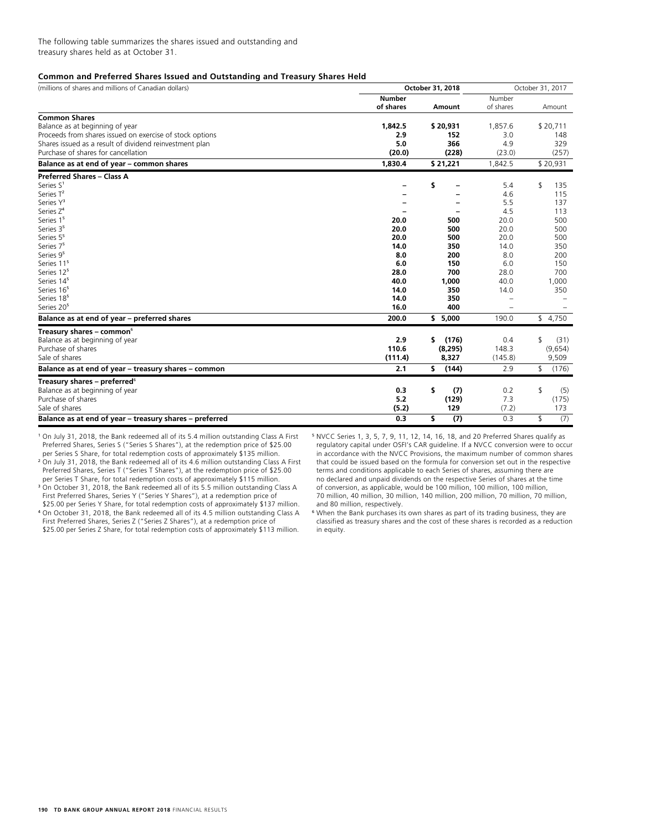## **Common and Preferred Shares Issued and Outstanding and Treasury Shares Held**

| (millions of shares and millions of Canadian dollars)    | October 31, 2018 |             |           | October 31, 2017 |  |  |
|----------------------------------------------------------|------------------|-------------|-----------|------------------|--|--|
|                                                          | <b>Number</b>    |             | Number    |                  |  |  |
|                                                          | of shares        | Amount      | of shares | Amount           |  |  |
| <b>Common Shares</b>                                     |                  |             |           |                  |  |  |
| Balance as at beginning of year                          | 1,842.5          | \$20,931    | 1,857.6   | \$20,711         |  |  |
| Proceeds from shares issued on exercise of stock options | 2.9              | 152         | 3.0       | 148              |  |  |
| Shares issued as a result of dividend reinvestment plan  | 5.0              | 366         | 4.9       | 329              |  |  |
| Purchase of shares for cancellation                      | (20.0)           | (228)       | (23.0)    | (257)            |  |  |
| Balance as at end of year - common shares                | 1,830.4          | \$21,221    | 1,842.5   | \$20,931         |  |  |
| <b>Preferred Shares - Class A</b>                        |                  |             |           |                  |  |  |
| Series S <sup>1</sup>                                    |                  | \$          | 5.4       | \$<br>135        |  |  |
| Series <sub>T2</sub>                                     |                  |             | 4.6       | 115              |  |  |
| Series Y <sup>3</sup>                                    |                  |             | 5.5       | 137              |  |  |
| Series Z <sup>4</sup>                                    |                  |             | 4.5       | 113              |  |  |
| Series 1 <sup>5</sup>                                    | 20.0             | 500         | 20.0      | 500              |  |  |
| Series 3 <sup>5</sup>                                    | 20.0             | 500         | 20.0      | 500              |  |  |
| Series 5 <sup>5</sup>                                    | 20.0             | 500         | 20.0      | 500              |  |  |
| Series 75                                                | 14.0             | 350         | 14.0      | 350              |  |  |
| Series 9 <sup>5</sup>                                    | 8.0              | 200         | 8.0       | 200              |  |  |
| Series 11 <sup>5</sup>                                   | 6.0              | 150         | 6.0       | 150              |  |  |
| Series 12 <sup>5</sup>                                   | 28.0             | 700         | 28.0      | 700              |  |  |
| Series 14 <sup>5</sup>                                   | 40.0             | 1,000       | 40.0      | 1,000            |  |  |
| Series 16 <sup>5</sup>                                   | 14.0             | 350         | 14.0      | 350              |  |  |
| Series 18 <sup>5</sup>                                   | 14.0             | 350         |           |                  |  |  |
| Series 20 <sup>5</sup>                                   | 16.0             | 400         |           |                  |  |  |
| Balance as at end of year - preferred shares             | 200.0            | \$5,000     | 190.0     | \$4,750          |  |  |
| Treasury shares - common <sup>6</sup>                    |                  |             |           |                  |  |  |
| Balance as at beginning of year                          | 2.9              | (176)<br>\$ | 0.4       | \$.<br>(31)      |  |  |
| Purchase of shares                                       | 110.6            | (8, 295)    | 148.3     | (9,654)          |  |  |
| Sale of shares                                           | (111.4)          | 8,327       | (145.8)   | 9,509            |  |  |
| Balance as at end of year - treasury shares - common     | 2.1              | \$<br>(144) | 2.9       | (176)<br>\$      |  |  |
| Treasury shares - preferred <sup>6</sup>                 |                  |             |           |                  |  |  |
| Balance as at beginning of year                          | 0.3              | \$<br>(7)   | 0.2       | \$<br>(5)        |  |  |
| Purchase of shares                                       | 5.2              | (129)       | 7.3       | (175)            |  |  |
| Sale of shares                                           | (5.2)            | 129         | (7.2)     | 173              |  |  |
| Balance as at end of year - treasury shares - preferred  | 0.3              | \$<br>(7)   | 0.3       | \$<br>(7)        |  |  |

<sup>1</sup> On July 31, 2018, the Bank redeemed all of its 5.4 million outstanding Class A First Preferred Shares, Series S ("Series S Shares"), at the redemption price of \$25.00 per Series S Share, for total redemption costs of approximately \$135 million.

<sup>2</sup> On July 31, 2018, the Bank redeemed all of its 4.6 million outstanding Class A First Preferred Shares, Series T ("Series T Shares"), at the redemption price of \$25.00 per Series T Share, for total redemption costs of approximately \$115 million.

<sup>3</sup> On October 31, 2018, the Bank redeemed all of its 5.5 million outstanding Class A First Preferred Shares, Series Y ("Series Y Shares"), at a redemption price of \$25.00 per Series Y Share, for total redemption costs of approximately \$137 million. in accordance with the NVCC Provisions, the maximum number of common shares that could be issued based on the formula for conversion set out in the respective terms and conditions applicable to each Series of shares, assuming there are no declared and unpaid dividends on the respective Series of shares at the time of conversion, as applicable, would be 100 million, 100 million, 100 million, 70 million, 40 million, 30 million, 140 million, 200 million, 70 million, 70 million, and 80 million, respectively.

<sup>5</sup> NVCC Series 1, 3, 5, 7, 9, 11, 12, 14, 16, 18, and 20 Preferred Shares qualify as regulatory capital under OSFI's CAR guideline. If a NVCC conversion were to occur

<sup>4</sup> On October 31, 2018, the Bank redeemed all of its 4.5 million outstanding Class A First Preferred Shares, Series Z ("Series Z Shares"), at a redemption price of \$25.00 per Series Z Share, for total redemption costs of approximately \$113 million.

<sup>6</sup> When the Bank purchases its own shares as part of its trading business, they are classified as treasury shares and the cost of these shares is recorded as a reduction in equity.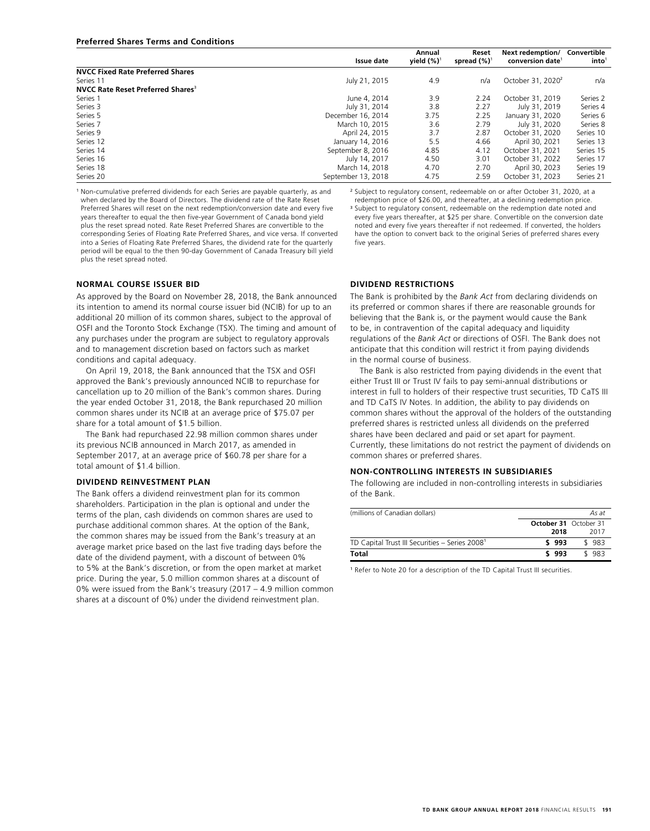|                                               |                    | Annual         | Reset           | Next redemption/              | Convertible       |
|-----------------------------------------------|--------------------|----------------|-----------------|-------------------------------|-------------------|
|                                               | <b>Issue date</b>  | yield $(\%)^1$ | spread $(\%)^1$ | conversion date <sup>1</sup>  | into <sup>1</sup> |
| <b>NVCC Fixed Rate Preferred Shares</b>       |                    |                |                 |                               |                   |
| Series 11                                     | July 21, 2015      | 4.9            | n/a             | October 31, 2020 <sup>2</sup> | n/a               |
| NVCC Rate Reset Preferred Shares <sup>3</sup> |                    |                |                 |                               |                   |
| Series 1                                      | June 4, 2014       | 3.9            | 2.24            | October 31, 2019              | Series 2          |
| Series 3                                      | July 31, 2014      | 3.8            | 2.27            | July 31, 2019                 | Series 4          |
| Series 5                                      | December 16, 2014  | 3.75           | 2.25            | January 31, 2020              | Series 6          |
| Series 7                                      | March 10, 2015     | 3.6            | 2.79            | July 31, 2020                 | Series 8          |
| Series 9                                      | April 24, 2015     | 3.7            | 2.87            | October 31, 2020              | Series 10         |
| Series 12                                     | January 14, 2016   | 5.5            | 4.66            | April 30, 2021                | Series 13         |
| Series 14                                     | September 8, 2016  | 4.85           | 4.12            | October 31, 2021              | Series 15         |
| Series 16                                     | July 14, 2017      | 4.50           | 3.01            | October 31, 2022              | Series 17         |
| Series 18                                     | March 14, 2018     | 4.70           | 2.70            | April 30, 2023                | Series 19         |
| Series 20                                     | September 13, 2018 | 4.75           | 2.59            | October 31, 2023              | Series 21         |

<sup>1</sup> Non-cumulative preferred dividends for each Series are payable quarterly, as and when declared by the Board of Directors. The dividend rate of the Rate Reset Preferred Shares will reset on the next redemption/conversion date and every five years thereafter to equal the then five-year Government of Canada bond yield plus the reset spread noted. Rate Reset Preferred Shares are convertible to the corresponding Series of Floating Rate Preferred Shares, and vice versa. If converted into a Series of Floating Rate Preferred Shares, the dividend rate for the quarterly period will be equal to the then 90-day Government of Canada Treasury bill yield plus the reset spread noted.

<sup>2</sup> Subject to regulatory consent, redeemable on or after October 31, 2020, at a redemption price of \$26.00, and thereafter, at a declining redemption price. <sup>3</sup> Subject to regulatory consent, redeemable on the redemption date noted and every five years thereafter, at \$25 per share. Convertible on the conversion date noted and every five years thereafter if not redeemed. If converted, the holders have the option to convert back to the original Series of preferred shares every

### **NORMAL COURSE ISSUER BID**

As approved by the Board on November 28, 2018, the Bank announced its intention to amend its normal course issuer bid (NCIB) for up to an additional 20 million of its common shares, subject to the approval of OSFI and the Toronto Stock Exchange (TSX). The timing and amount of any purchases under the program are subject to regulatory approvals and to management discretion based on factors such as market conditions and capital adequacy.

On April 19, 2018, the Bank announced that the TSX and OSFI approved the Bank's previously announced NCIB to repurchase for cancellation up to 20 million of the Bank's common shares. During the year ended October 31, 2018, the Bank repurchased 20 million common shares under its NCIB at an average price of \$75.07 per share for a total amount of \$1.5 billion.

The Bank had repurchased 22.98 million common shares under its previous NCIB announced in March 2017, as amended in September 2017, at an average price of \$60.78 per share for a total amount of \$1.4 billion.

### **DIVIDEND REINVESTMENT PLAN**

The Bank offers a dividend reinvestment plan for its common shareholders. Participation in the plan is optional and under the terms of the plan, cash dividends on common shares are used to purchase additional common shares. At the option of the Bank, the common shares may be issued from the Bank's treasury at an average market price based on the last five trading days before the date of the dividend payment, with a discount of between 0% to 5% at the Bank's discretion, or from the open market at market price. During the year, 5.0 million common shares at a discount of 0% were issued from the Bank's treasury (2017 – 4.9 million common shares at a discount of 0%) under the dividend reinvestment plan.

#### **DIVIDEND RESTRICTIONS**

five years.

The Bank is prohibited by the *Bank Act* from declaring dividends on its preferred or common shares if there are reasonable grounds for believing that the Bank is, or the payment would cause the Bank to be, in contravention of the capital adequacy and liquidity regulations of the *Bank Act* or directions of OSFI. The Bank does not anticipate that this condition will restrict it from paying dividends in the normal course of business.

The Bank is also restricted from paying dividends in the event that either Trust III or Trust IV fails to pay semi-annual distributions or interest in full to holders of their respective trust securities, TD CaTS III and TD CaTS IV Notes. In addition, the ability to pay dividends on common shares without the approval of the holders of the outstanding preferred shares is restricted unless all dividends on the preferred shares have been declared and paid or set apart for payment. Currently, these limitations do not restrict the payment of dividends on common shares or preferred shares.

## **NON-CONTROLLING INTERESTS IN SUBSIDIARIES**

The following are included in non-controlling interests in subsidiaries of the Bank.

| (millions of Canadian dollars)                             |                       | As at  |
|------------------------------------------------------------|-----------------------|--------|
|                                                            | October 31 October 31 |        |
|                                                            | 2018                  | 2017   |
| TD Capital Trust III Securities - Series 2008 <sup>1</sup> | \$993                 | \$983  |
| Total                                                      | \$993                 | \$ 983 |

<sup>1</sup> Refer to Note 20 for a description of the TD Capital Trust III securities.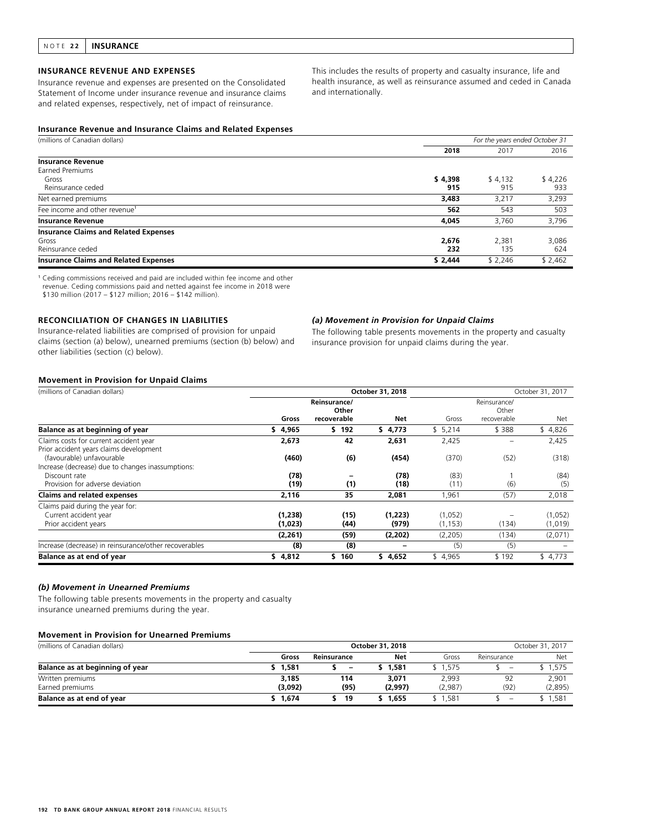## **INSURANCE REVENUE AND EXPENSES**

Insurance revenue and expenses are presented on the Consolidated Statement of Income under insurance revenue and insurance claims and related expenses, respectively, net of impact of reinsurance.

This includes the results of property and casualty insurance, life and health insurance, as well as reinsurance assumed and ceded in Canada and internationally.

#### **Insurance Revenue and Insurance Claims and Related Expenses**

| (millions of Canadian dollars)               | For the years ended October 31 |         |         |  |
|----------------------------------------------|--------------------------------|---------|---------|--|
|                                              | 2018                           | 2017    | 2016    |  |
| <b>Insurance Revenue</b>                     |                                |         |         |  |
| <b>Earned Premiums</b>                       |                                |         |         |  |
| Gross                                        | \$4,398                        | \$4,132 | \$4,226 |  |
| Reinsurance ceded                            | 915                            | 915     | 933     |  |
| Net earned premiums                          | 3,483                          | 3,217   | 3,293   |  |
| Fee income and other revenue <sup>1</sup>    | 562                            | 543     | 503     |  |
| <b>Insurance Revenue</b>                     | 4.045                          | 3.760   | 3,796   |  |
| <b>Insurance Claims and Related Expenses</b> |                                |         |         |  |
| Gross                                        | 2.676                          | 2.381   | 3,086   |  |
| Reinsurance ceded                            | 232                            | 135     | 624     |  |
| <b>Insurance Claims and Related Expenses</b> | \$2.444                        | \$2,246 | \$2,462 |  |
|                                              |                                |         |         |  |

<sup>1</sup> Ceding commissions received and paid are included within fee income and other revenue. Ceding commissions paid and netted against fee income in 2018 were \$130 million (2017 – \$127 million; 2016 – \$142 million).

# **RECONCILIATION OF CHANGES IN LIABILITIES**

Insurance-related liabilities are comprised of provision for unpaid claims (section (a) below), unearned premiums (section (b) below) and other liabilities (section (c) below).

### *(a) Movement in Provision for Unpaid Claims*

The following table presents movements in the property and casualty insurance provision for unpaid claims during the year.

#### **Movement in Provision for Unpaid Claims**

| (millions of Canadian dollars)                        | October 31, 2018 |              |         | October 31, 2017 |                          |         |  |
|-------------------------------------------------------|------------------|--------------|---------|------------------|--------------------------|---------|--|
|                                                       |                  | Reinsurance/ |         |                  | Reinsurance/             |         |  |
|                                                       |                  | Other        |         |                  | Other                    |         |  |
|                                                       | Gross            | recoverable  | Net     | Gross            | recoverable              | Net     |  |
| Balance as at beginning of year                       | \$4,965          | \$192        | \$4,773 | \$5,214          | \$388                    | \$4,826 |  |
| Claims costs for current accident year                | 2,673            | 42           | 2,631   | 2,425            | $\overline{\phantom{a}}$ | 2,425   |  |
| Prior accident years claims development               |                  |              |         |                  |                          |         |  |
| (favourable) unfavourable                             | (460)            | (6)          | (454)   | (370)            | (52)                     | (318)   |  |
| Increase (decrease) due to changes inassumptions:     |                  |              |         |                  |                          |         |  |
| Discount rate                                         | (78)             |              | (78)    | (83)             |                          | (84)    |  |
| Provision for adverse deviation                       | (19)             | (1)          | (18)    | (11)             | (6)                      | (5)     |  |
| <b>Claims and related expenses</b>                    | 2,116            | 35           | 2,081   | 1,961            | (57)                     | 2,018   |  |
| Claims paid during the year for:                      |                  |              |         |                  |                          |         |  |
| Current accident year                                 | (1,238)          | (15)         | (1,223) | (1,052)          | -                        | (1,052) |  |
| Prior accident years                                  | (1,023)          | (44)         | (979)   | (1, 153)         | (134)                    | (1,019) |  |
|                                                       | (2,261)          | (59)         | (2,202) | (2,205)          | (134)                    | (2,071) |  |
| Increase (decrease) in reinsurance/other recoverables | (8)              | (8)          |         | (5)              | (5)                      |         |  |
| Balance as at end of year                             | \$4,812          | 160<br>\$.   | \$4,652 | \$4,965          | \$192                    | \$4,773 |  |

### *(b) Movement in Unearned Premiums*

The following table presents movements in the property and casualty insurance unearned premiums during the year.

# **Movement in Provision for Unearned Premiums**

| (millions of Canadian dollars)  |         | October 31, 2018         |            |         |                                 | October 31, 2017 |
|---------------------------------|---------|--------------------------|------------|---------|---------------------------------|------------------|
|                                 | Gross   | Reinsurance              | <b>Net</b> | Gross   | Reinsurance                     | Net              |
| Balance as at beginning of year | , 1,581 | $\overline{\phantom{0}}$ | 1,581      | 1.575   | $\overline{\phantom{a}}$        | 1,575            |
| Written premiums                | 3,185   | 114                      | 3.071      | 2,993   | 92                              | 2,901            |
| Earned premiums                 | (3,092) | (95)                     | (2,997)    | (2,987) | (92)                            | (2,895)          |
| Balance as at end of year       | \$1,674 | 19                       | , 1,655    | .581    | $\hspace{0.1mm}-\hspace{0.1mm}$ | 1.581            |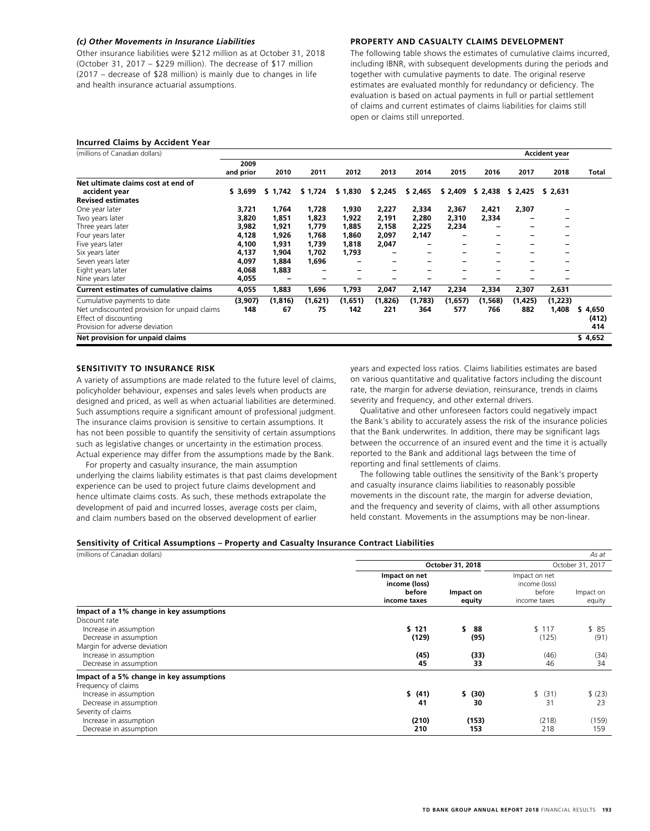## *(c) Other Movements in Insurance Liabilities*

Other insurance liabilities were \$212 million as at October 31, 2018 (October 31, 2017 – \$229 million). The decrease of \$17 million (2017 – decrease of \$28 million) is mainly due to changes in life and health insurance actuarial assumptions.

### **PROPERTY AND CASUALTY CLAIMS DEVELOPMENT**

The following table shows the estimates of cumulative claims incurred, including IBNR, with subsequent developments during the periods and together with cumulative payments to date. The original reserve estimates are evaluated monthly for redundancy or deficiency. The evaluation is based on actual payments in full or partial settlement of claims and current estimates of claims liabilities for claims still open or claims still unreported.

#### **Incurred Claims by Accident Year**

(millions of Canadian dollars) **Accident year 2009 and prior 2010 2011 2012 2013 2014 2015 2016 2017 2018 Total Net ultimate claims cost at end of accident year \$ 3,699 \$ 1,742 \$ 1,724 \$ 1,830 \$ 2,245 \$ 2,465 \$ 2,409 \$ 2,438 \$ 2,425 \$ 2,631 Revised estimates** One year later **3,721 1,764 1,728 1,930 2,227 2,334 2,367 2,421 2,307 –**  Two years later **3,820 1,851 1,823 1,922 2,191 2,280 2,310 2,334 – –**  Three years later **3,982 1,921 1,779 1,885 2,158 2,225 2,234 – – –**  Four years later **4,128 1,926 1,768 1,860 2,097 2,147 – – – –**  Five years later **4,100 1,931 1,739 1,818 2,047 – – – – –**  Six years later **4,137 1,904 1,702 1,793 – – – – – –**  Seven years later **4,097 1,884 1,696 – – – – – – –**  Eight years later **4,068 1,883 – – – – – – – –**  Nine years later **4,055 – – – – – – – – – Current estimates of cumulative claims 4,055 1,883 1,696 1,793 2,047 2,147 2,234 2,334 2,307 2,631**  Cumulative payments to date **(3,907) (1,816) (1,621) (1,651) (1,826) (1,783) (1,657) (1,568) (1,425) (1,223)** Net undiscounted provision for unpaid claims **148 67 75 142 221 364 577 766 882 1,408 \$ 4,650**  Effect of discounting **(412)** Provision for adverse deviation **414 Net provision for unpaid claims \$ 4,652**

# **SENSITIVITY TO INSURANCE RISK**

A variety of assumptions are made related to the future level of claims, policyholder behaviour, expenses and sales levels when products are designed and priced, as well as when actuarial liabilities are determined. Such assumptions require a significant amount of professional judgment. The insurance claims provision is sensitive to certain assumptions. It has not been possible to quantify the sensitivity of certain assumptions such as legislative changes or uncertainty in the estimation process. Actual experience may differ from the assumptions made by the Bank.

For property and casualty insurance, the main assumption underlying the claims liability estimates is that past claims development experience can be used to project future claims development and hence ultimate claims costs. As such, these methods extrapolate the development of paid and incurred losses, average costs per claim, and claim numbers based on the observed development of earlier

years and expected loss ratios. Claims liabilities estimates are based on various quantitative and qualitative factors including the discount rate, the margin for adverse deviation, reinsurance, trends in claims severity and frequency, and other external drivers.

Qualitative and other unforeseen factors could negatively impact the Bank's ability to accurately assess the risk of the insurance policies that the Bank underwrites. In addition, there may be significant lags between the occurrence of an insured event and the time it is actually reported to the Bank and additional lags between the time of reporting and final settlements of claims.

The following table outlines the sensitivity of the Bank's property and casualty insurance claims liabilities to reasonably possible movements in the discount rate, the margin for adverse deviation, and the frequency and severity of claims, with all other assumptions held constant. Movements in the assumptions may be non-linear.

### **Sensitivity of Critical Assumptions – Property and Casualty Insurance Contract Liabilities**

| (millions of Canadian dollars)                                                   |                                                          |                     |                                                          | As at               |  |
|----------------------------------------------------------------------------------|----------------------------------------------------------|---------------------|----------------------------------------------------------|---------------------|--|
|                                                                                  |                                                          | October 31, 2018    | October 31, 2017                                         |                     |  |
|                                                                                  | Impact on net<br>income (loss)<br>before<br>income taxes | Impact on<br>equity | Impact on net<br>income (loss)<br>before<br>income taxes | Impact on<br>equity |  |
| Impact of a 1% change in key assumptions                                         |                                                          |                     |                                                          |                     |  |
| Discount rate<br>Increase in assumption<br>Decrease in assumption                | \$121<br>(129)                                           | 88<br>s.<br>(95)    | \$117<br>(125)                                           | \$85<br>(91)        |  |
| Margin for adverse deviation<br>Increase in assumption<br>Decrease in assumption | (45)<br>45                                               | (33)<br>33          | (46)<br>46                                               | (34)<br>34          |  |
| Impact of a 5% change in key assumptions                                         |                                                          |                     |                                                          |                     |  |
| Frequency of claims<br>Increase in assumption<br>Decrease in assumption          | \$(41)<br>41                                             | (30)<br>\$.<br>30   | (31)<br>S.<br>31                                         | \$ (23)<br>23       |  |
| Severity of claims<br>Increase in assumption<br>Decrease in assumption           | (210)<br>210                                             | (153)<br>153        | (218)<br>218                                             | (159)<br>159        |  |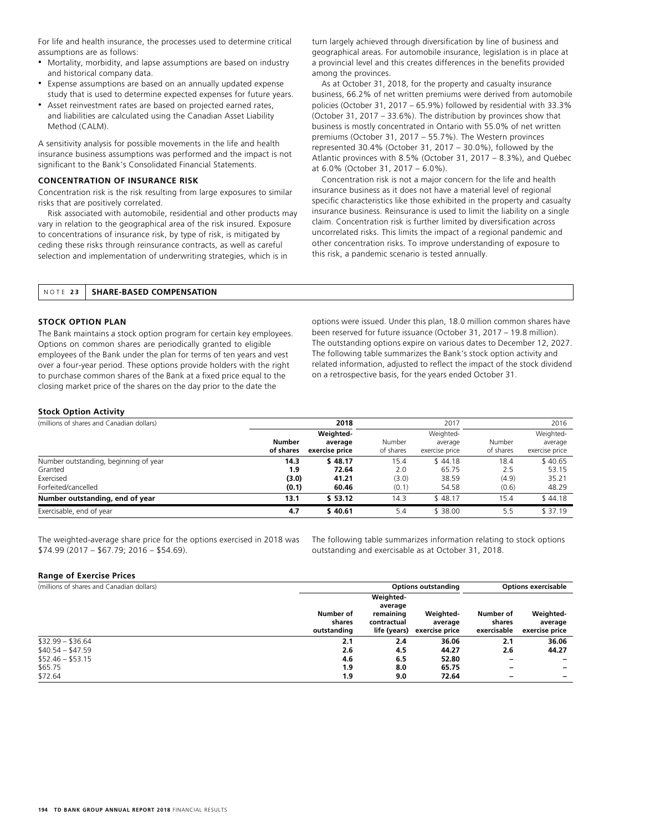For life and health insurance, the processes used to determine critical assumptions are as follows:

- Mortality, morbidity, and lapse assumptions are based on industry and historical company data.
- Expense assumptions are based on an annually updated expense study that is used to determine expected expenses for future years.
- Asset reinvestment rates are based on projected earned rates, and liabilities are calculated using the Canadian Asset Liability Method (CALM).

A sensitivity analysis for possible movements in the life and health insurance business assumptions was performed and the impact is not significant to the Bank's Consolidated Financial Statements.

# **CONCENTRATION OF INSURANCE RISK**

Concentration risk is the risk resulting from large exposures to similar risks that are positively correlated.

Risk associated with automobile, residential and other products may vary in relation to the geographical area of the risk insured. Exposure to concentrations of insurance risk, by type of risk, is mitigated by ceding these risks through reinsurance contracts, as well as careful selection and implementation of underwriting strategies, which is in

turn largely achieved through diversification by line of business and geographical areas. For automobile insurance, legislation is in place at a provincial level and this creates differences in the benefits provided among the provinces.

As at October 31, 2018, for the property and casualty insurance business, 66.2% of net written premiums were derived from automobile policies (October 31, 2017 – 65.9%) followed by residential with 33.3% (October 31, 2017 – 33.6%). The distribution by provinces show that business is mostly concentrated in Ontario with 55.0% of net written premiums (October 31, 2017 – 55.7%). The Western provinces represented 30.4% (October 31, 2017 – 30.0%), followed by the Atlantic provinces with 8.5% (October 31, 2017 – 8.3%), and Québec at 6.0% (October 31, 2017 – 6.0%).

Concentration risk is not a major concern for the life and health insurance business as it does not have a material level of regional specific characteristics like those exhibited in the property and casualty insurance business. Reinsurance is used to limit the liability on a single claim. Concentration risk is further limited by diversification across uncorrelated risks. This limits the impact of a regional pandemic and other concentration risks. To improve understanding of exposure to this risk, a pandemic scenario is tested annually.

|  | NOTE 23   SHARE-BASED COMPENSATION |
|--|------------------------------------|
|--|------------------------------------|

## **STOCK OPTION PLAN**

The Bank maintains a stock option program for certain key employees. Options on common shares are periodically granted to eligible employees of the Bank under the plan for terms of ten years and vest over a four-year period. These options provide holders with the right to purchase common shares of the Bank at a fixed price equal to the closing market price of the shares on the day prior to the date the

options were issued. Under this plan, 18.0 million common shares have been reserved for future issuance (October 31, 2017 – 19.8 million). The outstanding options expire on various dates to December 12, 2027. The following table summarizes the Bank's stock option activity and related information, adjusted to reflect the impact of the stock dividend on a retrospective basis, for the years ended October 31.

## **Stock Option Activity**

| (millions of shares and Canadian dollars) | 2018                |                |                     | 2017           |                     | 2016           |  |
|-------------------------------------------|---------------------|----------------|---------------------|----------------|---------------------|----------------|--|
|                                           |                     | Weighted-      |                     | Weighted-      |                     | Weighted-      |  |
|                                           | Number<br>of shares | average        | Number<br>of shares | average        | Number<br>of shares | average        |  |
|                                           |                     | exercise price |                     | exercise price |                     | exercise price |  |
| Number outstanding, beginning of year     | 14.3                | \$48.17        | 15.4                | \$44.18        | 18.4                | \$40.65        |  |
| Granted                                   | 1.9                 | 72.64          | 2.0                 | 65.75          | 2.5                 | 53.15          |  |
| Exercised                                 | (3.0)               | 41.21          | (3.0)               | 38.59          | (4.9)               | 35.21          |  |
| Forfeited/cancelled                       | (0.1)               | 60.46          | (0.1)               | 54.58          | (0.6)               | 48.29          |  |
| Number outstanding, end of year           | 13.1                | \$53.12        | 14.3                | \$48.17        | 15.4                | \$44.18        |  |
| Exercisable, end of year                  | 4.7                 | \$40.61        | 5.4                 | \$38.00        | 5.5                 | \$37.19        |  |

The weighted-average share price for the options exercised in 2018 was \$74.99 (2017 – \$67.79; 2016 – \$54.69).

The following table summarizes information relating to stock options outstanding and exercisable as at October 31, 2018.

### **Range of Exercise Prices**

| (millions of shares and Canadian dollars) | <b>Options outstanding</b> |                                                  |                      | <b>Options exercisable</b> |                          |  |
|-------------------------------------------|----------------------------|--------------------------------------------------|----------------------|----------------------------|--------------------------|--|
|                                           | Number of<br>shares        | Weighted-<br>average<br>remaining<br>contractual | Weighted-<br>average | Number of<br>shares        | Weighted-<br>average     |  |
|                                           | outstanding                | life (years)                                     | exercise price       | exercisable                | exercise price           |  |
| $$32.99 - $36.64$                         | 2.1                        | 2.4                                              | 36.06                | 2.1                        | 36.06                    |  |
| $$40.54 - $47.59$                         | 2.6                        | 4.5                                              | 44.27                | 2.6                        | 44.27                    |  |
| $$52.46 - $53.15$                         | 4.6                        | 6.5                                              | 52.80                | -                          |                          |  |
| \$65.75                                   | 1.9                        | 8.0                                              | 65.75                |                            | -                        |  |
| \$72.64                                   | 1.9                        | 9.0                                              | 72.64                | -                          | $\overline{\phantom{0}}$ |  |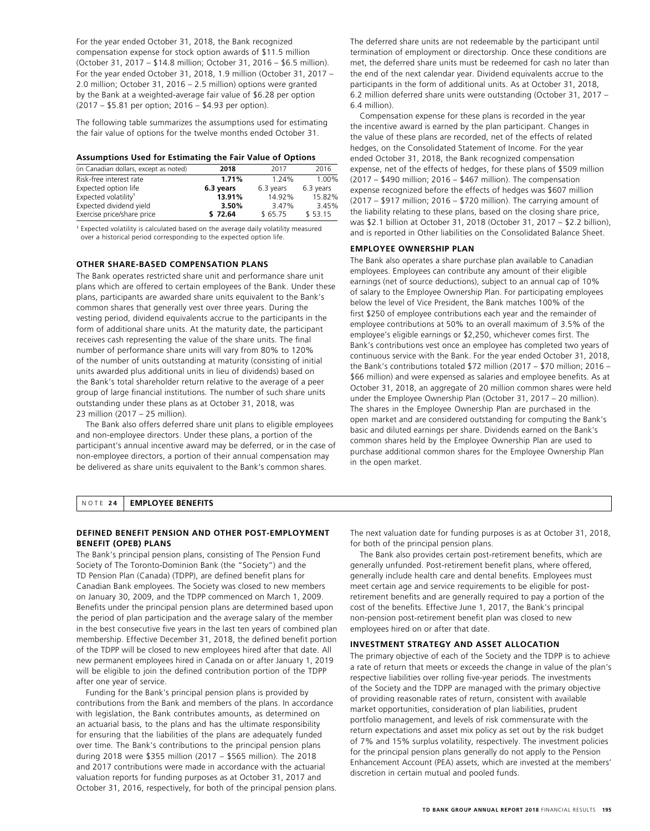For the year ended October 31, 2018, the Bank recognized compensation expense for stock option awards of \$11.5 million (October 31, 2017 – \$14.8 million; October 31, 2016 – \$6.5 million). For the year ended October 31, 2018, 1.9 million (October 31, 2017 – 2.0 million; October 31, 2016 – 2.5 million) options were granted by the Bank at a weighted-average fair value of \$6.28 per option (2017 – \$5.81 per option; 2016 – \$4.93 per option).

The following table summarizes the assumptions used for estimating the fair value of options for the twelve months ended October 31.

#### **Assumptions Used for Estimating the Fair Value of Options**

| (in Canadian dollars, except as noted) | 2018      | 2017      | 2016      |
|----------------------------------------|-----------|-----------|-----------|
| Risk-free interest rate                | 1.71%     | 1.24%     | 1.00%     |
| Expected option life                   | 6.3 years | 6.3 years | 6.3 years |
| Expected volatility <sup>1</sup>       | 13.91%    | 14.92%    | 15.82%    |
| Expected dividend yield                | 3.50%     | 3.47%     | 3.45%     |
| Exercise price/share price             | \$72.64   | \$65.75   | \$53.15   |

<sup>1</sup> Expected volatility is calculated based on the average daily volatility measured over a historical period corresponding to the expected option life.

### **OTHER SHARE-BASED COMPENSATION PLANS**

The Bank operates restricted share unit and performance share unit plans which are offered to certain employees of the Bank. Under these plans, participants are awarded share units equivalent to the Bank's common shares that generally vest over three years. During the vesting period, dividend equivalents accrue to the participants in the form of additional share units. At the maturity date, the participant receives cash representing the value of the share units. The final number of performance share units will vary from 80% to 120% of the number of units outstanding at maturity (consisting of initial units awarded plus additional units in lieu of dividends) based on the Bank's total shareholder return relative to the average of a peer group of large financial institutions. The number of such share units outstanding under these plans as at October 31, 2018, was 23 million (2017 – 25 million).

The Bank also offers deferred share unit plans to eligible employees and non-employee directors. Under these plans, a portion of the participant's annual incentive award may be deferred, or in the case of non-employee directors, a portion of their annual compensation may be delivered as share units equivalent to the Bank's common shares.

The deferred share units are not redeemable by the participant until termination of employment or directorship. Once these conditions are met, the deferred share units must be redeemed for cash no later than the end of the next calendar year. Dividend equivalents accrue to the participants in the form of additional units. As at October 31, 2018, 6.2 million deferred share units were outstanding (October 31, 2017 – 6.4 million).

Compensation expense for these plans is recorded in the year the incentive award is earned by the plan participant. Changes in the value of these plans are recorded, net of the effects of related hedges, on the Consolidated Statement of Income. For the year ended October 31, 2018, the Bank recognized compensation expense, net of the effects of hedges, for these plans of \$509 million (2017 – \$490 million; 2016 – \$467 million). The compensation expense recognized before the effects of hedges was \$607 million (2017 – \$917 million; 2016 – \$720 million). The carrying amount of the liability relating to these plans, based on the closing share price, was \$2.1 billion at October 31, 2018 (October 31, 2017 – \$2.2 billion), and is reported in Other liabilities on the Consolidated Balance Sheet.

### **EMPLOYEE OWNERSHIP PLAN**

The Bank also operates a share purchase plan available to Canadian employees. Employees can contribute any amount of their eligible earnings (net of source deductions), subject to an annual cap of 10% of salary to the Employee Ownership Plan. For participating employees below the level of Vice President, the Bank matches 100% of the first \$250 of employee contributions each year and the remainder of employee contributions at 50% to an overall maximum of 3.5% of the employee's eligible earnings or \$2,250, whichever comes first. The Bank's contributions vest once an employee has completed two years of continuous service with the Bank. For the year ended October 31, 2018, the Bank's contributions totaled \$72 million (2017 – \$70 million; 2016 – \$66 million) and were expensed as salaries and employee benefits. As at October 31, 2018, an aggregate of 20 million common shares were held under the Employee Ownership Plan (October 31, 2017 – 20 million). The shares in the Employee Ownership Plan are purchased in the open market and are considered outstanding for computing the Bank's basic and diluted earnings per share. Dividends earned on the Bank's common shares held by the Employee Ownership Plan are used to purchase additional common shares for the Employee Ownership Plan in the open market.

# NOTE **2 4 EMPLOYEE BENEFITS**

## **DEFINED BENEFIT PENSION AND OTHER POST-EMPLOYMENT BENEFIT (OPEB) PLANS**

The Bank's principal pension plans, consisting of The Pension Fund Society of The Toronto-Dominion Bank (the "Society") and the TD Pension Plan (Canada) (TDPP), are defined benefit plans for Canadian Bank employees. The Society was closed to new members on January 30, 2009, and the TDPP commenced on March 1, 2009. Benefits under the principal pension plans are determined based upon the period of plan participation and the average salary of the member in the best consecutive five years in the last ten years of combined plan membership. Effective December 31, 2018, the defined benefit portion of the TDPP will be closed to new employees hired after that date. All new permanent employees hired in Canada on or after January 1, 2019 will be eligible to join the defined contribution portion of the TDPP after one year of service.

Funding for the Bank's principal pension plans is provided by contributions from the Bank and members of the plans. In accordance with legislation, the Bank contributes amounts, as determined on an actuarial basis, to the plans and has the ultimate responsibility for ensuring that the liabilities of the plans are adequately funded over time. The Bank's contributions to the principal pension plans during 2018 were \$355 million (2017 – \$565 million). The 2018 and 2017 contributions were made in accordance with the actuarial valuation reports for funding purposes as at October 31, 2017 and October 31, 2016, respectively, for both of the principal pension plans. The next valuation date for funding purposes is as at October 31, 2018, for both of the principal pension plans.

The Bank also provides certain post-retirement benefits, which are generally unfunded. Post-retirement benefit plans, where offered, generally include health care and dental benefits. Employees must meet certain age and service requirements to be eligible for postretirement benefits and are generally required to pay a portion of the cost of the benefits. Effective June 1, 2017, the Bank's principal non-pension post-retirement benefit plan was closed to new employees hired on or after that date.

## **INVESTMENT STRATEGY AND ASSET ALLOCATION**

The primary objective of each of the Society and the TDPP is to achieve a rate of return that meets or exceeds the change in value of the plan's respective liabilities over rolling five-year periods. The investments of the Society and the TDPP are managed with the primary objective of providing reasonable rates of return, consistent with available market opportunities, consideration of plan liabilities, prudent portfolio management, and levels of risk commensurate with the return expectations and asset mix policy as set out by the risk budget of 7% and 15% surplus volatility, respectively. The investment policies for the principal pension plans generally do not apply to the Pension Enhancement Account (PEA) assets, which are invested at the members' discretion in certain mutual and pooled funds.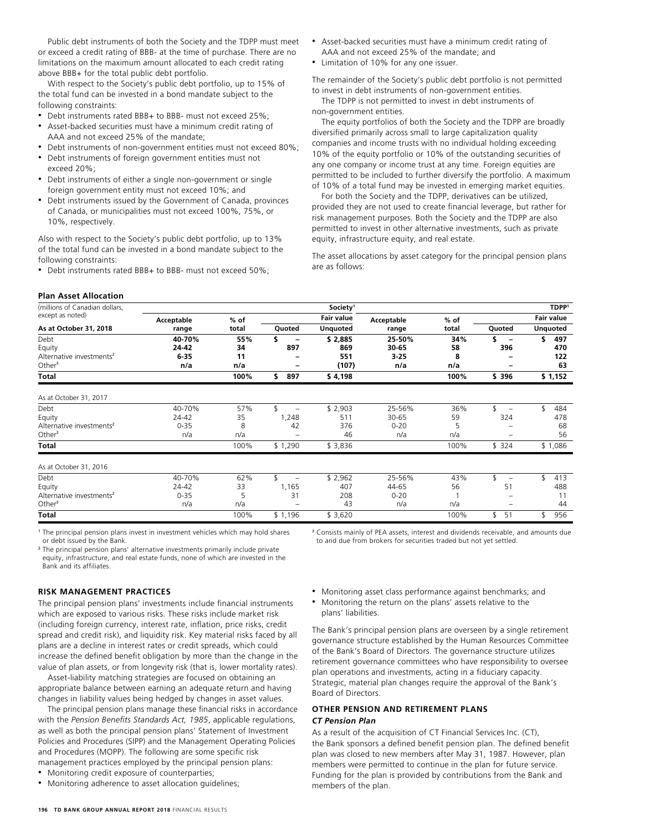Public debt instruments of both the Society and the TDPP must meet or exceed a credit rating of BBB- at the time of purchase. There are no limitations on the maximum amount allocated to each credit rating above BBB+ for the total public debt portfolio.

With respect to the Society's public debt portfolio, up to 15% of the total fund can be invested in a bond mandate subject to the following constraints:

- Debt instruments rated BBB+ to BBB- must not exceed 25%;
- Asset-backed securities must have a minimum credit rating of AAA and not exceed 25% of the mandate;
- Debt instruments of non-government entities must not exceed 80%;
- Debt instruments of foreign government entities must not exceed 20%;
- Debt instruments of either a single non-government or single foreign government entity must not exceed 10%; and
- Debt instruments issued by the Government of Canada, provinces of Canada, or municipalities must not exceed 100%, 75%, or 10%, respectively.

Also with respect to the Society's public debt portfolio, up to 13% of the total fund can be invested in a bond mandate subject to the following constraints:

• Debt instruments rated BBB+ to BBB- must not exceed 50%;

# • Asset-backed securities must have a minimum credit rating of AAA and not exceed 25% of the mandate; and

• Limitation of 10% for any one issuer.

The remainder of the Society's public debt portfolio is not permitted to invest in debt instruments of non-government entities.

The TDPP is not permitted to invest in debt instruments of non-government entities.

The equity portfolios of both the Society and the TDPP are broadly diversified primarily across small to large capitalization quality companies and income trusts with no individual holding exceeding 10% of the equity portfolio or 10% of the outstanding securities of any one company or income trust at any time. Foreign equities are permitted to be included to further diversify the portfolio. A maximum of 10% of a total fund may be invested in emerging market equities.

For both the Society and the TDPP, derivatives can be utilized, provided they are not used to create financial leverage, but rather for risk management purposes. Both the Society and the TDPP are also permitted to invest in other alternative investments, such as private equity, infrastructure equity, and real estate.

The asset allocations by asset category for the principal pension plans are as follows:

## **Plan Asset Allocation**

| (millions of Canadian dollars,       |            |        |           | Society <sup>1</sup> |            |        |                                | TDPP <sup>1</sup>    |
|--------------------------------------|------------|--------|-----------|----------------------|------------|--------|--------------------------------|----------------------|
| except as noted)                     | Acceptable | $%$ of |           | <b>Fair value</b>    | Acceptable | $%$ of |                                | <b>Fair value</b>    |
| As at October 31, 2018               | range      | total  | Quoted    | <b>Unquoted</b>      | range      | total  | Quoted                         | <b>Unquoted</b>      |
| Debt                                 | 40-70%     | 55%    |           | \$2,885              | 25-50%     | 34%    | $\overline{\phantom{0}}$       | 497<br>s             |
| Equity                               | 24-42      | 34     | 897       | 869                  | 30-65      | 58     | 396                            | 470                  |
| Alternative investments <sup>2</sup> | $6 - 35$   | 11     |           | 551                  | $3 - 25$   | 8      |                                | 122                  |
| Other <sup>3</sup>                   | n/a        | n/a    | -         | (107)                | n/a        | n/a    | -                              | 63                   |
| Total                                |            | 100%   | \$<br>897 | \$4,198              |            | 100%   | \$ 396                         | \$1,152              |
| As at October 31, 2017               |            |        |           |                      |            |        |                                |                      |
| Debt                                 | 40-70%     | 57%    | \$<br>-   | \$2,903              | 25-56%     | 36%    | \$<br>$\overline{\phantom{a}}$ | $\mathsf{\$}$<br>484 |
| Equity                               | 24-42      | 35     | 1,248     | 511                  | 30-65      | 59     | 324                            | 478                  |
| Alternative investments <sup>2</sup> | $0 - 35$   | 8      | 42        | 376                  | $0 - 20$   | 5      |                                | 68                   |
| Other <sup>3</sup>                   | n/a        | n/a    | -         | 46                   | n/a        | n/a    | -                              | 56                   |
| <b>Total</b>                         |            | 100%   | \$1,290   | \$3,836              |            | 100%   | \$324                          | \$1,086              |
| As at October 31, 2016               |            |        |           |                      |            |        |                                |                      |
| Debt                                 | 40-70%     | 62%    | \$        | \$2,962              | 25-56%     | 43%    | ≮<br>۰                         | \$<br>413            |
| Equity                               | 24-42      | 33     | 1,165     | 407                  | 44-65      | 56     | 51                             | 488                  |
| Alternative investments <sup>2</sup> | $0 - 35$   | 5      | 31        | 208                  | $0 - 20$   |        | -                              | 11                   |
| Other <sup>3</sup>                   | n/a        | n/a    | -         | 43                   | n/a        | n/a    | -                              | 44                   |
| Total                                |            | 100%   | \$1,196   | \$3,620              |            | 100%   | \$<br>51                       | \$<br>956            |

<sup>1</sup> The principal pension plans invest in investment vehicles which may hold shares or debt issued by the Bank.

<sup>2</sup> The principal pension plans' alternative investments primarily include private equity, infrastructure, and real estate funds, none of which are invested in the Bank and its affiliates.

### **RISK MANAGEMENT PRACTICES**

The principal pension plans' investments include financial instruments which are exposed to various risks. These risks include market risk (including foreign currency, interest rate, inflation, price risks, credit spread and credit risk), and liquidity risk. Key material risks faced by all plans are a decline in interest rates or credit spreads, which could increase the defined benefit obligation by more than the change in the value of plan assets, or from longevity risk (that is, lower mortality rates).

Asset-liability matching strategies are focused on obtaining an appropriate balance between earning an adequate return and having changes in liability values being hedged by changes in asset values.

The principal pension plans manage these financial risks in accordance with the *Pension Benefits Standards Act, 1985*, applicable regulations, as well as both the principal pension plans' Statement of Investment Policies and Procedures (SIPP) and the Management Operating Policies and Procedures (MOPP). The following are some specific risk management practices employed by the principal pension plans:

- Monitoring credit exposure of counterparties;
- Monitoring adherence to asset allocation guidelines;

<sup>3</sup> Consists mainly of PEA assets, interest and dividends receivable, and amounts due to and due from brokers for securities traded but not yet settled.

- Monitoring asset class performance against benchmarks; and
- Monitoring the return on the plans' assets relative to the plans' liabilities.

The Bank's principal pension plans are overseen by a single retirement governance structure established by the Human Resources Committee of the Bank's Board of Directors. The governance structure utilizes retirement governance committees who have responsibility to oversee plan operations and investments, acting in a fiduciary capacity. Strategic, material plan changes require the approval of the Bank's Board of Directors.

# **OTHER PENSION AND RETIREMENT PLANS** *CT Pension Plan*

As a result of the acquisition of CT Financial Services Inc. (CT), the Bank sponsors a defined benefit pension plan. The defined benefit plan was closed to new members after May 31, 1987. However, plan members were permitted to continue in the plan for future service. Funding for the plan is provided by contributions from the Bank and members of the plan.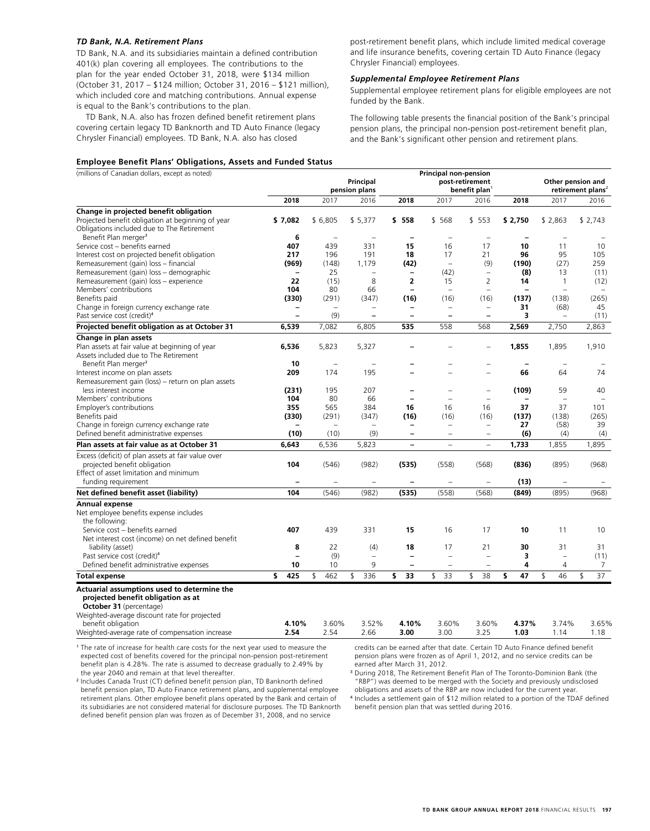### *TD Bank, N.A. Retirement Plans*

TD Bank, N.A. and its subsidiaries maintain a defined contribution 401(k) plan covering all employees. The contributions to the plan for the year ended October 31, 2018, were \$134 million (October 31, 2017 – \$124 million; October 31, 2016 – \$121 million), which included core and matching contributions. Annual expense is equal to the Bank's contributions to the plan.

TD Bank, N.A. also has frozen defined benefit retirement plans covering certain legacy TD Banknorth and TD Auto Finance (legacy Chrysler Financial) employees. TD Bank, N.A. also has closed

**Employee Benefit Plans' Obligations, Assets and Funded Status**

post-retirement benefit plans, which include limited medical coverage and life insurance benefits, covering certain TD Auto Finance (legacy Chrysler Financial) employees.

## *Supplemental Employee Retirement Plans*

Supplemental employee retirement plans for eligible employees are not funded by the Bank.

The following table presents the financial position of the Bank's principal pension plans, the principal non-pension post-retirement benefit plan, and the Bank's significant other pension and retirement plans.

#### (millions of Canadian dollars, except as noted) **Principal non-pension Principally Proposit-retirement Other pension and pension plans benefit plan**<sup>1</sup> **retirement plans**<sup>2</sup> **2018** 2017 2016 **2018** 2017 2016 **2018** 2017 2016 **Change in projected benefit obligation** Projected benefit obligation at beginning of year **\$ 7,082** \$ 6,805 \$ 5,377 **\$ 558** \$ 568 \$ 553 **\$ 2,750** \$ 2,863 \$ 2,743 Obligations included due to The Retirement Benefit Plan merger<sup>3</sup> **6** – – **–** – – **–** – – Service cost – benefits earned **407** 439 331 **15** 16 17 **10** 11 10 Interest cost on projected benefit obligation<br>
Remeasurement (gain) loss – financial **217** (1969) (148) 1,179 (42) – (9) (190) (27) Remeasurement (gain) loss – financial **(969)** (148) 1,179 **(42)** – (9) **(190)** (27) 259 Remeasurement (gain) loss – demographic **–** 25 – **–** (42) – **(8)** 13 (11) Remeasurement (gain) loss – experience **22** (15) 8 **2** 15 2 **14** 1 (12) Members' contributions **104** 80 66 **–** – – **–** – – Benefits paid **(330)** (291) (347) **(16)** (16) (16) **(137)** (138) (265) Change in foreign currency exchange rate **–** – – **–** – – **31** (68) 45 Past service cost (credit)<sup>4</sup> **Projected benefit obligation as at October 31 6,539** 7,082 6,805 **535** 558 568 **2,569** 2,750 2,863 **Change in plan assets** Plan assets at fair value at beginning of year **6,536** 5,823 5,327 **–** – – **1,855** 1,895 1,910 Assets included due to The Retirement Benefit Plan merger<sup>3</sup> **10** – – **–** – – **–** – – Interest income on plan assets **209** 174 195 **–** – – **66** 64 74 Remeasurement gain (loss) – return on plan assets less interest income **(231)** 195 207 **–** – – **(109)** 59 40 Members' contributions **104** 80 66 **–** – – **–** – – Employer's contributions **355** 565 384 **16** 16 16 **37** 37 101 Benefits paid **(330)** (291) (347) **(16)** (16) (16) **(137)** (138) (265) Change in foreign currency exchange rate **–** – – **–** – – **27** (58) 39 Defined benefit administrative expenses **(10)** (10) (9) **–** – – **(6)** (4) (4) **Plan assets at fair value as at October 31 6,643** 6,536 5,823 **–** – – **1,733** 1,855 1,895 Excess (deficit) of plan assets at fair value over projected benefit obligation **104** (546) (982) **(535)** (558) (568) **(836)** (895) (968) Effect of asset limitation and minimum funding requirement **–** – – **–** – – **(13)** – – **Net defined benefit asset (liability) 104** (546) (982) **(535)** (558) (568) **(849)** (895) (968) **Annual expense** Net employee benefits expense includes the following: Service cost – benefits earned **407** 439 331 **15** 16 17 **10** 11 10 Net interest cost (income) on net defined benefit liability (asset) **8** 22 (4) **18** 17 21 **30** 31 31 Past service cost (credit)<sup>4</sup> **–** (9) – **–** – – **3** – (11) Defined benefit administrative expenses **10** 10 9 **–** – – **4** 4 7 **Total expense \$ 425** \$ 462 \$ 336 **\$ 33** \$ 33 \$ 38 **\$ 47** \$ 46 \$ 37 **Actuarial assumptions used to determine the projected benefit obligation as at October 31** (percentage) Weighted-average discount rate for projected benefit obligation **4.10%** 3.60%3.52% **4.10%** 3.60% 3.60% **4.37%** 3.74% 3.65% Weighted-average rate of compensation increase **2.54** 2.54 2.66 **3.00** 3.00 3.25 **1.03** 1.14 1.18

<sup>1</sup> The rate of increase for health care costs for the next year used to measure the expected cost of benefits covered for the principal non-pension post-retirement benefit plan is 4.28%. The rate is assumed to decrease gradually to 2.49% by the year 2040 and remain at that level thereafter.

credits can be earned after that date. Certain TD Auto Finance defined benefit pension plans were frozen as of April 1, 2012, and no service credits can be earned after March 31, 2012.

<sup>2</sup> Includes Canada Trust (CT) defined benefit pension plan, TD Banknorth defined benefit pension plan, TD Auto Finance retirement plans, and supplemental employee retirement plans. Other employee benefit plans operated by the Bank and certain of its subsidiaries are not considered material for disclosure purposes. The TD Banknorth defined benefit pension plan was frozen as of December 31, 2008, and no service

<sup>3</sup> During 2018, The Retirement Benefit Plan of The Toronto-Dominion Bank (the "RBP") was deemed to be merged with the Society and previously undisclosed obligations and assets of the RBP are now included for the current year. <sup>4</sup> Includes a settlement gain of \$12 million related to a portion of the TDAF defined benefit pension plan that was settled during 2016.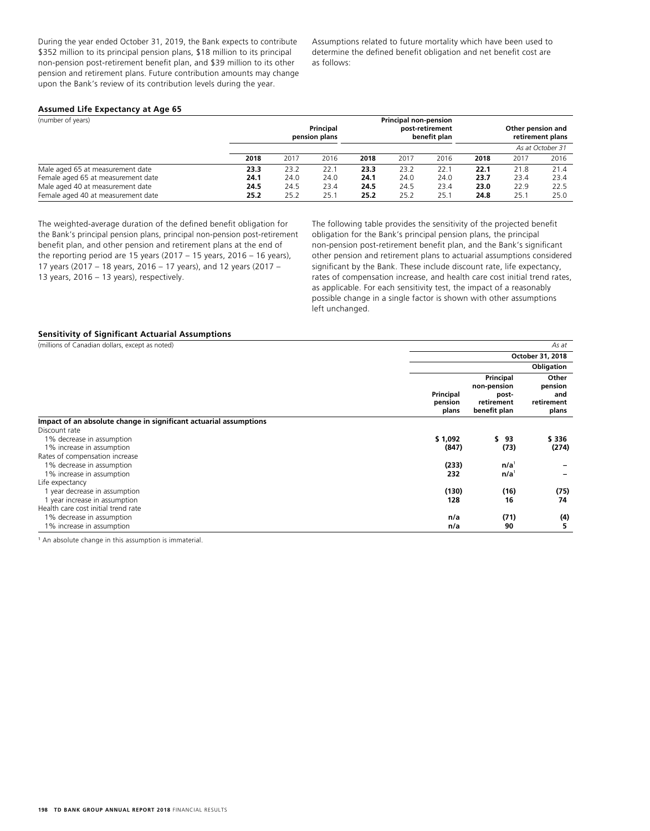During the year ended October 31, 2019, the Bank expects to contribute \$352 million to its principal pension plans, \$18 million to its principal non-pension post-retirement benefit plan, and \$39 million to its other pension and retirement plans. Future contribution amounts may change upon the Bank's review of its contribution levels during the year.

Assumptions related to future mortality which have been used to determine the defined benefit obligation and net benefit cost are as follows:

## **Assumed Life Expectancy at Age 65**

| (number of years)                                                      | <b>Principal non-pension</b><br>Principal<br>post-retirement<br>benefit plan<br>pension plans |              |              |              |              |              | Other pension and<br>retirement plans |              |                  |  |
|------------------------------------------------------------------------|-----------------------------------------------------------------------------------------------|--------------|--------------|--------------|--------------|--------------|---------------------------------------|--------------|------------------|--|
|                                                                        |                                                                                               |              |              |              |              |              |                                       |              | As at October 31 |  |
|                                                                        | 2018                                                                                          | 2017         | 2016         | 2018         | 2017         | 2016         | 2018                                  | 2017         | 2016             |  |
| Male aged 65 at measurement date                                       | 23.3                                                                                          | 23.2         | 22.7         | 23.3         | 23.2         | 22.7         | 22.1                                  | 21.8         | 21.4             |  |
| Female aged 65 at measurement date                                     | 24.1                                                                                          | 24.0         | 24.0         | 24.1         | 24.0         | 24.0         | 23.7                                  | 23.4         | 23.4             |  |
| Male aged 40 at measurement date<br>Female aged 40 at measurement date | 24.5<br>25.2                                                                                  | 24.5<br>25.2 | 23.4<br>25.1 | 24.5<br>25.2 | 24.5<br>25.2 | 23.4<br>25.1 | 23.0<br>24.8                          | 22.9<br>25.1 | 22.5<br>25.0     |  |

The weighted-average duration of the defined benefit obligation for the Bank's principal pension plans, principal non-pension post-retirement benefit plan, and other pension and retirement plans at the end of the reporting period are 15 years (2017 – 15 years, 2016 – 16 years), 17 years (2017 – 18 years, 2016 – 17 years), and 12 years (2017 – 13 years, 2016 – 13 years), respectively.

The following table provides the sensitivity of the projected benefit obligation for the Bank's principal pension plans, the principal non-pension post-retirement benefit plan, and the Bank's significant other pension and retirement plans to actuarial assumptions considered significant by the Bank. These include discount rate, life expectancy, rates of compensation increase, and health care cost initial trend rates, as applicable. For each sensitivity test, the impact of a reasonably possible change in a single factor is shown with other assumptions left unchanged.

## **Sensitivity of Significant Actuarial Assumptions**

| (millions of Canadian dollars, except as noted)                   |                  |                            | As at               |
|-------------------------------------------------------------------|------------------|----------------------------|---------------------|
|                                                                   |                  |                            | October 31, 2018    |
|                                                                   |                  |                            | Obligation          |
|                                                                   |                  | Principal<br>non-pension   | Other<br>pension    |
|                                                                   | Principal        | post-                      | and                 |
|                                                                   | pension<br>plans | retirement<br>benefit plan | retirement<br>plans |
|                                                                   |                  |                            |                     |
| Impact of an absolute change in significant actuarial assumptions |                  |                            |                     |
| Discount rate                                                     |                  |                            |                     |
| 1% decrease in assumption                                         | \$1,092          | - 93                       | \$336               |
| 1% increase in assumption                                         | (847)            | (73)                       | (274)               |
| Rates of compensation increase                                    |                  |                            |                     |
| 1% decrease in assumption                                         | (233)            | n/a <sup>1</sup>           |                     |
| 1% increase in assumption                                         | 232              | n/a <sup>1</sup>           |                     |
| Life expectancy                                                   |                  |                            |                     |
| 1 year decrease in assumption                                     | (130)            | (16)                       | (75)                |
| 1 year increase in assumption                                     | 128              | 16                         | 74                  |
| Health care cost initial trend rate                               |                  |                            |                     |
| 1% decrease in assumption                                         | n/a              | (71)                       | (4)                 |
| 1% increase in assumption                                         | n/a              | 90                         | 5                   |

<sup>1</sup> An absolute change in this assumption is immaterial.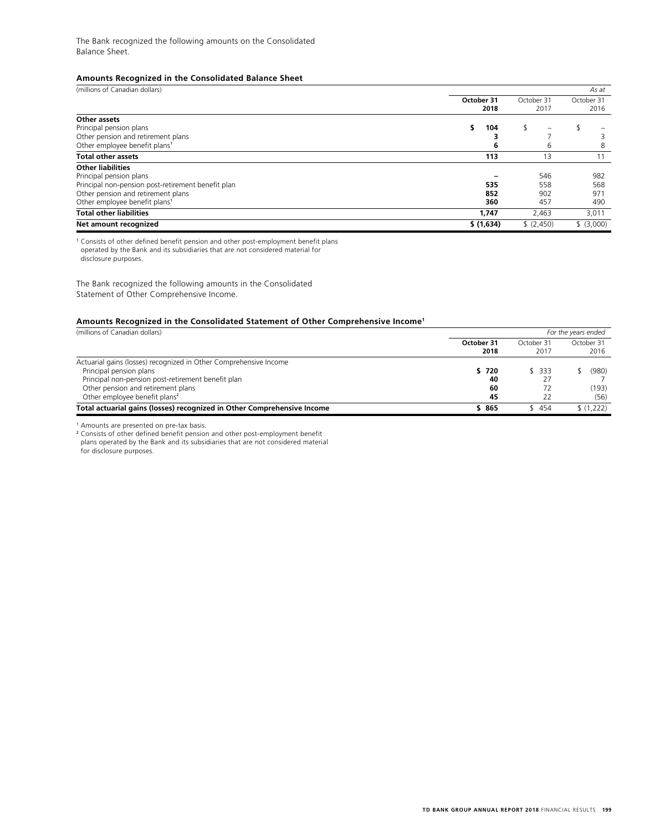The Bank recognized the following amounts on the Consolidated Balance Sheet.

# **Amounts Recognized in the Consolidated Balance Sheet**

| (millions of Canadian dollars)                     |   |            |            |         | As at      |
|----------------------------------------------------|---|------------|------------|---------|------------|
|                                                    |   | October 31 | October 31 |         | October 31 |
|                                                    |   | 2018       |            | 2017    | 2016       |
| Other assets                                       |   |            |            |         |            |
| Principal pension plans                            | s | 104        |            |         |            |
| Other pension and retirement plans                 |   |            |            |         |            |
| Other employee benefit plans <sup>1</sup>          |   | 6          |            | 6       | 8          |
| <b>Total other assets</b>                          |   | 113        |            | 13      | 11         |
| <b>Other liabilities</b>                           |   |            |            |         |            |
| Principal pension plans                            |   |            |            | 546     | 982        |
| Principal non-pension post-retirement benefit plan |   | 535        |            | 558     | 568        |
| Other pension and retirement plans                 |   | 852        |            | 902     | 971        |
| Other employee benefit plans <sup>1</sup>          |   | 360        |            | 457     | 490        |
| <b>Total other liabilities</b>                     |   | 1.747      |            | 2,463   | 3,011      |
| Net amount recognized                              |   | \$(1,634)  |            | (2,450) | \$ (3,000) |

<sup>1</sup> Consists of other defined benefit pension and other post-employment benefit plans operated by the Bank and its subsidiaries that are not considered material for disclosure purposes.

The Bank recognized the following amounts in the Consolidated Statement of Other Comprehensive Income.

## **Amounts Recognized in the Consolidated Statement of Other Comprehensive Income1**

| (millions of Canadian dollars)                                          | For the years ended |            |            |  |
|-------------------------------------------------------------------------|---------------------|------------|------------|--|
|                                                                         | October 31          | October 31 | October 31 |  |
|                                                                         | 2018                | 2017       | 2016       |  |
| Actuarial gains (losses) recognized in Other Comprehensive Income       |                     |            |            |  |
| Principal pension plans                                                 | \$720               | \$ 333     | (980)      |  |
| Principal non-pension post-retirement benefit plan                      | 40                  |            |            |  |
| Other pension and retirement plans                                      | 60                  | 72         | (193)      |  |
| Other employee benefit plans <sup>2</sup>                               | 45                  | 22         | (56)       |  |
| Total actuarial gains (losses) recognized in Other Comprehensive Income | \$ 865              | \$454      | \$(1.222)  |  |

<sup>1</sup> Amounts are presented on pre-tax basis.

<sup>2</sup> Consists of other defined benefit pension and other post-employment benefit plans operated by the Bank and its subsidiaries that are not considered material for disclosure purposes.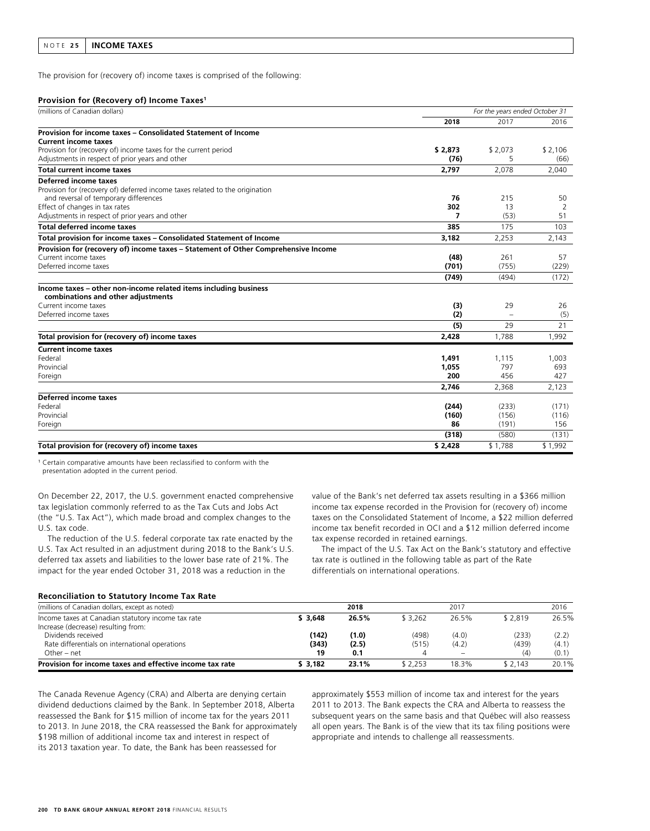The provision for (recovery of) income taxes is comprised of the following:

## **Provision for (Recovery of) Income Taxes1**

| (millions of Canadian dollars)                                                     |         | For the years ended October 31 |         |
|------------------------------------------------------------------------------------|---------|--------------------------------|---------|
|                                                                                    | 2018    | 2017                           | 2016    |
| Provision for income taxes - Consolidated Statement of Income                      |         |                                |         |
| <b>Current income taxes</b>                                                        |         |                                |         |
| Provision for (recovery of) income taxes for the current period                    | \$2.873 | \$2,073                        | \$2,106 |
| Adjustments in respect of prior years and other                                    | (76)    | 5                              | (66)    |
| <b>Total current income taxes</b>                                                  | 2,797   | 2,078                          | 2,040   |
| Deferred income taxes                                                              |         |                                |         |
| Provision for (recovery of) deferred income taxes related to the origination       |         |                                |         |
| and reversal of temporary differences                                              | 76      | 215                            | 50      |
| Effect of changes in tax rates                                                     | 302     | 13                             | 2       |
| Adjustments in respect of prior years and other                                    | 7       | (53)                           | 51      |
| <b>Total deferred income taxes</b>                                                 | 385     | 175                            | 103     |
| Total provision for income taxes - Consolidated Statement of Income                | 3,182   | 2,253                          | 2,143   |
| Provision for (recovery of) income taxes – Statement of Other Comprehensive Income |         |                                |         |
| Current income taxes                                                               | (48)    | 261                            | 57      |
| Deferred income taxes                                                              | (701)   | (755)                          | (229)   |
|                                                                                    | (749)   | (494)                          | (172)   |
| Income taxes - other non-income related items including business                   |         |                                |         |
| combinations and other adjustments                                                 |         |                                |         |
| Current income taxes                                                               | (3)     | 29                             | 26      |
| Deferred income taxes                                                              | (2)     |                                | (5)     |
|                                                                                    | (5)     | 29                             | 21      |
| Total provision for (recovery of) income taxes                                     | 2,428   | 1,788                          | 1,992   |
| <b>Current income taxes</b>                                                        |         |                                |         |
| Federal                                                                            | 1,491   | 1,115                          | 1,003   |
| Provincial                                                                         | 1.055   | 797                            | 693     |
| Foreign                                                                            | 200     | 456                            | 427     |
|                                                                                    | 2,746   | 2,368                          | 2,123   |
| <b>Deferred income taxes</b>                                                       |         |                                |         |
| Federal                                                                            | (244)   | (233)                          | (171)   |
| Provincial                                                                         | (160)   | (156)                          | (116)   |
| Foreign                                                                            | 86      | (191)                          | 156     |
|                                                                                    | (318)   | (580)                          | (131)   |
| Total provision for (recovery of) income taxes                                     | \$2,428 | \$1,788                        | \$1,992 |

<sup>1</sup> Certain comparative amounts have been reclassified to conform with the presentation adopted in the current period.

On December 22, 2017, the U.S. government enacted comprehensive tax legislation commonly referred to as the Tax Cuts and Jobs Act (the "U.S. Tax Act"), which made broad and complex changes to the U.S. tax code.

The reduction of the U.S. federal corporate tax rate enacted by the U.S. Tax Act resulted in an adjustment during 2018 to the Bank's U.S. deferred tax assets and liabilities to the lower base rate of 21%. The impact for the year ended October 31, 2018 was a reduction in the

value of the Bank's net deferred tax assets resulting in a \$366 million income tax expense recorded in the Provision for (recovery of) income taxes on the Consolidated Statement of Income, a \$22 million deferred income tax benefit recorded in OCI and a \$12 million deferred income tax expense recorded in retained earnings.

The impact of the U.S. Tax Act on the Bank's statutory and effective tax rate is outlined in the following table as part of the Rate differentials on international operations.

## **Reconciliation to Statutory Income Tax Rate**

|          | 2018  |         | 2017                     |         | 2016  |
|----------|-------|---------|--------------------------|---------|-------|
| \$ 3.648 | 26.5% | \$3.262 | 26.5%                    | \$2.819 | 26.5% |
|          |       |         |                          |         |       |
| (142)    | (1.0) | (498)   | (4.0)                    | (233)   | (2.2) |
| (343)    | (2.5) | (515)   | (4.2)                    | (439)   | (4.1) |
| 19       | 0.1   | 4       | $\overline{\phantom{a}}$ | (4)     | (0.1) |
| \$ 3,182 | 23.1% | \$2.253 | 18.3%                    | \$2.143 | 20.1% |
|          |       |         |                          |         |       |

The Canada Revenue Agency (CRA) and Alberta are denying certain dividend deductions claimed by the Bank. In September 2018, Alberta reassessed the Bank for \$15 million of income tax for the years 2011 to 2013. In June 2018, the CRA reassessed the Bank for approximately \$198 million of additional income tax and interest in respect of its 2013 taxation year. To date, the Bank has been reassessed for

approximately \$553 million of income tax and interest for the years 2011 to 2013. The Bank expects the CRA and Alberta to reassess the subsequent years on the same basis and that Québec will also reassess all open years. The Bank is of the view that its tax filing positions were appropriate and intends to challenge all reassessments.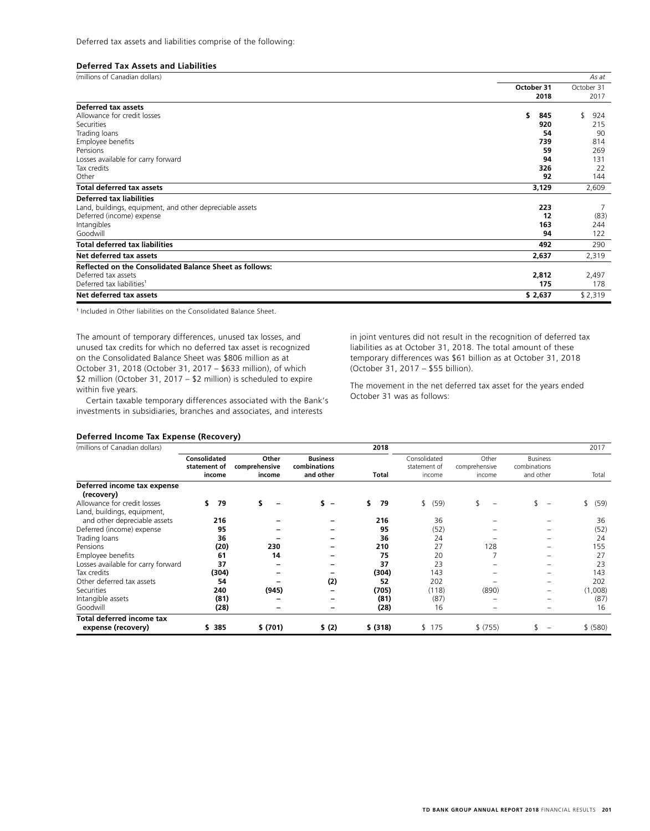## **Deferred Tax Assets and Liabilities**

| (millions of Canadian dollars)                                 |            | As at      |
|----------------------------------------------------------------|------------|------------|
|                                                                | October 31 | October 31 |
|                                                                | 2018       | 2017       |
| <b>Deferred tax assets</b>                                     |            |            |
| Allowance for credit losses                                    | \$<br>845  | \$<br>924  |
| Securities                                                     | 920        | 215        |
| Trading loans                                                  | 54         | 90         |
| Employee benefits                                              | 739        | 814        |
| Pensions                                                       | 59         | 269        |
| Losses available for carry forward                             | 94         | 131        |
| Tax credits                                                    | 326        | 22         |
| Other                                                          | 92         | 144        |
| <b>Total deferred tax assets</b>                               | 3,129      | 2,609      |
| Deferred tax liabilities                                       |            |            |
| Land, buildings, equipment, and other depreciable assets       | 223        | 7          |
| Deferred (income) expense                                      | 12         | (83)       |
| Intangibles                                                    | 163        | 244        |
| Goodwill                                                       | 94         | 122        |
| <b>Total deferred tax liabilities</b>                          | 492        | 290        |
| Net deferred tax assets                                        | 2,637      | 2,319      |
| <b>Reflected on the Consolidated Balance Sheet as follows:</b> |            |            |
| Deferred tax assets                                            | 2,812      | 2,497      |
| Deferred tax liabilities <sup>1</sup>                          | 175        | 178        |
| Net deferred tax assets                                        | \$2,637    | \$2,319    |

<sup>1</sup> Included in Other liabilities on the Consolidated Balance Sheet.

The amount of temporary differences, unused tax losses, and unused tax credits for which no deferred tax asset is recognized on the Consolidated Balance Sheet was \$806 million as at October 31, 2018 (October 31, 2017 – \$633 million), of which \$2 million (October 31, 2017 – \$2 million) is scheduled to expire within five years.

Certain taxable temporary differences associated with the Bank's investments in subsidiaries, branches and associates, and interests

# **Deferred Income Tax Expense (Recovery)**

in joint ventures did not result in the recognition of deferred tax liabilities as at October 31, 2018. The total amount of these temporary differences was \$61 billion as at October 31, 2018 (October 31, 2017 – \$55 billion).

The movement in the net deferred tax asset for the years ended October 31 was as follows:

| (millions of Canadian dollars)            |                                     |        |               |                 |                                              | 2018     |                                        |                                  |                                              | 2017     |
|-------------------------------------------|-------------------------------------|--------|---------------|-----------------|----------------------------------------------|----------|----------------------------------------|----------------------------------|----------------------------------------------|----------|
|                                           | <b>Consolidated</b><br>statement of | income | comprehensive | Other<br>income | <b>Business</b><br>combinations<br>and other | Total    | Consolidated<br>statement of<br>income | Other<br>comprehensive<br>income | <b>Business</b><br>combinations<br>and other | Total    |
| Deferred income tax expense<br>(recovery) |                                     |        |               |                 |                                              |          |                                        |                                  |                                              |          |
| Allowance for credit losses               | s                                   | 79     |               |                 | \$ –                                         | 79<br>S. | \$ (59)                                |                                  |                                              | (59)     |
| Land, buildings, equipment,               |                                     |        |               |                 |                                              |          |                                        |                                  |                                              |          |
| and other depreciable assets              |                                     | 216    |               |                 |                                              | 216      | 36                                     |                                  |                                              | 36       |
| Deferred (income) expense                 |                                     | 95     |               |                 |                                              | 95       | (52)                                   |                                  |                                              | (52)     |
| Trading loans                             |                                     | 36     |               |                 |                                              | 36       | 24                                     |                                  |                                              | 24       |
| Pensions                                  |                                     | (20)   |               | 230             |                                              | 210      | 27                                     | 128                              |                                              | 155      |
| Employee benefits                         |                                     | 61     |               | 14              |                                              | 75       | 20                                     |                                  |                                              | 27       |
| Losses available for carry forward        |                                     | 37     |               |                 |                                              | 37       | 23                                     |                                  |                                              | 23       |
| Tax credits                               |                                     | (304)  |               |                 |                                              | (304)    | 143                                    |                                  |                                              | 143      |
| Other deferred tax assets                 |                                     | 54     |               |                 | (2)                                          | 52       | 202                                    |                                  |                                              | 202      |
| Securities                                |                                     | 240    |               | (945)           |                                              | (705)    | (118)                                  | (890)                            |                                              | (1,008)  |
| Intangible assets                         |                                     | (81)   |               |                 |                                              | (81)     | (87)                                   |                                  |                                              | (87)     |
| Goodwill                                  |                                     | (28)   |               |                 |                                              | (28)     | 16                                     |                                  |                                              | 16       |
| Total deferred income tax                 |                                     |        |               |                 |                                              |          |                                        |                                  |                                              |          |
| expense (recovery)                        |                                     | 385    |               | \$(701)         | \$(2)                                        | \$(318)  | 175                                    | \$ (755)                         |                                              | \$ (580) |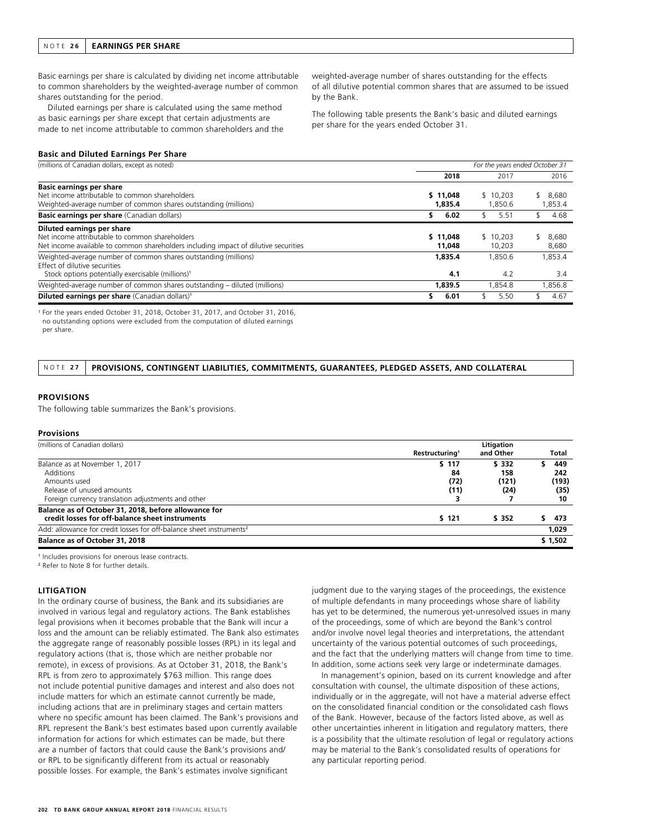Basic earnings per share is calculated by dividing net income attributable to common shareholders by the weighted-average number of common shares outstanding for the period.

Diluted earnings per share is calculated using the same method as basic earnings per share except that certain adjustments are made to net income attributable to common shareholders and the weighted-average number of shares outstanding for the effects of all dilutive potential common shares that are assumed to be issued by the Bank.

The following table presents the Bank's basic and diluted earnings per share for the years ended October 31.

### **Basic and Diluted Earnings Per Share**

| (millions of Canadian dollars, except as noted)                                     |          | For the years ended October 31 |         |
|-------------------------------------------------------------------------------------|----------|--------------------------------|---------|
|                                                                                     | 2018     | 2017                           | 2016    |
| <b>Basic earnings per share</b>                                                     |          |                                |         |
| Net income attributable to common shareholders                                      | \$11.048 | \$10.203                       | 8,680   |
| Weighted-average number of common shares outstanding (millions)                     | 1,835.4  | 1,850.6                        | 1,853.4 |
| Basic earnings per share (Canadian dollars)                                         | 6.02     | 5.51                           | 4.68    |
| Diluted earnings per share                                                          |          |                                |         |
| Net income attributable to common shareholders                                      | \$11.048 | \$10.203                       | 8,680   |
| Net income available to common shareholders including impact of dilutive securities | 11,048   | 10,203                         | 8,680   |
| Weighted-average number of common shares outstanding (millions)                     | 1,835.4  | 1.850.6                        | 1,853.4 |
| Effect of dilutive securities                                                       |          |                                |         |
| Stock options potentially exercisable (millions) <sup>1</sup>                       | 4.1      | 4.2                            | 3.4     |
| Weighted-average number of common shares outstanding - diluted (millions)           | 1.839.5  | 1.854.8                        | 1,856.8 |
| <b>Diluted earnings per share</b> (Canadian dollars) <sup>1</sup>                   | 6.01     | 5.50                           | 4.67    |

<sup>1</sup> For the years ended October 31, 2018, October 31, 2017, and October 31, 2016, no outstanding options were excluded from the computation of diluted earnings per share.

# NOTE **2 7 PROVISIONS, CONTINGENT LIABILITIES, COMMITMENTS, GUARANTEES, PLEDGED ASSETS, AND COLLATERAL**

#### **PROVISIONS**

The following table summarizes the Bank's provisions.

#### **Provisions**

| (millions of Canadian dollars)                                                  |                            | Litigation |         |
|---------------------------------------------------------------------------------|----------------------------|------------|---------|
|                                                                                 | Restructuring <sup>1</sup> | and Other  | Total   |
| Balance as at November 1, 2017                                                  | \$117                      | \$332      | 449     |
| Additions                                                                       | 84                         | 158        | 242     |
| Amounts used                                                                    | (72)                       | (121)      | (193)   |
| Release of unused amounts                                                       | (11)                       | (24)       | (35)    |
| Foreign currency translation adjustments and other                              |                            |            | 10      |
| Balance as of October 31, 2018, before allowance for                            |                            |            |         |
| credit losses for off-balance sheet instruments                                 | \$121                      | \$ 352     | 473     |
| Add: allowance for credit losses for off-balance sheet instruments <sup>2</sup> |                            |            | 1.029   |
| Balance as of October 31, 2018                                                  |                            |            | \$1.502 |

<sup>1</sup> Includes provisions for onerous lease contracts.

<sup>2</sup> Refer to Note 8 for further details.

#### **LITIGATION**

In the ordinary course of business, the Bank and its subsidiaries are involved in various legal and regulatory actions. The Bank establishes legal provisions when it becomes probable that the Bank will incur a loss and the amount can be reliably estimated. The Bank also estimates the aggregate range of reasonably possible losses (RPL) in its legal and regulatory actions (that is, those which are neither probable nor remote), in excess of provisions. As at October 31, 2018, the Bank's RPL is from zero to approximately \$763 million. This range does not include potential punitive damages and interest and also does not include matters for which an estimate cannot currently be made, including actions that are in preliminary stages and certain matters where no specific amount has been claimed. The Bank's provisions and RPL represent the Bank's best estimates based upon currently available information for actions for which estimates can be made, but there are a number of factors that could cause the Bank's provisions and/ or RPL to be significantly different from its actual or reasonably possible losses. For example, the Bank's estimates involve significant

judgment due to the varying stages of the proceedings, the existence of multiple defendants in many proceedings whose share of liability has yet to be determined, the numerous yet-unresolved issues in many of the proceedings, some of which are beyond the Bank's control and/or involve novel legal theories and interpretations, the attendant uncertainty of the various potential outcomes of such proceedings, and the fact that the underlying matters will change from time to time. In addition, some actions seek very large or indeterminate damages.

In management's opinion, based on its current knowledge and after consultation with counsel, the ultimate disposition of these actions, individually or in the aggregate, will not have a material adverse effect on the consolidated financial condition or the consolidated cash flows of the Bank. However, because of the factors listed above, as well as other uncertainties inherent in litigation and regulatory matters, there is a possibility that the ultimate resolution of legal or regulatory actions may be material to the Bank's consolidated results of operations for any particular reporting period.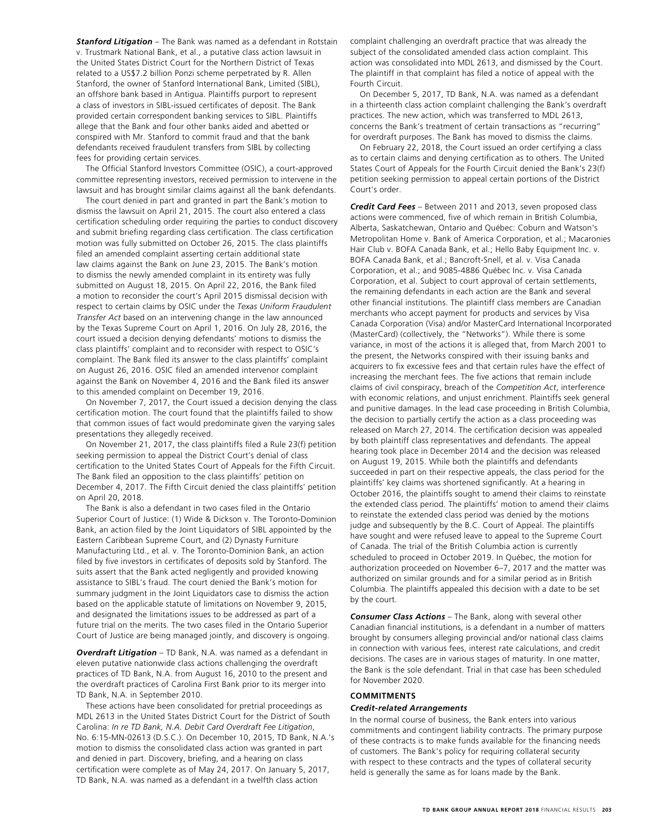*Stanford Litigation* – The Bank was named as a defendant in Rotstain v. Trustmark National Bank, et al., a putative class action lawsuit in the United States District Court for the Northern District of Texas related to a US\$7.2 billion Ponzi scheme perpetrated by R. Allen Stanford, the owner of Stanford International Bank, Limited (SIBL), an offshore bank based in Antigua. Plaintiffs purport to represent a class of investors in SIBL-issued certificates of deposit. The Bank provided certain correspondent banking services to SIBL. Plaintiffs allege that the Bank and four other banks aided and abetted or conspired with Mr. Stanford to commit fraud and that the bank defendants received fraudulent transfers from SIBL by collecting fees for providing certain services.

The Official Stanford Investors Committee (OSIC), a court-approved committee representing investors, received permission to intervene in the lawsuit and has brought similar claims against all the bank defendants.

The court denied in part and granted in part the Bank's motion to dismiss the lawsuit on April 21, 2015. The court also entered a class certification scheduling order requiring the parties to conduct discovery and submit briefing regarding class certification. The class certification motion was fully submitted on October 26, 2015. The class plaintiffs filed an amended complaint asserting certain additional state law claims against the Bank on June 23, 2015. The Bank's motion to dismiss the newly amended complaint in its entirety was fully submitted on August 18, 2015. On April 22, 2016, the Bank filed a motion to reconsider the court's April 2015 dismissal decision with respect to certain claims by OSIC under the *Texas Uniform Fraudulent Transfer Act* based on an intervening change in the law announced by the Texas Supreme Court on April 1, 2016. On July 28, 2016, the court issued a decision denying defendants' motions to dismiss the class plaintiffs' complaint and to reconsider with respect to OSIC's complaint. The Bank filed its answer to the class plaintiffs' complaint on August 26, 2016. OSIC filed an amended intervenor complaint against the Bank on November 4, 2016 and the Bank filed its answer to this amended complaint on December 19, 2016.

On November 7, 2017, the Court issued a decision denying the class certification motion. The court found that the plaintiffs failed to show that common issues of fact would predominate given the varying sales presentations they allegedly received.

On November 21, 2017, the class plaintiffs filed a Rule 23(f) petition seeking permission to appeal the District Court's denial of class certification to the United States Court of Appeals for the Fifth Circuit. The Bank filed an opposition to the class plaintiffs' petition on December 4, 2017. The Fifth Circuit denied the class plaintiffs' petition on April 20, 2018.

The Bank is also a defendant in two cases filed in the Ontario Superior Court of Justice: (1) Wide & Dickson v. The Toronto-Dominion Bank, an action filed by the Joint Liquidators of SIBL appointed by the Eastern Caribbean Supreme Court, and (2) Dynasty Furniture Manufacturing Ltd., et al. v. The Toronto-Dominion Bank, an action filed by five investors in certificates of deposits sold by Stanford. The suits assert that the Bank acted negligently and provided knowing assistance to SIBL's fraud. The court denied the Bank's motion for summary judgment in the Joint Liquidators case to dismiss the action based on the applicable statute of limitations on November 9, 2015, and designated the limitations issues to be addressed as part of a future trial on the merits. The two cases filed in the Ontario Superior Court of Justice are being managed jointly, and discovery is ongoing.

*Overdraft Litigation* – TD Bank, N.A. was named as a defendant in eleven putative nationwide class actions challenging the overdraft practices of TD Bank, N.A. from August 16, 2010 to the present and the overdraft practices of Carolina First Bank prior to its merger into TD Bank, N.A. in September 2010.

These actions have been consolidated for pretrial proceedings as MDL 2613 in the United States District Court for the District of South Carolina: *In re TD Bank, N.A. Debit Card Overdraft Fee Litigation*, No. 6:15-MN-02613 (D.S.C.). On December 10, 2015, TD Bank, N.A.'s motion to dismiss the consolidated class action was granted in part and denied in part. Discovery, briefing, and a hearing on class certification were complete as of May 24, 2017. On January 5, 2017, TD Bank, N.A. was named as a defendant in a twelfth class action

complaint challenging an overdraft practice that was already the subject of the consolidated amended class action complaint. This action was consolidated into MDL 2613, and dismissed by the Court. The plaintiff in that complaint has filed a notice of appeal with the Fourth Circuit.

On December 5, 2017, TD Bank, N.A. was named as a defendant in a thirteenth class action complaint challenging the Bank's overdraft practices. The new action, which was transferred to MDL 2613, concerns the Bank's treatment of certain transactions as "recurring" for overdraft purposes. The Bank has moved to dismiss the claims.

On February 22, 2018, the Court issued an order certifying a class as to certain claims and denying certification as to others. The United States Court of Appeals for the Fourth Circuit denied the Bank's 23(f) petition seeking permission to appeal certain portions of the District Court's order.

*Credit Card Fees* – Between 2011 and 2013, seven proposed class actions were commenced, five of which remain in British Columbia, Alberta, Saskatchewan, Ontario and Québec: Coburn and Watson's Metropolitan Home v. Bank of America Corporation, et al.; Macaronies Hair Club v. BOFA Canada Bank, et al.; Hello Baby Equipment Inc. v. BOFA Canada Bank, et al.; Bancroft-Snell, et al. v. Visa Canada Corporation, et al.; and 9085-4886 Québec Inc. v. Visa Canada Corporation, et al. Subject to court approval of certain settlements, the remaining defendants in each action are the Bank and several other financial institutions. The plaintiff class members are Canadian merchants who accept payment for products and services by Visa Canada Corporation (Visa) and/or MasterCard International Incorporated (MasterCard) (collectively, the "Networks"). While there is some variance, in most of the actions it is alleged that, from March 2001 to the present, the Networks conspired with their issuing banks and acquirers to fix excessive fees and that certain rules have the effect of increasing the merchant fees. The five actions that remain include claims of civil conspiracy, breach of the *Competition Act*, interference with economic relations, and unjust enrichment. Plaintiffs seek general and punitive damages. In the lead case proceeding in British Columbia, the decision to partially certify the action as a class proceeding was released on March 27, 2014. The certification decision was appealed by both plaintiff class representatives and defendants. The appeal hearing took place in December 2014 and the decision was released on August 19, 2015. While both the plaintiffs and defendants succeeded in part on their respective appeals, the class period for the plaintiffs' key claims was shortened significantly. At a hearing in October 2016, the plaintiffs sought to amend their claims to reinstate the extended class period. The plaintiffs' motion to amend their claims to reinstate the extended class period was denied by the motions judge and subsequently by the B.C. Court of Appeal. The plaintiffs have sought and were refused leave to appeal to the Supreme Court of Canada. The trial of the British Columbia action is currently scheduled to proceed in October 2019. In Québec, the motion for authorization proceeded on November 6–7, 2017 and the matter was authorized on similar grounds and for a similar period as in British Columbia. The plaintiffs appealed this decision with a date to be set by the court.

*Consumer Class Actions* – The Bank, along with several other Canadian financial institutions, is a defendant in a number of matters brought by consumers alleging provincial and/or national class claims in connection with various fees, interest rate calculations, and credit decisions. The cases are in various stages of maturity. In one matter, the Bank is the sole defendant. Trial in that case has been scheduled for November 2020.

# **COMMITMENTS** *Credit-related Arrangements*

In the normal course of business, the Bank enters into various commitments and contingent liability contracts. The primary purpose of these contracts is to make funds available for the financing needs of customers. The Bank's policy for requiring collateral security with respect to these contracts and the types of collateral security held is generally the same as for loans made by the Bank.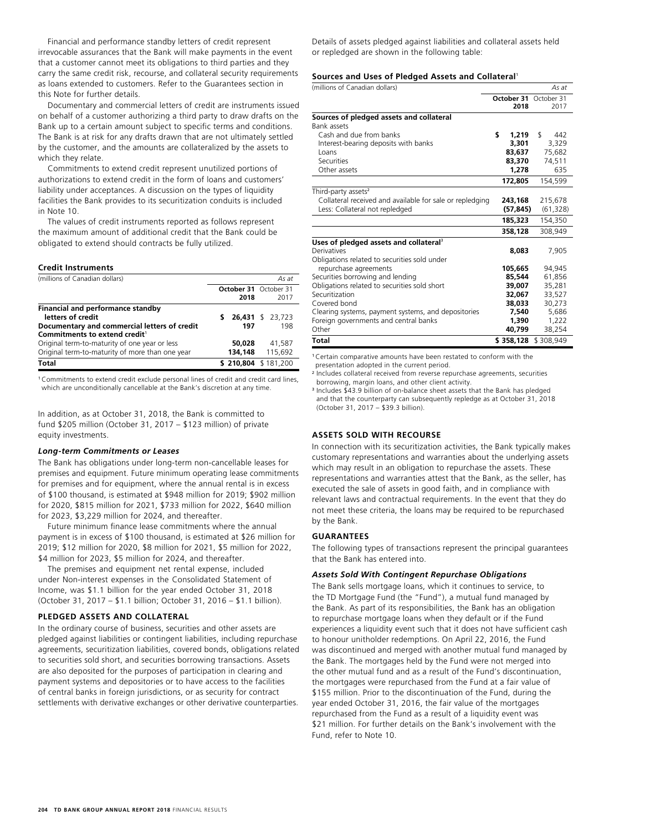Financial and performance standby letters of credit represent irrevocable assurances that the Bank will make payments in the event that a customer cannot meet its obligations to third parties and they carry the same credit risk, recourse, and collateral security requirements as loans extended to customers. Refer to the Guarantees section in this Note for further details.

Documentary and commercial letters of credit are instruments issued on behalf of a customer authorizing a third party to draw drafts on the Bank up to a certain amount subject to specific terms and conditions. The Bank is at risk for any drafts drawn that are not ultimately settled by the customer, and the amounts are collateralized by the assets to which they relate.

Commitments to extend credit represent unutilized portions of authorizations to extend credit in the form of loans and customers' liability under acceptances. A discussion on the types of liquidity facilities the Bank provides to its securitization conduits is included in Note 10.

The values of credit instruments reported as follows represent the maximum amount of additional credit that the Bank could be obligated to extend should contracts be fully utilized.

#### **Credit Instruments**

| (millions of Canadian dollars)                  | As at                   |
|-------------------------------------------------|-------------------------|
|                                                 | October 31 October 31   |
|                                                 | 2018<br>2017            |
| Financial and performance standby               |                         |
| letters of credit                               | <b>26,431</b> \$ 23,723 |
| Documentary and commercial letters of credit    | 198<br>197              |
| Commitments to extend credit <sup>1</sup>       |                         |
| Original term-to-maturity of one year or less   | 41.587<br>50,028        |
| Original term-to-maturity of more than one year | 115,692<br>134,148      |
| Total                                           | \$210,804 \$181,200     |

<sup>1</sup> Commitments to extend credit exclude personal lines of credit and credit card lines, which are unconditionally cancellable at the Bank's discretion at any time.

In addition, as at October 31, 2018, the Bank is committed to fund \$205 million (October 31, 2017 – \$123 million) of private equity investments.

### *Long-term Commitments or Leases*

The Bank has obligations under long-term non-cancellable leases for premises and equipment. Future minimum operating lease commitments for premises and for equipment, where the annual rental is in excess of \$100 thousand, is estimated at \$948 million for 2019; \$902 million for 2020, \$815 million for 2021, \$733 million for 2022, \$640 million for 2023, \$3,229 million for 2024, and thereafter.

Future minimum finance lease commitments where the annual payment is in excess of \$100 thousand, is estimated at \$26 million for 2019; \$12 million for 2020, \$8 million for 2021, \$5 million for 2022, \$4 million for 2023, \$5 million for 2024, and thereafter.

The premises and equipment net rental expense, included under Non-interest expenses in the Consolidated Statement of Income, was \$1.1 billion for the year ended October 31, 2018 (October 31, 2017 – \$1.1 billion; October 31, 2016 – \$1.1 billion).

## **PLEDGED ASSETS AND COLLATERAL**

In the ordinary course of business, securities and other assets are pledged against liabilities or contingent liabilities, including repurchase agreements, securitization liabilities, covered bonds, obligations related to securities sold short, and securities borrowing transactions. Assets are also deposited for the purposes of participation in clearing and payment systems and depositories or to have access to the facilities of central banks in foreign jurisdictions, or as security for contract settlements with derivative exchanges or other derivative counterparties.

Details of assets pledged against liabilities and collateral assets held or repledged are shown in the following table:

#### **Sources and Uses of Pledged Assets and Collateral**<sup>1</sup>

|                                                          |        | As at                                                                                                  |
|----------------------------------------------------------|--------|--------------------------------------------------------------------------------------------------------|
|                                                          |        |                                                                                                        |
|                                                          | 2018   | 2017                                                                                                   |
|                                                          |        |                                                                                                        |
|                                                          |        |                                                                                                        |
| \$                                                       | 1,219  | $\mathfrak{F}$<br>442                                                                                  |
|                                                          | 3,301  | 3,329                                                                                                  |
|                                                          | 83,637 | 75,682                                                                                                 |
|                                                          | 83,370 | 74,511                                                                                                 |
|                                                          | 1,278  | 635                                                                                                    |
|                                                          |        | 154,599                                                                                                |
|                                                          |        |                                                                                                        |
| Collateral received and available for sale or repledging |        | 215,678                                                                                                |
|                                                          |        | (61, 328)                                                                                              |
|                                                          |        | 154,350                                                                                                |
|                                                          |        | 308,949                                                                                                |
|                                                          |        |                                                                                                        |
|                                                          | 8,083  | 7,905                                                                                                  |
|                                                          |        |                                                                                                        |
|                                                          |        | 94,945                                                                                                 |
|                                                          | 85,544 | 61,856                                                                                                 |
|                                                          | 39,007 | 35,281                                                                                                 |
|                                                          | 32,067 | 33,527                                                                                                 |
|                                                          | 38,033 | 30,273                                                                                                 |
|                                                          | 7,540  | 5,686                                                                                                  |
|                                                          | 1,390  | 1,222                                                                                                  |
|                                                          | 40,799 | 38,254                                                                                                 |
|                                                          |        | \$308.949                                                                                              |
|                                                          |        | October 31 October 31<br>172,805<br>243,168<br>(57, 845)<br>185,323<br>358,128<br>105.665<br>\$358,128 |

<sup>1</sup>Certain comparative amounts have been restated to conform with the presentation adopted in the current period.

<sup>2</sup> Includes collateral received from reverse repurchase agreements, securities borrowing, margin loans, and other client activity.

<sup>3</sup> Includes \$43.9 billion of on-balance sheet assets that the Bank has pledged and that the counterparty can subsequently repledge as at October 31, 2018 (October 31, 2017 – \$39.3 billion).

## **ASSETS SOLD WITH RECOURSE**

In connection with its securitization activities, the Bank typically makes customary representations and warranties about the underlying assets which may result in an obligation to repurchase the assets. These representations and warranties attest that the Bank, as the seller, has executed the sale of assets in good faith, and in compliance with relevant laws and contractual requirements. In the event that they do not meet these criteria, the loans may be required to be repurchased by the Bank.

## **GUARANTEES**

The following types of transactions represent the principal guarantees that the Bank has entered into.

### *Assets Sold With Contingent Repurchase Obligations*

The Bank sells mortgage loans, which it continues to service, to the TD Mortgage Fund (the "Fund"), a mutual fund managed by the Bank. As part of its responsibilities, the Bank has an obligation to repurchase mortgage loans when they default or if the Fund experiences a liquidity event such that it does not have sufficient cash to honour unitholder redemptions. On April 22, 2016, the Fund was discontinued and merged with another mutual fund managed by the Bank. The mortgages held by the Fund were not merged into the other mutual fund and as a result of the Fund's discontinuation, the mortgages were repurchased from the Fund at a fair value of \$155 million. Prior to the discontinuation of the Fund, during the year ended October 31, 2016, the fair value of the mortgages repurchased from the Fund as a result of a liquidity event was \$21 million. For further details on the Bank's involvement with the Fund, refer to Note 10.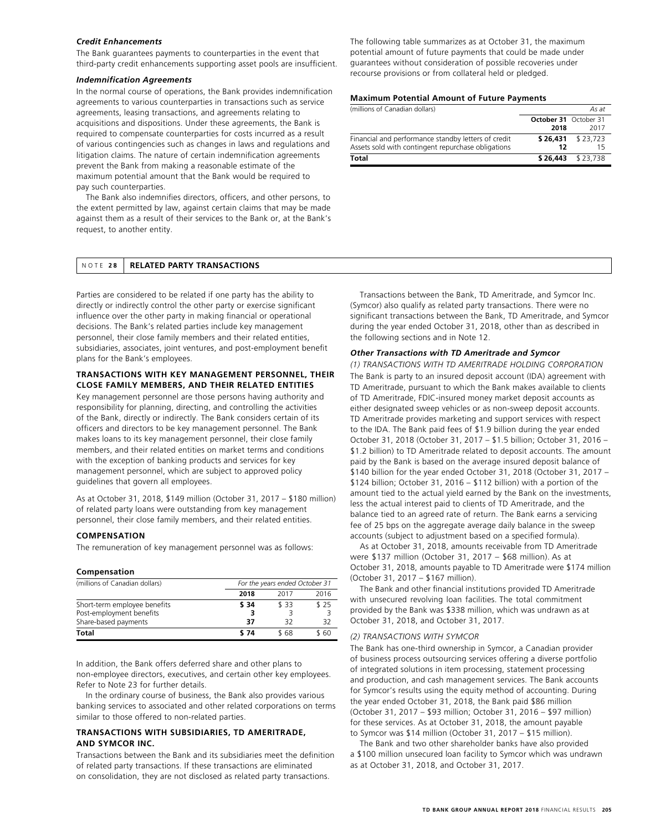### *Credit Enhancements*

The Bank guarantees payments to counterparties in the event that third-party credit enhancements supporting asset pools are insufficient.

### *Indemnification Agreements*

In the normal course of operations, the Bank provides indemnification agreements to various counterparties in transactions such as service agreements, leasing transactions, and agreements relating to acquisitions and dispositions. Under these agreements, the Bank is required to compensate counterparties for costs incurred as a result of various contingencies such as changes in laws and regulations and litigation claims. The nature of certain indemnification agreements prevent the Bank from making a reasonable estimate of the maximum potential amount that the Bank would be required to pay such counterparties.

The Bank also indemnifies directors, officers, and other persons, to the extent permitted by law, against certain claims that may be made against them as a result of their services to the Bank or, at the Bank's request, to another entity.

### NOTE **2 8 RELATED PARTY TRANSACTIONS**

Parties are considered to be related if one party has the ability to directly or indirectly control the other party or exercise significant influence over the other party in making financial or operational decisions. The Bank's related parties include key management personnel, their close family members and their related entities, subsidiaries, associates, joint ventures, and post-employment benefit plans for the Bank's employees.

## **TRANSACTIONS WITH KEY MANAGEMENT PERSONNEL, THEIR CLOSE FAMILY MEMBERS, AND THEIR RELATED ENTITIES**

Key management personnel are those persons having authority and responsibility for planning, directing, and controlling the activities of the Bank, directly or indirectly. The Bank considers certain of its officers and directors to be key management personnel. The Bank makes loans to its key management personnel, their close family members, and their related entities on market terms and conditions with the exception of banking products and services for key management personnel, which are subject to approved policy guidelines that govern all employees.

As at October 31, 2018, \$149 million (October 31, 2017 – \$180 million) of related party loans were outstanding from key management personnel, their close family members, and their related entities.

#### **COMPENSATION**

The remuneration of key management personnel was as follows:

#### **Compensation**

| (millions of Canadian dollars) |       | For the years ended October 31 |      |  |
|--------------------------------|-------|--------------------------------|------|--|
|                                | 2018  | 2017                           | 2016 |  |
| Short-term employee benefits   | \$ 34 | \$33                           | \$25 |  |
| Post-employment benefits       | З     |                                |      |  |
| Share-based payments           | 37    | 32                             | 32   |  |
| Total                          | \$ 74 | \$ 68                          | \$60 |  |

In addition, the Bank offers deferred share and other plans to non-employee directors, executives, and certain other key employees. Refer to Note 23 for further details.

In the ordinary course of business, the Bank also provides various banking services to associated and other related corporations on terms similar to those offered to non-related parties.

# **TRANSACTIONS WITH SUBSIDIARIES, TD AMERITRADE, AND SYMCOR INC.**

Transactions between the Bank and its subsidiaries meet the definition of related party transactions. If these transactions are eliminated on consolidation, they are not disclosed as related party transactions.

The following table summarizes as at October 31, the maximum potential amount of future payments that could be made under guarantees without consideration of possible recoveries under recourse provisions or from collateral held or pledged.

#### **Maximum Potential Amount of Future Payments**

| (millions of Canadian dollars)                      |                               | As at               |
|-----------------------------------------------------|-------------------------------|---------------------|
|                                                     | October 31 October 31<br>2018 | 2017                |
| Financial and performance standby letters of credit |                               | $$26.431$ $$23.723$ |
| Assets sold with contingent repurchase obligations  | 12                            |                     |
| Total                                               |                               | \$26,443 \$23,738   |

Transactions between the Bank, TD Ameritrade, and Symcor Inc. (Symcor) also qualify as related party transactions. There were no significant transactions between the Bank, TD Ameritrade, and Symcor during the year ended October 31, 2018, other than as described in the following sections and in Note 12.

#### *Other Transactions with TD Ameritrade and Symcor*

*(1) TRANSACTIONS WITH TD AMERITRADE HOLDING CORPORATION* The Bank is party to an insured deposit account (IDA) agreement with TD Ameritrade, pursuant to which the Bank makes available to clients of TD Ameritrade, FDIC-insured money market deposit accounts as either designated sweep vehicles or as non-sweep deposit accounts. TD Ameritrade provides marketing and support services with respect to the IDA. The Bank paid fees of \$1.9 billion during the year ended October 31, 2018 (October 31, 2017 – \$1.5 billion; October 31, 2016 – \$1.2 billion) to TD Ameritrade related to deposit accounts. The amount paid by the Bank is based on the average insured deposit balance of \$140 billion for the year ended October 31, 2018 (October 31, 2017 – \$124 billion; October 31, 2016 – \$112 billion) with a portion of the amount tied to the actual yield earned by the Bank on the investments, less the actual interest paid to clients of TD Ameritrade, and the balance tied to an agreed rate of return. The Bank earns a servicing fee of 25 bps on the aggregate average daily balance in the sweep accounts (subject to adjustment based on a specified formula).

As at October 31, 2018, amounts receivable from TD Ameritrade were \$137 million (October 31, 2017 – \$68 million). As at October 31, 2018, amounts payable to TD Ameritrade were \$174 million (October 31, 2017 – \$167 million).

The Bank and other financial institutions provided TD Ameritrade with unsecured revolving loan facilities. The total commitment provided by the Bank was \$338 million, which was undrawn as at October 31, 2018, and October 31, 2017.

#### *(2) TRANSACTIONS WITH SYMCOR*

The Bank has one-third ownership in Symcor, a Canadian provider of business process outsourcing services offering a diverse portfolio of integrated solutions in item processing, statement processing and production, and cash management services. The Bank accounts for Symcor's results using the equity method of accounting. During the year ended October 31, 2018, the Bank paid \$86 million (October 31, 2017 – \$93 million; October 31, 2016 – \$97 million) for these services. As at October 31, 2018, the amount payable to Symcor was \$14 million (October 31, 2017 – \$15 million).

The Bank and two other shareholder banks have also provided a \$100 million unsecured loan facility to Symcor which was undrawn as at October 31, 2018, and October 31, 2017.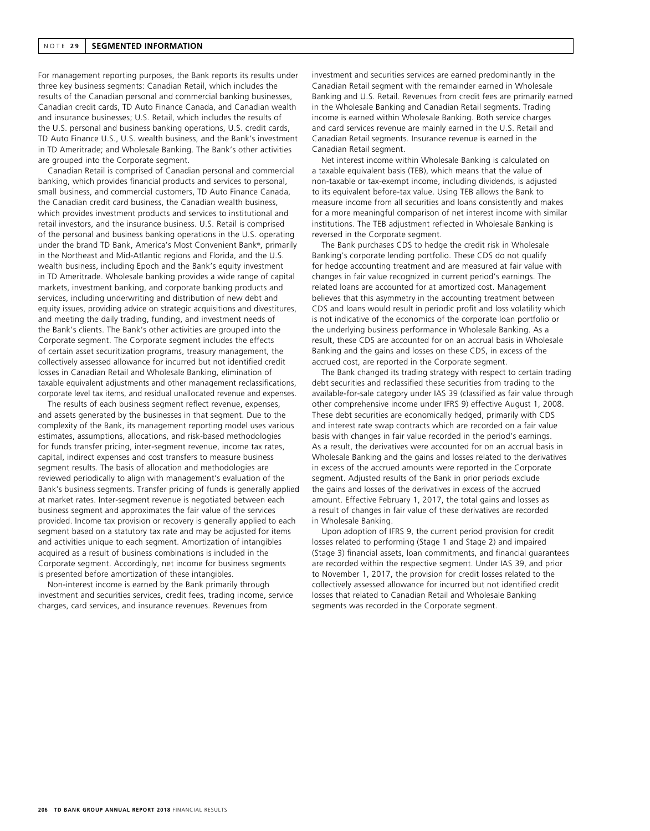For management reporting purposes, the Bank reports its results under three key business segments: Canadian Retail, which includes the results of the Canadian personal and commercial banking businesses, Canadian credit cards, TD Auto Finance Canada, and Canadian wealth and insurance businesses; U.S. Retail, which includes the results of the U.S. personal and business banking operations, U.S. credit cards, TD Auto Finance U.S., U.S. wealth business, and the Bank's investment in TD Ameritrade; and Wholesale Banking. The Bank's other activities are grouped into the Corporate segment.

Canadian Retail is comprised of Canadian personal and commercial banking, which provides financial products and services to personal, small business, and commercial customers, TD Auto Finance Canada, the Canadian credit card business, the Canadian wealth business, which provides investment products and services to institutional and retail investors, and the insurance business. U.S. Retail is comprised of the personal and business banking operations in the U.S. operating under the brand TD Bank, America's Most Convenient Bank®, primarily in the Northeast and Mid-Atlantic regions and Florida, and the U.S. wealth business, including Epoch and the Bank's equity investment in TD Ameritrade. Wholesale banking provides a wide range of capital markets, investment banking, and corporate banking products and services, including underwriting and distribution of new debt and equity issues, providing advice on strategic acquisitions and divestitures, and meeting the daily trading, funding, and investment needs of the Bank's clients. The Bank's other activities are grouped into the Corporate segment. The Corporate segment includes the effects of certain asset securitization programs, treasury management, the collectively assessed allowance for incurred but not identified credit losses in Canadian Retail and Wholesale Banking, elimination of taxable equivalent adjustments and other management reclassifications, corporate level tax items, and residual unallocated revenue and expenses.

The results of each business segment reflect revenue, expenses, and assets generated by the businesses in that segment. Due to the complexity of the Bank, its management reporting model uses various estimates, assumptions, allocations, and risk-based methodologies for funds transfer pricing, inter-segment revenue, income tax rates, capital, indirect expenses and cost transfers to measure business segment results. The basis of allocation and methodologies are reviewed periodically to align with management's evaluation of the Bank's business segments. Transfer pricing of funds is generally applied at market rates. Inter-segment revenue is negotiated between each business segment and approximates the fair value of the services provided. Income tax provision or recovery is generally applied to each segment based on a statutory tax rate and may be adjusted for items and activities unique to each segment. Amortization of intangibles acquired as a result of business combinations is included in the Corporate segment. Accordingly, net income for business segments is presented before amortization of these intangibles.

Non-interest income is earned by the Bank primarily through investment and securities services, credit fees, trading income, service charges, card services, and insurance revenues. Revenues from

investment and securities services are earned predominantly in the Canadian Retail segment with the remainder earned in Wholesale Banking and U.S. Retail. Revenues from credit fees are primarily earned in the Wholesale Banking and Canadian Retail segments. Trading income is earned within Wholesale Banking. Both service charges and card services revenue are mainly earned in the U.S. Retail and Canadian Retail segments. Insurance revenue is earned in the Canadian Retail segment.

Net interest income within Wholesale Banking is calculated on a taxable equivalent basis (TEB), which means that the value of non-taxable or tax-exempt income, including dividends, is adjusted to its equivalent before-tax value. Using TEB allows the Bank to measure income from all securities and loans consistently and makes for a more meaningful comparison of net interest income with similar institutions. The TEB adjustment reflected in Wholesale Banking is reversed in the Corporate segment.

The Bank purchases CDS to hedge the credit risk in Wholesale Banking's corporate lending portfolio. These CDS do not qualify for hedge accounting treatment and are measured at fair value with changes in fair value recognized in current period's earnings. The related loans are accounted for at amortized cost. Management believes that this asymmetry in the accounting treatment between CDS and loans would result in periodic profit and loss volatility which is not indicative of the economics of the corporate loan portfolio or the underlying business performance in Wholesale Banking. As a result, these CDS are accounted for on an accrual basis in Wholesale Banking and the gains and losses on these CDS, in excess of the accrued cost, are reported in the Corporate segment.

The Bank changed its trading strategy with respect to certain trading debt securities and reclassified these securities from trading to the available-for-sale category under IAS 39 (classified as fair value through other comprehensive income under IFRS 9) effective August 1, 2008. These debt securities are economically hedged, primarily with CDS and interest rate swap contracts which are recorded on a fair value basis with changes in fair value recorded in the period's earnings. As a result, the derivatives were accounted for on an accrual basis in Wholesale Banking and the gains and losses related to the derivatives in excess of the accrued amounts were reported in the Corporate segment. Adjusted results of the Bank in prior periods exclude the gains and losses of the derivatives in excess of the accrued amount. Effective February 1, 2017, the total gains and losses as a result of changes in fair value of these derivatives are recorded in Wholesale Banking.

Upon adoption of IFRS 9, the current period provision for credit losses related to performing (Stage 1 and Stage 2) and impaired (Stage 3) financial assets, loan commitments, and financial guarantees are recorded within the respective segment. Under IAS 39, and prior to November 1, 2017, the provision for credit losses related to the collectively assessed allowance for incurred but not identified credit losses that related to Canadian Retail and Wholesale Banking segments was recorded in the Corporate segment.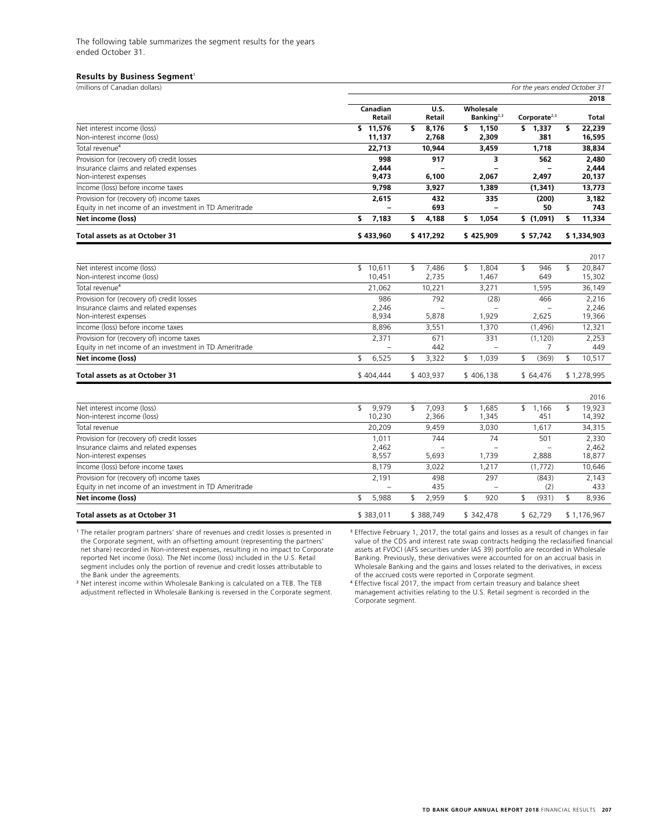The following table summarizes the segment results for the years ended October 31.

## **Results by Business Segment<sup>1</sup>**

| (millions of Canadian dollars)                                                                     |                        |                      |                                 | For the years ended October 31 |                        |
|----------------------------------------------------------------------------------------------------|------------------------|----------------------|---------------------------------|--------------------------------|------------------------|
|                                                                                                    |                        |                      |                                 |                                | 2018                   |
|                                                                                                    | Canadian               | U.S.                 | Wholesale                       |                                |                        |
|                                                                                                    | Retail                 | Retail               | Banking <sup>2,3</sup>          | Corporate <sup>2,3</sup>       | Total                  |
| Net interest income (loss)<br>Non-interest income (loss)                                           | \$11,576<br>11,137     | \$<br>8,176<br>2,768 | \$<br>1,150<br>2,309            | \$1,337<br>381                 | \$<br>22,239<br>16,595 |
| Total revenue <sup>4</sup>                                                                         | 22,713                 | 10,944               | 3,459                           | 1,718                          | 38,834                 |
| Provision for (recovery of) credit losses                                                          | 998                    | 917                  | 3                               | 562                            | 2,480                  |
| Insurance claims and related expenses                                                              | 2,444                  |                      |                                 |                                | 2,444                  |
| Non-interest expenses                                                                              | 9,473                  | 6,100                | 2,067                           | 2,497                          | 20,137                 |
| Income (loss) before income taxes                                                                  | 9,798                  | 3,927                | 1,389                           | (1, 341)                       | 13,773                 |
| Provision for (recovery of) income taxes                                                           | 2,615                  | 432                  | 335                             | (200)                          | 3,182                  |
| Equity in net income of an investment in TD Ameritrade                                             |                        | 693                  |                                 | 50                             | 743                    |
| Net income (loss)                                                                                  | 7,183<br>\$            | \$<br>4,188          | \$<br>1,054                     | \$(1,091)                      | 11,334<br>\$           |
| Total assets as at October 31                                                                      | \$433,960              | \$417,292            | \$425,909                       | \$57,742                       | \$1,334,903            |
|                                                                                                    |                        |                      |                                 |                                | 2017                   |
| Net interest income (loss)                                                                         | \$10,611               | \$<br>7,486          | \$<br>1,804                     | \$<br>946                      | \$<br>20,847           |
| Non-interest income (loss)                                                                         | 10,451                 | 2,735                | 1,467                           | 649                            | 15,302                 |
| Total revenue <sup>4</sup>                                                                         | 21,062                 | 10,221               | 3,271                           | 1,595                          | 36,149                 |
| Provision for (recovery of) credit losses                                                          | 986                    | 792                  | (28)                            | 466                            | 2,216                  |
| Insurance claims and related expenses                                                              | 2,246                  | ÷                    |                                 |                                | 2,246                  |
| Non-interest expenses                                                                              | 8,934                  | 5,878                | 1,929                           | 2,625                          | 19,366                 |
| Income (loss) before income taxes                                                                  | 8,896                  | 3,551                | 1,370                           | (1,496)                        | 12,321                 |
| Provision for (recovery of) income taxes                                                           | 2,371                  | 671                  | 331                             | (1, 120)                       | 2,253                  |
| Equity in net income of an investment in TD Ameritrade                                             |                        | 442                  |                                 | 7                              | 449                    |
| Net income (loss)                                                                                  | \$<br>6,525            | \$<br>3,322          | \$<br>1,039                     | \$<br>(369)                    | \$<br>10,517           |
| <b>Total assets as at October 31</b>                                                               | \$404,444              | \$403,937            | \$406,138                       | \$ 64,476                      | \$1,278,995            |
|                                                                                                    |                        |                      |                                 |                                | 2016                   |
| Net interest income (loss)                                                                         | $\mathsf{\$}$<br>9,979 | \$<br>7,093          | \$<br>1,685                     | \$1,166                        | \$<br>19,923           |
| Non-interest income (loss)                                                                         | 10,230                 | 2,366                | 1,345                           | 451                            | 14,392                 |
| Total revenue                                                                                      | 20,209                 | 9,459                | 3,030                           | 1,617                          | 34,315                 |
| Provision for (recovery of) credit losses                                                          | 1,011                  | 744                  | 74                              | 501                            | 2,330                  |
| Insurance claims and related expenses                                                              | 2,462                  |                      |                                 |                                | 2,462                  |
| Non-interest expenses                                                                              | 8,557                  | 5,693                | 1,739                           | 2,888                          | 18,877                 |
| Income (loss) before income taxes                                                                  | 8,179                  | 3,022                | 1,217                           | (1,772)                        | 10,646                 |
| Provision for (recovery of) income taxes<br>Equity in net income of an investment in TD Ameritrade | 2,191                  | 498<br>435           | 297<br>$\overline{\phantom{0}}$ | (843)<br>(2)                   | 2,143<br>433           |
| Net income (loss)                                                                                  | $\mathbf{S}$           | \$                   | \$<br>920                       | \$<br>(931)                    | \$                     |
|                                                                                                    | 5,988                  | 2,959                |                                 |                                | 8,936                  |
| Total assets as at October 31                                                                      | \$383,011              | \$388,749            | \$342,478                       | \$62,729                       | \$1,176,967            |

<sup>1</sup> The retailer program partners' share of revenues and credit losses is presented in the Corporate segment, with an offsetting amount (representing the partners' net share) recorded in Non-interest expenses, resulting in no impact to Corporate reported Net income (loss). The Net income (loss) included in the U.S. Retail segment includes only the portion of revenue and credit losses attributable to the Bank under the agreements.

<sup>3</sup> Effective February 1, 2017, the total gains and losses as a result of changes in fair value of the CDS and interest rate swap contracts hedging the reclassified financial assets at FVOCI (AFS securities under IAS 39) portfolio are recorded in Wholesale Banking. Previously, these derivatives were accounted for on an accrual basis in Wholesale Banking and the gains and losses related to the derivatives, in excess of the accrued costs were reported in Corporate segment.

<sup>2</sup> Net interest income within Wholesale Banking is calculated on a TEB. The TEB adjustment reflected in Wholesale Banking is reversed in the Corporate segment. <sup>4</sup> Effective fiscal 2017, the impact from certain treasury and balance sheet management activities relating to the U.S. Retail segment is recorded in the Corporate segment.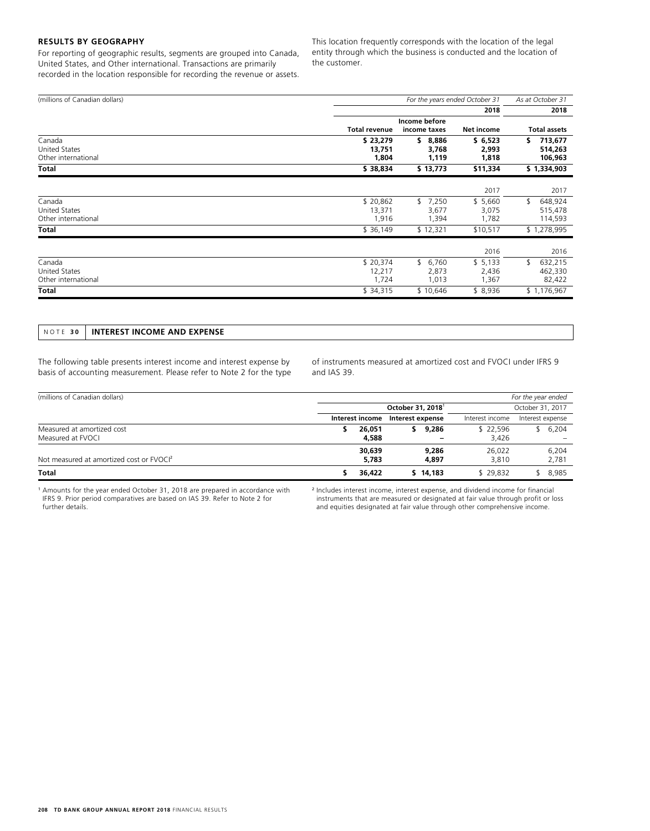# **RESULTS BY GEOGRAPHY**

For reporting of geographic results, segments are grouped into Canada, United States, and Other international. Transactions are primarily recorded in the location responsible for recording the revenue or assets. This location frequently corresponds with the location of the legal entity through which the business is conducted and the location of the customer.

| (millions of Canadian dollars) |                      | For the years ended October 31 |            | As at October 31    |  |  |
|--------------------------------|----------------------|--------------------------------|------------|---------------------|--|--|
|                                |                      | 2018<br>Income before          |            |                     |  |  |
|                                |                      |                                |            |                     |  |  |
|                                | <b>Total revenue</b> | income taxes                   | Net income | <b>Total assets</b> |  |  |
| Canada                         | \$23,279             | 8,886<br>s                     | \$6,523    | \$<br>713,677       |  |  |
| <b>United States</b>           | 13,751               | 3,768                          | 2,993      | 514,263             |  |  |
| Other international            | 1,804                | 1,119                          | 1,818      | 106,963             |  |  |
| Total                          | \$38,834             | \$13,773                       | \$11,334   | \$1,334,903         |  |  |
|                                |                      |                                |            |                     |  |  |
|                                |                      |                                | 2017       | 2017                |  |  |
| Canada                         | \$20,862             | \$.<br>7,250                   | \$5,660    | \$<br>648,924       |  |  |
| <b>United States</b>           | 13,371               | 3,677                          | 3,075      | 515,478             |  |  |
| Other international            | 1,916                | 1,394                          | 1,782      | 114,593             |  |  |
| Total                          | \$36,149             | \$12,321                       | \$10,517   | \$1,278,995         |  |  |
|                                |                      |                                |            |                     |  |  |
|                                |                      |                                | 2016       | 2016                |  |  |
| Canada                         | \$20,374             | \$<br>6,760                    | \$5,133    | \$<br>632,215       |  |  |
| <b>United States</b>           | 12,217               | 2,873                          | 2,436      | 462,330             |  |  |
| Other international            | 1,724                | 1,013                          | 1,367      | 82,422              |  |  |
| Total                          | \$34,315             | \$10,646                       | \$8,936    | \$1,176,967         |  |  |

### NOTE **3 0 INTEREST INCOME AND EXPENSE**

The following table presents interest income and interest expense by basis of accounting measurement. Please refer to Note 2 for the type of instruments measured at amortized cost and FVOCI under IFRS 9 and IAS 39.

| (millions of Canadian dollars)                       |                               |                 |                  |                |                   | For the year ended |
|------------------------------------------------------|-------------------------------|-----------------|------------------|----------------|-------------------|--------------------|
|                                                      | October 31, 2018 <sup>1</sup> |                 |                  |                |                   | October 31, 2017   |
|                                                      |                               | Interest income | Interest expense |                | Interest income   | Interest expense   |
| Measured at amortized cost<br>Measured at FVOCI      |                               | 26,051<br>4,588 |                  | 9,286          | \$22.596<br>3,426 | \$6,204<br>$\sim$  |
| Not measured at amortized cost or FVOCI <sup>2</sup> |                               | 30,639<br>5.783 |                  | 9,286<br>4,897 | 26.022<br>3,810   | 6,204<br>2,781     |
| Total                                                |                               | 36,422          |                  | \$14.183       | \$29.832          | 8,985              |

<sup>1</sup> Amounts for the year ended October 31, 2018 are prepared in accordance with IFRS 9. Prior period comparatives are based on IAS 39. Refer to Note 2 for further details.

<sup>2</sup> Includes interest income, interest expense, and dividend income for financial instruments that are measured or designated at fair value through profit or loss and equities designated at fair value through other comprehensive income.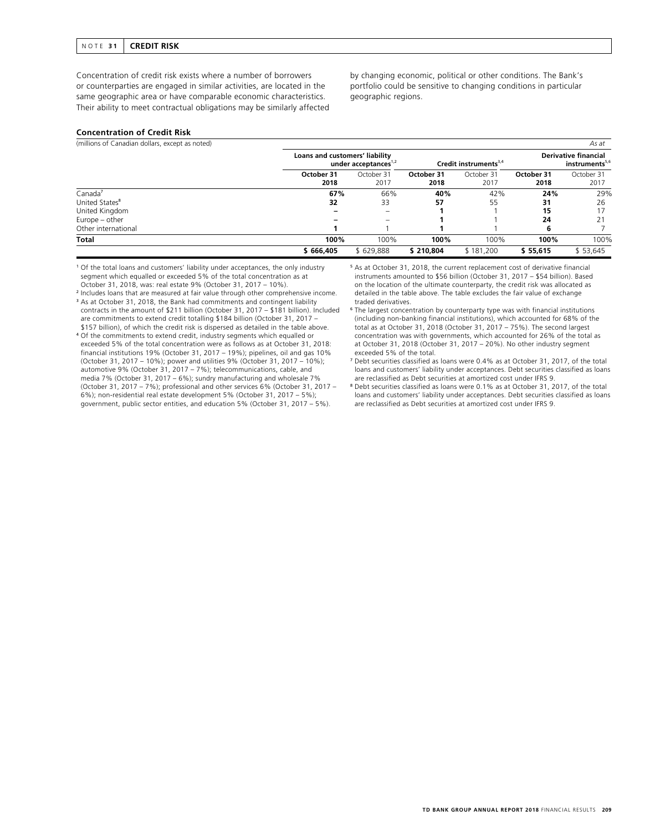Concentration of credit risk exists where a number of borrowers or counterparties are engaged in similar activities, are located in the same geographic area or have comparable economic characteristics. Their ability to meet contractual obligations may be similarly affected by changing economic, political or other conditions. The Bank's portfolio could be sensitive to changing conditions in particular geographic regions.

#### **Concentration of Credit Risk**

| (millions of Canadian dollars, except as noted) |                    |                                                              |                    |                          |                    | As at                                                     |  |
|-------------------------------------------------|--------------------|--------------------------------------------------------------|--------------------|--------------------------|--------------------|-----------------------------------------------------------|--|
|                                                 |                    | Loans and customers' liability<br>under acceptances $^{1,2}$ |                    | Credit instruments $3,4$ |                    | <b>Derivative financial</b><br>instruments <sup>5,6</sup> |  |
|                                                 | October 31<br>2018 | October 31<br>2017                                           | October 31<br>2018 | October 31<br>2017       | October 31<br>2018 | October 31<br>2017                                        |  |
| Canada <sup>7</sup>                             | 67%                | 66%                                                          | 40%                | 42%                      | 24%                | 29%                                                       |  |
| United States <sup>8</sup>                      | 32                 | 33                                                           | 57                 | 55                       | 31                 | 26                                                        |  |
| United Kingdom                                  |                    | -                                                            |                    |                          | 15                 |                                                           |  |
| Europe – other                                  |                    | -                                                            |                    |                          | 24                 |                                                           |  |
| Other international                             |                    |                                                              |                    |                          | 6                  |                                                           |  |
| Total                                           | 100%               | 100%                                                         | 100%               | 100%                     | 100%               | 100%                                                      |  |
|                                                 | \$666.405          | \$629,888                                                    | \$210,804          | \$181,200                | \$55.615           | \$53.645                                                  |  |

<sup>1</sup> Of the total loans and customers' liability under acceptances, the only industry segment which equalled or exceeded 5% of the total concentration as at October 31, 2018, was: real estate 9% (October 31, 2017 – 10%).

<sup>2</sup> Includes loans that are measured at fair value through other comprehensive income. <sup>3</sup> As at October 31, 2018, the Bank had commitments and contingent liability contracts in the amount of \$211 billion (October 31, 2017 – \$181 billion). Included are commitments to extend credit totalling \$184 billion (October 31, 2017 –

\$157 billion), of which the credit risk is dispersed as detailed in the table above. <sup>4</sup> Of the commitments to extend credit, industry segments which equalled or exceeded 5% of the total concentration were as follows as at October 31, 2018: financial institutions 19% (October 31, 2017 – 19%); pipelines, oil and gas 10% (October 31, 2017 – 10%); power and utilities 9% (October 31, 2017 – 10%); automotive 9% (October 31, 2017 – 7%); telecommunications, cable, and media 7% (October 31, 2017 – 6%); sundry manufacturing and wholesale 7% (October 31, 2017 – 7%); professional and other services 6% (October 31, 2017 – 6%); non-residential real estate development 5% (October 31, 2017 – 5%); government, public sector entities, and education 5% (October 31, 2017 – 5%).

<sup>5</sup> As at October 31, 2018, the current replacement cost of derivative financial instruments amounted to \$56 billion (October 31, 2017 – \$54 billion). Based on the location of the ultimate counterparty, the credit risk was allocated as detailed in the table above. The table excludes the fair value of exchange traded derivatives.

<sup>6</sup> The largest concentration by counterparty type was with financial institutions (including non-banking financial institutions), which accounted for 68% of the total as at October 31, 2018 (October 31, 2017 – 75%). The second largest concentration was with governments, which accounted for 26% of the total as at October 31, 2018 (October 31, 2017 – 20%). No other industry segment exceeded 5% of the total.

<sup>7</sup> Debt securities classified as loans were 0.4% as at October 31, 2017, of the total loans and customers' liability under acceptances. Debt securities classified as loans are reclassified as Debt securities at amortized cost under IFRS 9.

<sup>8</sup> Debt securities classified as loans were 0.1% as at October 31, 2017, of the total loans and customers' liability under acceptances. Debt securities classified as loans are reclassified as Debt securities at amortized cost under IFRS 9.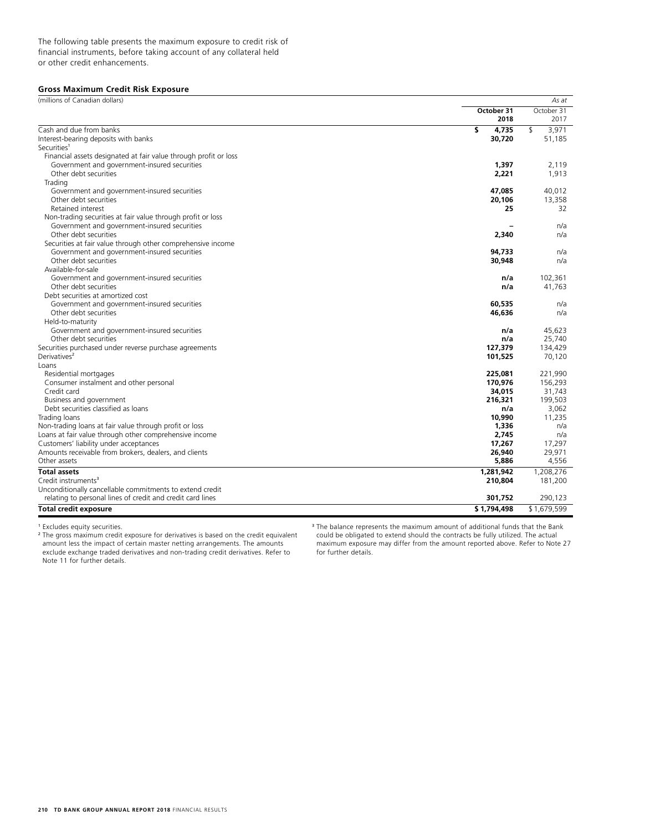The following table presents the maximum exposure to credit risk of financial instruments, before taking account of any collateral held or other credit enhancements.

# **Gross Maximum Credit Risk Exposure**

| (millions of Canadian dollars)                                   |             | As at       |
|------------------------------------------------------------------|-------------|-------------|
|                                                                  | October 31  |             |
|                                                                  | 2018        | 2017        |
| Cash and due from banks                                          | \$<br>4,735 | \$<br>3,971 |
| Interest-bearing deposits with banks                             | 30,720      | 51,185      |
| Securities <sup>1</sup>                                          |             |             |
| Financial assets designated at fair value through profit or loss |             |             |
| Government and government-insured securities                     | 1,397       | 2,119       |
| Other debt securities                                            | 2,221       | 1,913       |
| Trading                                                          |             |             |
| Government and government-insured securities                     | 47,085      | 40,012      |
| Other debt securities                                            | 20,106      | 13,358      |
| Retained interest                                                | 25          | 32          |
| Non-trading securities at fair value through profit or loss      |             |             |
| Government and government-insured securities                     |             | n/a         |
| Other debt securities                                            | 2,340       | n/a         |
| Securities at fair value through other comprehensive income      |             |             |
| Government and government-insured securities                     | 94,733      | n/a         |
| Other debt securities                                            | 30,948      | n/a         |
| Available-for-sale                                               |             |             |
| Government and government-insured securities                     | n/a         | 102,361     |
| Other debt securities                                            | n/a         | 41,763      |
| Debt securities at amortized cost                                |             |             |
| Government and government-insured securities                     | 60,535      | n/a         |
| Other debt securities                                            | 46,636      | n/a         |
| Held-to-maturity                                                 |             |             |
| Government and government-insured securities                     | n/a         | 45,623      |
| Other debt securities                                            | n/a         | 25,740      |
| Securities purchased under reverse purchase agreements           | 127,379     | 134,429     |
| Derivatives <sup>2</sup>                                         | 101,525     | 70,120      |
| Loans                                                            |             |             |
| Residential mortgages                                            | 225,081     | 221,990     |
| Consumer instalment and other personal                           | 170,976     | 156,293     |
| Credit card                                                      | 34,015      | 31,743      |
| Business and government                                          | 216,321     | 199,503     |
| Debt securities classified as loans                              | n/a         | 3,062       |
| Trading loans                                                    | 10,990      | 11,235      |
| Non-trading loans at fair value through profit or loss           | 1,336       | n/a         |
| Loans at fair value through other comprehensive income           | 2,745       | n/a         |
| Customers' liability under acceptances                           | 17,267      | 17,297      |
| Amounts receivable from brokers, dealers, and clients            | 26,940      | 29,971      |
| Other assets                                                     | 5,886       | 4,556       |
| <b>Total assets</b>                                              | 1,281,942   | 1,208,276   |
| Credit instruments <sup>3</sup>                                  | 210,804     | 181,200     |
| Unconditionally cancellable commitments to extend credit         |             |             |
| relating to personal lines of credit and credit card lines       | 301,752     | 290,123     |
| <b>Total credit exposure</b>                                     | \$1,794,498 | \$1,679,599 |

<sup>1</sup> Excludes equity securities.

<sup>2</sup> The gross maximum credit exposure for derivatives is based on the credit equivalent amount less the impact of certain master netting arrangements. The amounts exclude exchange traded derivatives and non-trading credit derivatives. Refer to Note 11 for further details.

<sup>3</sup> The balance represents the maximum amount of additional funds that the Bank could be obligated to extend should the contracts be fully utilized. The actual maximum exposure may differ from the amount reported above. Refer to Note 27 for further details.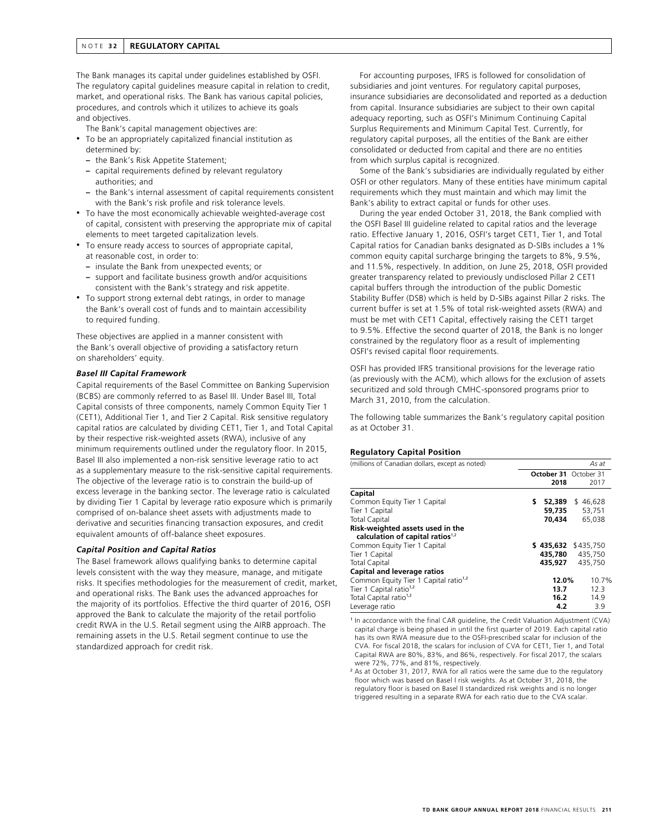The Bank manages its capital under guidelines established by OSFI. The regulatory capital guidelines measure capital in relation to credit, market, and operational risks. The Bank has various capital policies, procedures, and controls which it utilizes to achieve its goals and objectives.

The Bank's capital management objectives are:

- To be an appropriately capitalized financial institution as determined by:
	- **–** the Bank's Risk Appetite Statement;
	- **–** capital requirements defined by relevant regulatory authorities; and
	- **–** the Bank's internal assessment of capital requirements consistent with the Bank's risk profile and risk tolerance levels.
- To have the most economically achievable weighted-average cost of capital, consistent with preserving the appropriate mix of capital elements to meet targeted capitalization levels.
- To ensure ready access to sources of appropriate capital,
	- at reasonable cost, in order to:
	- **–** insulate the Bank from unexpected events; or
	- **–** support and facilitate business growth and/or acquisitions consistent with the Bank's strategy and risk appetite.
- To support strong external debt ratings, in order to manage the Bank's overall cost of funds and to maintain accessibility to required funding.

These objectives are applied in a manner consistent with the Bank's overall objective of providing a satisfactory return on shareholders' equity.

## *Basel III Capital Framework*

Capital requirements of the Basel Committee on Banking Supervision (BCBS) are commonly referred to as Basel III. Under Basel III, Total Capital consists of three components, namely Common Equity Tier 1 (CET1), Additional Tier 1, and Tier 2 Capital. Risk sensitive regulatory capital ratios are calculated by dividing CET1, Tier 1, and Total Capital by their respective risk-weighted assets (RWA), inclusive of any minimum requirements outlined under the regulatory floor. In 2015, Basel III also implemented a non-risk sensitive leverage ratio to act as a supplementary measure to the risk-sensitive capital requirements. The objective of the leverage ratio is to constrain the build-up of excess leverage in the banking sector. The leverage ratio is calculated by dividing Tier 1 Capital by leverage ratio exposure which is primarily comprised of on-balance sheet assets with adjustments made to derivative and securities financing transaction exposures, and credit equivalent amounts of off-balance sheet exposures.

### *Capital Position and Capital Ratios*

The Basel framework allows qualifying banks to determine capital levels consistent with the way they measure, manage, and mitigate risks. It specifies methodologies for the measurement of credit, market, and operational risks. The Bank uses the advanced approaches for the majority of its portfolios. Effective the third quarter of 2016, OSFI approved the Bank to calculate the majority of the retail portfolio credit RWA in the U.S. Retail segment using the AIRB approach. The remaining assets in the U.S. Retail segment continue to use the standardized approach for credit risk.

For accounting purposes, IFRS is followed for consolidation of subsidiaries and joint ventures. For regulatory capital purposes, insurance subsidiaries are deconsolidated and reported as a deduction from capital. Insurance subsidiaries are subject to their own capital adequacy reporting, such as OSFI's Minimum Continuing Capital Surplus Requirements and Minimum Capital Test. Currently, for regulatory capital purposes, all the entities of the Bank are either consolidated or deducted from capital and there are no entities from which surplus capital is recognized.

Some of the Bank's subsidiaries are individually regulated by either OSFI or other regulators. Many of these entities have minimum capital requirements which they must maintain and which may limit the Bank's ability to extract capital or funds for other uses.

During the year ended October 31, 2018, the Bank complied with the OSFI Basel III guideline related to capital ratios and the leverage ratio. Effective January 1, 2016, OSFI's target CET1, Tier 1, and Total Capital ratios for Canadian banks designated as D-SIBs includes a 1% common equity capital surcharge bringing the targets to 8%, 9.5%, and 11.5%, respectively. In addition, on June 25, 2018, OSFI provided greater transparency related to previously undisclosed Pillar 2 CET1 capital buffers through the introduction of the public Domestic Stability Buffer (DSB) which is held by D-SIBs against Pillar 2 risks. The current buffer is set at 1.5% of total risk-weighted assets (RWA) and must be met with CET1 Capital, effectively raising the CET1 target to 9.5%. Effective the second quarter of 2018, the Bank is no longer constrained by the regulatory floor as a result of implementing OSFI's revised capital floor requirements.

OSFI has provided IFRS transitional provisions for the leverage ratio (as previously with the ACM), which allows for the exclusion of assets securitized and sold through CMHC-sponsored programs prior to March 31, 2010, from the calculation.

The following table summarizes the Bank's regulatory capital position as at October 31.

### **Regulatory Capital Position**

| (millions of Canadian dollars, except as noted)                                  |   |           | As at                 |
|----------------------------------------------------------------------------------|---|-----------|-----------------------|
|                                                                                  |   |           | October 31 October 31 |
|                                                                                  |   | 2018      | 2017                  |
| Capital                                                                          |   |           |                       |
| Common Equity Tier 1 Capital                                                     | s | 52,389    | 46,628<br>\$.         |
| Tier 1 Capital                                                                   |   | 59.735    | 53,751                |
| <b>Total Capital</b>                                                             |   | 70.434    | 65,038                |
| Risk-weighted assets used in the<br>calculation of capital ratios <sup>1,2</sup> |   |           |                       |
| Common Equity Tier 1 Capital                                                     |   | \$435,632 | \$435,750             |
| Tier 1 Capital                                                                   |   | 435,780   | 435,750               |
| <b>Total Capital</b>                                                             |   | 435,927   | 435,750               |
| Capital and leverage ratios                                                      |   |           |                       |
| Common Equity Tier 1 Capital ratio <sup>1,2</sup>                                |   | 12.0%     | 10.7%                 |
| Tier 1 Capital ratio <sup>1,2</sup>                                              |   | 13.7      | 12.3                  |
| Total Capital ratio <sup>1,2</sup>                                               |   | 16.2      | 14.9                  |
| Leverage ratio                                                                   |   | 4.2       | 3.9                   |

<sup>1</sup> In accordance with the final CAR guideline, the Credit Valuation Adjustment (CVA) capital charge is being phased in until the first quarter of 2019. Each capital ratio has its own RWA measure due to the OSFI-prescribed scalar for inclusion of the CVA. For fiscal 2018, the scalars for inclusion of CVA for CET1, Tier 1, and Total Capital RWA are 80%, 83%, and 86%, respectively. For fiscal 2017, the scalars were 72%, 77%, and 81%, respectively.

<sup>2</sup> As at October 31, 2017, RWA for all ratios were the same due to the regulatory floor which was based on Basel I risk weights. As at October 31, 2018, the regulatory floor is based on Basel II standardized risk weights and is no longer triggered resulting in a separate RWA for each ratio due to the CVA scalar.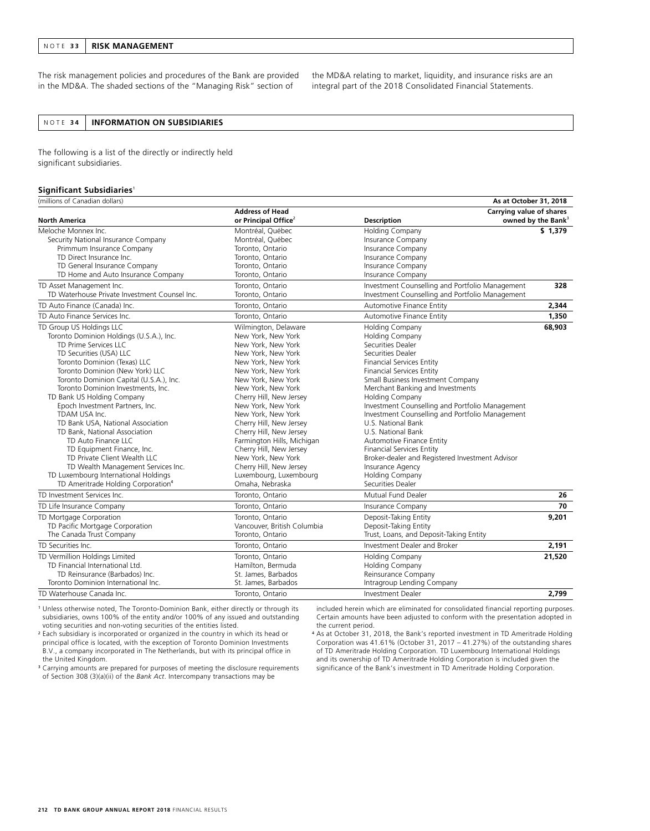The risk management policies and procedures of the Bank are provided in the MD&A. The shaded sections of the "Managing Risk" section of

the MD&A relating to market, liquidity, and insurance risks are an integral part of the 2018 Consolidated Financial Statements.

# NOTE **3 4 INFORMATION ON SUBSIDIARIES**

The following is a list of the directly or indirectly held significant subsidiaries.

### **Significant Subsidiaries**<sup>1</sup>

| (millions of Canadian dollars)                 |                                  | As at October 31, 2018                          |                                |
|------------------------------------------------|----------------------------------|-------------------------------------------------|--------------------------------|
|                                                | <b>Address of Head</b>           | Carrying value of shares                        |                                |
| <b>North America</b>                           | or Principal Office <sup>2</sup> | <b>Description</b>                              | owned by the Bank <sup>3</sup> |
| Meloche Monnex Inc.                            | Montréal, Québec                 | Holding Company                                 | \$1,379                        |
| Security National Insurance Company            | Montréal, Québec                 | Insurance Company                               |                                |
| Primmum Insurance Company                      | Toronto, Ontario                 | Insurance Company                               |                                |
| TD Direct Insurance Inc.                       | Toronto, Ontario                 | Insurance Company                               |                                |
| TD General Insurance Company                   | Toronto, Ontario                 | Insurance Company                               |                                |
| TD Home and Auto Insurance Company             | Toronto, Ontario                 | Insurance Company                               |                                |
| TD Asset Management Inc.                       | Toronto, Ontario                 | Investment Counselling and Portfolio Management | 328                            |
| TD Waterhouse Private Investment Counsel Inc.  | Toronto, Ontario                 | Investment Counselling and Portfolio Management |                                |
| TD Auto Finance (Canada) Inc.                  | Toronto, Ontario                 | Automotive Finance Entity                       | 2,344                          |
| TD Auto Finance Services Inc.                  | Toronto, Ontario                 | Automotive Finance Entity                       | 1,350                          |
| TD Group US Holdings LLC                       | Wilmington, Delaware             | Holding Company                                 | 68,903                         |
| Toronto Dominion Holdings (U.S.A.), Inc.       | New York, New York               | Holding Company                                 |                                |
| TD Prime Services LLC                          | New York, New York               | Securities Dealer                               |                                |
| TD Securities (USA) LLC                        | New York, New York               | Securities Dealer                               |                                |
| Toronto Dominion (Texas) LLC                   | New York, New York               | <b>Financial Services Entity</b>                |                                |
| Toronto Dominion (New York) LLC                | New York, New York               | <b>Financial Services Entity</b>                |                                |
| Toronto Dominion Capital (U.S.A.), Inc.        | New York, New York               | Small Business Investment Company               |                                |
| Toronto Dominion Investments, Inc.             | New York, New York               | Merchant Banking and Investments                |                                |
| TD Bank US Holding Company                     | Cherry Hill, New Jersey          | <b>Holding Company</b>                          |                                |
| Epoch Investment Partners, Inc.                | New York, New York               | Investment Counselling and Portfolio Management |                                |
| TDAM USA Inc.                                  | New York, New York               | Investment Counselling and Portfolio Management |                                |
| TD Bank USA, National Association              | Cherry Hill, New Jersey          | U.S. National Bank                              |                                |
| TD Bank, National Association                  | Cherry Hill, New Jersey          | U.S. National Bank                              |                                |
| TD Auto Finance LLC                            | Farmington Hills, Michigan       | Automotive Finance Entity                       |                                |
| TD Equipment Finance, Inc.                     | Cherry Hill, New Jersey          | <b>Financial Services Entity</b>                |                                |
| TD Private Client Wealth LLC                   | New York, New York               | Broker-dealer and Registered Investment Advisor |                                |
| TD Wealth Management Services Inc.             | Cherry Hill, New Jersey          | <b>Insurance Agency</b>                         |                                |
| TD Luxembourg International Holdings           | Luxembourg, Luxembourg           | Holding Company                                 |                                |
| TD Ameritrade Holding Corporation <sup>4</sup> | Omaha, Nebraska                  | <b>Securities Dealer</b>                        |                                |
| TD Investment Services Inc.                    | Toronto, Ontario                 | Mutual Fund Dealer                              | 26                             |
| TD Life Insurance Company                      | Toronto, Ontario                 | Insurance Company                               | 70                             |
| TD Mortgage Corporation                        | Toronto, Ontario                 | Deposit-Taking Entity                           | 9,201                          |
| TD Pacific Mortgage Corporation                | Vancouver, British Columbia      | Deposit-Taking Entity                           |                                |
| The Canada Trust Company                       | Toronto, Ontario                 | Trust, Loans, and Deposit-Taking Entity         |                                |
| TD Securities Inc.                             | Toronto, Ontario                 | Investment Dealer and Broker                    | 2,191                          |
| TD Vermillion Holdings Limited                 | Toronto, Ontario                 | <b>Holding Company</b>                          | 21,520                         |
| TD Financial International Ltd.                | Hamilton, Bermuda                | <b>Holding Company</b>                          |                                |
| TD Reinsurance (Barbados) Inc.                 | St. James, Barbados              | Reinsurance Company                             |                                |
| Toronto Dominion International Inc.            | St. James, Barbados              | Intragroup Lending Company                      |                                |
| TD Waterhouse Canada Inc.                      | Toronto, Ontario                 | <b>Investment Dealer</b>                        | 2.799                          |

<sup>1</sup> Unless otherwise noted, The Toronto-Dominion Bank, either directly or through its subsidiaries, owns 100% of the entity and/or 100% of any issued and outstanding voting securities and non-voting securities of the entities listed.

<sup>2</sup> Each subsidiary is incorporated or organized in the country in which its head or principal office is located, with the exception of Toronto Dominion Investments B.V., a company incorporated in The Netherlands, but with its principal office in the United Kingdom.

<sup>3</sup> Carrying amounts are prepared for purposes of meeting the disclosure requirements of Section 308 (3)(a)(ii) of the *Bank Act*. Intercompany transactions may be

included herein which are eliminated for consolidated financial reporting purposes. Certain amounts have been adjusted to conform with the presentation adopted in the current period.

<sup>4</sup> As at October 31, 2018, the Bank's reported investment in TD Ameritrade Holding Corporation was 41.61% (October 31, 2017 – 41.27%) of the outstanding shares of TD Ameritrade Holding Corporation. TD Luxembourg International Holdings and its ownership of TD Ameritrade Holding Corporation is included given the significance of the Bank's investment in TD Ameritrade Holding Corporation.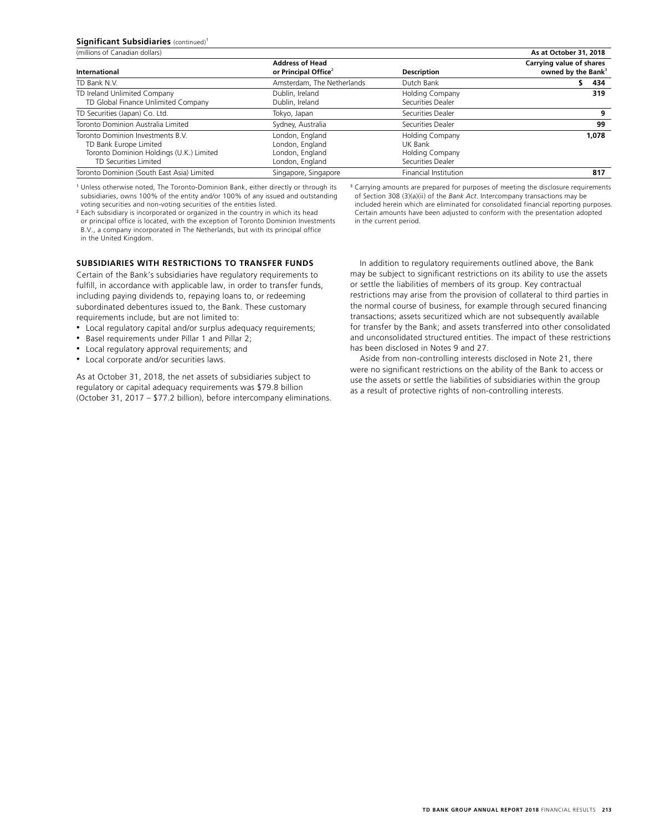#### **Significant Subsidiaries** (continued)<sup>1</sup>

| (millions of Canadian dollars)                                                                                                   |                                                                          |                                                                                  | As at October 31, 2018                                     |
|----------------------------------------------------------------------------------------------------------------------------------|--------------------------------------------------------------------------|----------------------------------------------------------------------------------|------------------------------------------------------------|
| International                                                                                                                    | <b>Address of Head</b><br>or Principal Office <sup>2</sup>               | <b>Description</b>                                                               | Carrying value of shares<br>owned by the Bank <sup>3</sup> |
| TD Bank N.V.                                                                                                                     | Amsterdam, The Netherlands                                               | Dutch Bank                                                                       | 434                                                        |
| TD Ireland Unlimited Company<br>TD Global Finance Unlimited Company                                                              | Dublin, Ireland<br>Dublin, Ireland                                       | Holding Company<br>Securities Dealer                                             | 319                                                        |
| TD Securities (Japan) Co. Ltd.                                                                                                   | Tokyo, Japan                                                             | Securities Dealer                                                                | 9                                                          |
| Toronto Dominion Australia Limited                                                                                               | Sydney, Australia                                                        | Securities Dealer                                                                | 99                                                         |
| Toronto Dominion Investments B.V.<br>TD Bank Europe Limited<br>Toronto Dominion Holdings (U.K.) Limited<br>TD Securities Limited | London, England<br>London, England<br>London, England<br>London, England | <b>Holding Company</b><br>UK Bank<br><b>Holding Company</b><br>Securities Dealer | 1.078                                                      |
| Toronto Dominion (South East Asia) Limited                                                                                       | Singapore, Singapore                                                     | Financial Institution                                                            | 817                                                        |

<sup>1</sup> Unless otherwise noted, The Toronto-Dominion Bank, either directly or through its subsidiaries, owns 100% of the entity and/or 100% of any issued and outstanding voting securities and non-voting securities of the entities listed.

<sup>2</sup> Each subsidiary is incorporated or organized in the country in which its head or principal office is located, with the exception of Toronto Dominion Investments B.V., a company incorporated in The Netherlands, but with its principal office in the United Kingdom.

<sup>3</sup> Carrying amounts are prepared for purposes of meeting the disclosure requirements of Section 308 (3)(a)(ii) of the *Bank Act*. Intercompany transactions may be included herein which are eliminated for consolidated financial reporting purposes. Certain amounts have been adjusted to conform with the presentation adopted in the current period.

## **SUBSIDIARIES WITH RESTRICTIONS TO TRANSFER FUNDS**

Certain of the Bank's subsidiaries have regulatory requirements to fulfill, in accordance with applicable law, in order to transfer funds, including paying dividends to, repaying loans to, or redeeming subordinated debentures issued to, the Bank. These customary requirements include, but are not limited to:

- Local regulatory capital and/or surplus adequacy requirements;
- Basel requirements under Pillar 1 and Pillar 2;
- Local regulatory approval requirements; and
- Local corporate and/or securities laws.

As at October 31, 2018, the net assets of subsidiaries subject to regulatory or capital adequacy requirements was \$79.8 billion (October 31, 2017 – \$77.2 billion), before intercompany eliminations.

In addition to regulatory requirements outlined above, the Bank may be subject to significant restrictions on its ability to use the assets or settle the liabilities of members of its group. Key contractual restrictions may arise from the provision of collateral to third parties in the normal course of business, for example through secured financing transactions; assets securitized which are not subsequently available for transfer by the Bank; and assets transferred into other consolidated and unconsolidated structured entities. The impact of these restrictions has been disclosed in Notes 9 and 27.

Aside from non-controlling interests disclosed in Note 21, there were no significant restrictions on the ability of the Bank to access or use the assets or settle the liabilities of subsidiaries within the group as a result of protective rights of non-controlling interests.